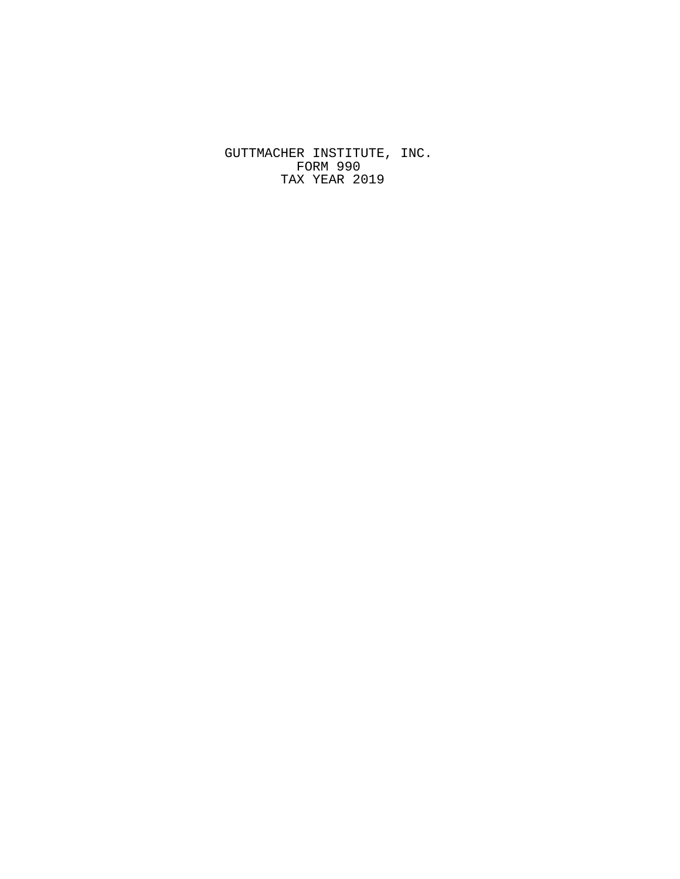GUTTMACHER INSTITUTE, INC. FORM 990 TAX YEAR 2019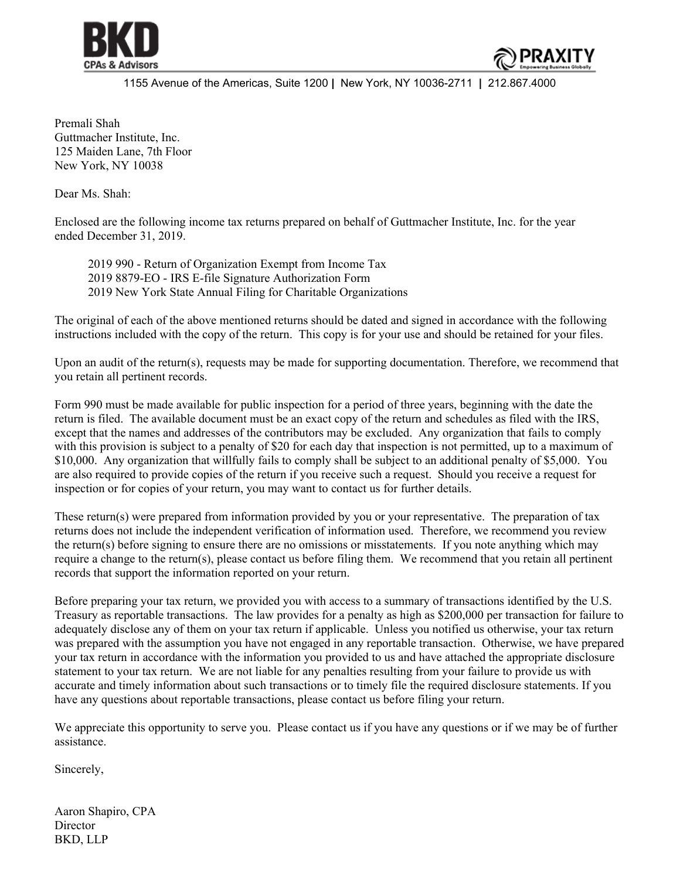



1155 Avenue of the Americas, Suite 1200 **|** New York, NY 10036-2711 **|**  212.867.4000

Premali Shah Guttmacher Institute, Inc. 125 Maiden Lane, 7th Floor New York, NY 10038

Dear Ms. Shah:

Enclosed are the following income tax returns prepared on behalf of Guttmacher Institute, Inc. for the year ended December 31, 2019.

2019 990 - Return of Organization Exempt from Income Tax 2019 8879-EO - IRS E-file Signature Authorization Form 2019 New York State Annual Filing for Charitable Organizations

The original of each of the above mentioned returns should be dated and signed in accordance with the following instructions included with the copy of the return. This copy is for your use and should be retained for your files.

Upon an audit of the return(s), requests may be made for supporting documentation. Therefore, we recommend that you retain all pertinent records.

Form 990 must be made available for public inspection for a period of three years, beginning with the date the return is filed. The available document must be an exact copy of the return and schedules as filed with the IRS, except that the names and addresses of the contributors may be excluded. Any organization that fails to comply with this provision is subject to a penalty of \$20 for each day that inspection is not permitted, up to a maximum of \$10,000. Any organization that willfully fails to comply shall be subject to an additional penalty of \$5,000. You are also required to provide copies of the return if you receive such a request. Should you receive a request for inspection or for copies of your return, you may want to contact us for further details.

These return(s) were prepared from information provided by you or your representative. The preparation of tax returns does not include the independent verification of information used. Therefore, we recommend you review the return(s) before signing to ensure there are no omissions or misstatements. If you note anything which may require a change to the return(s), please contact us before filing them. We recommend that you retain all pertinent records that support the information reported on your return.

Before preparing your tax return, we provided you with access to a summary of transactions identified by the U.S. Treasury as reportable transactions. The law provides for a penalty as high as \$200,000 per transaction for failure to adequately disclose any of them on your tax return if applicable. Unless you notified us otherwise, your tax return was prepared with the assumption you have not engaged in any reportable transaction. Otherwise, we have prepared your tax return in accordance with the information you provided to us and have attached the appropriate disclosure statement to your tax return. We are not liable for any penalties resulting from your failure to provide us with accurate and timely information about such transactions or to timely file the required disclosure statements. If you have any questions about reportable transactions, please contact us before filing your return.

We appreciate this opportunity to serve you. Please contact us if you have any questions or if we may be of further assistance.

Sincerely,

Aaron Shapiro, CPA Director BKD, LLP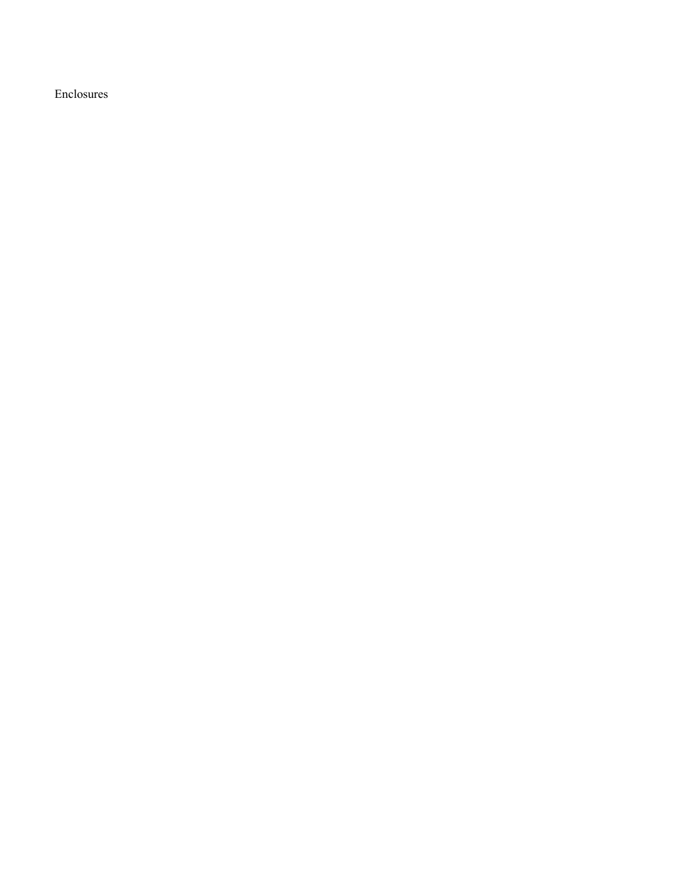Enclosures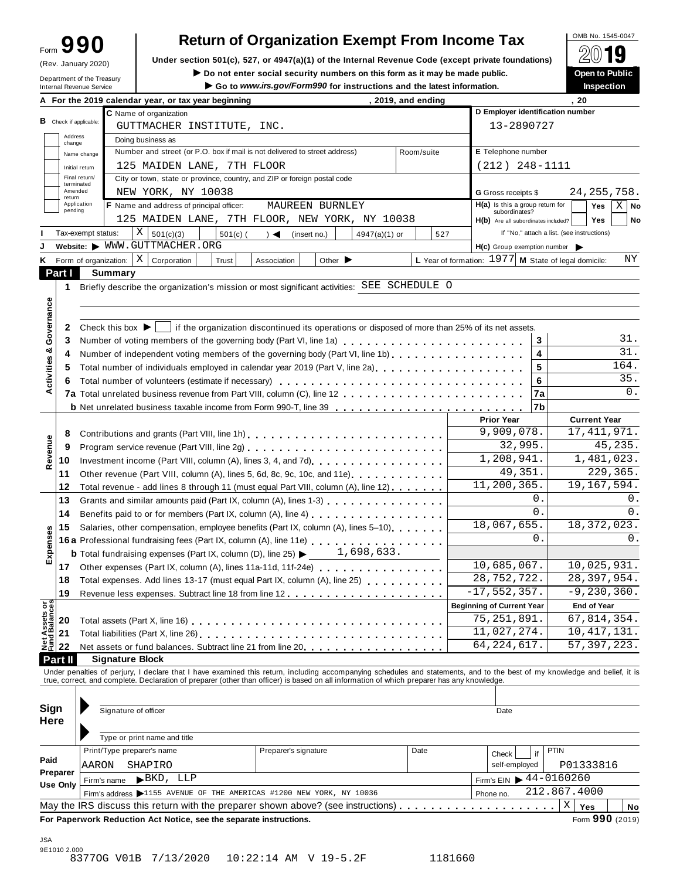# Form **990**

(Rev. January 2020)

# **Return of Organization Exempt From Income Tax**

**Under** section 501(c), 527, or 4947(a)(1) of the Internal Revenue Code (except private foundations) **△**<del>○</del> **A**<br>▶ Do not enter social security numbers on this form as it may be made public. ● ● ● ● ● ● ● ● ● ● ● ● ● ● ● ●

Department of the Treasury<br>Internal Revenue Service

 $\blacktriangleright$  Do not enter social security numbers on this form as it may be made public. Go to www.irs.gov/Form990 for instructions and the latest information

|                                              | A For the 2019 calendar year, or tax year beginning                                                                                                                                                                            |                                                                                                 | , 2019, and ending |                                                        | , 20                                       |
|----------------------------------------------|--------------------------------------------------------------------------------------------------------------------------------------------------------------------------------------------------------------------------------|-------------------------------------------------------------------------------------------------|--------------------|--------------------------------------------------------|--------------------------------------------|
|                                              | C Name of organization                                                                                                                                                                                                         |                                                                                                 |                    | D Employer identification number                       |                                            |
| <b>B</b> Check if applicable:                | GUTTMACHER INSTITUTE, INC.                                                                                                                                                                                                     |                                                                                                 |                    | 13-2890727                                             |                                            |
| Address<br>change                            | Doing business as                                                                                                                                                                                                              |                                                                                                 |                    |                                                        |                                            |
|                                              | Number and street (or P.O. box if mail is not delivered to street address)<br>Name change                                                                                                                                      |                                                                                                 | Room/suite         | E Telephone number                                     |                                            |
| Initial return                               | 125 MAIDEN LANE, 7TH FLOOR                                                                                                                                                                                                     |                                                                                                 |                    | $(212)$ $248 - 1111$                                   |                                            |
| Final return/<br>terminated                  | City or town, state or province, country, and ZIP or foreign postal code                                                                                                                                                       |                                                                                                 |                    |                                                        |                                            |
| Amended<br>return                            | NEW YORK, NY 10038                                                                                                                                                                                                             |                                                                                                 |                    | <b>G</b> Gross receipts \$                             | 24, 255, 758.                              |
| Application<br>pending                       | F Name and address of principal officer:                                                                                                                                                                                       | MAUREEN BURNLEY                                                                                 |                    | H(a) Is this a group return for<br>subordinates?       | Yes<br>$X \mid$ No                         |
|                                              |                                                                                                                                                                                                                                | 125 MAIDEN LANE, 7TH FLOOR, NEW YORK, NY 10038                                                  |                    | H(b) Are all subordinates included?                    | Yes<br>No                                  |
|                                              | $X \mid 501(c)(3)$<br>Tax-exempt status:<br>$501(c)$ (                                                                                                                                                                         | $\rightarrow$<br>(insert no.)<br>$4947(a)(1)$ or                                                | 527                |                                                        | If "No," attach a list. (see instructions) |
|                                              | Website: WWW.GUTTMACHER.ORG                                                                                                                                                                                                    |                                                                                                 |                    | $H(c)$ Group exemption number $\triangleright$         |                                            |
|                                              | Form of organization: $X \mid$ Corporation<br>Trust                                                                                                                                                                            | Other $\blacktriangleright$<br>Association                                                      |                    | L Year of formation: $1977$ M State of legal domicile: | NY                                         |
| Part I                                       | <b>Summary</b>                                                                                                                                                                                                                 |                                                                                                 |                    |                                                        |                                            |
| 1                                            | Briefly describe the organization's mission or most significant activities: SEE SCHEDULE O                                                                                                                                     |                                                                                                 |                    |                                                        |                                            |
|                                              |                                                                                                                                                                                                                                |                                                                                                 |                    |                                                        |                                            |
| Governance                                   |                                                                                                                                                                                                                                |                                                                                                 |                    |                                                        |                                            |
| 2                                            | Check this box $\blacktriangleright$                                                                                                                                                                                           | if the organization discontinued its operations or disposed of more than 25% of its net assets. |                    |                                                        |                                            |
| 3                                            |                                                                                                                                                                                                                                |                                                                                                 |                    | 3                                                      | 31.                                        |
| Activities &<br>4                            | Number of independent voting members of the governing body (Part VI, line 1b)                                                                                                                                                  |                                                                                                 |                    | 4                                                      | 31.                                        |
| 5                                            | Total number of individuals employed in calendar year 2019 (Part V, line 2a)                                                                                                                                                   |                                                                                                 |                    | 5                                                      | 164.                                       |
| 6                                            |                                                                                                                                                                                                                                |                                                                                                 |                    | 6                                                      | 35.                                        |
|                                              |                                                                                                                                                                                                                                |                                                                                                 |                    | 7a                                                     | 0.                                         |
|                                              |                                                                                                                                                                                                                                |                                                                                                 |                    | 7b                                                     |                                            |
|                                              |                                                                                                                                                                                                                                |                                                                                                 |                    | <b>Prior Year</b>                                      | <b>Current Year</b>                        |
| 8                                            | Contributions and grants (Part VIII, line 1h)                                                                                                                                                                                  |                                                                                                 |                    | 9,909,078.                                             | 17, 411, 971.                              |
| 9                                            |                                                                                                                                                                                                                                |                                                                                                 | 32,995.            | 45,235.                                                |                                            |
| 10                                           | Investment income (Part VIII, column (A), lines 3, 4, and 7d)<br>[10] The Land 7d (Discourse Lines 3, 4, and 7d)                                                                                                               |                                                                                                 |                    | 1,208,941.                                             | 1,481,023.                                 |
| 11                                           |                                                                                                                                                                                                                                |                                                                                                 |                    | 49,351.                                                | 229,365.                                   |
| 12                                           | Total revenue - add lines 8 through 11 (must equal Part VIII, column (A), line 12)                                                                                                                                             |                                                                                                 |                    | 11, 200, 365.                                          | 19, 167, 594.                              |
| 13                                           | Grants and similar amounts paid (Part IX, column (A), lines 1-3)                                                                                                                                                               |                                                                                                 |                    | 0.                                                     | О.                                         |
| 14                                           | Benefits paid to or for members (Part IX, column (A), line 4) [10] cases in the set of the set of the set of the set of the set of the set of the set of the set of the set of the set of the set of the set of the set of the |                                                                                                 |                    | 0.                                                     | 0.                                         |
| 15                                           | Salaries, other compensation, employee benefits (Part IX, column (A), lines 5-10)                                                                                                                                              |                                                                                                 |                    | 18,067,655.                                            | 18, 372, 023.                              |
| Expenses                                     |                                                                                                                                                                                                                                |                                                                                                 |                    | 0.                                                     | 0.                                         |
|                                              | <b>b</b> Total fundraising expenses (Part IX, column (D), line 25) $\blacktriangleright$                                                                                                                                       | 1,698,633.                                                                                      |                    |                                                        |                                            |
| 17                                           | Other expenses (Part IX, column (A), lines 11a-11d, 11f-24e)                                                                                                                                                                   |                                                                                                 |                    | 10,685,067.                                            | 10,025,931.                                |
| 18                                           | Total expenses. Add lines 13-17 (must equal Part IX, column (A), line 25)                                                                                                                                                      |                                                                                                 |                    | 28,752,722.                                            | 28, 397, 954.                              |
| 19                                           |                                                                                                                                                                                                                                |                                                                                                 |                    | $-17,552,357.$                                         | $-9, 230, 360.$                            |
|                                              |                                                                                                                                                                                                                                |                                                                                                 |                    | <b>Beginning of Current Year</b>                       | <b>End of Year</b>                         |
| <b>Net Assets or<br/>Fund Balances</b><br>20 |                                                                                                                                                                                                                                |                                                                                                 |                    | 75, 251, 891.                                          | 67, 814, 354.                              |
| 21                                           | Total liabilities (Part X, line 26) [19] Total liabilities (Part X, line 26)                                                                                                                                                   |                                                                                                 |                    | 11,027,274.                                            | 10, 417, 131.                              |
| 22                                           | Net assets or fund balances. Subtract line 21 from line 20                                                                                                                                                                     |                                                                                                 |                    | 64, 224, 617.                                          | 57, 397, 223.                              |
| Part II                                      | <b>Signature Block</b>                                                                                                                                                                                                         |                                                                                                 |                    |                                                        |                                            |
|                                              | Under penalties of perjury, I declare that I have examined this return, including accompanying schedules and statements, and to the best of my knowledge and belief, it is                                                     |                                                                                                 |                    |                                                        |                                            |
|                                              | true, correct, and complete. Declaration of preparer (other than officer) is based on all information of which preparer has any knowledge.                                                                                     |                                                                                                 |                    |                                                        |                                            |
|                                              |                                                                                                                                                                                                                                |                                                                                                 |                    |                                                        |                                            |
| Sign                                         | Signature of officer                                                                                                                                                                                                           |                                                                                                 |                    | Date                                                   |                                            |
| Here                                         |                                                                                                                                                                                                                                |                                                                                                 |                    |                                                        |                                            |
|                                              | Type or print name and title                                                                                                                                                                                                   |                                                                                                 |                    |                                                        |                                            |
|                                              | Print/Type preparer's name                                                                                                                                                                                                     | Preparer's signature                                                                            | Date               | if<br>Check                                            | <b>PTIN</b>                                |
|                                              | AARON<br>SHAPIRO                                                                                                                                                                                                               |                                                                                                 |                    | self-employed                                          | P01333816                                  |
|                                              |                                                                                                                                                                                                                                |                                                                                                 |                    | Firm's EIN $\triangleright$ 44-0160260                 |                                            |
|                                              |                                                                                                                                                                                                                                |                                                                                                 |                    |                                                        |                                            |
| Paid<br>Preparer<br><b>Use Only</b>          | $\blacktriangleright$ BKD, LLP<br>Firm's name                                                                                                                                                                                  |                                                                                                 |                    |                                                        |                                            |
|                                              | Firm's address >1155 AVENUE OF THE AMERICAS #1200 NEW YORK, NY 10036                                                                                                                                                           |                                                                                                 |                    | Phone no.                                              | 212.867.4000<br>Χ<br>Yes<br>No             |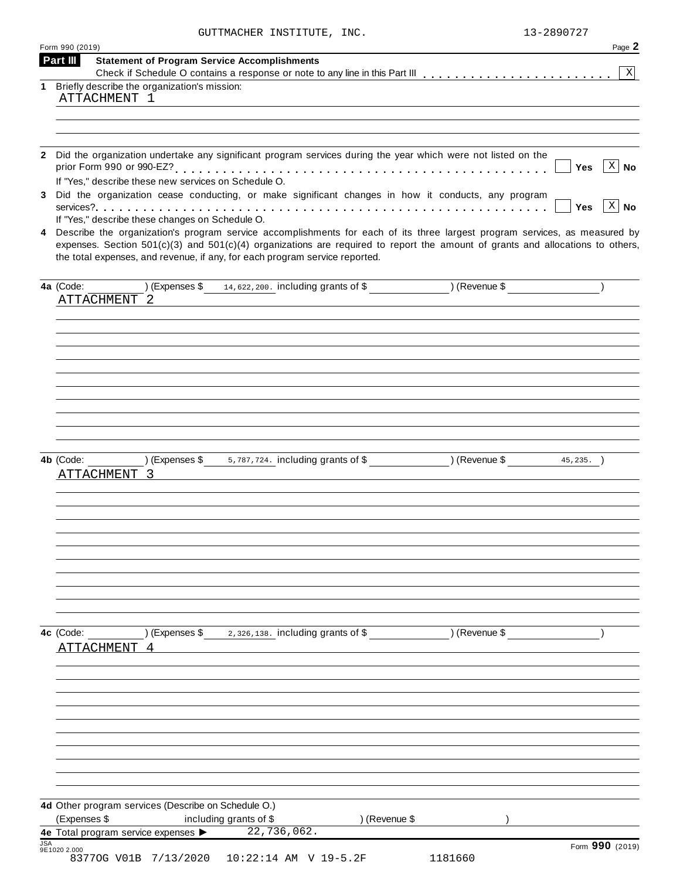| GUTTMACHER INSTITUTE, INC. | 13-2890727 |
|----------------------------|------------|
|----------------------------|------------|

|            | Form 990 (2019) |              |                                                      |                                                                             |                                      |                                                                                                                                                                                                                                                                    | Page 2                      |
|------------|-----------------|--------------|------------------------------------------------------|-----------------------------------------------------------------------------|--------------------------------------|--------------------------------------------------------------------------------------------------------------------------------------------------------------------------------------------------------------------------------------------------------------------|-----------------------------|
|            | Part III        |              |                                                      | <b>Statement of Program Service Accomplishments</b>                         |                                      |                                                                                                                                                                                                                                                                    |                             |
|            |                 |              | 1 Briefly describe the organization's mission:       |                                                                             |                                      |                                                                                                                                                                                                                                                                    | $\mathbf{X}$                |
|            |                 | ATTACHMENT 1 |                                                      |                                                                             |                                      |                                                                                                                                                                                                                                                                    |                             |
|            |                 |              |                                                      |                                                                             |                                      |                                                                                                                                                                                                                                                                    |                             |
|            |                 |              |                                                      |                                                                             |                                      |                                                                                                                                                                                                                                                                    |                             |
|            |                 |              |                                                      |                                                                             |                                      |                                                                                                                                                                                                                                                                    |                             |
|            |                 |              | If "Yes," describe these new services on Schedule O. |                                                                             |                                      | Did the organization undertake any significant program services during the year which were not listed on the                                                                                                                                                       | $ X $ No<br>Yes             |
|            |                 |              |                                                      |                                                                             |                                      | Did the organization cease conducting, or make significant changes in how it conducts, any program                                                                                                                                                                 |                             |
|            |                 |              |                                                      |                                                                             |                                      |                                                                                                                                                                                                                                                                    | $\lceil x \rceil$ No<br>Yes |
|            |                 |              | If "Yes," describe these changes on Schedule O.      | the total expenses, and revenue, if any, for each program service reported. |                                      | 4 Describe the organization's program service accomplishments for each of its three largest program services, as measured by<br>expenses. Section $501(c)(3)$ and $501(c)(4)$ organizations are required to report the amount of grants and allocations to others, |                             |
|            | 4a (Code:       |              |                                                      |                                                                             |                                      | (Expenses $\frac{14,622,200}{14,622,200}$ . including grants of \$ ) (Revenue \$                                                                                                                                                                                   |                             |
|            |                 | ATTACHMENT 2 |                                                      |                                                                             |                                      |                                                                                                                                                                                                                                                                    |                             |
|            |                 |              |                                                      |                                                                             |                                      |                                                                                                                                                                                                                                                                    |                             |
|            |                 |              |                                                      |                                                                             |                                      |                                                                                                                                                                                                                                                                    |                             |
|            |                 |              |                                                      |                                                                             |                                      |                                                                                                                                                                                                                                                                    |                             |
|            |                 |              |                                                      |                                                                             |                                      |                                                                                                                                                                                                                                                                    |                             |
|            |                 |              |                                                      |                                                                             |                                      |                                                                                                                                                                                                                                                                    |                             |
|            |                 |              |                                                      |                                                                             |                                      |                                                                                                                                                                                                                                                                    |                             |
|            |                 |              |                                                      |                                                                             |                                      |                                                                                                                                                                                                                                                                    |                             |
|            |                 |              |                                                      |                                                                             |                                      |                                                                                                                                                                                                                                                                    |                             |
|            |                 |              |                                                      |                                                                             |                                      |                                                                                                                                                                                                                                                                    |                             |
|            | 4b (Code:       |              |                                                      |                                                                             |                                      | $(1)$ (Expenses \$ $5.787.724$ . including grants of \$ ) (Revenue \$                                                                                                                                                                                              | 45,235.                     |
|            |                 | ATTACHMENT 3 |                                                      |                                                                             |                                      |                                                                                                                                                                                                                                                                    |                             |
|            |                 |              |                                                      |                                                                             |                                      |                                                                                                                                                                                                                                                                    |                             |
|            |                 |              |                                                      |                                                                             |                                      |                                                                                                                                                                                                                                                                    |                             |
|            |                 |              |                                                      |                                                                             |                                      |                                                                                                                                                                                                                                                                    |                             |
|            |                 |              |                                                      |                                                                             |                                      |                                                                                                                                                                                                                                                                    |                             |
|            |                 |              |                                                      |                                                                             |                                      |                                                                                                                                                                                                                                                                    |                             |
|            |                 |              |                                                      |                                                                             |                                      |                                                                                                                                                                                                                                                                    |                             |
|            |                 |              |                                                      |                                                                             |                                      |                                                                                                                                                                                                                                                                    |                             |
|            |                 |              |                                                      |                                                                             |                                      |                                                                                                                                                                                                                                                                    |                             |
|            |                 |              |                                                      |                                                                             |                                      |                                                                                                                                                                                                                                                                    |                             |
|            | 4c (Code:       |              | $\sqrt{2}$ (Expenses \$                              |                                                                             | $2,326,138$ . including grants of \$ | ) (Revenue \$                                                                                                                                                                                                                                                      |                             |
|            |                 | ATTACHMENT 4 |                                                      |                                                                             |                                      |                                                                                                                                                                                                                                                                    |                             |
|            |                 |              |                                                      |                                                                             |                                      |                                                                                                                                                                                                                                                                    |                             |
|            |                 |              |                                                      |                                                                             |                                      |                                                                                                                                                                                                                                                                    |                             |
|            |                 |              |                                                      |                                                                             |                                      |                                                                                                                                                                                                                                                                    |                             |
|            |                 |              |                                                      |                                                                             |                                      |                                                                                                                                                                                                                                                                    |                             |
|            |                 |              |                                                      |                                                                             |                                      |                                                                                                                                                                                                                                                                    |                             |
|            |                 |              |                                                      |                                                                             |                                      |                                                                                                                                                                                                                                                                    |                             |
|            |                 |              |                                                      |                                                                             |                                      |                                                                                                                                                                                                                                                                    |                             |
|            |                 |              |                                                      |                                                                             |                                      |                                                                                                                                                                                                                                                                    |                             |
|            |                 |              |                                                      |                                                                             |                                      |                                                                                                                                                                                                                                                                    |                             |
|            |                 |              | 4d Other program services (Describe on Schedule O.)  |                                                                             |                                      |                                                                                                                                                                                                                                                                    |                             |
|            | (Expenses \$    |              |                                                      | including grants of \$                                                      | ) (Revenue \$                        |                                                                                                                                                                                                                                                                    |                             |
|            |                 |              | 4e Total program service expenses                    | 22,736,062.                                                                 |                                      |                                                                                                                                                                                                                                                                    |                             |
| <b>JSA</b> |                 |              |                                                      |                                                                             |                                      |                                                                                                                                                                                                                                                                    | Form 990 (2019)             |
|            | 9E1020 2.000    |              | 83770G V01B 7/13/2020                                | 10:22:14 AM V 19-5.2F                                                       |                                      | 1181660                                                                                                                                                                                                                                                            |                             |
|            |                 |              |                                                      |                                                                             |                                      |                                                                                                                                                                                                                                                                    |                             |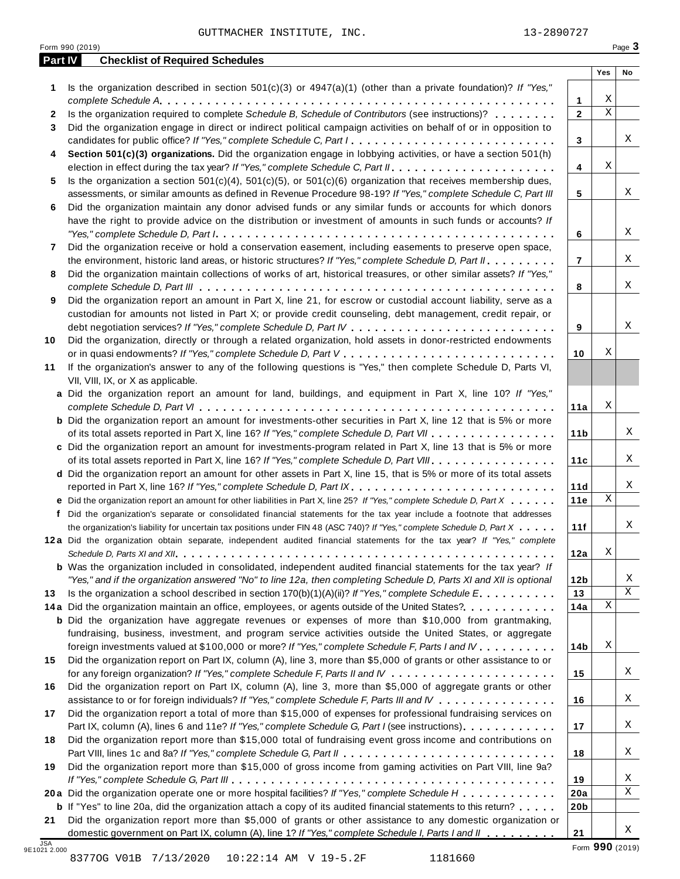|              | Part IV<br><b>Checklist of Required Schedules</b>                                                                                                                                                                                    |                 |             |    |
|--------------|--------------------------------------------------------------------------------------------------------------------------------------------------------------------------------------------------------------------------------------|-----------------|-------------|----|
|              |                                                                                                                                                                                                                                      |                 | Yes         | No |
| 1            | Is the organization described in section $501(c)(3)$ or $4947(a)(1)$ (other than a private foundation)? If "Yes,"                                                                                                                    |                 |             |    |
|              |                                                                                                                                                                                                                                      | 1               | Χ           |    |
| $\mathbf{2}$ | Is the organization required to complete Schedule B, Schedule of Contributors (see instructions)?                                                                                                                                    | $\overline{2}$  | $\mathbf X$ |    |
| 3            | Did the organization engage in direct or indirect political campaign activities on behalf of or in opposition to                                                                                                                     |                 |             |    |
|              | candidates for public office? If "Yes," complete Schedule C, Part I.                                                                                                                                                                 | 3               |             | Χ  |
| 4            | Section 501(c)(3) organizations. Did the organization engage in lobbying activities, or have a section 501(h)                                                                                                                        |                 | Χ           |    |
|              |                                                                                                                                                                                                                                      | 4               |             |    |
| 5            | Is the organization a section $501(c)(4)$ , $501(c)(5)$ , or $501(c)(6)$ organization that receives membership dues,                                                                                                                 |                 |             | Χ  |
|              | assessments, or similar amounts as defined in Revenue Procedure 98-19? If "Yes," complete Schedule C, Part III                                                                                                                       | 5               |             |    |
| 6            | Did the organization maintain any donor advised funds or any similar funds or accounts for which donors<br>have the right to provide advice on the distribution or investment of amounts in such funds or accounts? If               |                 |             |    |
|              |                                                                                                                                                                                                                                      | 6               |             | X  |
| 7            | Did the organization receive or hold a conservation easement, including easements to preserve open space,                                                                                                                            |                 |             |    |
|              | the environment, historic land areas, or historic structures? If "Yes," complete Schedule D, Part II.                                                                                                                                | $\overline{7}$  |             | Χ  |
| 8            | Did the organization maintain collections of works of art, historical treasures, or other similar assets? If "Yes,"                                                                                                                  |                 |             |    |
|              |                                                                                                                                                                                                                                      | 8               |             | Χ  |
| 9            | Did the organization report an amount in Part X, line 21, for escrow or custodial account liability, serve as a                                                                                                                      |                 |             |    |
|              | custodian for amounts not listed in Part X; or provide credit counseling, debt management, credit repair, or                                                                                                                         |                 |             |    |
|              |                                                                                                                                                                                                                                      | 9               |             | X  |
| 10           | Did the organization, directly or through a related organization, hold assets in donor-restricted endowments                                                                                                                         |                 |             |    |
|              |                                                                                                                                                                                                                                      | 10              | Χ           |    |
| 11           | If the organization's answer to any of the following questions is "Yes," then complete Schedule D, Parts VI,                                                                                                                         |                 |             |    |
|              | VII, VIII, IX, or X as applicable.                                                                                                                                                                                                   |                 |             |    |
|              | a Did the organization report an amount for land, buildings, and equipment in Part X, line 10? If "Yes,"                                                                                                                             |                 |             |    |
|              |                                                                                                                                                                                                                                      | 11a             | Χ           |    |
|              | <b>b</b> Did the organization report an amount for investments-other securities in Part X, line 12 that is 5% or more                                                                                                                |                 |             |    |
|              | of its total assets reported in Part X, line 16? If "Yes," complete Schedule D, Part VII                                                                                                                                             | 11 <sub>b</sub> |             | Χ  |
|              | c Did the organization report an amount for investments-program related in Part X, line 13 that is 5% or more                                                                                                                        |                 |             |    |
|              | of its total assets reported in Part X, line 16? If "Yes," complete Schedule D, Part VIII                                                                                                                                            | 11c             |             | Χ  |
|              | d Did the organization report an amount for other assets in Part X, line 15, that is 5% or more of its total assets                                                                                                                  |                 |             |    |
|              | reported in Part X, line 16? If "Yes," complete Schedule D, Part IX.                                                                                                                                                                 | 11d             |             | Χ  |
|              | e Did the organization report an amount for other liabilities in Part X, line 25? If "Yes," complete Schedule D, Part X                                                                                                              | 11e             | $\mathbf X$ |    |
| f            | Did the organization's separate or consolidated financial statements for the tax year include a footnote that addresses                                                                                                              |                 |             |    |
|              | the organization's liability for uncertain tax positions under FIN 48 (ASC 740)? If "Yes," complete Schedule D, Part X                                                                                                               | 11f             |             | Χ  |
|              | 12a Did the organization obtain separate, independent audited financial statements for the tax year? If "Yes," complete                                                                                                              |                 |             |    |
|              |                                                                                                                                                                                                                                      | 12a             | Χ           |    |
|              | <b>b</b> Was the organization included in consolidated, independent audited financial statements for the tax year? If                                                                                                                |                 |             |    |
|              | "Yes," and if the organization answered "No" to line 12a, then completing Schedule D, Parts XI and XII is optional                                                                                                                   | 12b             |             | Χ  |
| 13           | Is the organization a school described in section $170(b)(1)(A)(ii)$ ? If "Yes," complete Schedule E.                                                                                                                                | 13              |             | X  |
|              | 14a Did the organization maintain an office, employees, or agents outside of the United States?.                                                                                                                                     | 14a             | Χ           |    |
|              | <b>b</b> Did the organization have aggregate revenues or expenses of more than \$10,000 from grantmaking,                                                                                                                            |                 |             |    |
|              | fundraising, business, investment, and program service activities outside the United States, or aggregate                                                                                                                            |                 |             |    |
|              | foreign investments valued at \$100,000 or more? If "Yes," complete Schedule F, Parts I and IV                                                                                                                                       | 14b             | Χ           |    |
| 15           | Did the organization report on Part IX, column (A), line 3, more than \$5,000 of grants or other assistance to or                                                                                                                    |                 |             |    |
|              |                                                                                                                                                                                                                                      | 15              |             | Χ  |
| 16           | Did the organization report on Part IX, column (A), line 3, more than \$5,000 of aggregate grants or other                                                                                                                           |                 |             | Χ  |
|              | assistance to or for foreign individuals? If "Yes," complete Schedule F, Parts III and IV                                                                                                                                            | 16              |             |    |
| 17           | Did the organization report a total of more than \$15,000 of expenses for professional fundraising services on                                                                                                                       |                 |             | Χ  |
|              | Part IX, column (A), lines 6 and 11e? If "Yes," complete Schedule G, Part I (see instructions)                                                                                                                                       | 17              |             |    |
| 18           | Did the organization report more than \$15,000 total of fundraising event gross income and contributions on                                                                                                                          |                 |             | Χ  |
|              |                                                                                                                                                                                                                                      | 18              |             |    |
| 19           | Did the organization report more than \$15,000 of gross income from gaming activities on Part VIII, line 9a?                                                                                                                         |                 |             | Χ  |
|              | 20a Did the organization operate one or more hospital facilities? If "Yes," complete Schedule H                                                                                                                                      | 19              |             | Χ  |
|              |                                                                                                                                                                                                                                      | 20a             |             |    |
|              |                                                                                                                                                                                                                                      |                 |             |    |
| 21           | <b>b</b> If "Yes" to line 20a, did the organization attach a copy of its audited financial statements to this return?<br>Did the organization report more than \$5,000 of grants or other assistance to any domestic organization or | 20 <sub>b</sub> |             |    |

8377OG V01B 7/13/2020 10:22:14 AM V 19-5.2F 1181660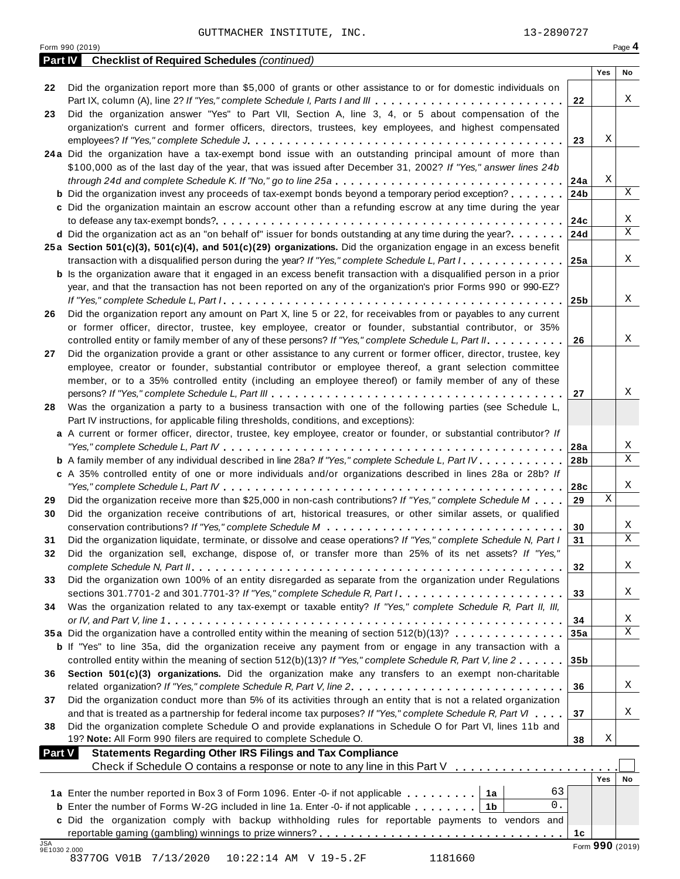|                     | <b>Part IV</b> Checklist of Required Schedules (continued)                                                                                                                                                                           |                 |                 |                     |
|---------------------|--------------------------------------------------------------------------------------------------------------------------------------------------------------------------------------------------------------------------------------|-----------------|-----------------|---------------------|
|                     | Did the organization report more than \$5,000 of grants or other assistance to or for domestic individuals on                                                                                                                        |                 | Yes             | No                  |
| 22                  | Part IX, column (A), line 2? If "Yes," complete Schedule I, Parts I and III                                                                                                                                                          | 22              |                 | X                   |
| 23                  | Did the organization answer "Yes" to Part VII, Section A, line 3, 4, or 5 about compensation of the                                                                                                                                  |                 |                 |                     |
|                     | organization's current and former officers, directors, trustees, key employees, and highest compensated                                                                                                                              |                 |                 |                     |
|                     |                                                                                                                                                                                                                                      | 23              | Χ               |                     |
|                     | 24a Did the organization have a tax-exempt bond issue with an outstanding principal amount of more than                                                                                                                              |                 |                 |                     |
|                     | \$100,000 as of the last day of the year, that was issued after December 31, 2002? If "Yes," answer lines 24b                                                                                                                        |                 |                 |                     |
|                     | through 24d and complete Schedule K. If "No," go to line 25a                                                                                                                                                                         | 24a             | Χ               |                     |
|                     | <b>b</b> Did the organization invest any proceeds of tax-exempt bonds beyond a temporary period exception?                                                                                                                           | 24 <sub>b</sub> |                 | X                   |
|                     | c Did the organization maintain an escrow account other than a refunding escrow at any time during the year                                                                                                                          |                 |                 |                     |
|                     |                                                                                                                                                                                                                                      | 24c             |                 | X<br>$\overline{X}$ |
|                     | <b>d</b> Did the organization act as an "on behalf of" issuer for bonds outstanding at any time during the year?<br>25a Section 501(c)(3), 501(c)(4), and 501(c)(29) organizations. Did the organization engage in an excess benefit | 24d             |                 |                     |
|                     | transaction with a disqualified person during the year? If "Yes," complete Schedule L, Part I                                                                                                                                        | 25a             |                 | Χ                   |
|                     | <b>b</b> Is the organization aware that it engaged in an excess benefit transaction with a disqualified person in a prior                                                                                                            |                 |                 |                     |
|                     | year, and that the transaction has not been reported on any of the organization's prior Forms 990 or 990-EZ?                                                                                                                         |                 |                 |                     |
|                     |                                                                                                                                                                                                                                      | 25b             |                 | X                   |
| 26                  | Did the organization report any amount on Part X, line 5 or 22, for receivables from or payables to any current                                                                                                                      |                 |                 |                     |
|                     | or former officer, director, trustee, key employee, creator or founder, substantial contributor, or 35%                                                                                                                              |                 |                 |                     |
|                     | controlled entity or family member of any of these persons? If "Yes," complete Schedule L, Part II.                                                                                                                                  | 26              |                 | X                   |
| 27                  | Did the organization provide a grant or other assistance to any current or former officer, director, trustee, key                                                                                                                    |                 |                 |                     |
|                     | employee, creator or founder, substantial contributor or employee thereof, a grant selection committee                                                                                                                               |                 |                 |                     |
|                     | member, or to a 35% controlled entity (including an employee thereof) or family member of any of these                                                                                                                               |                 |                 |                     |
|                     |                                                                                                                                                                                                                                      | 27              |                 | X                   |
| 28                  | Was the organization a party to a business transaction with one of the following parties (see Schedule L,                                                                                                                            |                 |                 |                     |
|                     | Part IV instructions, for applicable filing thresholds, conditions, and exceptions):<br>a A current or former officer, director, trustee, key employee, creator or founder, or substantial contributor? If                           |                 |                 |                     |
|                     |                                                                                                                                                                                                                                      | 28a             |                 | X                   |
|                     | <b>b</b> A family member of any individual described in line 28a? If "Yes," complete Schedule L, Part IV.                                                                                                                            | 28 <sub>b</sub> |                 | $\mathbf X$         |
|                     | c A 35% controlled entity of one or more individuals and/or organizations described in lines 28a or 28b? If                                                                                                                          |                 |                 |                     |
|                     |                                                                                                                                                                                                                                      | 28c             |                 | Χ                   |
| 29                  | Did the organization receive more than \$25,000 in non-cash contributions? If "Yes," complete Schedule M                                                                                                                             | 29              | X               |                     |
| 30                  | Did the organization receive contributions of art, historical treasures, or other similar assets, or qualified                                                                                                                       |                 |                 |                     |
|                     |                                                                                                                                                                                                                                      | 30              |                 | X                   |
| 31                  | Did the organization liquidate, terminate, or dissolve and cease operations? If "Yes," complete Schedule N, Part I                                                                                                                   | 31              |                 | $\mathbf X$         |
| 32                  | Did the organization sell, exchange, dispose of, or transfer more than 25% of its net assets? If "Yes,"                                                                                                                              |                 |                 |                     |
|                     |                                                                                                                                                                                                                                      | 32              |                 | Χ                   |
| 33                  | Did the organization own 100% of an entity disregarded as separate from the organization under Regulations                                                                                                                           |                 |                 | Χ                   |
| 34                  | Was the organization related to any tax-exempt or taxable entity? If "Yes," complete Schedule R, Part II, III,                                                                                                                       | 33              |                 |                     |
|                     |                                                                                                                                                                                                                                      | 34              |                 | Χ                   |
|                     | 35a Did the organization have a controlled entity within the meaning of section 512(b)(13)?                                                                                                                                          | 35a             |                 | X                   |
|                     | <b>b</b> If "Yes" to line 35a, did the organization receive any payment from or engage in any transaction with a                                                                                                                     |                 |                 |                     |
|                     | controlled entity within the meaning of section 512(b)(13)? If "Yes," complete Schedule R, Part V, line 2                                                                                                                            | 35 <sub>b</sub> |                 |                     |
| 36                  | Section 501(c)(3) organizations. Did the organization make any transfers to an exempt non-charitable                                                                                                                                 |                 |                 |                     |
|                     | related organization? If "Yes," complete Schedule R, Part V, line 2.                                                                                                                                                                 | 36              |                 | X                   |
| 37                  | Did the organization conduct more than 5% of its activities through an entity that is not a related organization                                                                                                                     |                 |                 |                     |
|                     | and that is treated as a partnership for federal income tax purposes? If "Yes," complete Schedule R, Part VI                                                                                                                         | 37              |                 | X                   |
| 38                  | Did the organization complete Schedule O and provide explanations in Schedule O for Part VI, lines 11b and                                                                                                                           |                 | Χ               |                     |
| <b>Part V</b>       | 19? Note: All Form 990 filers are required to complete Schedule O.<br><b>Statements Regarding Other IRS Filings and Tax Compliance</b>                                                                                               | 38              |                 |                     |
|                     | Check if Schedule O contains a response or note to any line in this Part V                                                                                                                                                           |                 |                 |                     |
|                     |                                                                                                                                                                                                                                      |                 | Yes             | No                  |
|                     | 63<br>1a Enter the number reported in Box 3 of Form 1096. Enter -0- if not applicable   1a                                                                                                                                           |                 |                 |                     |
|                     | 0.<br><b>b</b> Enter the number of Forms W-2G included in line 1a. Enter -0- if not applicable $\ldots \ldots$ ,                                                                                                                     |                 |                 |                     |
|                     | c Did the organization comply with backup withholding rules for reportable payments to vendors and                                                                                                                                   |                 |                 |                     |
|                     |                                                                                                                                                                                                                                      | 1c              |                 |                     |
| JSA<br>9E1030 2.000 |                                                                                                                                                                                                                                      |                 | Form 990 (2019) |                     |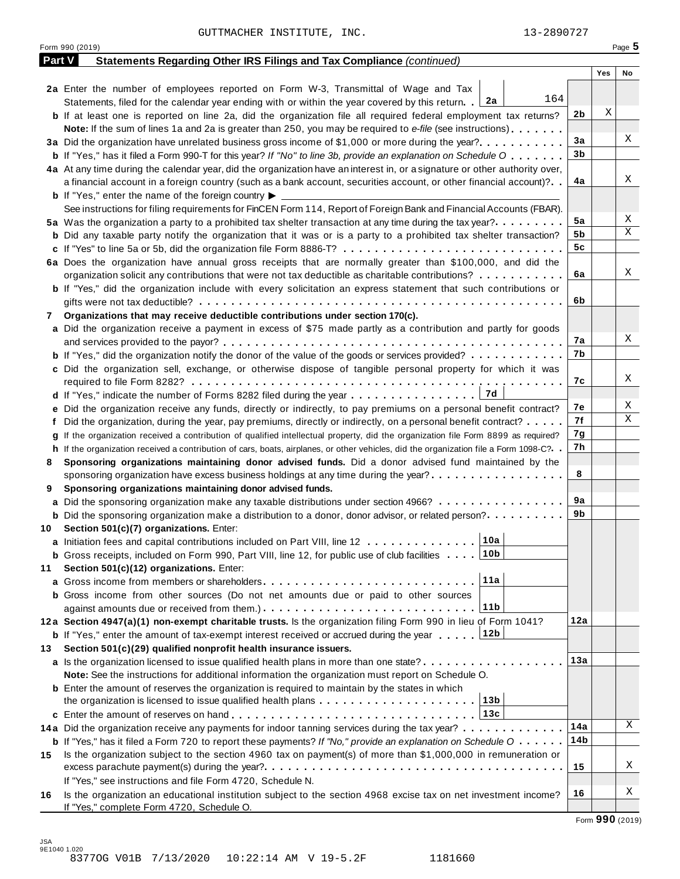|        | Form 990 (2019)                                                                                                                              |     | Page 5    |
|--------|----------------------------------------------------------------------------------------------------------------------------------------------|-----|-----------|
| Part V | Statements Regarding Other IRS Filings and Tax Compliance (continued)                                                                        |     |           |
|        |                                                                                                                                              |     | Yes<br>No |
|        | 2a Enter the number of employees reported on Form W-3, Transmittal of Wage and Tax                                                           |     |           |
|        | 164<br>Statements, filed for the calendar year ending with or within the year covered by this return. 2a                                     |     |           |
|        | <b>b</b> If at least one is reported on line 2a, did the organization file all required federal employment tax returns?                      | 2b  | Χ         |
|        | <b>Note:</b> If the sum of lines 1a and 2a is greater than 250, you may be required to e-file (see instructions).                            |     |           |
|        | 3a Did the organization have unrelated business gross income of \$1,000 or more during the year?                                             | 3a  | Χ         |
|        | <b>b</b> If "Yes," has it filed a Form 990-T for this year? If "No" to line 3b, provide an explanation on Schedule O                         | 3b  |           |
|        | 4a At any time during the calendar year, did the organization have an interest in, or a signature or other authority over,                   |     |           |
|        | a financial account in a foreign country (such as a bank account, securities account, or other financial account)?                           | 4a  | Χ         |
|        | <b>b</b> If "Yes," enter the name of the foreign country $\blacktriangleright$                                                               |     |           |
|        | See instructions for filing requirements for FinCEN Form 114, Report of Foreign Bank and Financial Accounts (FBAR).                          |     |           |
|        | 5a Was the organization a party to a prohibited tax shelter transaction at any time during the tax year?                                     | 5a  | Χ         |
|        | <b>b</b> Did any taxable party notify the organization that it was or is a party to a prohibited tax shelter transaction?                    | 5b  | Χ         |
|        |                                                                                                                                              | 5c  |           |
|        | 6a Does the organization have annual gross receipts that are normally greater than \$100,000, and did the                                    |     |           |
|        | organization solicit any contributions that were not tax deductible as charitable contributions?                                             | 6a  | Χ         |
|        | <b>b</b> If "Yes," did the organization include with every solicitation an express statement that such contributions or                      |     |           |
|        |                                                                                                                                              | 6b  |           |
| 7      | Organizations that may receive deductible contributions under section 170(c).                                                                |     |           |
|        | a Did the organization receive a payment in excess of \$75 made partly as a contribution and partly for goods                                |     |           |
|        |                                                                                                                                              | 7а  | Χ         |
|        | <b>b</b> If "Yes," did the organization notify the donor of the value of the goods or services provided?                                     | 7b  |           |
|        | c Did the organization sell, exchange, or otherwise dispose of tangible personal property for which it was                                   |     |           |
|        |                                                                                                                                              | 7с  | Χ         |
|        | 7d                                                                                                                                           |     |           |
|        | e Did the organization receive any funds, directly or indirectly, to pay premiums on a personal benefit contract?                            | 7е  | Χ         |
|        | f Did the organization, during the year, pay premiums, directly or indirectly, on a personal benefit contract?                               | 7f  | Χ         |
|        | If the organization received a contribution of qualified intellectual property, did the organization file Form 8899 as required?             | 7g  |           |
|        | h If the organization received a contribution of cars, boats, airplanes, or other vehicles, did the organization file a Form 1098-C?         | 7h  |           |
| 8      | Sponsoring organizations maintaining donor advised funds. Did a donor advised fund maintained by the                                         |     |           |
|        | sponsoring organization have excess business holdings at any time during the year?                                                           | 8   |           |
| 9      | Sponsoring organizations maintaining donor advised funds.                                                                                    |     |           |
|        | <b>a</b> Did the sponsoring organization make any taxable distributions under section 4966?                                                  | 9а  |           |
|        | <b>b</b> Did the sponsoring organization make a distribution to a donor, donor advisor, or related person?                                   | 9b  |           |
|        | 10 Section 501(c)(7) organizations. Enter:                                                                                                   |     |           |
|        | 10a <br>a Initiation fees and capital contributions included on Part VIII, line 12                                                           |     |           |
|        | 10b<br><b>b</b> Gross receipts, included on Form 990, Part VIII, line 12, for public use of club facilities                                  |     |           |
| 11     | Section 501(c)(12) organizations. Enter:                                                                                                     |     |           |
|        | 11a<br><b>a</b> Gross income from members or shareholders                                                                                    |     |           |
|        | b Gross income from other sources (Do not net amounts due or paid to other sources                                                           |     |           |
|        | 11b                                                                                                                                          |     |           |
|        | 12a Section 4947(a)(1) non-exempt charitable trusts. Is the organization filing Form 990 in lieu of Form 1041?                               | 12a |           |
|        | 12b                                                                                                                                          |     |           |
|        | <b>b</b> If "Yes," enter the amount of tax-exempt interest received or accrued during the year                                               |     |           |
| 13.    | Section 501(c)(29) qualified nonprofit health insurance issuers.                                                                             | 13а |           |
|        | <b>a</b> Is the organization licensed to issue qualified health plans in more than one state?                                                |     |           |
|        | Note: See the instructions for additional information the organization must report on Schedule O.                                            |     |           |
|        | <b>b</b> Enter the amount of reserves the organization is required to maintain by the states in which<br>13b                                 |     |           |
|        | the organization is licensed to issue qualified health plans $\dots \dots \dots \dots \dots \dots \dots$                                     |     |           |
|        | 13c                                                                                                                                          |     | Χ         |
|        | 14a Did the organization receive any payments for indoor tanning services during the tax year?                                               | 14a |           |
|        | <b>b</b> If "Yes," has it filed a Form 720 to report these payments? If "No," provide an explanation on Schedule $0 \cdot \cdot \cdot \cdot$ | 14b |           |
| 15     | Is the organization subject to the section 4960 tax on payment(s) of more than \$1,000,000 in remuneration or                                |     | Χ         |
|        |                                                                                                                                              | 15  |           |
|        | If "Yes," see instructions and file Form 4720, Schedule N.                                                                                   |     |           |
| 16     | Is the organization an educational institution subject to the section 4968 excise tax on net investment income?                              | 16  | Χ         |

Form **990** (2019)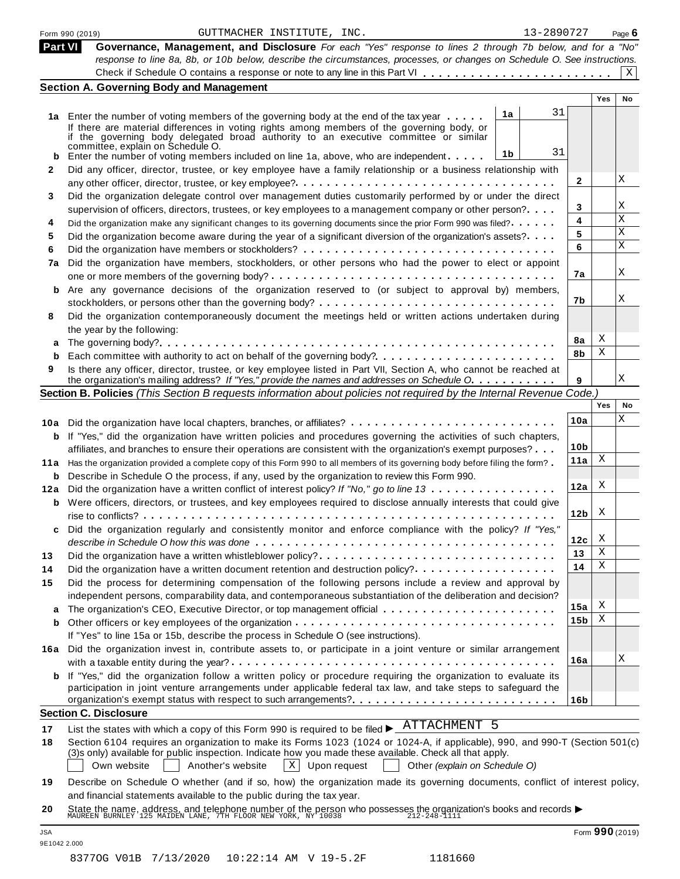|         | 13-2890727<br>GUTTMACHER INSTITUTE, INC.<br>Form 990 (2019)                                                                                                                                                         |                        |                 | Page $6$ |
|---------|---------------------------------------------------------------------------------------------------------------------------------------------------------------------------------------------------------------------|------------------------|-----------------|----------|
| Part VI | Governance, Management, and Disclosure For each "Yes" response to lines 2 through 7b below, and for a "No"                                                                                                          |                        |                 |          |
|         | response to line 8a, 8b, or 10b below, describe the circumstances, processes, or changes on Schedule O. See instructions.                                                                                           |                        |                 |          |
|         |                                                                                                                                                                                                                     |                        |                 | X        |
|         | <b>Section A. Governing Body and Management</b>                                                                                                                                                                     |                        | <b>Yes</b>      | No       |
|         | 31<br>1a                                                                                                                                                                                                            |                        |                 |          |
|         | 1a Enter the number of voting members of the governing body at the end of the tax year<br>If there are material differences in voting rights among members of the governing body, or                                |                        |                 |          |
|         | if the governing body delegated broad authority to an executive committee or similar                                                                                                                                |                        |                 |          |
|         | committée, explain on Schedule O.<br>31<br>1 <sub>b</sub>                                                                                                                                                           |                        |                 |          |
|         | Enter the number of voting members included on line 1a, above, who are independent                                                                                                                                  |                        |                 |          |
| 2       | Did any officer, director, trustee, or key employee have a family relationship or a business relationship with                                                                                                      | 2                      |                 | Χ        |
|         |                                                                                                                                                                                                                     |                        |                 |          |
| 3       | Did the organization delegate control over management duties customarily performed by or under the direct                                                                                                           | 3                      |                 | Χ        |
|         | supervision of officers, directors, trustees, or key employees to a management company or other person?                                                                                                             | 4                      |                 | Χ        |
| 4       | Did the organization make any significant changes to its governing documents since the prior Form 990 was filed?                                                                                                    | 5                      |                 | Χ        |
| 5       | Did the organization become aware during the year of a significant diversion of the organization's assets?                                                                                                          | 6                      |                 | Χ        |
| 6       |                                                                                                                                                                                                                     |                        |                 |          |
| 7a      | Did the organization have members, stockholders, or other persons who had the power to elect or appoint                                                                                                             | 7а                     |                 | Χ        |
|         |                                                                                                                                                                                                                     |                        |                 |          |
| b       | Are any governance decisions of the organization reserved to (or subject to approval by) members,                                                                                                                   | 7b                     |                 | Χ        |
|         |                                                                                                                                                                                                                     |                        |                 |          |
| 8       | Did the organization contemporaneously document the meetings held or written actions undertaken during                                                                                                              |                        |                 |          |
|         | the year by the following:                                                                                                                                                                                          |                        | X               |          |
| а       |                                                                                                                                                                                                                     | 8a<br>8b               | Χ               |          |
| b       |                                                                                                                                                                                                                     |                        |                 |          |
| 9       | Is there any officer, director, trustee, or key employee listed in Part VII, Section A, who cannot be reached at                                                                                                    |                        |                 | Χ        |
|         | the organization's mailing address? If "Yes," provide the names and addresses on Schedule O.<br>Section B. Policies (This Section B requests information about policies not required by the Internal Revenue Code.) | 9                      |                 |          |
|         |                                                                                                                                                                                                                     |                        | Yes             | No       |
|         |                                                                                                                                                                                                                     | 10a                    |                 | Χ        |
|         | 10a Did the organization have local chapters, branches, or affiliates?                                                                                                                                              |                        |                 |          |
|         | <b>b</b> If "Yes," did the organization have written policies and procedures governing the activities of such chapters,                                                                                             | 10 <sub>b</sub>        |                 |          |
|         | affiliates, and branches to ensure their operations are consistent with the organization's exempt purposes?                                                                                                         | 11a                    | X               |          |
|         | 11a Has the organization provided a complete copy of this Form 990 to all members of its governing body before filing the form?                                                                                     |                        |                 |          |
|         | <b>b</b> Describe in Schedule O the process, if any, used by the organization to review this Form 990.                                                                                                              | 12a                    | X               |          |
|         | 12a Did the organization have a written conflict of interest policy? If "No," go to line 13                                                                                                                         |                        |                 |          |
|         | <b>b</b> Were officers, directors, or trustees, and key employees required to disclose annually interests that could give                                                                                           | 12 <sub>b</sub>        | X               |          |
|         |                                                                                                                                                                                                                     |                        |                 |          |
|         | Did the organization regularly and consistently monitor and enforce compliance with the policy? If "Yes,"                                                                                                           | 12c                    | X               |          |
|         |                                                                                                                                                                                                                     | 13                     | X               |          |
| 13      | Did the organization have a written whistleblower policy?                                                                                                                                                           | 14                     | Χ               |          |
| 14      | Did the organization have a written document retention and destruction policy?                                                                                                                                      |                        |                 |          |
| 15      | Did the process for determining compensation of the following persons include a review and approval by                                                                                                              |                        |                 |          |
|         | independent persons, comparability data, and contemporaneous substantiation of the deliberation and decision?                                                                                                       |                        | X               |          |
|         | The organization's CEO, Executive Director, or top management official                                                                                                                                              | 15a<br>15 <sub>b</sub> | Χ               |          |
| b       |                                                                                                                                                                                                                     |                        |                 |          |
|         | If "Yes" to line 15a or 15b, describe the process in Schedule O (see instructions).                                                                                                                                 |                        |                 |          |
|         | 16a Did the organization invest in, contribute assets to, or participate in a joint venture or similar arrangement                                                                                                  | 16a                    |                 | Χ        |
|         |                                                                                                                                                                                                                     |                        |                 |          |
|         | <b>b</b> If "Yes," did the organization follow a written policy or procedure requiring the organization to evaluate its                                                                                             |                        |                 |          |
|         | participation in joint venture arrangements under applicable federal tax law, and take steps to safeguard the                                                                                                       | 16 <sub>b</sub>        |                 |          |
|         | <b>Section C. Disclosure</b>                                                                                                                                                                                        |                        |                 |          |
|         | ATTACHMENT 5<br>List the states with which a copy of this Form 990 is required to be filed $\blacktriangleright$ .                                                                                                  |                        |                 |          |
| 17      | Section 6104 requires an organization to make its Forms 1023 (1024 or 1024-A, if applicable), 990, and 990-T (Section 501(c)                                                                                        |                        |                 |          |
| 18      | (3)s only) available for public inspection. Indicate how you made these available. Check all that apply.                                                                                                            |                        |                 |          |
|         | $X$ Upon request<br>Another's website<br>Own website<br>Other (explain on Schedule O)                                                                                                                               |                        |                 |          |
| 19      | Describe on Schedule O whether (and if so, how) the organization made its governing documents, conflict of interest policy,                                                                                         |                        |                 |          |
|         | and financial statements available to the public during the tax year.                                                                                                                                               |                        |                 |          |
| 20      |                                                                                                                                                                                                                     |                        |                 |          |
|         | State the name, address, and telephone number of the person who possesses the organization's books and records $\blacktriangleright$ MAUREEN BURNLEY 125 MAIDEN LANE, 7TH FLOOR NEW YORK, NY 10038                  |                        |                 |          |
| .ISA    |                                                                                                                                                                                                                     |                        | Form 990 (2019) |          |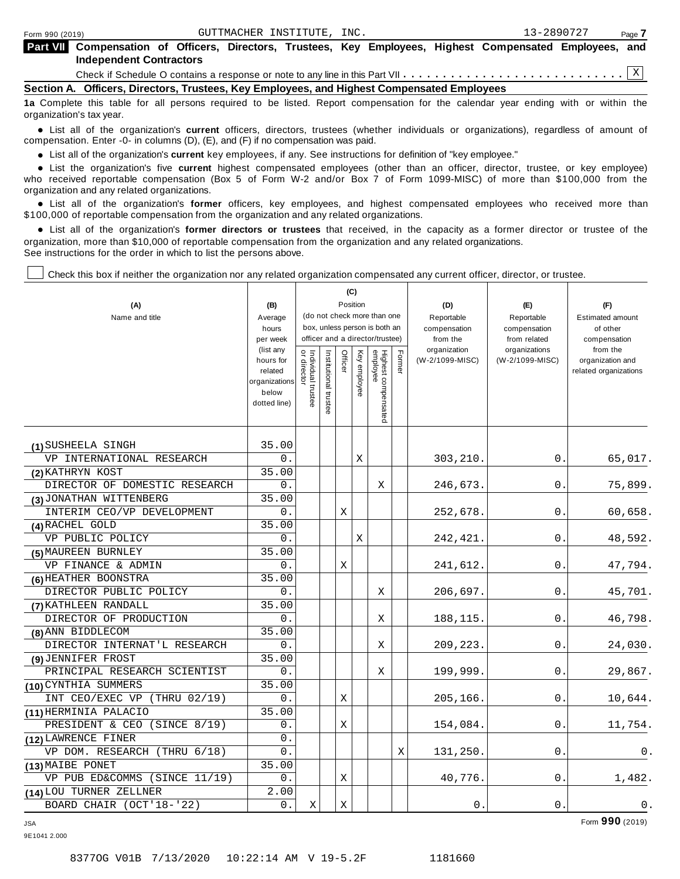| <b>Part VII</b> Compensation of Officers, Directors, Trustees, Key Employees, Highest Compensated Employees, and<br><b>Independent Contractors</b> |  |  |  |  |  |  |  |  |  |  |  |
|----------------------------------------------------------------------------------------------------------------------------------------------------|--|--|--|--|--|--|--|--|--|--|--|
|                                                                                                                                                    |  |  |  |  |  |  |  |  |  |  |  |
| Section A. Officers, Directors, Trustees, Key Employees, and Highest Compensated Employees                                                         |  |  |  |  |  |  |  |  |  |  |  |

**1a** Complete this table for all persons required to be listed. Report compensation for the calendar year ending with or within the organization's tax year.

anization's lax year.<br>● List all of the organization's **current** officers, directors, trustees (whether individuals or organizations), regardless of amount of<br>nnensation Enter -0- in columns (D) (E) and (E) if no compensa compensation. Enter -0- in columns (D), (E), and (F) if no compensation was paid.

■ List all of the organization's **current** key employees, if any. See instructions for definition of "key employee."<br>■ List the experientials five event highert expressed employees (other than an efficer director of

**Example in the organization's current** key employees, if any. See instructions for definition of key employee.<br>• List the organization's five **current** highest compensated employees (other than an officer, director, trust who received reportable compensation (Box 5 of Form W-2 and/or Box 7 of Form 1099-MISC) of more than \$100,000 from the

organization and any related organizations.<br>• List all of the organization's **former** officers, key employees, and highest compensated employees who received more than<br>\$1.00.000 of reportable componention from the erganiza \$100,000 of reportable compensation from the organization and any related organizations.

% List all of the organization's **former directors or trustees** that received, in the capacity as a former director or trustee of the organization, more than \$10,000 of reportable compensation from the organization and any related organizations. See instructions for the order in which to list the persons above.

Check this box if neither the organization nor any related organization compensated any current officer, director, or trustee.

|                                 |                        |                                                                  |                      |             | (C)          |                                 |        |                          |                              |                          |
|---------------------------------|------------------------|------------------------------------------------------------------|----------------------|-------------|--------------|---------------------------------|--------|--------------------------|------------------------------|--------------------------|
| (A)                             | (B)                    |                                                                  |                      |             | Position     |                                 |        | (D)                      | (E)                          | (F)                      |
| Name and title                  | Average                | (do not check more than one                                      |                      |             |              |                                 |        | Reportable               | Reportable                   | <b>Estimated amount</b>  |
|                                 | hours<br>per week      | box, unless person is both an<br>officer and a director/trustee) |                      |             |              |                                 |        | compensation<br>from the | compensation<br>from related | of other<br>compensation |
|                                 | (list any              |                                                                  |                      |             |              |                                 |        | organization             | organizations                | from the                 |
|                                 | hours for              | Individual trustee<br>or director                                | nstitutional trustee | Officer     | Key employee |                                 | Former | (W-2/1099-MISC)          | (W-2/1099-MISC)              | organization and         |
|                                 | related                |                                                                  |                      |             |              |                                 |        |                          |                              | related organizations    |
|                                 | organizations<br>below |                                                                  |                      |             |              |                                 |        |                          |                              |                          |
|                                 | dotted line)           |                                                                  |                      |             |              |                                 |        |                          |                              |                          |
|                                 |                        |                                                                  |                      |             |              | Highest compensated<br>employee |        |                          |                              |                          |
|                                 |                        |                                                                  |                      |             |              |                                 |        |                          |                              |                          |
| (1) SUSHEELA SINGH              | 35.00                  |                                                                  |                      |             |              |                                 |        |                          |                              |                          |
| VP INTERNATIONAL RESEARCH       | 0.                     |                                                                  |                      |             | X            |                                 |        | 303,210.                 | 0.                           | 65,017.                  |
| (2) KATHRYN KOST                | 35.00                  |                                                                  |                      |             |              |                                 |        |                          |                              |                          |
| DIRECTOR OF DOMESTIC RESEARCH   | 0.                     |                                                                  |                      |             |              | Χ                               |        | 246,673.                 | 0.                           | 75,899.                  |
| (3) JONATHAN WITTENBERG         | 35.00                  |                                                                  |                      |             |              |                                 |        |                          |                              |                          |
| INTERIM CEO/VP DEVELOPMENT      | 0.                     |                                                                  |                      | Χ           |              |                                 |        | 252,678.                 | 0.                           | 60,658.                  |
| (4) RACHEL GOLD                 | 35.00                  |                                                                  |                      |             |              |                                 |        |                          |                              |                          |
| VP PUBLIC POLICY                | 0.                     |                                                                  |                      |             | X            |                                 |        | 242,421                  | 0.                           | 48,592.                  |
| (5) MAUREEN BURNLEY             | 35.00                  |                                                                  |                      |             |              |                                 |        |                          |                              |                          |
| VP FINANCE & ADMIN              | 0.                     |                                                                  |                      | $\mathbf X$ |              |                                 |        | 241,612.                 | 0.                           | 47,794.                  |
| (6) HEATHER BOONSTRA            | 35.00                  |                                                                  |                      |             |              |                                 |        |                          |                              |                          |
| DIRECTOR PUBLIC POLICY          | 0.                     |                                                                  |                      |             |              | Χ                               |        | 206,697.                 | 0.                           | 45,701.                  |
| (7) KATHLEEN RANDALL            | 35.00                  |                                                                  |                      |             |              |                                 |        |                          |                              |                          |
| DIRECTOR OF PRODUCTION          | 0.                     |                                                                  |                      |             |              | Χ                               |        | 188,115.                 | О.                           | 46,798.                  |
| (8) ANN BIDDLECOM               | 35.00                  |                                                                  |                      |             |              |                                 |        |                          |                              |                          |
| DIRECTOR INTERNAT'L RESEARCH    | 0.                     |                                                                  |                      |             |              | Χ                               |        | 209,223.                 | 0.                           | 24,030.                  |
| (9) JENNIFER FROST              | 35.00                  |                                                                  |                      |             |              |                                 |        |                          |                              |                          |
| PRINCIPAL RESEARCH SCIENTIST    | 0.                     |                                                                  |                      |             |              | X                               |        | 199,999.                 | 0                            | 29,867.                  |
| (10) CYNTHIA SUMMERS            | 35.00                  |                                                                  |                      |             |              |                                 |        |                          |                              |                          |
| INT CEO/EXEC VP<br>(THRU 02/19) | 0.                     |                                                                  |                      | Χ           |              |                                 |        | 205,166.                 | 0.                           | 10,644.                  |
| (11) HERMINIA PALACIO           | 35.00                  |                                                                  |                      |             |              |                                 |        |                          |                              |                          |
| PRESIDENT & CEO (SINCE 8/19)    | 0.                     |                                                                  |                      | Χ           |              |                                 |        | 154,084.                 | 0.                           | 11,754.                  |
| (12) LAWRENCE FINER             | 0.                     |                                                                  |                      |             |              |                                 |        |                          |                              |                          |
| VP DOM. RESEARCH (THRU 6/18)    | 0.                     |                                                                  |                      |             |              |                                 | Χ      | 131,250.                 | 0.                           | 0.                       |
| (13) MAIBE PONET                | 35.00                  |                                                                  |                      |             |              |                                 |        |                          |                              |                          |
| VP PUB ED&COMMS (SINCE 11/19)   | 0.                     |                                                                  |                      | X           |              |                                 |        | 40,776.                  | 0.                           | 1,482.                   |
| (14) LOU TURNER ZELLNER         | 2.00                   |                                                                  |                      |             |              |                                 |        |                          |                              |                          |
| BOARD CHAIR (OCT'18-'22)        | 0.                     | Χ                                                                |                      | Χ           |              |                                 |        | 0.                       | 0.                           | $0$ .                    |

JSA Form **990** (2019)

9E1041 2.000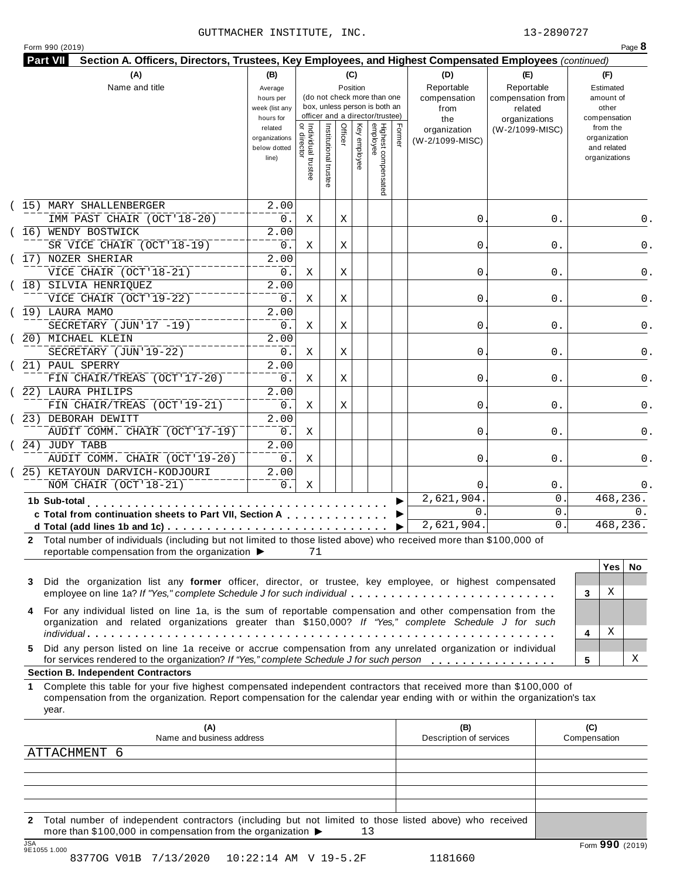| Highest compensated<br>employee<br>Individual trustee<br>or director<br>Institutional trus<br>Officer<br>Key employee<br>Former<br>from the<br>related<br>(W-2/1099-MISC)<br>organization<br>organization<br>organizations<br>(W-2/1099-MISC)<br>and related<br>below dotted<br>organizations<br>line)<br>(15) MARY SHALLENBERGER<br>$\overline{2.00}$<br>IMM PAST CHAIR (OCT'18-20)<br>$0$ .<br>0<br>0.<br>Χ<br>Χ<br>(16) WENDY BOSTWICK<br>$\overline{2.00}$<br>SR VICE CHAIR (OCT'18-19)<br>$0$ .<br>Χ<br>0<br>0.<br>Χ<br>(17) NOZER SHERIAR<br>$\overline{2.00}$<br>VICE CHAIR (OCT'18-21)<br>0.<br>0<br>0.<br>Χ<br>Χ<br>(18) SILVIA HENRIQUEZ<br>$\overline{2.00}$<br>VICE CHAIR (OCT'19-22)<br>0.<br>0<br>0.<br>Χ<br>Χ<br>(19) LAURA MAMO<br>$\overline{2.00}$<br>SECRETARY (JUN'17 -19)<br>$0$ .<br>0<br>0.<br>Χ<br>Χ<br>20) MICHAEL KLEIN<br>$\overline{2.00}$<br>SECRETARY (JUN'19-22)<br>$0$ .<br>Χ<br>0<br>0.<br>Χ<br>21) PAUL SPERRY<br>$\overline{2.00}$<br>FIN CHAIR/TREAS (OCT'17-20)<br>$0$ .<br>Χ<br>0<br>0.<br>Χ<br>22) LAURA PHILIPS<br>$\overline{2.00}$<br>FIN CHAIR/TREAS (OCT'19-21)<br>$0$ .<br>0<br>0.<br>Χ<br>Χ<br>23) DEBORAH DEWITT<br>$\overline{2.00}$<br>AUDIT COMM. CHAIR (OCT'17-19)<br>$0$ .<br>0<br>0.<br>Χ<br>$(24)$ JUDY TABB<br>2.00<br>AUDIT COMM. CHAIR (OCT'19-20)<br>$0$ .<br>0<br>0.<br>Χ<br>25) KETAYOUN DARVICH-KODJOURI<br>2.00<br>NOM CHAIR (OCT'18-21)<br>0.<br>Χ<br>$\Omega$<br>0.<br>468, 236.<br>2,621,904<br>0<br>1b Sub-total<br>.<br>$\Omega$<br>$\mathbf{0}$<br>c Total from continuation sheets to Part VII. Section A<br>2,621,904.<br>$\mathbf 0$ .<br>d Total (add lines 1b and 1c)<br>2 Total number of individuals (including but not limited to those listed above) who received more than \$100,000 of<br>reportable compensation from the organization ▶<br>71<br>Yes<br>Did the organization list any former officer, director, or trustee, key employee, or highest compensated<br>3<br>Χ<br>employee on line 1a? If "Yes," complete Schedule J for such individual<br>3<br>For any individual listed on line 1a, is the sum of reportable compensation and other compensation from the<br>organization and related organizations greater than \$150,000? If "Yes," complete Schedule J for such<br>Χ<br>4<br>Did any person listed on line 1a receive or accrue compensation from any unrelated organization or individual<br>5.<br>Χ<br>for services rendered to the organization? If "Yes," complete Schedule J for such person<br>5<br><b>Section B. Independent Contractors</b><br>Complete this table for your five highest compensated independent contractors that received more than \$100,000 of<br>compensation from the organization. Report compensation for the calendar year ending with or within the organization's tax<br>year.<br>(A)<br>(B)<br>(C)<br>Description of services<br>Name and business address<br>Compensation<br>ATTACHMENT 6 | (A)<br>Name and title | (B)<br>Average<br>hours per<br>week (list any<br>hours for | (do not check more than one<br>box, unless person is both an<br>officer and a director/trustee) | (C)<br>Position |  | (D)<br>Reportable<br>compensation<br>from<br>the | (E)<br>Reportable<br>compensation from<br>related<br>organizations | (F)<br>Estimated<br>amount of<br>other<br>compensation |
|----------------------------------------------------------------------------------------------------------------------------------------------------------------------------------------------------------------------------------------------------------------------------------------------------------------------------------------------------------------------------------------------------------------------------------------------------------------------------------------------------------------------------------------------------------------------------------------------------------------------------------------------------------------------------------------------------------------------------------------------------------------------------------------------------------------------------------------------------------------------------------------------------------------------------------------------------------------------------------------------------------------------------------------------------------------------------------------------------------------------------------------------------------------------------------------------------------------------------------------------------------------------------------------------------------------------------------------------------------------------------------------------------------------------------------------------------------------------------------------------------------------------------------------------------------------------------------------------------------------------------------------------------------------------------------------------------------------------------------------------------------------------------------------------------------------------------------------------------------------------------------------------------------------------------------------------------------------------------------------------------------------------------------------------------------------------------------------------------------------------------------------------------------------------------------------------------------------------------------------------------------------------------------------------------------------------------------------------------------------------------------------------------------------------------------------------------------------------------------------------------------------------------------------------------------------------------------------------------------------------------------------------------------------------------------------------------------------------------------------------------------------------------------------------------------------------------------------------------------------------------------------------------------------------------------|-----------------------|------------------------------------------------------------|-------------------------------------------------------------------------------------------------|-----------------|--|--------------------------------------------------|--------------------------------------------------------------------|--------------------------------------------------------|
|                                                                                                                                                                                                                                                                                                                                                                                                                                                                                                                                                                                                                                                                                                                                                                                                                                                                                                                                                                                                                                                                                                                                                                                                                                                                                                                                                                                                                                                                                                                                                                                                                                                                                                                                                                                                                                                                                                                                                                                                                                                                                                                                                                                                                                                                                                                                                                                                                                                                                                                                                                                                                                                                                                                                                                                                                                                                                                                                  |                       |                                                            |                                                                                                 |                 |  |                                                  |                                                                    |                                                        |
|                                                                                                                                                                                                                                                                                                                                                                                                                                                                                                                                                                                                                                                                                                                                                                                                                                                                                                                                                                                                                                                                                                                                                                                                                                                                                                                                                                                                                                                                                                                                                                                                                                                                                                                                                                                                                                                                                                                                                                                                                                                                                                                                                                                                                                                                                                                                                                                                                                                                                                                                                                                                                                                                                                                                                                                                                                                                                                                                  |                       |                                                            |                                                                                                 |                 |  |                                                  |                                                                    | 0.                                                     |
|                                                                                                                                                                                                                                                                                                                                                                                                                                                                                                                                                                                                                                                                                                                                                                                                                                                                                                                                                                                                                                                                                                                                                                                                                                                                                                                                                                                                                                                                                                                                                                                                                                                                                                                                                                                                                                                                                                                                                                                                                                                                                                                                                                                                                                                                                                                                                                                                                                                                                                                                                                                                                                                                                                                                                                                                                                                                                                                                  |                       |                                                            |                                                                                                 |                 |  |                                                  |                                                                    | 0.                                                     |
|                                                                                                                                                                                                                                                                                                                                                                                                                                                                                                                                                                                                                                                                                                                                                                                                                                                                                                                                                                                                                                                                                                                                                                                                                                                                                                                                                                                                                                                                                                                                                                                                                                                                                                                                                                                                                                                                                                                                                                                                                                                                                                                                                                                                                                                                                                                                                                                                                                                                                                                                                                                                                                                                                                                                                                                                                                                                                                                                  |                       |                                                            |                                                                                                 |                 |  |                                                  |                                                                    | 0.                                                     |
|                                                                                                                                                                                                                                                                                                                                                                                                                                                                                                                                                                                                                                                                                                                                                                                                                                                                                                                                                                                                                                                                                                                                                                                                                                                                                                                                                                                                                                                                                                                                                                                                                                                                                                                                                                                                                                                                                                                                                                                                                                                                                                                                                                                                                                                                                                                                                                                                                                                                                                                                                                                                                                                                                                                                                                                                                                                                                                                                  |                       |                                                            |                                                                                                 |                 |  |                                                  |                                                                    | 0.                                                     |
|                                                                                                                                                                                                                                                                                                                                                                                                                                                                                                                                                                                                                                                                                                                                                                                                                                                                                                                                                                                                                                                                                                                                                                                                                                                                                                                                                                                                                                                                                                                                                                                                                                                                                                                                                                                                                                                                                                                                                                                                                                                                                                                                                                                                                                                                                                                                                                                                                                                                                                                                                                                                                                                                                                                                                                                                                                                                                                                                  |                       |                                                            |                                                                                                 |                 |  |                                                  |                                                                    | 0.                                                     |
|                                                                                                                                                                                                                                                                                                                                                                                                                                                                                                                                                                                                                                                                                                                                                                                                                                                                                                                                                                                                                                                                                                                                                                                                                                                                                                                                                                                                                                                                                                                                                                                                                                                                                                                                                                                                                                                                                                                                                                                                                                                                                                                                                                                                                                                                                                                                                                                                                                                                                                                                                                                                                                                                                                                                                                                                                                                                                                                                  |                       |                                                            |                                                                                                 |                 |  |                                                  |                                                                    | 0.                                                     |
|                                                                                                                                                                                                                                                                                                                                                                                                                                                                                                                                                                                                                                                                                                                                                                                                                                                                                                                                                                                                                                                                                                                                                                                                                                                                                                                                                                                                                                                                                                                                                                                                                                                                                                                                                                                                                                                                                                                                                                                                                                                                                                                                                                                                                                                                                                                                                                                                                                                                                                                                                                                                                                                                                                                                                                                                                                                                                                                                  |                       |                                                            |                                                                                                 |                 |  |                                                  |                                                                    | 0.                                                     |
|                                                                                                                                                                                                                                                                                                                                                                                                                                                                                                                                                                                                                                                                                                                                                                                                                                                                                                                                                                                                                                                                                                                                                                                                                                                                                                                                                                                                                                                                                                                                                                                                                                                                                                                                                                                                                                                                                                                                                                                                                                                                                                                                                                                                                                                                                                                                                                                                                                                                                                                                                                                                                                                                                                                                                                                                                                                                                                                                  |                       |                                                            |                                                                                                 |                 |  |                                                  |                                                                    | 0.                                                     |
|                                                                                                                                                                                                                                                                                                                                                                                                                                                                                                                                                                                                                                                                                                                                                                                                                                                                                                                                                                                                                                                                                                                                                                                                                                                                                                                                                                                                                                                                                                                                                                                                                                                                                                                                                                                                                                                                                                                                                                                                                                                                                                                                                                                                                                                                                                                                                                                                                                                                                                                                                                                                                                                                                                                                                                                                                                                                                                                                  |                       |                                                            |                                                                                                 |                 |  |                                                  |                                                                    | 0.                                                     |
|                                                                                                                                                                                                                                                                                                                                                                                                                                                                                                                                                                                                                                                                                                                                                                                                                                                                                                                                                                                                                                                                                                                                                                                                                                                                                                                                                                                                                                                                                                                                                                                                                                                                                                                                                                                                                                                                                                                                                                                                                                                                                                                                                                                                                                                                                                                                                                                                                                                                                                                                                                                                                                                                                                                                                                                                                                                                                                                                  |                       |                                                            |                                                                                                 |                 |  |                                                  |                                                                    | 0.                                                     |
|                                                                                                                                                                                                                                                                                                                                                                                                                                                                                                                                                                                                                                                                                                                                                                                                                                                                                                                                                                                                                                                                                                                                                                                                                                                                                                                                                                                                                                                                                                                                                                                                                                                                                                                                                                                                                                                                                                                                                                                                                                                                                                                                                                                                                                                                                                                                                                                                                                                                                                                                                                                                                                                                                                                                                                                                                                                                                                                                  |                       |                                                            |                                                                                                 |                 |  |                                                  |                                                                    | 0.                                                     |
|                                                                                                                                                                                                                                                                                                                                                                                                                                                                                                                                                                                                                                                                                                                                                                                                                                                                                                                                                                                                                                                                                                                                                                                                                                                                                                                                                                                                                                                                                                                                                                                                                                                                                                                                                                                                                                                                                                                                                                                                                                                                                                                                                                                                                                                                                                                                                                                                                                                                                                                                                                                                                                                                                                                                                                                                                                                                                                                                  |                       |                                                            |                                                                                                 |                 |  |                                                  |                                                                    | 0.<br>468,236.                                         |
|                                                                                                                                                                                                                                                                                                                                                                                                                                                                                                                                                                                                                                                                                                                                                                                                                                                                                                                                                                                                                                                                                                                                                                                                                                                                                                                                                                                                                                                                                                                                                                                                                                                                                                                                                                                                                                                                                                                                                                                                                                                                                                                                                                                                                                                                                                                                                                                                                                                                                                                                                                                                                                                                                                                                                                                                                                                                                                                                  |                       |                                                            |                                                                                                 |                 |  |                                                  |                                                                    | No.                                                    |
|                                                                                                                                                                                                                                                                                                                                                                                                                                                                                                                                                                                                                                                                                                                                                                                                                                                                                                                                                                                                                                                                                                                                                                                                                                                                                                                                                                                                                                                                                                                                                                                                                                                                                                                                                                                                                                                                                                                                                                                                                                                                                                                                                                                                                                                                                                                                                                                                                                                                                                                                                                                                                                                                                                                                                                                                                                                                                                                                  |                       |                                                            |                                                                                                 |                 |  |                                                  |                                                                    |                                                        |
|                                                                                                                                                                                                                                                                                                                                                                                                                                                                                                                                                                                                                                                                                                                                                                                                                                                                                                                                                                                                                                                                                                                                                                                                                                                                                                                                                                                                                                                                                                                                                                                                                                                                                                                                                                                                                                                                                                                                                                                                                                                                                                                                                                                                                                                                                                                                                                                                                                                                                                                                                                                                                                                                                                                                                                                                                                                                                                                                  |                       |                                                            |                                                                                                 |                 |  |                                                  |                                                                    |                                                        |
|                                                                                                                                                                                                                                                                                                                                                                                                                                                                                                                                                                                                                                                                                                                                                                                                                                                                                                                                                                                                                                                                                                                                                                                                                                                                                                                                                                                                                                                                                                                                                                                                                                                                                                                                                                                                                                                                                                                                                                                                                                                                                                                                                                                                                                                                                                                                                                                                                                                                                                                                                                                                                                                                                                                                                                                                                                                                                                                                  |                       |                                                            |                                                                                                 |                 |  |                                                  |                                                                    |                                                        |
|                                                                                                                                                                                                                                                                                                                                                                                                                                                                                                                                                                                                                                                                                                                                                                                                                                                                                                                                                                                                                                                                                                                                                                                                                                                                                                                                                                                                                                                                                                                                                                                                                                                                                                                                                                                                                                                                                                                                                                                                                                                                                                                                                                                                                                                                                                                                                                                                                                                                                                                                                                                                                                                                                                                                                                                                                                                                                                                                  |                       |                                                            |                                                                                                 |                 |  |                                                  |                                                                    |                                                        |
|                                                                                                                                                                                                                                                                                                                                                                                                                                                                                                                                                                                                                                                                                                                                                                                                                                                                                                                                                                                                                                                                                                                                                                                                                                                                                                                                                                                                                                                                                                                                                                                                                                                                                                                                                                                                                                                                                                                                                                                                                                                                                                                                                                                                                                                                                                                                                                                                                                                                                                                                                                                                                                                                                                                                                                                                                                                                                                                                  |                       |                                                            |                                                                                                 |                 |  |                                                  |                                                                    |                                                        |
|                                                                                                                                                                                                                                                                                                                                                                                                                                                                                                                                                                                                                                                                                                                                                                                                                                                                                                                                                                                                                                                                                                                                                                                                                                                                                                                                                                                                                                                                                                                                                                                                                                                                                                                                                                                                                                                                                                                                                                                                                                                                                                                                                                                                                                                                                                                                                                                                                                                                                                                                                                                                                                                                                                                                                                                                                                                                                                                                  |                       |                                                            |                                                                                                 |                 |  |                                                  |                                                                    |                                                        |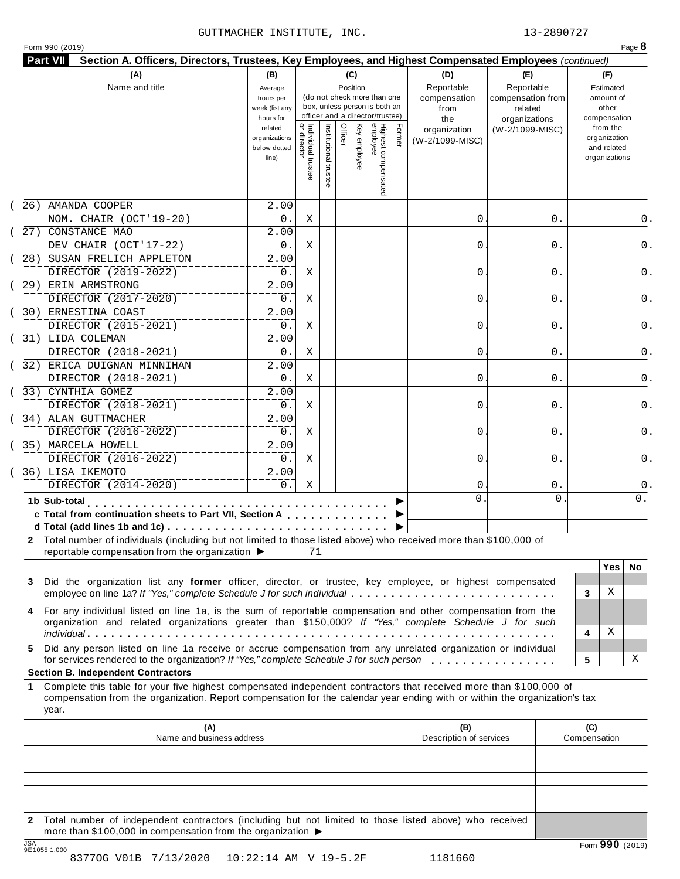| Section A. Officers, Directors, Trustees, Key Employees, and Highest Compensated Employees (continued)<br>(A) | (B)                                                            |                                   |                       |         | (C)          |                                                                                                 |        | (D)                                                       | (E)                                                                            | (F)                                                         |
|---------------------------------------------------------------------------------------------------------------|----------------------------------------------------------------|-----------------------------------|-----------------------|---------|--------------|-------------------------------------------------------------------------------------------------|--------|-----------------------------------------------------------|--------------------------------------------------------------------------------|-------------------------------------------------------------|
| Name and title                                                                                                | Average<br>hours per<br>week (list any<br>hours for<br>related |                                   |                       |         | Position     | (do not check more than one<br>box, unless person is both an<br>officer and a director/trustee) |        | Reportable<br>compensation<br>from<br>the<br>organization | Reportable<br>compensation from<br>related<br>organizations<br>(W-2/1099-MISC) | Estimated<br>amount of<br>other<br>compensation<br>from the |
|                                                                                                               | organizations<br>below dotted<br>line)                         | Individual trustee<br>or director | Institutional trustee | Officer | Key employee | Highest compensated<br>employee                                                                 | Former | (W-2/1099-MISC)                                           |                                                                                | organization<br>and related<br>organizations                |
| 26) AMANDA COOPER                                                                                             | 2.00                                                           |                                   |                       |         |              |                                                                                                 |        |                                                           |                                                                                |                                                             |
| NOM. CHAIR (OCT'19-20)                                                                                        | $\Omega$ .                                                     | X                                 |                       |         |              |                                                                                                 |        | 0                                                         | 0.                                                                             | 0.                                                          |
| 27) CONSTANCE MAO                                                                                             | 2.00                                                           |                                   |                       |         |              |                                                                                                 |        |                                                           |                                                                                |                                                             |
| DEV CHAIR (OCT'17-22)                                                                                         | 0.                                                             | X                                 |                       |         |              |                                                                                                 |        | 0                                                         | 0.                                                                             |                                                             |
| 28) SUSAN FRELICH APPLETON                                                                                    | 2.00                                                           |                                   |                       |         |              |                                                                                                 |        |                                                           |                                                                                |                                                             |
| DIRECTOR (2019-2022)                                                                                          | 0.                                                             | Χ                                 |                       |         |              |                                                                                                 |        | 0                                                         | 0.                                                                             |                                                             |
| 29) ERIN ARMSTRONG                                                                                            | 2.00                                                           |                                   |                       |         |              |                                                                                                 |        |                                                           |                                                                                |                                                             |
| DIRECTOR (2017-2020)                                                                                          | 0.                                                             | Χ                                 |                       |         |              |                                                                                                 |        | 0                                                         | 0.                                                                             |                                                             |
| 30) ERNESTINA COAST                                                                                           | 2.00                                                           |                                   |                       |         |              |                                                                                                 |        |                                                           |                                                                                |                                                             |
| DIRECTOR (2015-2021)                                                                                          | 0.                                                             | X                                 |                       |         |              |                                                                                                 |        | $\Omega$                                                  | 0.                                                                             |                                                             |
| 31) LIDA COLEMAN<br>DIRECTOR (2018-2021)                                                                      | 2.00                                                           |                                   |                       |         |              |                                                                                                 |        |                                                           |                                                                                |                                                             |
|                                                                                                               | 0.                                                             | X                                 |                       |         |              |                                                                                                 |        | 0                                                         | 0.                                                                             |                                                             |
| 32) ERICA DUIGNAN MINNIHAN<br>DIRECTOR (2018-2021)                                                            | 2.00<br>0.                                                     | X                                 |                       |         |              |                                                                                                 |        | 0                                                         | 0.                                                                             |                                                             |
| 33) CYNTHIA GOMEZ                                                                                             | 2.00                                                           |                                   |                       |         |              |                                                                                                 |        |                                                           |                                                                                |                                                             |
| DIRECTOR (2018-2021)                                                                                          | 0.                                                             | X                                 |                       |         |              |                                                                                                 |        | 0                                                         | 0.                                                                             |                                                             |
| 34) ALAN GUTTMACHER                                                                                           | 2.00                                                           |                                   |                       |         |              |                                                                                                 |        |                                                           |                                                                                |                                                             |
| DIRECTOR (2016-2022)                                                                                          | $\Omega$ .                                                     | X                                 |                       |         |              |                                                                                                 |        | 0                                                         | 0.                                                                             |                                                             |
| 35) MARCELA HOWELL                                                                                            | 2.00                                                           |                                   |                       |         |              |                                                                                                 |        |                                                           |                                                                                |                                                             |
| DIRECTOR (2016-2022)                                                                                          | 0.                                                             | X                                 |                       |         |              |                                                                                                 |        | 0                                                         | 0.                                                                             |                                                             |
| 36) LISA IKEMOTO                                                                                              | 2.00                                                           |                                   |                       |         |              |                                                                                                 |        |                                                           |                                                                                |                                                             |
| DIRECTOR (2014-2020)                                                                                          | 0.                                                             | X                                 |                       |         |              |                                                                                                 |        | 0                                                         | 0.                                                                             |                                                             |
| 1b Sub-total                                                                                                  |                                                                |                                   |                       |         |              |                                                                                                 |        | 0.                                                        | $\Omega$ .                                                                     | 0.                                                          |
| c Total from continuation sheets to Part VII, Section A                                                       |                                                                |                                   |                       |         |              |                                                                                                 |        |                                                           |                                                                                |                                                             |

| $1.99$ critically completed and the control of ground and $1.7$                                                                                                                                                        |     |     |
|------------------------------------------------------------------------------------------------------------------------------------------------------------------------------------------------------------------------|-----|-----|
|                                                                                                                                                                                                                        | Yes | No. |
| Did the organization list any former officer, director, or trustee, key employee, or highest compensated                                                                                                               |     |     |
| employee on line 1a? If "Yes," complete Schedule J for such individual                                                                                                                                                 | X   |     |
| 4 For any individual listed on line 1a, is the sum of reportable compensation and other compensation from the<br>organization and related organizations greater than \$150,000? If "Yes," complete Schedule J for such |     |     |
|                                                                                                                                                                                                                        | Χ   |     |
| 5 Did any person listed on line 1a receive or accrue compensation from any unrelated organization or individual                                                                                                        |     |     |
| for services rendered to the organization? If "Yes," complete Schedule J for such person                                                                                                                               |     |     |
| Section B Independent Contractors                                                                                                                                                                                      |     |     |

### **Section B. Independent Contractors**

**1** Complete this table for your five highest compensated independent contractors that received more than \$100,000 of compensation from the organization. Report compensation for the calendar year ending with or within the organization's tax year.

|              | (A)<br>Name and business address                                                                                                                                                          | (B)<br>Description of services | (C)<br>Compensation |
|--------------|-------------------------------------------------------------------------------------------------------------------------------------------------------------------------------------------|--------------------------------|---------------------|
|              |                                                                                                                                                                                           |                                |                     |
|              |                                                                                                                                                                                           |                                |                     |
|              |                                                                                                                                                                                           |                                |                     |
|              |                                                                                                                                                                                           |                                |                     |
|              |                                                                                                                                                                                           |                                |                     |
| $\mathbf{2}$ | Total number of independent contractors (including but not limited to those listed above) who received<br>more than \$100,000 in compensation from the organization $\blacktriangleright$ |                                |                     |
| 10A          |                                                                                                                                                                                           |                                | $\sim$              |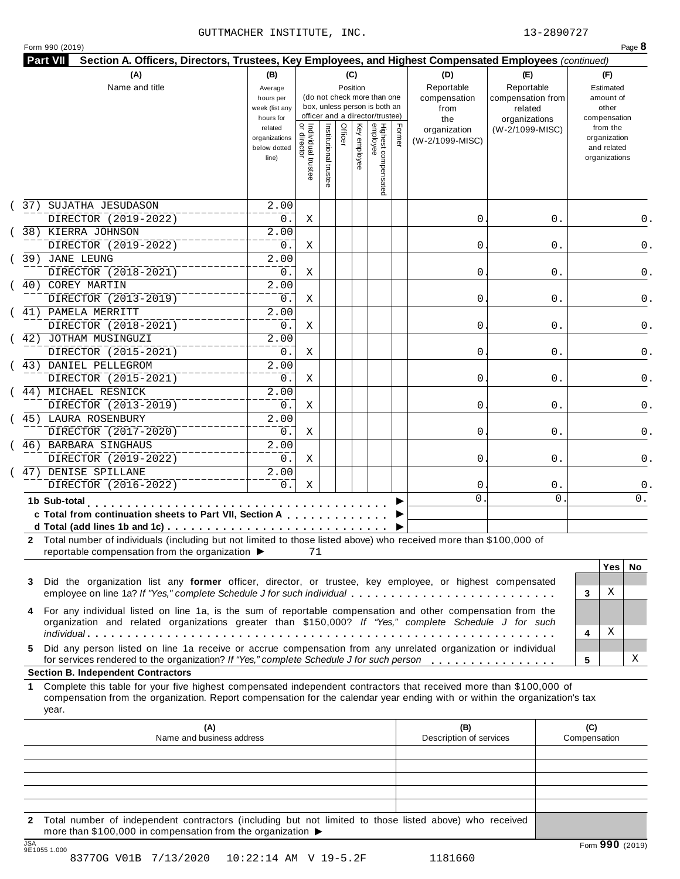|  | Form 990 (2019) |  |
|--|-----------------|--|

### Form <sup>990</sup> (2019) Page **8 Part VII Section A. Officers, Directors, Trustees, Key Employees, and Highest Compensated Employees** *(continued)* **(A) (B) (C) (D) (E) (F)** Name and title **Average** hours per week (list any hours for related organizations below dotted line) Position (do not check more than one box, unless person is both an officer and a director/trustee) Reportable compensation from the organization (W-2/1099-MISC) Reportable compensation from related organizations (W-2/1099-MISC) Estimated amount of other compensation from the organization and related organizations Individual trustee  $\overline{\circ}$ director Institutional trustee Officer employee<br>|<br>Key emplo employee Highest compensated employee Former **1b Sub-total** m m m m m m m m m m m m m m m m m m m m m m m m m m m m m m m m m m m m m m I **c** Total from continuation sheets to Part VII, Section A manufactured in the state of  $\blacksquare$ **<sup>d</sup> Total (add lines 1b and 1c)** m m m m m m m m m m m m m m m m m m m m m m m m m m m m I **2** Total number of individuals (including but not limited to those listed above) who received more than \$100,000 of reportable compensation from the organization  $\blacktriangleright$ **Yes No 3** Did the organization list any **former** officer, director, or trustee, key employee, or highest compensated employee on line 1a? *If "Yes," complete Schedule <sup>J</sup> for such individual* m m m m m m m m m m m m m m m m m m m m m m m m m m **<sup>3</sup> 4** For any individual listed on line 1a, is the sum of reportable compensation and other compensation from the organization and related organizations greater than \$150,000? *If "Yes," complete Schedule J for such individual* m m m m m m m m m m m m m m m m m m m m m m m m m m m m m m m m m m m m m m m m m m m m m m m m m m m m m m m m m m m **<sup>4</sup> 5** Did any person listed on line 1a receive or accrue compensation from any unrelated organization or individual for services rendered to the organization? *If"Yes," complete Schedule <sup>J</sup> for such person* mm m m m m m m m m m m m m m m **<sup>5</sup> Section B. Independent Contractors 1** Complete this table for your five highest compensated independent contractors that received more than \$100,000 of compensation from the organization. Report compensation for the calendar year ending with or within the organization's tax year. **(A)** Name and business address **(B)** Description of services **(C)** Compensation 71 X X X 37) SUJATHA JESUDASON 2.00 DIRECTOR (2019-2022)  $\begin{bmatrix} 2 & 0 & 0 \\ 0 & 0 & 0 \end{bmatrix}$  (30. 0. 0. 0. 38) KIERRA JOHNSON 2.00 DIRECTOR (2019-2022) 0. X 0. 0. 0. (39) JANE LEUNG 2.00  $\overline{\text{DIFFor}}$  (2018–2021)  $\overline{\text{ {}^{12}C} \text{ {}^{13}C} \text{ {}^{14}C} \text{ {}^{15}C} \text{ {}^{16}C} \text{ {}^{16}C} \text{ {}^{16}C} \text{ {}^{16}C} \text{ {}^{16}C} \text{ {}^{16}C} \text{ {}^{16}C} \text{ {}^{16}C} \text{ {}^{16}C} \text{ {}^{16}C} \text{ {}^{16}C} \text{ {}^{16}C} \text{ {}^{16}C} \text{ {}^{16}C} \text{ {}^{16}C} \text{$ 40) COREY MARTIN 2.00 DIRECTOR (2013-2019) 0. X 0. 0. 0. ( 41) PAMELA MERRITT 2.00 DIRECTOR (2018-2021) 0. X 0. 0. 0. 42) JOTHAM MUSINGUZI 2.00 DIRECTOR (2015-2021) 0. X 0. 0. 0. 43) DANIEL PELLEGROM 2.00 DIRECTOR (2015-2021) 0. X 0. 0. 0. 44) MICHAEL RESNICK 2.00 DIRECTOR (2013-2019) 0. X 0. 0. 0. 45) LAURA ROSENBURY 2.00 DIRECTOR (2017-2020) 0. X 0. 0. 0. 46) BARBARA SINGHAUS 2.00 DIRECTOR (2019-2022)  $\begin{bmatrix} 0 & 0 & 0 \\ 0 & 0 & 0 \end{bmatrix}$  0. 47) DENISE SPILLANE 2.00 DIRECTOR (2016-2022)  $\begin{bmatrix} 2 & 0 & 0 \\ 0 & 0 & 0 \end{bmatrix}$  x | | | | | | | | | 0.  $0.$  0. 0.

**2** Total number of independent contractors (including but not limited to those listed above) who received more than \$100,000 in compensation from the organization  $\blacktriangleright$ <br>
9E1055 1.000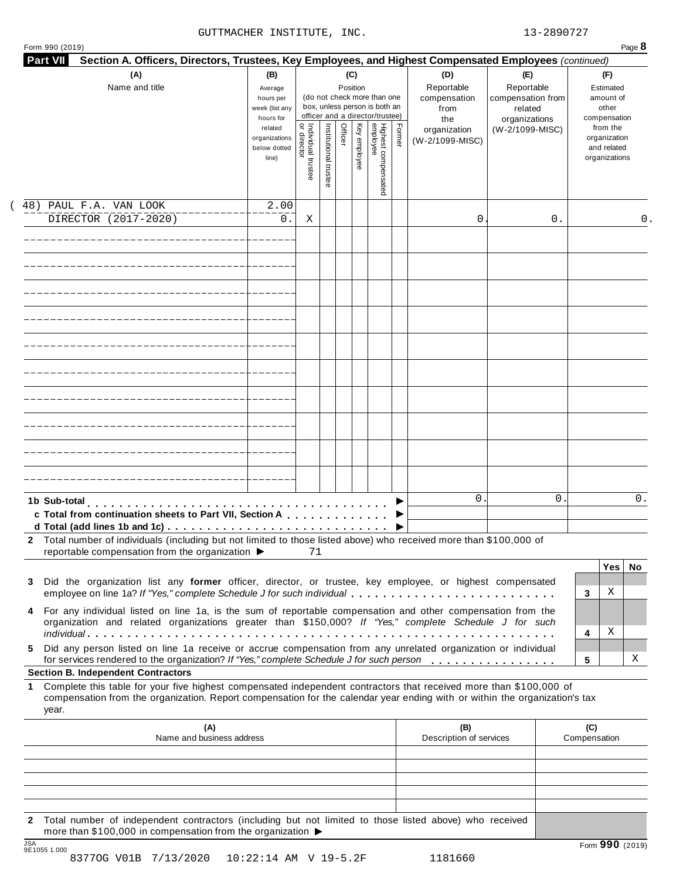| (A)<br>Name and title                                                                                                                                                                                                                                                                                        | (B)<br>Average<br>hours per<br>week (list any<br>hours for |                                           |                       | (C)<br>Position |              | (do not check more than one<br>box, unless person is both an<br>officer and a director/trustee) |        | (D)<br>Reportable<br>compensation<br>from<br>the | (E)<br>Reportable<br>compensation from<br>related<br>organizations |                     | (F)<br>Estimated<br>amount of<br>other<br>compensation   |     |
|--------------------------------------------------------------------------------------------------------------------------------------------------------------------------------------------------------------------------------------------------------------------------------------------------------------|------------------------------------------------------------|-------------------------------------------|-----------------------|-----------------|--------------|-------------------------------------------------------------------------------------------------|--------|--------------------------------------------------|--------------------------------------------------------------------|---------------------|----------------------------------------------------------|-----|
|                                                                                                                                                                                                                                                                                                              | related<br>organizations<br>below dotted<br>line)          | <br>  Individual trustee<br>  or director | Institutional trustee | Officer         | Key employee | Highest compensated<br>employee                                                                 | Former | organization<br>(W-2/1099-MISC)                  | (W-2/1099-MISC)                                                    |                     | from the<br>organization<br>and related<br>organizations |     |
| 48) PAUL F.A. VAN LOOK<br>DIRECTOR (2017-2020)                                                                                                                                                                                                                                                               | 2.00<br>0.                                                 | Χ                                         |                       |                 |              |                                                                                                 |        | 0                                                | 0.                                                                 |                     |                                                          | 0.  |
|                                                                                                                                                                                                                                                                                                              |                                                            |                                           |                       |                 |              |                                                                                                 |        |                                                  |                                                                    |                     |                                                          |     |
|                                                                                                                                                                                                                                                                                                              |                                                            |                                           |                       |                 |              |                                                                                                 |        |                                                  |                                                                    |                     |                                                          |     |
|                                                                                                                                                                                                                                                                                                              |                                                            |                                           |                       |                 |              |                                                                                                 |        |                                                  |                                                                    |                     |                                                          |     |
|                                                                                                                                                                                                                                                                                                              |                                                            |                                           |                       |                 |              |                                                                                                 |        |                                                  |                                                                    |                     |                                                          |     |
|                                                                                                                                                                                                                                                                                                              |                                                            |                                           |                       |                 |              |                                                                                                 |        |                                                  |                                                                    |                     |                                                          |     |
|                                                                                                                                                                                                                                                                                                              |                                                            |                                           |                       |                 |              |                                                                                                 |        |                                                  |                                                                    |                     |                                                          |     |
|                                                                                                                                                                                                                                                                                                              |                                                            |                                           |                       |                 |              |                                                                                                 |        |                                                  |                                                                    |                     |                                                          |     |
| 1b Sub-total<br>c Total from continuation sheets to Part VII, Section A<br>2 Total number of individuals (including but not limited to those listed above) who received more than \$100,000 of                                                                                                               |                                                            |                                           |                       |                 |              |                                                                                                 |        | 0                                                | 0                                                                  |                     |                                                          | 0.  |
| reportable compensation from the organization ▶                                                                                                                                                                                                                                                              |                                                            | 71                                        |                       |                 |              |                                                                                                 |        |                                                  |                                                                    |                     | Yes                                                      | No. |
| Did the organization list any former officer, director, or trustee, key employee, or highest compensated<br>3<br>employee on line 1a? If "Yes," complete Schedule J for such individual                                                                                                                      |                                                            |                                           |                       |                 |              |                                                                                                 |        |                                                  |                                                                    | 3                   | Χ                                                        |     |
| For any individual listed on line 1a, is the sum of reportable compensation and other compensation from the<br>4<br>organization and related organizations greater than \$150,000? If "Yes," complete Schedule J for such                                                                                    |                                                            |                                           |                       |                 |              |                                                                                                 |        |                                                  |                                                                    | 4                   | Χ                                                        |     |
| Did any person listed on line 1a receive or accrue compensation from any unrelated organization or individual<br>5.<br>for services rendered to the organization? If "Yes," complete Schedule J for such person                                                                                              |                                                            |                                           |                       |                 |              |                                                                                                 |        |                                                  |                                                                    | 5                   |                                                          | Χ   |
| <b>Section B. Independent Contractors</b><br>Complete this table for your five highest compensated independent contractors that received more than \$100,000 of<br>1.<br>compensation from the organization. Report compensation for the calendar year ending with or within the organization's tax<br>year. |                                                            |                                           |                       |                 |              |                                                                                                 |        |                                                  |                                                                    |                     |                                                          |     |
| (A)<br>Name and business address                                                                                                                                                                                                                                                                             |                                                            |                                           |                       |                 |              |                                                                                                 |        | (B)<br>Description of services                   |                                                                    | (C)<br>Compensation |                                                          |     |
|                                                                                                                                                                                                                                                                                                              |                                                            |                                           |                       |                 |              |                                                                                                 |        |                                                  |                                                                    |                     |                                                          |     |
|                                                                                                                                                                                                                                                                                                              |                                                            |                                           |                       |                 |              |                                                                                                 |        |                                                  |                                                                    |                     |                                                          |     |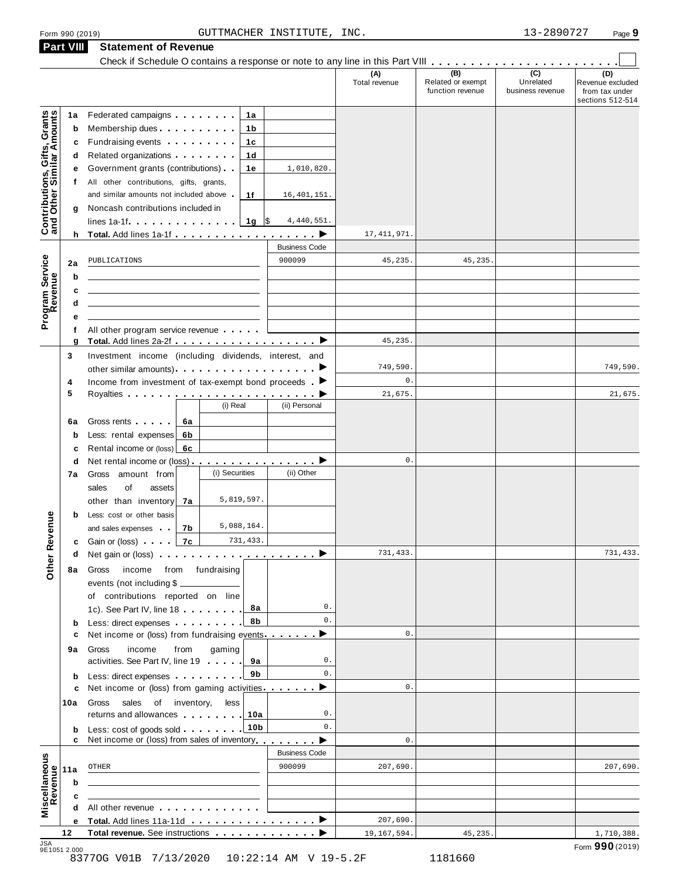| Form 990 (2019) |                                       | GUT |
|-----------------|---------------------------------------|-----|
|                 | <b>Part VIII</b> Statement of Revenue |     |

|                                                                                                                                                                         |             | Check if Schedule O contains a response or note to any line in this Part VIII                                                                                                                                                  |                |               |                      |                      | (B)                                   | (C)                           |                                                               |
|-------------------------------------------------------------------------------------------------------------------------------------------------------------------------|-------------|--------------------------------------------------------------------------------------------------------------------------------------------------------------------------------------------------------------------------------|----------------|---------------|----------------------|----------------------|---------------------------------------|-------------------------------|---------------------------------------------------------------|
|                                                                                                                                                                         |             |                                                                                                                                                                                                                                |                |               |                      | (A)<br>Total revenue | Related or exempt<br>function revenue | Unrelated<br>business revenue | (D)<br>Revenue excluded<br>from tax under<br>sections 512-514 |
|                                                                                                                                                                         | 1a          | Federated campaigns <b>Federated</b>                                                                                                                                                                                           |                | 1а            |                      |                      |                                       |                               |                                                               |
|                                                                                                                                                                         | b           | Membership dues                                                                                                                                                                                                                |                | 1b            |                      |                      |                                       |                               |                                                               |
|                                                                                                                                                                         | с           | Fundraising events <b>Fundraising</b>                                                                                                                                                                                          |                | 1c            |                      |                      |                                       |                               |                                                               |
|                                                                                                                                                                         | d           | Related organizations <b>contains</b>                                                                                                                                                                                          |                | 1 d           |                      |                      |                                       |                               |                                                               |
|                                                                                                                                                                         | е           | Government grants (contributions).                                                                                                                                                                                             |                | 1e            | 1,010,820.           |                      |                                       |                               |                                                               |
|                                                                                                                                                                         | Ť.          | All other contributions, gifts, grants,                                                                                                                                                                                        |                |               |                      |                      |                                       |                               |                                                               |
|                                                                                                                                                                         |             | and similar amounts not included above                                                                                                                                                                                         |                | 1f            | 16, 401, 151.        |                      |                                       |                               |                                                               |
|                                                                                                                                                                         | g           | Noncash contributions included in                                                                                                                                                                                              |                |               |                      |                      |                                       |                               |                                                               |
|                                                                                                                                                                         |             | lines 1a-1f                                                                                                                                                                                                                    |                | 1g $\sqrt{3}$ | 4,440,551.           |                      |                                       |                               |                                                               |
|                                                                                                                                                                         |             | h Total. Add lines 1a-1f $\ldots$ $\ldots$ $\ldots$ $\ldots$ $\ldots$                                                                                                                                                          |                |               |                      | 17, 411, 971.        |                                       |                               |                                                               |
|                                                                                                                                                                         |             |                                                                                                                                                                                                                                |                |               | <b>Business Code</b> |                      |                                       |                               |                                                               |
|                                                                                                                                                                         | 2a          | PUBLICATIONS                                                                                                                                                                                                                   |                |               | 900099               | 45,235.              | 45,235.                               |                               |                                                               |
|                                                                                                                                                                         | b           |                                                                                                                                                                                                                                |                |               |                      |                      |                                       |                               |                                                               |
|                                                                                                                                                                         | c           |                                                                                                                                                                                                                                |                |               |                      |                      |                                       |                               |                                                               |
| <b>Part VIII</b><br>Contributions, Gifts, Grants<br>and Other Similar Amounts<br>Program Service<br>Revenue<br>evenue<br>Other <sub>R</sub><br>Miscellaneous<br>Revenue | d           |                                                                                                                                                                                                                                |                |               |                      |                      |                                       |                               |                                                               |
|                                                                                                                                                                         |             |                                                                                                                                                                                                                                |                |               |                      |                      |                                       |                               |                                                               |
|                                                                                                                                                                         |             | All other program service revenue                                                                                                                                                                                              |                |               |                      |                      |                                       |                               |                                                               |
|                                                                                                                                                                         | g           | Total. Add lines 2a-2f ▶                                                                                                                                                                                                       |                |               |                      | 45,235.              |                                       |                               |                                                               |
|                                                                                                                                                                         | 3           | Investment income (including dividends, interest, and                                                                                                                                                                          |                |               |                      |                      |                                       |                               |                                                               |
|                                                                                                                                                                         |             | other similar amounts) ▶                                                                                                                                                                                                       |                |               |                      | 749,590.             |                                       |                               | 749,590.                                                      |
|                                                                                                                                                                         | 4           | Income from investment of tax-exempt bond proceeds $\blacktriangleright$                                                                                                                                                       |                |               |                      | $\mathbb O$ .        |                                       |                               |                                                               |
|                                                                                                                                                                         | 5           |                                                                                                                                                                                                                                |                |               |                      | 21,675.              |                                       |                               | 21,675.                                                       |
|                                                                                                                                                                         |             |                                                                                                                                                                                                                                | (i) Real       |               | (ii) Personal        |                      |                                       |                               |                                                               |
|                                                                                                                                                                         | 6a          | Gross rents<br>6а                                                                                                                                                                                                              |                |               |                      |                      |                                       |                               |                                                               |
|                                                                                                                                                                         | b           | Less: rental expenses<br>6b                                                                                                                                                                                                    |                |               |                      |                      |                                       |                               |                                                               |
|                                                                                                                                                                         | c           | Rental income or (loss) 6c                                                                                                                                                                                                     |                |               |                      |                      |                                       |                               |                                                               |
|                                                                                                                                                                         | d           | Net rental income or (loss) ▶                                                                                                                                                                                                  |                |               |                      | $\mathbb O$ .        |                                       |                               |                                                               |
|                                                                                                                                                                         | 7а          | Gross amount from                                                                                                                                                                                                              | (i) Securities |               | (ii) Other           |                      |                                       |                               |                                                               |
|                                                                                                                                                                         |             | sales<br>of<br>assets                                                                                                                                                                                                          |                |               |                      |                      |                                       |                               |                                                               |
|                                                                                                                                                                         |             | other than inventory<br>7a                                                                                                                                                                                                     | 5,819,597.     |               |                      |                      |                                       |                               |                                                               |
|                                                                                                                                                                         | b           | Less: cost or other basis                                                                                                                                                                                                      |                |               |                      |                      |                                       |                               |                                                               |
|                                                                                                                                                                         |             | 7b<br>and sales expenses                                                                                                                                                                                                       | 5,088,164.     |               |                      |                      |                                       |                               |                                                               |
|                                                                                                                                                                         |             | 7c<br><b>c</b> Gain or (loss) <b>c</b>                                                                                                                                                                                         | 731,433.       |               |                      |                      |                                       |                               |                                                               |
|                                                                                                                                                                         | d           | Net gain or (loss) $\cdots$ $\cdots$ $\cdots$ $\cdots$ $\cdots$ $\cdots$ $\cdots$                                                                                                                                              |                |               |                      | 731,433.             |                                       |                               | 731,433.                                                      |
|                                                                                                                                                                         | 8а          | income from fundraising<br>Gross                                                                                                                                                                                               |                |               |                      |                      |                                       |                               |                                                               |
|                                                                                                                                                                         |             | events (not including \$                                                                                                                                                                                                       |                |               |                      |                      |                                       |                               |                                                               |
|                                                                                                                                                                         |             | of contributions reported on line                                                                                                                                                                                              |                |               |                      |                      |                                       |                               |                                                               |
|                                                                                                                                                                         |             | 1c). See Part IV, line 18                                                                                                                                                                                                      |                | 8а            | 0.                   |                      |                                       |                               |                                                               |
|                                                                                                                                                                         | $\mathbf b$ | Less: direct expenses extending the state of the state of the state of the state of the state of the state of the state of the state of the state of the state of the state of the state of the state of the state of the stat |                | 8b            | $0$ .                |                      |                                       |                               |                                                               |
|                                                                                                                                                                         | с           | Net income or (loss) from fundraising events.                                                                                                                                                                                  |                |               | ▶                    | $\mathbb O$ .        |                                       |                               |                                                               |
|                                                                                                                                                                         | 9а          | Gross<br>income<br>from                                                                                                                                                                                                        | gaming         |               |                      |                      |                                       |                               |                                                               |
|                                                                                                                                                                         |             | activities. See Part IV, line 19                                                                                                                                                                                               |                | 9а            | 0.                   |                      |                                       |                               |                                                               |
|                                                                                                                                                                         | b           | Less: direct expenses                                                                                                                                                                                                          |                | 9b            | $0$ .                |                      |                                       |                               |                                                               |
|                                                                                                                                                                         | c           | Net income or (loss) from gaming activities.                                                                                                                                                                                   |                |               | ▶                    | $\mathbb O$ .        |                                       |                               |                                                               |
|                                                                                                                                                                         | 10a         | Gross sales of inventory,                                                                                                                                                                                                      | less           |               |                      |                      |                                       |                               |                                                               |
|                                                                                                                                                                         |             | returns and allowances 10a                                                                                                                                                                                                     |                |               | 0.                   |                      |                                       |                               |                                                               |
|                                                                                                                                                                         |             | Less: cost of goods sold 10b                                                                                                                                                                                                   |                |               | 0.                   |                      |                                       |                               |                                                               |
|                                                                                                                                                                         | b           | Net income or (loss) from sales of inventory                                                                                                                                                                                   |                |               | ▸                    | $\mathbb O$ .        |                                       |                               |                                                               |
|                                                                                                                                                                         | c           |                                                                                                                                                                                                                                |                |               | <b>Business Code</b> |                      |                                       |                               |                                                               |
|                                                                                                                                                                         |             |                                                                                                                                                                                                                                |                |               |                      |                      |                                       |                               |                                                               |
|                                                                                                                                                                         |             | OTHER                                                                                                                                                                                                                          |                |               | 900099               | 207,690.             |                                       |                               |                                                               |
|                                                                                                                                                                         | 11a         |                                                                                                                                                                                                                                |                |               |                      |                      |                                       |                               |                                                               |
|                                                                                                                                                                         | b           |                                                                                                                                                                                                                                |                |               |                      |                      |                                       |                               |                                                               |
|                                                                                                                                                                         | c           |                                                                                                                                                                                                                                |                |               |                      |                      |                                       |                               | 207,690.                                                      |
|                                                                                                                                                                         | е           | All other revenue                                                                                                                                                                                                              |                |               |                      | 207,690.             |                                       |                               |                                                               |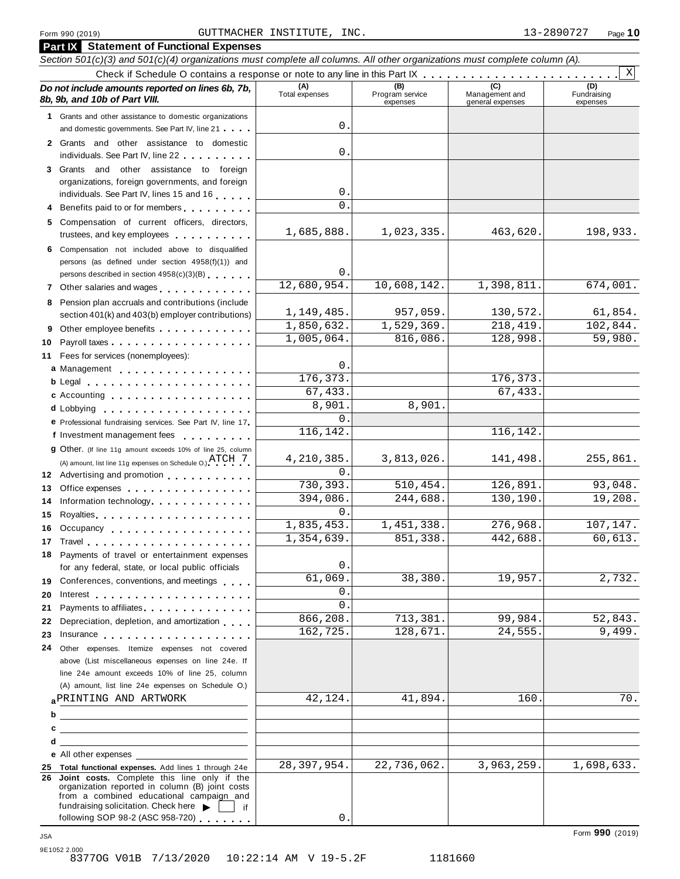### Form <sup>990</sup> (2019) Page **10** GUTTMACHER INSTITUTE, INC. 13-2890727

|    | <b>Part IX</b> Statement of Functional Expenses                                                                                                                                                                                |                       |                                    |                                    |                                |
|----|--------------------------------------------------------------------------------------------------------------------------------------------------------------------------------------------------------------------------------|-----------------------|------------------------------------|------------------------------------|--------------------------------|
|    | Section 501(c)(3) and 501(c)(4) organizations must complete all columns. All other organizations must complete column (A).                                                                                                     |                       |                                    |                                    |                                |
|    |                                                                                                                                                                                                                                |                       |                                    |                                    | X                              |
|    | Do not include amounts reported on lines 6b, 7b,<br>8b, 9b, and 10b of Part VIII.                                                                                                                                              | (A)<br>Total expenses | (B)<br>Program service<br>expenses | Management and<br>general expenses | (D)<br>Fundraising<br>expenses |
|    | 1 Grants and other assistance to domestic organizations                                                                                                                                                                        | 0                     |                                    |                                    |                                |
|    | and domestic governments. See Part IV, line 21                                                                                                                                                                                 |                       |                                    |                                    |                                |
|    | 2 Grants and other assistance to domestic<br>individuals. See Part IV, line 22                                                                                                                                                 | 0                     |                                    |                                    |                                |
|    | 3 Grants and other assistance to foreign                                                                                                                                                                                       |                       |                                    |                                    |                                |
|    | organizations, foreign governments, and foreign                                                                                                                                                                                |                       |                                    |                                    |                                |
|    | individuals. See Part IV, lines 15 and 16                                                                                                                                                                                      | 0                     |                                    |                                    |                                |
|    | 4 Benefits paid to or for members                                                                                                                                                                                              | $\Omega$              |                                    |                                    |                                |
|    | 5 Compensation of current officers, directors,<br>trustees, and key employees                                                                                                                                                  | 1,685,888.            | 1,023,335.                         | 463,620.                           | 198,933.                       |
|    | 6 Compensation not included above to disqualified                                                                                                                                                                              |                       |                                    |                                    |                                |
|    | persons (as defined under section 4958(f)(1)) and                                                                                                                                                                              |                       |                                    |                                    |                                |
|    | persons described in section 4958(c)(3)(B)                                                                                                                                                                                     | $0$ .                 |                                    |                                    |                                |
|    | 7 Other salaries and wages                                                                                                                                                                                                     | 12,680,954.           | 10,608,142.                        | 1,398,811.                         | 674,001.                       |
|    | 8 Pension plan accruals and contributions (include                                                                                                                                                                             |                       |                                    |                                    |                                |
|    | section 401(k) and 403(b) employer contributions)                                                                                                                                                                              | 1,149,485.            | 957,059.                           | 130,572.                           | 61,854.                        |
|    | 9 Other employee benefits                                                                                                                                                                                                      | 1,850,632.            | 1,529,369.                         | 218,419.                           | 102,844.                       |
| 10 |                                                                                                                                                                                                                                | 1,005,064.            | 816,086.                           | 128,998.                           | 59,980.                        |
| 11 | Fees for services (nonemployees):                                                                                                                                                                                              | 0                     |                                    |                                    |                                |
|    | a Management                                                                                                                                                                                                                   | 176, 373.             |                                    | 176, 373.                          |                                |
|    | c Accounting                                                                                                                                                                                                                   | 67,433.               |                                    | 67,433.                            |                                |
|    | d Lobbying                                                                                                                                                                                                                     | 8,901                 | 8,901.                             |                                    |                                |
|    | e Professional fundraising services. See Part IV, line 17                                                                                                                                                                      | $\Omega$              |                                    |                                    |                                |
|    | f Investment management fees                                                                                                                                                                                                   | 116,142.              |                                    | 116,142.                           |                                |
|    | 9 Other. (If line 11g amount exceeds 10% of line 25, column                                                                                                                                                                    |                       |                                    |                                    |                                |
|    | (A) amount, list line 11g expenses on Schedule O.) $\text{ATCH}$ 7                                                                                                                                                             | 4,210,385.            | 3,813,026.                         | 141,498.                           | 255,861.                       |
|    | 12 Advertising and promotion                                                                                                                                                                                                   | $\Omega$              |                                    |                                    |                                |
| 13 | Office expenses <b>contained contained contained contained contained contained contained </b>                                                                                                                                  | 730,393.              | 510,454.                           | 126,891.                           | 93,048.                        |
| 14 | Information technology                                                                                                                                                                                                         | 394,086.              | 244,688.                           | 130,190.                           | 19,208.                        |
| 15 |                                                                                                                                                                                                                                | 0                     |                                    |                                    |                                |
| 16 | Occupancy                                                                                                                                                                                                                      | 1,835,453.            | 1,451,338.                         | 276,968.                           | 107,147.                       |
|    | 17 Travel experience and the contract of the contract of the contract of the contract of the contract of the contract of the contract of the contract of the contract of the contract of the contract of the contract of the c | 1,354,639.            | 851,338.                           | 442,688.                           | 60,613.                        |
|    | 18 Payments of travel or entertainment expenses                                                                                                                                                                                |                       |                                    |                                    |                                |
|    | for any federal, state, or local public officials                                                                                                                                                                              | 0.                    |                                    |                                    |                                |
|    | 19 Conferences, conventions, and meetings                                                                                                                                                                                      | 61,069.<br>0          | 38,380.                            | 19,957.                            | 2,732.                         |
| 20 | Interest $\cdots$ , $\cdots$ , $\cdots$ , $\cdots$                                                                                                                                                                             | 0                     |                                    |                                    |                                |
| 21 | Payments to affiliates                                                                                                                                                                                                         | 866,208.              | 713,381.                           | 99,984.                            | 52,843.                        |
|    | 22 Depreciation, depletion, and amortization                                                                                                                                                                                   | 162,725.              | 128,671.                           | 24,555.                            | 9,499.                         |
| 23 | Insurance the contract of the contract of the contract of the contract of the contract of the contract of the contract of the contract of the contract of the contract of the contract of the contract of the contract of the  |                       |                                    |                                    |                                |
| 24 | Other expenses. Itemize expenses not covered<br>above (List miscellaneous expenses on line 24e. If                                                                                                                             |                       |                                    |                                    |                                |
|    | line 24e amount exceeds 10% of line 25, column                                                                                                                                                                                 |                       |                                    |                                    |                                |
|    | (A) amount, list line 24e expenses on Schedule O.)                                                                                                                                                                             |                       |                                    |                                    |                                |
|    | <b>a</b> PRINTING AND ARTWORK                                                                                                                                                                                                  | 42,124.               | 41,894.                            | 160.                               | 70.                            |
| b  |                                                                                                                                                                                                                                |                       |                                    |                                    |                                |
| с  | <u> 1989 - Johann Stein, mars an deus Amerikaansk kommunister (</u>                                                                                                                                                            |                       |                                    |                                    |                                |
| d  | <u> 1989 - Johann Barn, amerikansk politiker (</u><br><u> 1980 - Jan Sterling, amerikansk politiker (d. 1980)</u>                                                                                                              |                       |                                    |                                    |                                |
|    | e All other expenses                                                                                                                                                                                                           |                       |                                    |                                    |                                |
|    | 25 Total functional expenses. Add lines 1 through 24e                                                                                                                                                                          | 28, 397, 954.         | 22,736,062.                        | 3,963,259.                         | 1,698,633.                     |
|    | 26 Joint costs. Complete this line only if the<br>organization reported in column (B) joint costs<br>from a combined educational campaign and                                                                                  |                       |                                    |                                    |                                |
|    | fundraising solicitation. Check here $\blacktriangleright$<br>if<br>following SOP 98-2 (ASC 958-720)                                                                                                                           | 0.                    |                                    |                                    |                                |
|    |                                                                                                                                                                                                                                |                       |                                    |                                    |                                |

Form **990** (2019) JSA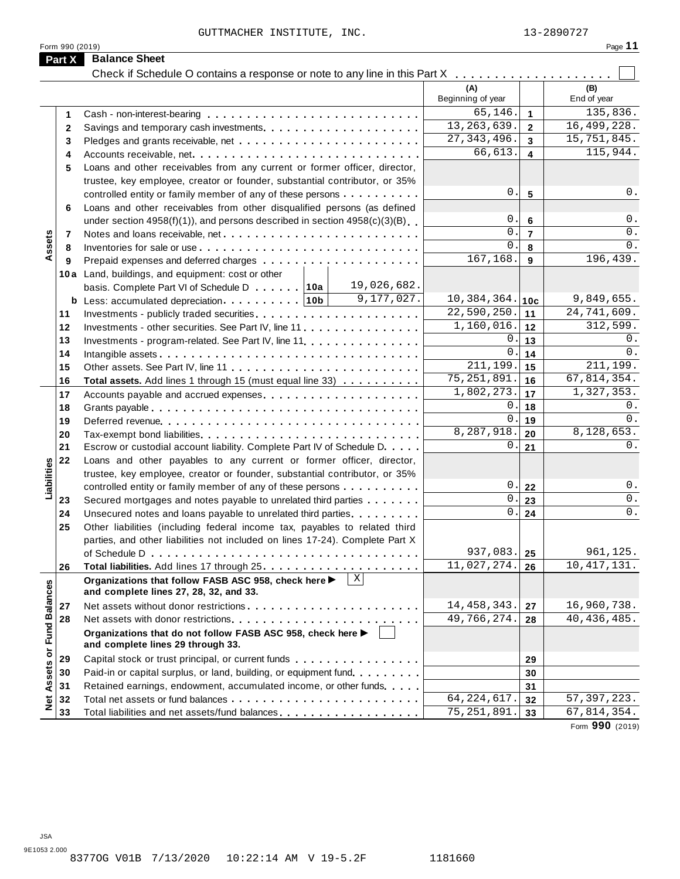| <b>Balance Sheet</b><br>Part X<br>Check if Schedule O contains a response or note to any line in this Part X<br>(A)<br>Beginning of year<br>65,146.<br>$\mathbf{1}$<br>1<br>13, 263, 639.<br>$\overline{2}$<br>$\mathbf{2}$<br>27, 343, 496.<br>3<br>3 | (B)<br>End of year<br>135,836.<br>16, 499, 228.<br>15,751,845.<br>115,944. |
|--------------------------------------------------------------------------------------------------------------------------------------------------------------------------------------------------------------------------------------------------------|----------------------------------------------------------------------------|
|                                                                                                                                                                                                                                                        |                                                                            |
|                                                                                                                                                                                                                                                        |                                                                            |
|                                                                                                                                                                                                                                                        |                                                                            |
|                                                                                                                                                                                                                                                        |                                                                            |
|                                                                                                                                                                                                                                                        |                                                                            |
|                                                                                                                                                                                                                                                        |                                                                            |
| 66,613.<br>$\overline{4}$<br>4                                                                                                                                                                                                                         |                                                                            |
| Loans and other receivables from any current or former officer, director,<br>5                                                                                                                                                                         |                                                                            |
| trustee, key employee, creator or founder, substantial contributor, or 35%                                                                                                                                                                             |                                                                            |
| $\boldsymbol{0}$ .<br>$5\phantom{1}$<br>controlled entity or family member of any of these persons                                                                                                                                                     | 0.                                                                         |
| Loans and other receivables from other disqualified persons (as defined<br>6                                                                                                                                                                           |                                                                            |
| 0.<br>$6\phantom{1}$<br>under section $4958(f)(1)$ , and persons described in section $4958(c)(3)(B)$                                                                                                                                                  | 0.                                                                         |
| $0$ .<br>$\overline{7}$<br>7                                                                                                                                                                                                                           | $0$ .                                                                      |
| Assets<br>0.<br>8<br>8                                                                                                                                                                                                                                 | 0.                                                                         |
| 167,168.<br>9                                                                                                                                                                                                                                          | 196,439.                                                                   |
| 10a Land, buildings, and equipment: cost or other                                                                                                                                                                                                      |                                                                            |
| 19,026,682.<br>basis. Complete Part VI of Schedule D 10a                                                                                                                                                                                               |                                                                            |
| 9,177,027.<br>$10,384,364.$ 10c                                                                                                                                                                                                                        | 9,849,655.                                                                 |
| 22,590,250.<br>11<br>11                                                                                                                                                                                                                                | 24,741,609.                                                                |
| 1,160,016.<br>12<br>12<br>Investments - other securities. See Part IV, line 11                                                                                                                                                                         | 312,599.                                                                   |
| 0.<br>13<br>13<br>Investments - program-related. See Part IV, line 11                                                                                                                                                                                  | 0.                                                                         |
| 0<br>14<br>14                                                                                                                                                                                                                                          | $0$ .                                                                      |
| 211,199.<br>15<br>15                                                                                                                                                                                                                                   | 211, 199.                                                                  |
| 75, 251, 891.<br>16<br>16<br>Total assets. Add lines 1 through 15 (must equal line 33)                                                                                                                                                                 | 67, 814, 354.                                                              |
| 1,802,273.<br>17<br>17                                                                                                                                                                                                                                 | 1,327,353.                                                                 |
| 0.<br>18<br>18                                                                                                                                                                                                                                         | 0.                                                                         |
| 0.<br>19<br>19                                                                                                                                                                                                                                         | $0$ .                                                                      |
| 8,287,918.<br>20<br>20                                                                                                                                                                                                                                 | 8, 128, 653.                                                               |
| 0.<br>21<br>21<br>Escrow or custodial account liability. Complete Part IV of Schedule D.                                                                                                                                                               | 0.                                                                         |
| 22<br>Loans and other payables to any current or former officer, director,<br>Liabilities                                                                                                                                                              |                                                                            |
| trustee, key employee, creator or founder, substantial contributor, or 35%                                                                                                                                                                             |                                                                            |
| 0.<br>controlled entity or family member of any of these persons<br>22<br>0.                                                                                                                                                                           | $0$ .<br>$0$ .                                                             |
| 23<br>Secured mortgages and notes payable to unrelated third parties<br>23<br>$\overline{0}$ .                                                                                                                                                         | $0$ .                                                                      |
| 24<br>24<br>Unsecured notes and loans payable to unrelated third parties                                                                                                                                                                               |                                                                            |
| Other liabilities (including federal income tax, payables to related third<br>25<br>parties, and other liabilities not included on lines 17-24). Complete Part X                                                                                       |                                                                            |
| 937,083.<br>25                                                                                                                                                                                                                                         | 961,125.                                                                   |
| 11,027,274.<br>26<br>26                                                                                                                                                                                                                                | 10, 417, 131.                                                              |
| $\mathbf{X}$<br>Organizations that follow FASB ASC 958, check here ▶                                                                                                                                                                                   |                                                                            |
| and complete lines 27, 28, 32, and 33.                                                                                                                                                                                                                 |                                                                            |
| 14, 458, 343.<br>27<br>27                                                                                                                                                                                                                              | 16,960,738.                                                                |
| 49,766,274.<br>28<br>28                                                                                                                                                                                                                                | 40, 436, 485.                                                              |
| Net Assets or Fund Balances<br>Organizations that do not follow FASB ASC 958, check here ▶<br>and complete lines 29 through 33.                                                                                                                        |                                                                            |
| Capital stock or trust principal, or current funds<br>29<br>29                                                                                                                                                                                         |                                                                            |
| Paid-in or capital surplus, or land, building, or equipment fund.<br>30<br>30                                                                                                                                                                          |                                                                            |
| Retained earnings, endowment, accumulated income, or other funds<br>31<br>31                                                                                                                                                                           |                                                                            |
| 64, 224, 617.<br>32<br>32                                                                                                                                                                                                                              | 57, 397, 223.                                                              |
| 75, 251, 891.<br>33<br>Total liabilities and net assets/fund balances<br>33                                                                                                                                                                            | 67,814,354.                                                                |
|                                                                                                                                                                                                                                                        | Form 990 (2019)                                                            |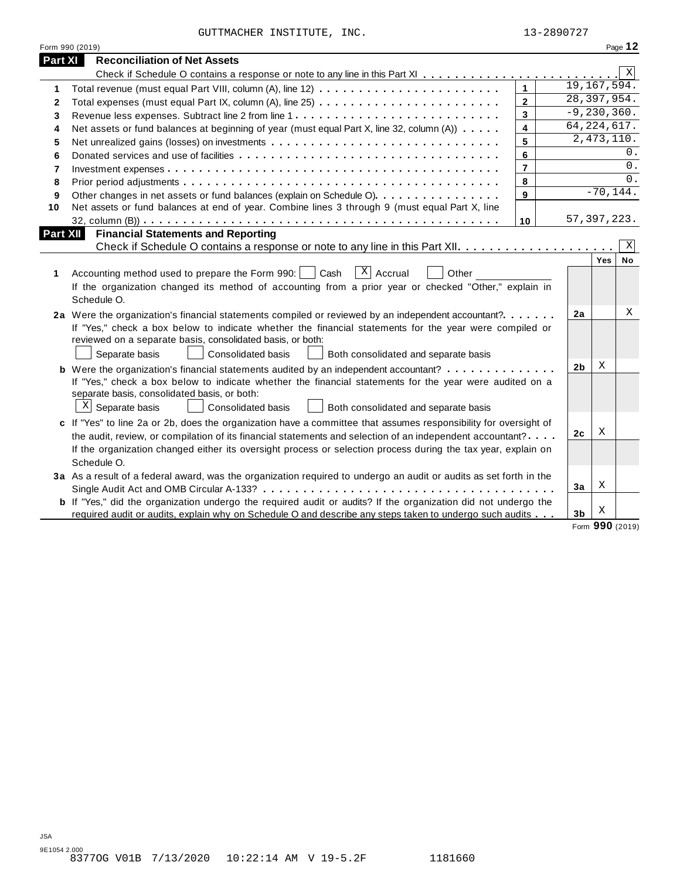|                | Form 990 (2019)                                                                                                                                                      |                |                 |            | Page 12      |
|----------------|----------------------------------------------------------------------------------------------------------------------------------------------------------------------|----------------|-----------------|------------|--------------|
| <b>Part XI</b> | <b>Reconciliation of Net Assets</b>                                                                                                                                  |                |                 |            |              |
|                |                                                                                                                                                                      |                |                 |            | $\mathbf X$  |
| 1              |                                                                                                                                                                      | $\mathbf{1}$   | 19, 167, 594.   |            |              |
| 2              |                                                                                                                                                                      | $\overline{2}$ | 28, 397, 954.   |            |              |
| 3              |                                                                                                                                                                      | $\overline{3}$ | $-9, 230, 360.$ |            |              |
| 4              | Net assets or fund balances at beginning of year (must equal Part X, line 32, column (A))                                                                            | 4              | 64, 224, 617.   |            |              |
| 5              |                                                                                                                                                                      | 5              |                 | 2,473,110. |              |
| 6              |                                                                                                                                                                      | 6              |                 |            | 0.           |
| 7              |                                                                                                                                                                      | $\overline{7}$ |                 |            | 0.           |
| 8              |                                                                                                                                                                      | 8              |                 |            | 0.           |
| 9              | Other changes in net assets or fund balances (explain on Schedule O).                                                                                                | 9              |                 | $-70,144.$ |              |
| 10             | Net assets or fund balances at end of year. Combine lines 3 through 9 (must equal Part X, line                                                                       |                |                 |            |              |
|                |                                                                                                                                                                      | 10             | 57, 397, 223.   |            |              |
|                | <b>Financial Statements and Reporting</b><br>Part XII                                                                                                                |                |                 |            |              |
|                |                                                                                                                                                                      |                |                 |            | $\mathbf{X}$ |
|                |                                                                                                                                                                      |                |                 | Yes        | No           |
| 1              | $\lceil x \rceil$ Accrual<br>Cash<br>Accounting method used to prepare the Form 990:  <br>Other                                                                      |                |                 |            |              |
|                | If the organization changed its method of accounting from a prior year or checked "Other," explain in                                                                |                |                 |            |              |
|                | Schedule O.                                                                                                                                                          |                |                 |            |              |
|                | 2a Were the organization's financial statements compiled or reviewed by an independent accountant?                                                                   |                |                 |            | Χ            |
|                |                                                                                                                                                                      |                | 2a              |            |              |
|                |                                                                                                                                                                      |                |                 |            |              |
|                | If "Yes," check a box below to indicate whether the financial statements for the year were compiled or<br>reviewed on a separate basis, consolidated basis, or both: |                |                 |            |              |
|                | Separate basis<br><b>Consolidated basis</b><br>Both consolidated and separate basis                                                                                  |                |                 |            |              |
|                |                                                                                                                                                                      |                | 2 <sub>b</sub>  | X          |              |
|                | <b>b</b> Were the organization's financial statements audited by an independent accountant?                                                                          |                |                 |            |              |
|                | If "Yes," check a box below to indicate whether the financial statements for the year were audited on a<br>separate basis, consolidated basis, or both:              |                |                 |            |              |
|                | $X$ Separate basis<br>Consolidated basis<br>Both consolidated and separate basis                                                                                     |                |                 |            |              |
|                |                                                                                                                                                                      |                |                 |            |              |
|                | c If "Yes" to line 2a or 2b, does the organization have a committee that assumes responsibility for oversight of                                                     |                | 2c              | X          |              |
|                | the audit, review, or compilation of its financial statements and selection of an independent accountant?                                                            |                |                 |            |              |
|                | If the organization changed either its oversight process or selection process during the tax year, explain on                                                        |                |                 |            |              |
|                | Schedule O.                                                                                                                                                          |                |                 |            |              |
|                | 3a As a result of a federal award, was the organization required to undergo an audit or audits as set forth in the                                                   |                | 3a              | Χ          |              |
|                | <b>b</b> If "Yes," did the organization undergo the required audit or audits? If the organization did not undergo the                                                |                |                 |            |              |

Form **990** (2019)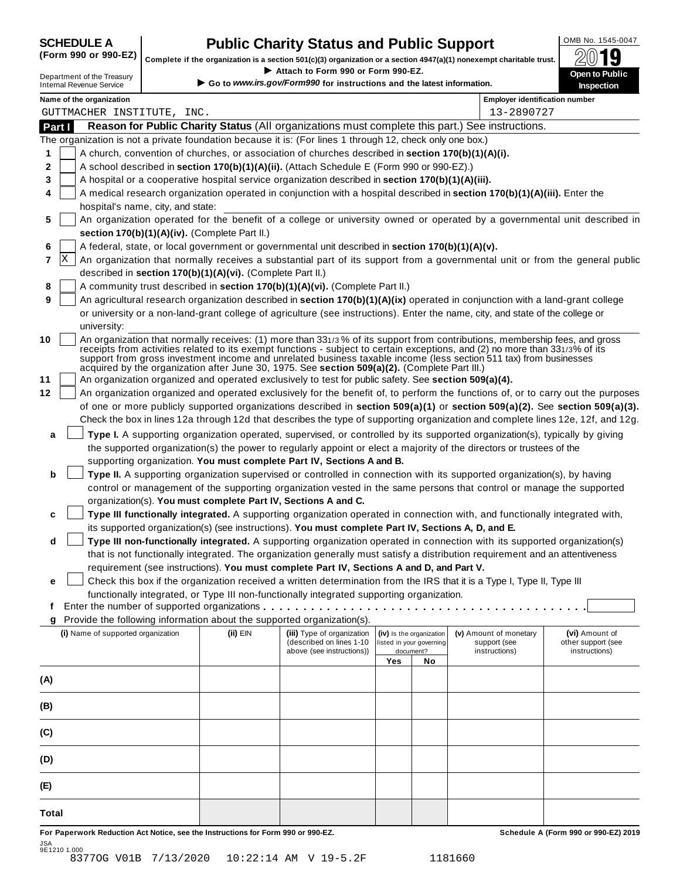# SCHEDULE A **Public Charity Status and Public Support** (Form 990 or 990-EZ) complete if the organization is a section 501(c)(3) organization or a section 4947(a)(1) nonexempt charitable trust.

(Form 990 or 990-EZ) complete if the organization is a section 501(c)(3) organization or a section 4947(a)(1) nonexempt charitable trust.  $2019$ 

|              |                                                               |                                                            |                                                                                                              |     |                                                      | Complete if the organization is a section 501(c)(3) organization or a section 4947(a)(1) nonexempt charitable trust.                                                                                                                              | ZW IJ                                |
|--------------|---------------------------------------------------------------|------------------------------------------------------------|--------------------------------------------------------------------------------------------------------------|-----|------------------------------------------------------|---------------------------------------------------------------------------------------------------------------------------------------------------------------------------------------------------------------------------------------------------|--------------------------------------|
|              | Department of the Treasury<br><b>Internal Revenue Service</b> |                                                            | Attach to Form 990 or Form 990-EZ.<br>Go to www.irs.gov/Form990 for instructions and the latest information. |     |                                                      |                                                                                                                                                                                                                                                   | <b>Open to Public</b><br>Inspection  |
|              | Name of the organization                                      |                                                            |                                                                                                              |     |                                                      | <b>Employer identification number</b>                                                                                                                                                                                                             |                                      |
|              | GUTTMACHER INSTITUTE, INC.                                    |                                                            |                                                                                                              |     |                                                      | 13-2890727                                                                                                                                                                                                                                        |                                      |
| Part I       |                                                               |                                                            |                                                                                                              |     |                                                      | Reason for Public Charity Status (All organizations must complete this part.) See instructions.                                                                                                                                                   |                                      |
|              |                                                               |                                                            | The organization is not a private foundation because it is: (For lines 1 through 12, check only one box.)    |     |                                                      |                                                                                                                                                                                                                                                   |                                      |
| 1            |                                                               |                                                            | A church, convention of churches, or association of churches described in section 170(b)(1)(A)(i).           |     |                                                      |                                                                                                                                                                                                                                                   |                                      |
| 2            |                                                               |                                                            | A school described in section 170(b)(1)(A)(ii). (Attach Schedule E (Form 990 or 990-EZ).)                    |     |                                                      |                                                                                                                                                                                                                                                   |                                      |
| 3            |                                                               |                                                            | A hospital or a cooperative hospital service organization described in section 170(b)(1)(A)(iii).            |     |                                                      |                                                                                                                                                                                                                                                   |                                      |
| 4            | hospital's name, city, and state:                             |                                                            |                                                                                                              |     |                                                      | A medical research organization operated in conjunction with a hospital described in section 170(b)(1)(A)(iii). Enter the                                                                                                                         |                                      |
| 5            |                                                               |                                                            |                                                                                                              |     |                                                      | An organization operated for the benefit of a college or university owned or operated by a governmental unit described in                                                                                                                         |                                      |
|              |                                                               | section 170(b)(1)(A)(iv). (Complete Part II.)              |                                                                                                              |     |                                                      |                                                                                                                                                                                                                                                   |                                      |
| 6            |                                                               |                                                            | A federal, state, or local government or governmental unit described in section 170(b)(1)(A)(v).             |     |                                                      |                                                                                                                                                                                                                                                   |                                      |
| X<br>7       |                                                               |                                                            |                                                                                                              |     |                                                      | An organization that normally receives a substantial part of its support from a governmental unit or from the general public                                                                                                                      |                                      |
|              |                                                               | described in section 170(b)(1)(A)(vi). (Complete Part II.) |                                                                                                              |     |                                                      |                                                                                                                                                                                                                                                   |                                      |
| 8            |                                                               |                                                            | A community trust described in section 170(b)(1)(A)(vi). (Complete Part II.)                                 |     |                                                      |                                                                                                                                                                                                                                                   |                                      |
| 9            |                                                               |                                                            |                                                                                                              |     |                                                      | An agricultural research organization described in section 170(b)(1)(A)(ix) operated in conjunction with a land-grant college                                                                                                                     |                                      |
|              | university:                                                   |                                                            |                                                                                                              |     |                                                      | or university or a non-land-grant college of agriculture (see instructions). Enter the name, city, and state of the college or                                                                                                                    |                                      |
| 10           |                                                               |                                                            |                                                                                                              |     |                                                      | An organization that normally receives: (1) more than 331/3% of its support from contributions, membership fees, and gross                                                                                                                        |                                      |
|              |                                                               |                                                            |                                                                                                              |     |                                                      | receipts from activities related to its exempt functions - subject to certain exceptions, and (2) no more than 331/3% of its<br>support from gross investment income and unrelated business taxable income (less section 511 tax) from businesses |                                      |
| 11           |                                                               |                                                            | acquired by the organization after June 30, 1975. See section 509(a)(2). (Complete Part III.)                |     |                                                      |                                                                                                                                                                                                                                                   |                                      |
|              |                                                               |                                                            | An organization organized and operated exclusively to test for public safety. See section 509(a)(4).         |     |                                                      |                                                                                                                                                                                                                                                   |                                      |
| 12           |                                                               |                                                            |                                                                                                              |     |                                                      | An organization organized and operated exclusively for the benefit of, to perform the functions of, or to carry out the purposes                                                                                                                  |                                      |
|              |                                                               |                                                            |                                                                                                              |     |                                                      | of one or more publicly supported organizations described in section 509(a)(1) or section 509(a)(2). See section 509(a)(3).                                                                                                                       |                                      |
|              |                                                               |                                                            |                                                                                                              |     |                                                      | Check the box in lines 12a through 12d that describes the type of supporting organization and complete lines 12e, 12f, and 12g.                                                                                                                   |                                      |
| а            |                                                               |                                                            |                                                                                                              |     |                                                      | Type I. A supporting organization operated, supervised, or controlled by its supported organization(s), typically by giving                                                                                                                       |                                      |
|              |                                                               |                                                            |                                                                                                              |     |                                                      | the supported organization(s) the power to regularly appoint or elect a majority of the directors or trustees of the                                                                                                                              |                                      |
|              |                                                               |                                                            | supporting organization. You must complete Part IV, Sections A and B.                                        |     |                                                      |                                                                                                                                                                                                                                                   |                                      |
| b            |                                                               |                                                            |                                                                                                              |     |                                                      | Type II. A supporting organization supervised or controlled in connection with its supported organization(s), by having                                                                                                                           |                                      |
|              |                                                               |                                                            |                                                                                                              |     |                                                      | control or management of the supporting organization vested in the same persons that control or manage the supported                                                                                                                              |                                      |
|              |                                                               |                                                            | organization(s). You must complete Part IV, Sections A and C.                                                |     |                                                      |                                                                                                                                                                                                                                                   |                                      |
| c            |                                                               |                                                            |                                                                                                              |     |                                                      | Type III functionally integrated. A supporting organization operated in connection with, and functionally integrated with,                                                                                                                        |                                      |
|              |                                                               |                                                            | its supported organization(s) (see instructions). You must complete Part IV, Sections A, D, and E.           |     |                                                      |                                                                                                                                                                                                                                                   |                                      |
| d            |                                                               |                                                            |                                                                                                              |     |                                                      | Type III non-functionally integrated. A supporting organization operated in connection with its supported organization(s)                                                                                                                         |                                      |
|              |                                                               |                                                            |                                                                                                              |     |                                                      | that is not functionally integrated. The organization generally must satisfy a distribution requirement and an attentiveness                                                                                                                      |                                      |
|              |                                                               |                                                            | requirement (see instructions). You must complete Part IV, Sections A and D, and Part V.                     |     |                                                      |                                                                                                                                                                                                                                                   |                                      |
| е            |                                                               |                                                            |                                                                                                              |     |                                                      | Check this box if the organization received a written determination from the IRS that it is a Type I, Type II, Type III                                                                                                                           |                                      |
|              |                                                               |                                                            | functionally integrated, or Type III non-functionally integrated supporting organization.                    |     |                                                      |                                                                                                                                                                                                                                                   |                                      |
| f            |                                                               |                                                            |                                                                                                              |     |                                                      |                                                                                                                                                                                                                                                   |                                      |
| g            |                                                               |                                                            | Provide the following information about the supported organization(s).                                       |     |                                                      |                                                                                                                                                                                                                                                   |                                      |
|              | (i) Name of supported organization                            | $(ii)$ EIN                                                 | (iii) Type of organization<br>(described on lines 1-10                                                       |     | (iv) Is the organization<br>listed in your governing | (v) Amount of monetary<br>support (see                                                                                                                                                                                                            | (vi) Amount of<br>other support (see |
|              |                                                               |                                                            | above (see instructions))                                                                                    |     | document?                                            | instructions)                                                                                                                                                                                                                                     | instructions)                        |
|              |                                                               |                                                            |                                                                                                              | Yes | No                                                   |                                                                                                                                                                                                                                                   |                                      |
| (A)          |                                                               |                                                            |                                                                                                              |     |                                                      |                                                                                                                                                                                                                                                   |                                      |
| (B)          |                                                               |                                                            |                                                                                                              |     |                                                      |                                                                                                                                                                                                                                                   |                                      |
|              |                                                               |                                                            |                                                                                                              |     |                                                      |                                                                                                                                                                                                                                                   |                                      |
| (C)          |                                                               |                                                            |                                                                                                              |     |                                                      |                                                                                                                                                                                                                                                   |                                      |
| (D)          |                                                               |                                                            |                                                                                                              |     |                                                      |                                                                                                                                                                                                                                                   |                                      |
| (E)          |                                                               |                                                            |                                                                                                              |     |                                                      |                                                                                                                                                                                                                                                   |                                      |
| <b>Total</b> |                                                               |                                                            |                                                                                                              |     |                                                      |                                                                                                                                                                                                                                                   |                                      |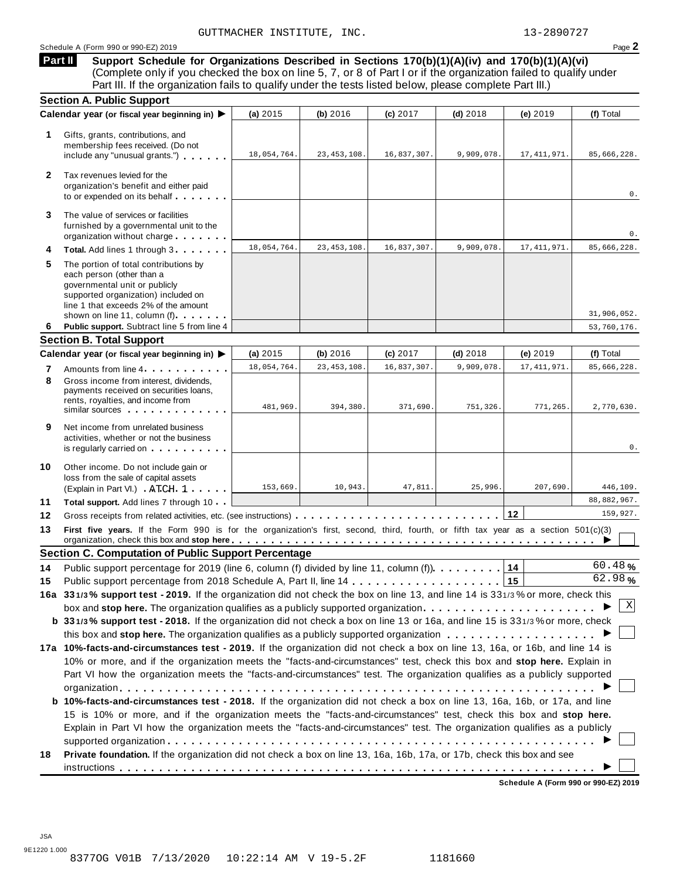### Schedule <sup>A</sup> (Form <sup>990</sup> or 990-EZ) <sup>2019</sup> Page **2**

**Support Schedule for Organizations Described in Sections 170(b)(1)(A)(iv) and 170(b)(1)(A)(vi)** Complete only if you checked the box on line 5, 7, or 8 of Part I or if the organization failed to qualify under Part III. If the organization fails to qualify under the tests listed below, please complete Part III.) **Part II**

|              | <b>Section A. Public Support</b>                                                                                                                                                                                                                                    |             |               |             |            |               |             |
|--------------|---------------------------------------------------------------------------------------------------------------------------------------------------------------------------------------------------------------------------------------------------------------------|-------------|---------------|-------------|------------|---------------|-------------|
|              | Calendar year (or fiscal year beginning in) ▶                                                                                                                                                                                                                       | (a) $2015$  | (b) 2016      | (c) 2017    | $(d)$ 2018 | (e) 2019      | (f) Total   |
| 1.           | Gifts, grants, contributions, and<br>membership fees received. (Do not<br>include any "unusual grants.")                                                                                                                                                            | 18,054,764. | 23, 453, 108. | 16,837,307. | 9,909,078. | 17, 411, 971. | 85,666,228. |
| $\mathbf{2}$ | Tax revenues levied for the<br>organization's benefit and either paid<br>to or expended on its behalf                                                                                                                                                               |             |               |             |            |               | 0.          |
| 3            | The value of services or facilities<br>furnished by a governmental unit to the<br>organization without charge                                                                                                                                                       |             |               |             |            |               | 0.          |
| 4            | Total. Add lines 1 through 3                                                                                                                                                                                                                                        | 18,054,764. | 23, 453, 108. | 16,837,307. | 9,909,078. | 17, 411, 971. | 85,666,228. |
| 5            | The portion of total contributions by<br>each person (other than a<br>governmental unit or publicly<br>supported organization) included on<br>line 1 that exceeds 2% of the amount<br>shown on line 11, column (f)                                                  |             |               |             |            |               | 31,906,052. |
| 6            | Public support. Subtract line 5 from line 4                                                                                                                                                                                                                         |             |               |             |            |               | 53,760,176. |
|              | <b>Section B. Total Support</b>                                                                                                                                                                                                                                     |             |               |             |            |               |             |
|              | Calendar year (or fiscal year beginning in)                                                                                                                                                                                                                         | (a) $2015$  | (b) 2016      | (c) 2017    | $(d)$ 2018 | (e) 2019      | (f) Total   |
| 7            | Amounts from line 4                                                                                                                                                                                                                                                 | 18,054,764. | 23, 453, 108. | 16,837,307  | 9,909,078  | 17, 411, 971. | 85,666,228. |
| 8            | Gross income from interest, dividends,<br>payments received on securities loans,<br>rents, royalties, and income from<br>similar sources experiences                                                                                                                | 481,969.    | 394,380.      | 371,690.    | 751,326.   | 771,265.      | 2,770,630.  |
| 9            | Net income from unrelated business<br>activities, whether or not the business<br>is regularly carried on the control of the set of the set of the set of the set of the set of the set of the s                                                                     |             |               |             |            |               | 0.          |
| 10           | Other income. Do not include gain or<br>loss from the sale of capital assets<br>(Explain in Part VI.) ATCH 1                                                                                                                                                        | 153,669.    | 10,943.       | 47,811.     | 25,996.    | 207,690.      | 446,109.    |
| 11           | Total support. Add lines 7 through 10                                                                                                                                                                                                                               |             |               |             |            |               | 88,882,967. |
| 12           |                                                                                                                                                                                                                                                                     |             |               |             |            | 12            | 159,927.    |
| 13           | First five years. If the Form 990 is for the organization's first, second, third, fourth, or fifth tax year as a section 501(c)(3)<br>organization, check this box and stop here <i>etable of the state of the state for state of the state of the state of the</i> |             |               |             |            |               |             |
|              | <b>Section C. Computation of Public Support Percentage</b>                                                                                                                                                                                                          |             |               |             |            |               |             |
| 14           | Public support percentage for 2019 (line 6, column (f) divided by line 11, column (f)).                                                                                                                                                                             |             |               |             |            | 14            | 60.48%      |
| 15           |                                                                                                                                                                                                                                                                     |             |               |             |            |               | 62.98%      |
|              | 16a 331/3% support test - 2019. If the organization did not check the box on line 13, and line 14 is 331/3% or more, check this                                                                                                                                     |             |               |             |            |               |             |
|              | box and stop here. The organization qualifies as a publicly supported organization                                                                                                                                                                                  |             |               |             |            |               | Χ           |
|              | b 331/3% support test - 2018. If the organization did not check a box on line 13 or 16a, and line 15 is 331/3% or more, check                                                                                                                                       |             |               |             |            |               |             |
|              |                                                                                                                                                                                                                                                                     |             |               |             |            |               |             |
|              | 17a 10%-facts-and-circumstances test - 2019. If the organization did not check a box on line 13, 16a, or 16b, and line 14 is                                                                                                                                        |             |               |             |            |               |             |
|              | 10% or more, and if the organization meets the "facts-and-circumstances" test, check this box and stop here. Explain in                                                                                                                                             |             |               |             |            |               |             |
|              | Part VI how the organization meets the "facts-and-circumstances" test. The organization qualifies as a publicly supported                                                                                                                                           |             |               |             |            |               |             |
|              |                                                                                                                                                                                                                                                                     |             |               |             |            |               |             |
|              |                                                                                                                                                                                                                                                                     |             |               |             |            |               |             |
|              | b 10%-facts-and-circumstances test - 2018. If the organization did not check a box on line 13, 16a, 16b, or 17a, and line<br>15 is 10% or more, and if the organization meets the "facts-and-circumstances" test, check this box and stop here.                     |             |               |             |            |               |             |
|              | Explain in Part VI how the organization meets the "facts-and-circumstances" test. The organization qualifies as a publicly                                                                                                                                          |             |               |             |            |               |             |
| 18           | Private foundation. If the organization did not check a box on line 13, 16a, 16b, 17a, or 17b, check this box and see                                                                                                                                               |             |               |             |            |               |             |

**Schedule A (Form 990 or 990-EZ) 2019**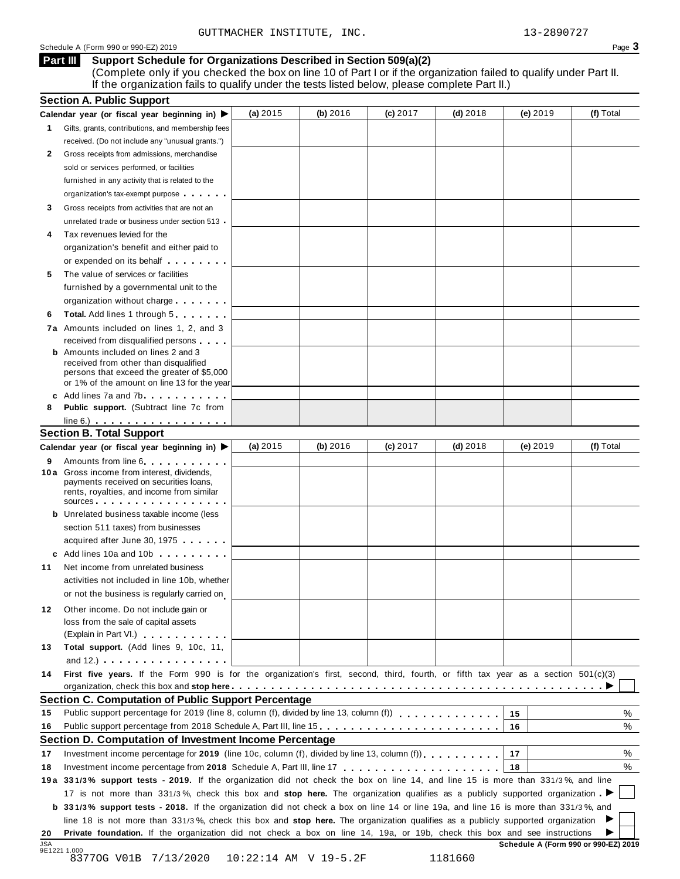### Schedule <sup>A</sup> (Form <sup>990</sup> or 990-EZ) <sup>2019</sup> Page **3**

### **Support Schedule for Organizations Described in Section 509(a)(2) Part III**

(Complete only if you checked the box on line 10 of Part I or if the organization failed to qualify under Part II. If the organization fails to qualify under the tests listed below, please complete Part II.)

| Calendar year (or fiscal year beginning in) $\blacktriangleright$                                                                                                                                                                                          | (a) $2015$                                                                                                                                                                                                                                                                                                                                                                                                                                                                                                                                                                                                                                                                                                                                                                                                                                                                                                                                                                                                                                                                                                                                                                                                                                                                                                                                                                                                                                                            | (b) 2016   | (c) 2017                                                                                                                  | $(d)$ 2018 | (e) 2019                                                                                                                                                                   | (f) Total                                                                                                                                        |
|------------------------------------------------------------------------------------------------------------------------------------------------------------------------------------------------------------------------------------------------------------|-----------------------------------------------------------------------------------------------------------------------------------------------------------------------------------------------------------------------------------------------------------------------------------------------------------------------------------------------------------------------------------------------------------------------------------------------------------------------------------------------------------------------------------------------------------------------------------------------------------------------------------------------------------------------------------------------------------------------------------------------------------------------------------------------------------------------------------------------------------------------------------------------------------------------------------------------------------------------------------------------------------------------------------------------------------------------------------------------------------------------------------------------------------------------------------------------------------------------------------------------------------------------------------------------------------------------------------------------------------------------------------------------------------------------------------------------------------------------|------------|---------------------------------------------------------------------------------------------------------------------------|------------|----------------------------------------------------------------------------------------------------------------------------------------------------------------------------|--------------------------------------------------------------------------------------------------------------------------------------------------|
| Gifts, grants, contributions, and membership fees                                                                                                                                                                                                          |                                                                                                                                                                                                                                                                                                                                                                                                                                                                                                                                                                                                                                                                                                                                                                                                                                                                                                                                                                                                                                                                                                                                                                                                                                                                                                                                                                                                                                                                       |            |                                                                                                                           |            |                                                                                                                                                                            |                                                                                                                                                  |
| received. (Do not include any "unusual grants.")                                                                                                                                                                                                           |                                                                                                                                                                                                                                                                                                                                                                                                                                                                                                                                                                                                                                                                                                                                                                                                                                                                                                                                                                                                                                                                                                                                                                                                                                                                                                                                                                                                                                                                       |            |                                                                                                                           |            |                                                                                                                                                                            |                                                                                                                                                  |
| Gross receipts from admissions, merchandise                                                                                                                                                                                                                |                                                                                                                                                                                                                                                                                                                                                                                                                                                                                                                                                                                                                                                                                                                                                                                                                                                                                                                                                                                                                                                                                                                                                                                                                                                                                                                                                                                                                                                                       |            |                                                                                                                           |            |                                                                                                                                                                            |                                                                                                                                                  |
| sold or services performed, or facilities                                                                                                                                                                                                                  |                                                                                                                                                                                                                                                                                                                                                                                                                                                                                                                                                                                                                                                                                                                                                                                                                                                                                                                                                                                                                                                                                                                                                                                                                                                                                                                                                                                                                                                                       |            |                                                                                                                           |            |                                                                                                                                                                            |                                                                                                                                                  |
| furnished in any activity that is related to the                                                                                                                                                                                                           |                                                                                                                                                                                                                                                                                                                                                                                                                                                                                                                                                                                                                                                                                                                                                                                                                                                                                                                                                                                                                                                                                                                                                                                                                                                                                                                                                                                                                                                                       |            |                                                                                                                           |            |                                                                                                                                                                            |                                                                                                                                                  |
| organization's tax-exempt purpose                                                                                                                                                                                                                          |                                                                                                                                                                                                                                                                                                                                                                                                                                                                                                                                                                                                                                                                                                                                                                                                                                                                                                                                                                                                                                                                                                                                                                                                                                                                                                                                                                                                                                                                       |            |                                                                                                                           |            |                                                                                                                                                                            |                                                                                                                                                  |
|                                                                                                                                                                                                                                                            |                                                                                                                                                                                                                                                                                                                                                                                                                                                                                                                                                                                                                                                                                                                                                                                                                                                                                                                                                                                                                                                                                                                                                                                                                                                                                                                                                                                                                                                                       |            |                                                                                                                           |            |                                                                                                                                                                            |                                                                                                                                                  |
| unrelated trade or business under section 513                                                                                                                                                                                                              |                                                                                                                                                                                                                                                                                                                                                                                                                                                                                                                                                                                                                                                                                                                                                                                                                                                                                                                                                                                                                                                                                                                                                                                                                                                                                                                                                                                                                                                                       |            |                                                                                                                           |            |                                                                                                                                                                            |                                                                                                                                                  |
|                                                                                                                                                                                                                                                            |                                                                                                                                                                                                                                                                                                                                                                                                                                                                                                                                                                                                                                                                                                                                                                                                                                                                                                                                                                                                                                                                                                                                                                                                                                                                                                                                                                                                                                                                       |            |                                                                                                                           |            |                                                                                                                                                                            |                                                                                                                                                  |
|                                                                                                                                                                                                                                                            |                                                                                                                                                                                                                                                                                                                                                                                                                                                                                                                                                                                                                                                                                                                                                                                                                                                                                                                                                                                                                                                                                                                                                                                                                                                                                                                                                                                                                                                                       |            |                                                                                                                           |            |                                                                                                                                                                            |                                                                                                                                                  |
|                                                                                                                                                                                                                                                            |                                                                                                                                                                                                                                                                                                                                                                                                                                                                                                                                                                                                                                                                                                                                                                                                                                                                                                                                                                                                                                                                                                                                                                                                                                                                                                                                                                                                                                                                       |            |                                                                                                                           |            |                                                                                                                                                                            |                                                                                                                                                  |
|                                                                                                                                                                                                                                                            |                                                                                                                                                                                                                                                                                                                                                                                                                                                                                                                                                                                                                                                                                                                                                                                                                                                                                                                                                                                                                                                                                                                                                                                                                                                                                                                                                                                                                                                                       |            |                                                                                                                           |            |                                                                                                                                                                            |                                                                                                                                                  |
|                                                                                                                                                                                                                                                            |                                                                                                                                                                                                                                                                                                                                                                                                                                                                                                                                                                                                                                                                                                                                                                                                                                                                                                                                                                                                                                                                                                                                                                                                                                                                                                                                                                                                                                                                       |            |                                                                                                                           |            |                                                                                                                                                                            |                                                                                                                                                  |
|                                                                                                                                                                                                                                                            |                                                                                                                                                                                                                                                                                                                                                                                                                                                                                                                                                                                                                                                                                                                                                                                                                                                                                                                                                                                                                                                                                                                                                                                                                                                                                                                                                                                                                                                                       |            |                                                                                                                           |            |                                                                                                                                                                            |                                                                                                                                                  |
|                                                                                                                                                                                                                                                            |                                                                                                                                                                                                                                                                                                                                                                                                                                                                                                                                                                                                                                                                                                                                                                                                                                                                                                                                                                                                                                                                                                                                                                                                                                                                                                                                                                                                                                                                       |            |                                                                                                                           |            |                                                                                                                                                                            |                                                                                                                                                  |
|                                                                                                                                                                                                                                                            |                                                                                                                                                                                                                                                                                                                                                                                                                                                                                                                                                                                                                                                                                                                                                                                                                                                                                                                                                                                                                                                                                                                                                                                                                                                                                                                                                                                                                                                                       |            |                                                                                                                           |            |                                                                                                                                                                            |                                                                                                                                                  |
|                                                                                                                                                                                                                                                            |                                                                                                                                                                                                                                                                                                                                                                                                                                                                                                                                                                                                                                                                                                                                                                                                                                                                                                                                                                                                                                                                                                                                                                                                                                                                                                                                                                                                                                                                       |            |                                                                                                                           |            |                                                                                                                                                                            |                                                                                                                                                  |
|                                                                                                                                                                                                                                                            |                                                                                                                                                                                                                                                                                                                                                                                                                                                                                                                                                                                                                                                                                                                                                                                                                                                                                                                                                                                                                                                                                                                                                                                                                                                                                                                                                                                                                                                                       |            |                                                                                                                           |            |                                                                                                                                                                            |                                                                                                                                                  |
| received from other than disqualified                                                                                                                                                                                                                      |                                                                                                                                                                                                                                                                                                                                                                                                                                                                                                                                                                                                                                                                                                                                                                                                                                                                                                                                                                                                                                                                                                                                                                                                                                                                                                                                                                                                                                                                       |            |                                                                                                                           |            |                                                                                                                                                                            |                                                                                                                                                  |
|                                                                                                                                                                                                                                                            |                                                                                                                                                                                                                                                                                                                                                                                                                                                                                                                                                                                                                                                                                                                                                                                                                                                                                                                                                                                                                                                                                                                                                                                                                                                                                                                                                                                                                                                                       |            |                                                                                                                           |            |                                                                                                                                                                            |                                                                                                                                                  |
|                                                                                                                                                                                                                                                            |                                                                                                                                                                                                                                                                                                                                                                                                                                                                                                                                                                                                                                                                                                                                                                                                                                                                                                                                                                                                                                                                                                                                                                                                                                                                                                                                                                                                                                                                       |            |                                                                                                                           |            |                                                                                                                                                                            |                                                                                                                                                  |
|                                                                                                                                                                                                                                                            |                                                                                                                                                                                                                                                                                                                                                                                                                                                                                                                                                                                                                                                                                                                                                                                                                                                                                                                                                                                                                                                                                                                                                                                                                                                                                                                                                                                                                                                                       |            |                                                                                                                           |            |                                                                                                                                                                            |                                                                                                                                                  |
|                                                                                                                                                                                                                                                            |                                                                                                                                                                                                                                                                                                                                                                                                                                                                                                                                                                                                                                                                                                                                                                                                                                                                                                                                                                                                                                                                                                                                                                                                                                                                                                                                                                                                                                                                       |            |                                                                                                                           |            |                                                                                                                                                                            |                                                                                                                                                  |
|                                                                                                                                                                                                                                                            |                                                                                                                                                                                                                                                                                                                                                                                                                                                                                                                                                                                                                                                                                                                                                                                                                                                                                                                                                                                                                                                                                                                                                                                                                                                                                                                                                                                                                                                                       |            |                                                                                                                           |            |                                                                                                                                                                            |                                                                                                                                                  |
|                                                                                                                                                                                                                                                            |                                                                                                                                                                                                                                                                                                                                                                                                                                                                                                                                                                                                                                                                                                                                                                                                                                                                                                                                                                                                                                                                                                                                                                                                                                                                                                                                                                                                                                                                       |            |                                                                                                                           |            |                                                                                                                                                                            | (f) Total                                                                                                                                        |
|                                                                                                                                                                                                                                                            |                                                                                                                                                                                                                                                                                                                                                                                                                                                                                                                                                                                                                                                                                                                                                                                                                                                                                                                                                                                                                                                                                                                                                                                                                                                                                                                                                                                                                                                                       |            |                                                                                                                           |            |                                                                                                                                                                            |                                                                                                                                                  |
|                                                                                                                                                                                                                                                            |                                                                                                                                                                                                                                                                                                                                                                                                                                                                                                                                                                                                                                                                                                                                                                                                                                                                                                                                                                                                                                                                                                                                                                                                                                                                                                                                                                                                                                                                       |            |                                                                                                                           |            |                                                                                                                                                                            |                                                                                                                                                  |
| payments received on securities loans,                                                                                                                                                                                                                     |                                                                                                                                                                                                                                                                                                                                                                                                                                                                                                                                                                                                                                                                                                                                                                                                                                                                                                                                                                                                                                                                                                                                                                                                                                                                                                                                                                                                                                                                       |            |                                                                                                                           |            |                                                                                                                                                                            |                                                                                                                                                  |
|                                                                                                                                                                                                                                                            |                                                                                                                                                                                                                                                                                                                                                                                                                                                                                                                                                                                                                                                                                                                                                                                                                                                                                                                                                                                                                                                                                                                                                                                                                                                                                                                                                                                                                                                                       |            |                                                                                                                           |            |                                                                                                                                                                            |                                                                                                                                                  |
|                                                                                                                                                                                                                                                            |                                                                                                                                                                                                                                                                                                                                                                                                                                                                                                                                                                                                                                                                                                                                                                                                                                                                                                                                                                                                                                                                                                                                                                                                                                                                                                                                                                                                                                                                       |            |                                                                                                                           |            |                                                                                                                                                                            |                                                                                                                                                  |
|                                                                                                                                                                                                                                                            |                                                                                                                                                                                                                                                                                                                                                                                                                                                                                                                                                                                                                                                                                                                                                                                                                                                                                                                                                                                                                                                                                                                                                                                                                                                                                                                                                                                                                                                                       |            |                                                                                                                           |            |                                                                                                                                                                            |                                                                                                                                                  |
|                                                                                                                                                                                                                                                            |                                                                                                                                                                                                                                                                                                                                                                                                                                                                                                                                                                                                                                                                                                                                                                                                                                                                                                                                                                                                                                                                                                                                                                                                                                                                                                                                                                                                                                                                       |            |                                                                                                                           |            |                                                                                                                                                                            |                                                                                                                                                  |
|                                                                                                                                                                                                                                                            |                                                                                                                                                                                                                                                                                                                                                                                                                                                                                                                                                                                                                                                                                                                                                                                                                                                                                                                                                                                                                                                                                                                                                                                                                                                                                                                                                                                                                                                                       |            |                                                                                                                           |            |                                                                                                                                                                            |                                                                                                                                                  |
|                                                                                                                                                                                                                                                            |                                                                                                                                                                                                                                                                                                                                                                                                                                                                                                                                                                                                                                                                                                                                                                                                                                                                                                                                                                                                                                                                                                                                                                                                                                                                                                                                                                                                                                                                       |            |                                                                                                                           |            |                                                                                                                                                                            |                                                                                                                                                  |
|                                                                                                                                                                                                                                                            |                                                                                                                                                                                                                                                                                                                                                                                                                                                                                                                                                                                                                                                                                                                                                                                                                                                                                                                                                                                                                                                                                                                                                                                                                                                                                                                                                                                                                                                                       |            |                                                                                                                           |            |                                                                                                                                                                            |                                                                                                                                                  |
|                                                                                                                                                                                                                                                            |                                                                                                                                                                                                                                                                                                                                                                                                                                                                                                                                                                                                                                                                                                                                                                                                                                                                                                                                                                                                                                                                                                                                                                                                                                                                                                                                                                                                                                                                       |            |                                                                                                                           |            |                                                                                                                                                                            |                                                                                                                                                  |
| or not the business is regularly carried on                                                                                                                                                                                                                |                                                                                                                                                                                                                                                                                                                                                                                                                                                                                                                                                                                                                                                                                                                                                                                                                                                                                                                                                                                                                                                                                                                                                                                                                                                                                                                                                                                                                                                                       |            |                                                                                                                           |            |                                                                                                                                                                            |                                                                                                                                                  |
|                                                                                                                                                                                                                                                            |                                                                                                                                                                                                                                                                                                                                                                                                                                                                                                                                                                                                                                                                                                                                                                                                                                                                                                                                                                                                                                                                                                                                                                                                                                                                                                                                                                                                                                                                       |            |                                                                                                                           |            |                                                                                                                                                                            |                                                                                                                                                  |
| loss from the sale of capital assets                                                                                                                                                                                                                       |                                                                                                                                                                                                                                                                                                                                                                                                                                                                                                                                                                                                                                                                                                                                                                                                                                                                                                                                                                                                                                                                                                                                                                                                                                                                                                                                                                                                                                                                       |            |                                                                                                                           |            |                                                                                                                                                                            |                                                                                                                                                  |
|                                                                                                                                                                                                                                                            |                                                                                                                                                                                                                                                                                                                                                                                                                                                                                                                                                                                                                                                                                                                                                                                                                                                                                                                                                                                                                                                                                                                                                                                                                                                                                                                                                                                                                                                                       |            |                                                                                                                           |            |                                                                                                                                                                            |                                                                                                                                                  |
|                                                                                                                                                                                                                                                            |                                                                                                                                                                                                                                                                                                                                                                                                                                                                                                                                                                                                                                                                                                                                                                                                                                                                                                                                                                                                                                                                                                                                                                                                                                                                                                                                                                                                                                                                       |            |                                                                                                                           |            |                                                                                                                                                                            |                                                                                                                                                  |
| and $12.$ ) $\cdots$ $\cdots$ $\cdots$ $\cdots$ $\cdots$                                                                                                                                                                                                   |                                                                                                                                                                                                                                                                                                                                                                                                                                                                                                                                                                                                                                                                                                                                                                                                                                                                                                                                                                                                                                                                                                                                                                                                                                                                                                                                                                                                                                                                       |            |                                                                                                                           |            |                                                                                                                                                                            |                                                                                                                                                  |
|                                                                                                                                                                                                                                                            |                                                                                                                                                                                                                                                                                                                                                                                                                                                                                                                                                                                                                                                                                                                                                                                                                                                                                                                                                                                                                                                                                                                                                                                                                                                                                                                                                                                                                                                                       |            |                                                                                                                           |            |                                                                                                                                                                            |                                                                                                                                                  |
|                                                                                                                                                                                                                                                            |                                                                                                                                                                                                                                                                                                                                                                                                                                                                                                                                                                                                                                                                                                                                                                                                                                                                                                                                                                                                                                                                                                                                                                                                                                                                                                                                                                                                                                                                       |            |                                                                                                                           |            |                                                                                                                                                                            |                                                                                                                                                  |
|                                                                                                                                                                                                                                                            |                                                                                                                                                                                                                                                                                                                                                                                                                                                                                                                                                                                                                                                                                                                                                                                                                                                                                                                                                                                                                                                                                                                                                                                                                                                                                                                                                                                                                                                                       |            |                                                                                                                           |            |                                                                                                                                                                            |                                                                                                                                                  |
|                                                                                                                                                                                                                                                            |                                                                                                                                                                                                                                                                                                                                                                                                                                                                                                                                                                                                                                                                                                                                                                                                                                                                                                                                                                                                                                                                                                                                                                                                                                                                                                                                                                                                                                                                       |            |                                                                                                                           |            | 15                                                                                                                                                                         | %                                                                                                                                                |
|                                                                                                                                                                                                                                                            |                                                                                                                                                                                                                                                                                                                                                                                                                                                                                                                                                                                                                                                                                                                                                                                                                                                                                                                                                                                                                                                                                                                                                                                                                                                                                                                                                                                                                                                                       |            |                                                                                                                           |            | 16                                                                                                                                                                         | %                                                                                                                                                |
|                                                                                                                                                                                                                                                            |                                                                                                                                                                                                                                                                                                                                                                                                                                                                                                                                                                                                                                                                                                                                                                                                                                                                                                                                                                                                                                                                                                                                                                                                                                                                                                                                                                                                                                                                       |            |                                                                                                                           |            |                                                                                                                                                                            |                                                                                                                                                  |
| Investment income percentage for 2019 (line 10c, column (f), divided by line 13, column (f)), $\ldots$ , , , , , , ,                                                                                                                                       |                                                                                                                                                                                                                                                                                                                                                                                                                                                                                                                                                                                                                                                                                                                                                                                                                                                                                                                                                                                                                                                                                                                                                                                                                                                                                                                                                                                                                                                                       |            |                                                                                                                           |            | 17                                                                                                                                                                         | %                                                                                                                                                |
| Investment income percentage from 2018 Schedule A, Part III, line 17                                                                                                                                                                                       |                                                                                                                                                                                                                                                                                                                                                                                                                                                                                                                                                                                                                                                                                                                                                                                                                                                                                                                                                                                                                                                                                                                                                                                                                                                                                                                                                                                                                                                                       |            |                                                                                                                           |            | 18                                                                                                                                                                         | %                                                                                                                                                |
| 19a 331/3% support tests - 2019. If the organization did not check the box on line 14, and line 15 is more than 331/3%, and line                                                                                                                           |                                                                                                                                                                                                                                                                                                                                                                                                                                                                                                                                                                                                                                                                                                                                                                                                                                                                                                                                                                                                                                                                                                                                                                                                                                                                                                                                                                                                                                                                       |            |                                                                                                                           |            |                                                                                                                                                                            |                                                                                                                                                  |
|                                                                                                                                                                                                                                                            |                                                                                                                                                                                                                                                                                                                                                                                                                                                                                                                                                                                                                                                                                                                                                                                                                                                                                                                                                                                                                                                                                                                                                                                                                                                                                                                                                                                                                                                                       |            |                                                                                                                           |            |                                                                                                                                                                            |                                                                                                                                                  |
|                                                                                                                                                                                                                                                            |                                                                                                                                                                                                                                                                                                                                                                                                                                                                                                                                                                                                                                                                                                                                                                                                                                                                                                                                                                                                                                                                                                                                                                                                                                                                                                                                                                                                                                                                       |            |                                                                                                                           |            |                                                                                                                                                                            |                                                                                                                                                  |
| 17 is not more than 331/3%, check this box and stop here. The organization qualifies as a publicly supported organization                                                                                                                                  |                                                                                                                                                                                                                                                                                                                                                                                                                                                                                                                                                                                                                                                                                                                                                                                                                                                                                                                                                                                                                                                                                                                                                                                                                                                                                                                                                                                                                                                                       |            |                                                                                                                           |            |                                                                                                                                                                            |                                                                                                                                                  |
| <b>b</b> 331/3% support tests - 2018. If the organization did not check a box on line 14 or line 19a, and line 16 is more than 331/3%, and                                                                                                                 |                                                                                                                                                                                                                                                                                                                                                                                                                                                                                                                                                                                                                                                                                                                                                                                                                                                                                                                                                                                                                                                                                                                                                                                                                                                                                                                                                                                                                                                                       |            |                                                                                                                           |            |                                                                                                                                                                            |                                                                                                                                                  |
| line 18 is not more than 331/3%, check this box and stop here. The organization qualifies as a publicly supported organization<br>Private foundation. If the organization did not check a box on line 14, 19a, or 19b, check this box and see instructions |                                                                                                                                                                                                                                                                                                                                                                                                                                                                                                                                                                                                                                                                                                                                                                                                                                                                                                                                                                                                                                                                                                                                                                                                                                                                                                                                                                                                                                                                       |            |                                                                                                                           |            |                                                                                                                                                                            |                                                                                                                                                  |
|                                                                                                                                                                                                                                                            | Gross receipts from activities that are not an<br>Tax revenues levied for the<br>organization's benefit and either paid to<br>or expended on its behalf <b>contains the set of the set of the set of the set of the set of the set of the set of the set of the set of the set of the set of the set of the set of the set of the set of the set of the set of</b><br>The value of services or facilities<br>furnished by a governmental unit to the<br>organization without charge<br><b>Total.</b> Add lines 1 through 5<br>7a Amounts included on lines 1, 2, and 3<br>received from disqualified persons<br><b>b</b> Amounts included on lines 2 and 3<br>persons that exceed the greater of \$5,000<br>or 1% of the amount on line 13 for the year<br>c Add lines 7a and 7b<br><b>Public support.</b> (Subtract line 7c from<br>$line 6.)$<br><b>Section B. Total Support</b><br>Calendar year (or fiscal year beginning in) ▶<br>Amounts from line 6 <b>Amounts</b> from line 6<br>10 a Gross income from interest, dividends,<br>rents, royalties, and income from similar<br>SOUICES.<br><b>b</b> Unrelated business taxable income (less<br>section 511 taxes) from businesses<br>acquired after June 30, 1975<br>c Add lines 10a and 10b<br>Net income from unrelated business<br>activities not included in line 10b, whether<br>Other income. Do not include gain or<br>(Explain in Part VI.) <b>All Accords</b><br>Total support. (Add lines 9, 10c, 11, | (a) $2015$ | (b) 2016<br>Section C. Computation of Public Support Percentage<br>Section D. Computation of Investment Income Percentage | (c) 2017   | $(d)$ 2018<br>Public support percentage for 2019 (line 8, column (f), divided by line 13, column (f)<br>Public support percentage from 2018 Schedule A, Part III, line 15. | $(e)$ 2019<br>First five years. If the Form 990 is for the organization's first, second, third, fourth, or fifth tax year as a section 501(c)(3) |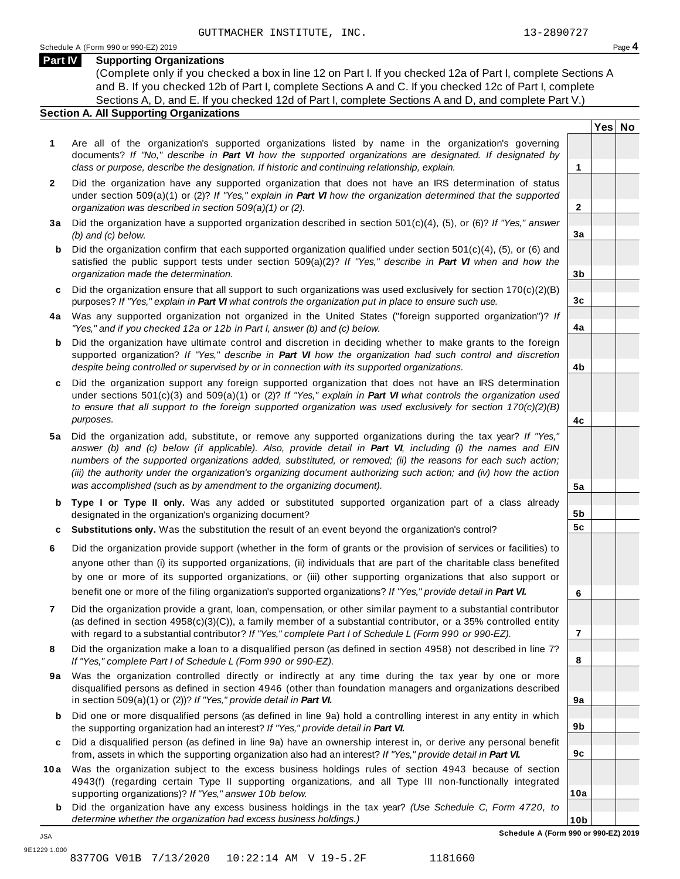**Yes No**

**2**

**3a**

**3b**

**3c**

**4a**

**4b**

**4c**

**5a**

**5b 5c**

**6**

**7**

**8**

**9a**

**9b**

**9c**

**10a**

### **Part IV Supporting Organizations**

(Complete only if you checked a box in line 12 on Part I. If you checked 12a of Part I, complete Sections A and B. If you checked 12b of Part I, complete Sections A and C. If you checked 12c of Part I, complete Sections A, D, and E. If you checked 12d of Part I, complete Sections A and D, and complete Part V.)

## **Section A. All Supporting Organizations**

- **1** Are all of the organization's supported organizations listed by name in the organization's governing documents? *If "No," describe in Part VI how the supported organizations are designated. If designated by class or purpose, describe the designation. If historic and continuing relationship, explain.* **1**
- **2** Did the organization have any supported organization that does not have an IRS determination of status under section 509(a)(1) or (2)? *If"Yes," explain in Part VI how the organization determined that the supported organization was described in section 509(a)(1) or (2).*
- **3 a** Did the organization have a supported organization described in section 501(c)(4), (5), or (6)? *If "Yes," answer (b) and (c) below.*
- **b** Did the organization confirm that each supported organization qualified under section 501(c)(4), (5), or (6) and | satisfied the public support tests under section 509(a)(2)? *If "Yes," describe in Part VI when and how the organization made the determination.*
- **c** Did the organization ensure that all support to such organizations was used exclusively for section 170(c)(2)(B) purposes? *If"Yes," explain in Part VI what controls the organization put in place to ensure such use.*
- **4 a** Was any supported organization not organized in the United States ("foreign supported organization")? *If "Yes," and if you checked 12a or 12b in Part I, answer (b) and (c) below.*
- **b** Did the organization have ultimate control and discretion in deciding whether to make grants to the foreign | supported organization? *If "Yes," describe in Part VI how the organization had such control and discretion despite being controlled or supervised by or in connection with its supported organizations.*
- **c** Did the organization support any foreign supported organization that does not have an IRS determination under sections 501(c)(3) and 509(a)(1) or (2)? *If "Yes," explain in Part VI what controls the organization used to ensure that all support to the foreign supported organization was used exclusively for section 170(c)(2)(B) purposes.*
- **5 a** Did the organization add, substitute, or remove any supported organizations during the tax year? *If "Yes,"* answer (b) and (c) below (if applicable). Also, provide detail in Part VI, including (i) the names and EIN *numbers of the supported organizations added, substituted, or removed; (ii) the reasons for each such action;* (iii) the authority under the organization's organizing document authorizing such action; and (iv) how the action *was accomplished (such as by amendment to the organizing document).*
- **b Type I or Type II only.** Was any added or substituted supported organization part of a class already designated in the organization's organizing document?
- **c Substitutions only.** Was the substitution the result of an event beyond the organization's control?
- **6** Did the organization provide support (whether in the form of grants or the provision of services or facilities) to anyone other than (i) its supported organizations, (ii) individuals that are part of the charitable class benefited by one or more of its supported organizations, or (iii) other supporting organizations that also support or benefit one or more of the filing organization's supported organizations? *If"Yes," provide detail in Part VI.*
- **7** Did the organization provide a grant, loan, compensation, or other similar payment to a substantial contributor (as defined in section 4958(c)(3)(C)), a family member of a substantial contributor, or a 35% controlled entity with regard to a substantial contributor? *If"Yes," complete Part I of Schedule L (Form 990 or 990-EZ).*
- **8** Did the organization make a loan to a disqualified person (as defined in section 4958) not described in line 7? *If "Yes," complete Part I of Schedule L (Form 990 or 990-EZ).*
- **9a** Was the organization controlled directly or indirectly at any time during the tax year by one or more | disqualified persons as defined in section 4946 (other than foundation managers and organizations described in section 509(a)(1) or (2))? *If"Yes," provide detail in Part VI.*
- **b** Did one or more disqualified persons (as defined in line 9a) hold a controlling interest in any entity in which | the supporting organization had an interest? *If"Yes," provide detail in Part VI.*
- **c** Did a disqualified person (as defined in line 9a) have an ownership interest in, or derive any personal benefit from, assets in which the supporting organization also had an interest? *If"Yes," provide detail in Part VI.*
- **10a** Was the organization subject to the excess business holdings rules of section 4943 because of section | 4943(f) (regarding certain Type II supporting organizations, and all Type III non-functionally integrated supporting organizations)? *If"Yes," answer 10b below.*
	- **b** Did the organization have any excess business holdings in the tax year? *(Use Schedule C, Form 4720, to determine whether the organization had excess business holdings.)*

**10b Schedule A (Form 990 or 990-EZ) 2019**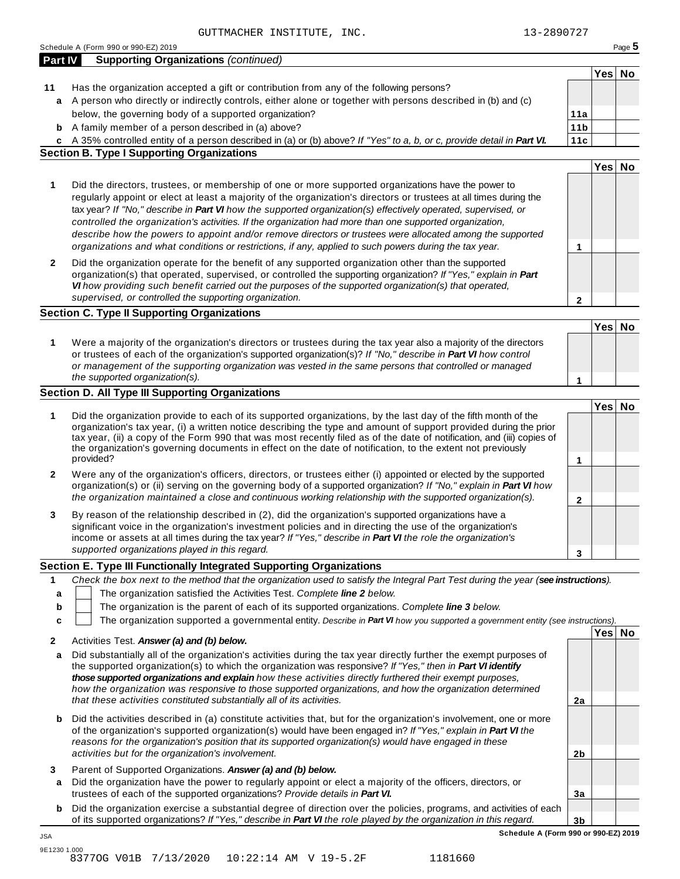|                  | Schedule A (Form 990 or 990-EZ) 2019                                                                                                                                                                                                                                                                                                                                                                                                                                                                                                                                                                                                                                         |                 |        | Page 5 |
|------------------|------------------------------------------------------------------------------------------------------------------------------------------------------------------------------------------------------------------------------------------------------------------------------------------------------------------------------------------------------------------------------------------------------------------------------------------------------------------------------------------------------------------------------------------------------------------------------------------------------------------------------------------------------------------------------|-----------------|--------|--------|
| <b>Part IV</b>   | <b>Supporting Organizations (continued)</b>                                                                                                                                                                                                                                                                                                                                                                                                                                                                                                                                                                                                                                  |                 |        |        |
|                  |                                                                                                                                                                                                                                                                                                                                                                                                                                                                                                                                                                                                                                                                              |                 | Yes No |        |
| 11               | Has the organization accepted a gift or contribution from any of the following persons?                                                                                                                                                                                                                                                                                                                                                                                                                                                                                                                                                                                      |                 |        |        |
|                  | a A person who directly or indirectly controls, either alone or together with persons described in (b) and (c)                                                                                                                                                                                                                                                                                                                                                                                                                                                                                                                                                               |                 |        |        |
|                  | below, the governing body of a supported organization?                                                                                                                                                                                                                                                                                                                                                                                                                                                                                                                                                                                                                       | 11a             |        |        |
|                  | <b>b</b> A family member of a person described in (a) above?                                                                                                                                                                                                                                                                                                                                                                                                                                                                                                                                                                                                                 | 11 <sub>b</sub> |        |        |
|                  | c A 35% controlled entity of a person described in (a) or (b) above? If "Yes" to a, b, or c, provide detail in Part VI.<br><b>Section B. Type I Supporting Organizations</b>                                                                                                                                                                                                                                                                                                                                                                                                                                                                                                 | 11c             |        |        |
|                  |                                                                                                                                                                                                                                                                                                                                                                                                                                                                                                                                                                                                                                                                              |                 | Yes No |        |
| 1                | Did the directors, trustees, or membership of one or more supported organizations have the power to<br>regularly appoint or elect at least a majority of the organization's directors or trustees at all times during the<br>tax year? If "No," describe in Part VI how the supported organization(s) effectively operated, supervised, or<br>controlled the organization's activities. If the organization had more than one supported organization,<br>describe how the powers to appoint and/or remove directors or trustees were allocated among the supported<br>organizations and what conditions or restrictions, if any, applied to such powers during the tax year. | 1               |        |        |
| 2                | Did the organization operate for the benefit of any supported organization other than the supported<br>organization(s) that operated, supervised, or controlled the supporting organization? If "Yes," explain in Part<br>VI how providing such benefit carried out the purposes of the supported organization(s) that operated,<br>supervised, or controlled the supporting organization.                                                                                                                                                                                                                                                                                   | $\mathbf{2}$    |        |        |
|                  | <b>Section C. Type II Supporting Organizations</b>                                                                                                                                                                                                                                                                                                                                                                                                                                                                                                                                                                                                                           |                 |        |        |
|                  |                                                                                                                                                                                                                                                                                                                                                                                                                                                                                                                                                                                                                                                                              |                 | Yes No |        |
| 1                | Were a majority of the organization's directors or trustees during the tax year also a majority of the directors<br>or trustees of each of the organization's supported organization(s)? If "No," describe in Part VI how control<br>or management of the supporting organization was vested in the same persons that controlled or managed<br>the supported organization(s).                                                                                                                                                                                                                                                                                                | 1               |        |        |
|                  | <b>Section D. All Type III Supporting Organizations</b>                                                                                                                                                                                                                                                                                                                                                                                                                                                                                                                                                                                                                      |                 |        |        |
|                  |                                                                                                                                                                                                                                                                                                                                                                                                                                                                                                                                                                                                                                                                              |                 | Yes No |        |
| 1                | Did the organization provide to each of its supported organizations, by the last day of the fifth month of the<br>organization's tax year, (i) a written notice describing the type and amount of support provided during the prior<br>tax year, (ii) a copy of the Form 990 that was most recently filed as of the date of notification, and (iii) copies of<br>the organization's governing documents in effect on the date of notification, to the extent not previously<br>provided?                                                                                                                                                                                     | 1               |        |        |
| 2                | Were any of the organization's officers, directors, or trustees either (i) appointed or elected by the supported<br>organization(s) or (ii) serving on the governing body of a supported organization? If "No," explain in Part VI how<br>the organization maintained a close and continuous working relationship with the supported organization(s).                                                                                                                                                                                                                                                                                                                        | $\mathbf{2}$    |        |        |
| 3                | By reason of the relationship described in (2), did the organization's supported organizations have a<br>significant voice in the organization's investment policies and in directing the use of the organization's<br>income or assets at all times during the tax year? If "Yes," describe in Part VI the role the organization's<br>supported organizations played in this regard.                                                                                                                                                                                                                                                                                        | 3               |        |        |
|                  | Section E. Type III Functionally Integrated Supporting Organizations                                                                                                                                                                                                                                                                                                                                                                                                                                                                                                                                                                                                         |                 |        |        |
| 1<br>a<br>b<br>C | Check the box next to the method that the organization used to satisfy the Integral Part Test during the year (see instructions).<br>The organization satisfied the Activities Test. Complete line 2 below.<br>The organization is the parent of each of its supported organizations. Complete line 3 below.<br>The organization supported a governmental entity. Describe in Part VI how you supported a government entity (see instructions).                                                                                                                                                                                                                              |                 |        |        |
| 2                | Activities Test. Answer (a) and (b) below.                                                                                                                                                                                                                                                                                                                                                                                                                                                                                                                                                                                                                                   |                 | Yes No |        |
| a                | Did substantially all of the organization's activities during the tax year directly further the exempt purposes of<br>the supported organization(s) to which the organization was responsive? If "Yes," then in Part VI identify<br>those supported organizations and explain how these activities directly furthered their exempt purposes,<br>how the organization was responsive to those supported organizations, and how the organization determined                                                                                                                                                                                                                    |                 |        |        |
|                  | that these activities constituted substantially all of its activities.                                                                                                                                                                                                                                                                                                                                                                                                                                                                                                                                                                                                       | 2a              |        |        |
| b                | Did the activities described in (a) constitute activities that, but for the organization's involvement, one or more<br>of the organization's supported organization(s) would have been engaged in? If "Yes," explain in Part VI the<br>reasons for the organization's position that its supported organization(s) would have engaged in these<br>activities but for the organization's involvement.                                                                                                                                                                                                                                                                          | 2 <sub>b</sub>  |        |        |
|                  | Parent of Supported Organizations. Answer (a) and (b) below.                                                                                                                                                                                                                                                                                                                                                                                                                                                                                                                                                                                                                 |                 |        |        |
| 3<br>a           | Did the organization have the power to regularly appoint or elect a majority of the officers, directors, or<br>trustees of each of the supported organizations? Provide details in Part VI.                                                                                                                                                                                                                                                                                                                                                                                                                                                                                  | 3a              |        |        |
|                  |                                                                                                                                                                                                                                                                                                                                                                                                                                                                                                                                                                                                                                                                              |                 |        |        |

**b** Did the organization exercise a substantial degree of direction over the policies, programs, and activities of each of its supported organizations? *If"Yes," describe in Part VI the role played by the organization in this regard.*

**3b Schedule A (Form 990 or 990-EZ) 2019**

JSA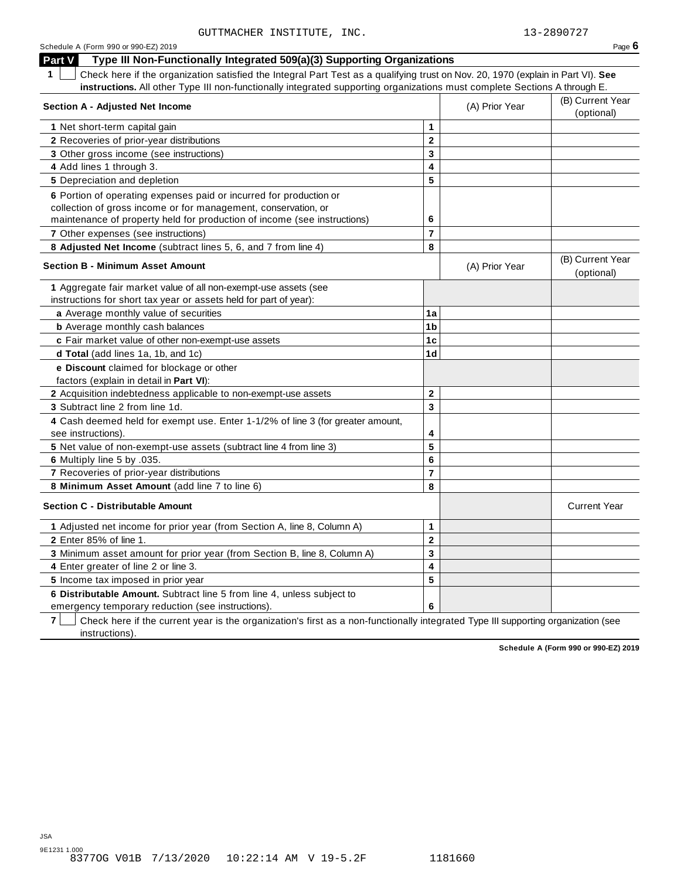| Schedule A (Form 990 or 990-EZ) 2019                                                                                                                                                                             |                         |                | Page $6$                       |
|------------------------------------------------------------------------------------------------------------------------------------------------------------------------------------------------------------------|-------------------------|----------------|--------------------------------|
| Type III Non-Functionally Integrated 509(a)(3) Supporting Organizations<br>Part V                                                                                                                                |                         |                |                                |
| $\mathbf 1$<br>Check here if the organization satisfied the Integral Part Test as a qualifying trust on Nov. 20, 1970 (explain in Part VI). See                                                                  |                         |                |                                |
| instructions. All other Type III non-functionally integrated supporting organizations must complete Sections A through E.                                                                                        |                         |                |                                |
| Section A - Adjusted Net Income                                                                                                                                                                                  |                         | (A) Prior Year | (B) Current Year<br>(optional) |
| 1 Net short-term capital gain                                                                                                                                                                                    | $\mathbf{1}$            |                |                                |
| 2 Recoveries of prior-year distributions                                                                                                                                                                         | $\mathbf{2}$            |                |                                |
| 3 Other gross income (see instructions)                                                                                                                                                                          | 3                       |                |                                |
| 4 Add lines 1 through 3.                                                                                                                                                                                         | 4                       |                |                                |
| 5 Depreciation and depletion                                                                                                                                                                                     | 5                       |                |                                |
| 6 Portion of operating expenses paid or incurred for production or<br>collection of gross income or for management, conservation, or<br>maintenance of property held for production of income (see instructions) | 6                       |                |                                |
| 7 Other expenses (see instructions)                                                                                                                                                                              | $\overline{7}$          |                |                                |
| 8 Adjusted Net Income (subtract lines 5, 6, and 7 from line 4)                                                                                                                                                   | 8                       |                |                                |
| <b>Section B - Minimum Asset Amount</b>                                                                                                                                                                          |                         | (A) Prior Year | (B) Current Year<br>(optional) |
| 1 Aggregate fair market value of all non-exempt-use assets (see                                                                                                                                                  |                         |                |                                |
| instructions for short tax year or assets held for part of year):                                                                                                                                                |                         |                |                                |
| a Average monthly value of securities                                                                                                                                                                            | 1a                      |                |                                |
| <b>b</b> Average monthly cash balances                                                                                                                                                                           | 1 <sub>b</sub>          |                |                                |
| c Fair market value of other non-exempt-use assets                                                                                                                                                               | 1 <sub>c</sub>          |                |                                |
| d Total (add lines 1a, 1b, and 1c)                                                                                                                                                                               | 1d                      |                |                                |
| e Discount claimed for blockage or other                                                                                                                                                                         |                         |                |                                |
| factors (explain in detail in Part VI):                                                                                                                                                                          |                         |                |                                |
| 2 Acquisition indebtedness applicable to non-exempt-use assets                                                                                                                                                   | $\overline{2}$          |                |                                |
| 3 Subtract line 2 from line 1d.                                                                                                                                                                                  | 3                       |                |                                |
| 4 Cash deemed held for exempt use. Enter 1-1/2% of line 3 (for greater amount,<br>see instructions).                                                                                                             | 4                       |                |                                |
| 5 Net value of non-exempt-use assets (subtract line 4 from line 3)                                                                                                                                               | $\overline{\mathbf{5}}$ |                |                                |
| 6 Multiply line 5 by .035.                                                                                                                                                                                       | $6\phantom{1}$          |                |                                |
| 7 Recoveries of prior-year distributions                                                                                                                                                                         | 7                       |                |                                |
| 8 Minimum Asset Amount (add line 7 to line 6)                                                                                                                                                                    | 8                       |                |                                |
| <b>Section C - Distributable Amount</b>                                                                                                                                                                          |                         |                | <b>Current Year</b>            |
| 1 Adjusted net income for prior year (from Section A, line 8, Column A)                                                                                                                                          | $\mathbf{1}$            |                |                                |
| 2 Enter 85% of line 1.                                                                                                                                                                                           | $\mathbf{2}$            |                |                                |
| 3 Minimum asset amount for prior year (from Section B, line 8, Column A)                                                                                                                                         | 3                       |                |                                |
| 4 Enter greater of line 2 or line 3.                                                                                                                                                                             | $\overline{\mathbf{4}}$ |                |                                |
| 5 Income tax imposed in prior year                                                                                                                                                                               | 5                       |                |                                |
| 6 Distributable Amount. Subtract line 5 from line 4, unless subject to                                                                                                                                           |                         |                |                                |

emergency temporary reduction (see instructions).

**7 Check here if the current year is the organization's first as a non-functionally integrated Type III supporting organization (see** instructions).

**Schedule A (Form 990 or 990-EZ) 2019**

**6**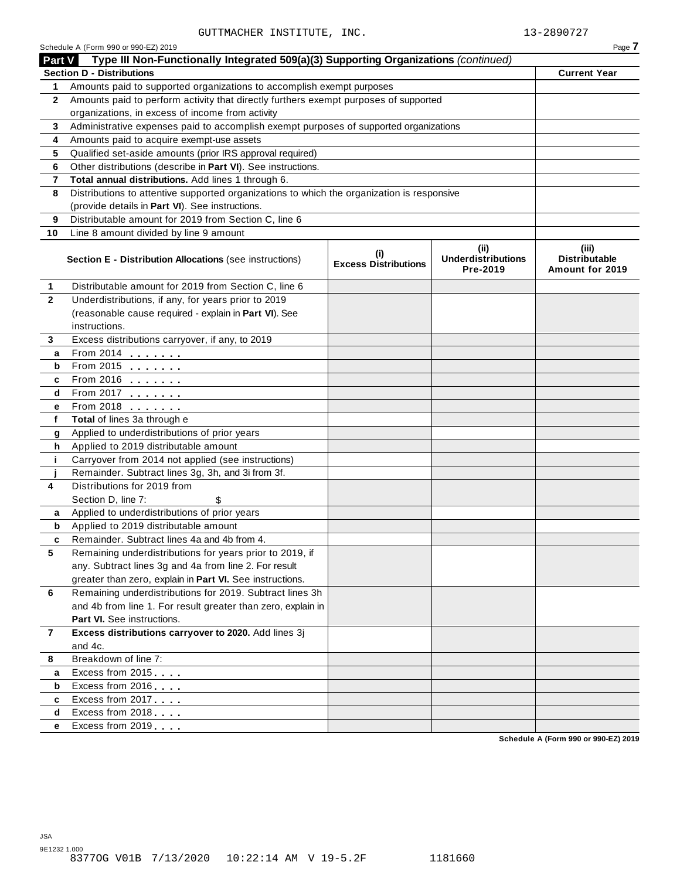|                    | Schedule A (Form 990 or 990-EZ) 2019                                                                                                                          |                                    |                                               | Page 7                                           |
|--------------------|---------------------------------------------------------------------------------------------------------------------------------------------------------------|------------------------------------|-----------------------------------------------|--------------------------------------------------|
| <b>Part V</b>      | Type III Non-Functionally Integrated 509(a)(3) Supporting Organizations (continued)<br><b>Section D - Distributions</b>                                       |                                    |                                               | <b>Current Year</b>                              |
|                    |                                                                                                                                                               |                                    |                                               |                                                  |
| 1.<br>$\mathbf{2}$ | Amounts paid to supported organizations to accomplish exempt purposes<br>Amounts paid to perform activity that directly furthers exempt purposes of supported |                                    |                                               |                                                  |
|                    | organizations, in excess of income from activity                                                                                                              |                                    |                                               |                                                  |
|                    |                                                                                                                                                               |                                    |                                               |                                                  |
| 3<br>4             | Administrative expenses paid to accomplish exempt purposes of supported organizations<br>Amounts paid to acquire exempt-use assets                            |                                    |                                               |                                                  |
| 5                  | Qualified set-aside amounts (prior IRS approval required)                                                                                                     |                                    |                                               |                                                  |
| 6                  | Other distributions (describe in Part VI). See instructions.                                                                                                  |                                    |                                               |                                                  |
|                    |                                                                                                                                                               |                                    |                                               |                                                  |
| 7                  | Total annual distributions. Add lines 1 through 6.<br>Distributions to attentive supported organizations to which the organization is responsive              |                                    |                                               |                                                  |
| 8                  | (provide details in Part VI). See instructions.                                                                                                               |                                    |                                               |                                                  |
|                    |                                                                                                                                                               |                                    |                                               |                                                  |
| 9                  | Distributable amount for 2019 from Section C, line 6                                                                                                          |                                    |                                               |                                                  |
| 10                 | Line 8 amount divided by line 9 amount                                                                                                                        |                                    |                                               |                                                  |
|                    | <b>Section E - Distribution Allocations (see instructions)</b>                                                                                                | (i)<br><b>Excess Distributions</b> | (ii)<br><b>Underdistributions</b><br>Pre-2019 | (iii)<br><b>Distributable</b><br>Amount for 2019 |
| 1                  | Distributable amount for 2019 from Section C, line 6                                                                                                          |                                    |                                               |                                                  |
| $\mathbf{2}$       | Underdistributions, if any, for years prior to 2019                                                                                                           |                                    |                                               |                                                  |
|                    | (reasonable cause required - explain in Part VI). See                                                                                                         |                                    |                                               |                                                  |
|                    | instructions.                                                                                                                                                 |                                    |                                               |                                                  |
| 3                  | Excess distributions carryover, if any, to 2019                                                                                                               |                                    |                                               |                                                  |
| a                  | From 2014 <b></b>                                                                                                                                             |                                    |                                               |                                                  |
| b                  | From 2015 $\frac{1}{2}$                                                                                                                                       |                                    |                                               |                                                  |
| c                  | From 2016 $\frac{1}{2}$                                                                                                                                       |                                    |                                               |                                                  |
| d                  | From 2017                                                                                                                                                     |                                    |                                               |                                                  |
| е                  | From 2018 <b>Figure 1.1</b>                                                                                                                                   |                                    |                                               |                                                  |
| f                  | Total of lines 3a through e                                                                                                                                   |                                    |                                               |                                                  |
| g                  | Applied to underdistributions of prior years                                                                                                                  |                                    |                                               |                                                  |
| h                  | Applied to 2019 distributable amount                                                                                                                          |                                    |                                               |                                                  |
| j.                 | Carryover from 2014 not applied (see instructions)                                                                                                            |                                    |                                               |                                                  |
|                    | Remainder. Subtract lines 3g, 3h, and 3i from 3f.                                                                                                             |                                    |                                               |                                                  |
| 4                  | Distributions for 2019 from                                                                                                                                   |                                    |                                               |                                                  |
|                    | Section D, line 7:<br>\$                                                                                                                                      |                                    |                                               |                                                  |
| a                  | Applied to underdistributions of prior years                                                                                                                  |                                    |                                               |                                                  |
| b                  | Applied to 2019 distributable amount                                                                                                                          |                                    |                                               |                                                  |
| c                  | Remainder. Subtract lines 4a and 4b from 4.                                                                                                                   |                                    |                                               |                                                  |
| 5                  | Remaining underdistributions for years prior to 2019, if                                                                                                      |                                    |                                               |                                                  |
|                    | any. Subtract lines 3g and 4a from line 2. For result                                                                                                         |                                    |                                               |                                                  |
|                    | greater than zero, explain in Part VI. See instructions.                                                                                                      |                                    |                                               |                                                  |
| 6                  | Remaining underdistributions for 2019. Subtract lines 3h                                                                                                      |                                    |                                               |                                                  |
|                    | and 4b from line 1. For result greater than zero, explain in                                                                                                  |                                    |                                               |                                                  |
|                    | Part VI. See instructions.                                                                                                                                    |                                    |                                               |                                                  |
| 7                  | Excess distributions carryover to 2020. Add lines 3j                                                                                                          |                                    |                                               |                                                  |
|                    | and 4c.                                                                                                                                                       |                                    |                                               |                                                  |
| 8                  | Breakdown of line 7:                                                                                                                                          |                                    |                                               |                                                  |
| a                  | Excess from 2015                                                                                                                                              |                                    |                                               |                                                  |
| b                  | Excess from 2016                                                                                                                                              |                                    |                                               |                                                  |
| c                  | Excess from 2017                                                                                                                                              |                                    |                                               |                                                  |
| d                  | Excess from 2018                                                                                                                                              |                                    |                                               |                                                  |
| е                  | Excess from 2019                                                                                                                                              |                                    |                                               |                                                  |
|                    |                                                                                                                                                               |                                    |                                               | <b>Cohodule A (Form 000 or 000 EZ) 2010</b>      |

**Schedule A (Form 990 or 990-EZ) 2019**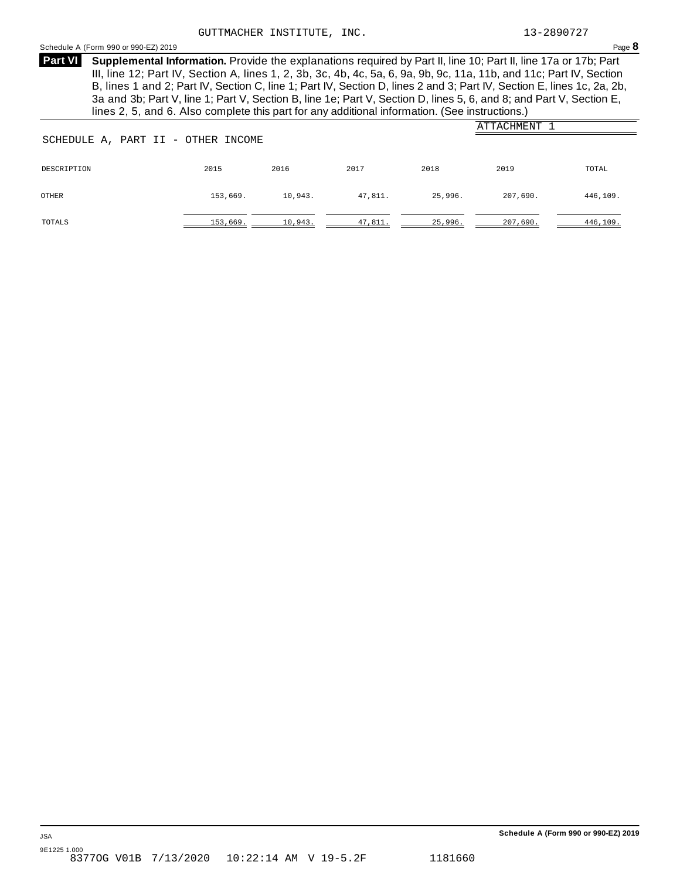## <span id="page-25-0"></span>Schedule <sup>A</sup> (Form <sup>990</sup> or 990-EZ) <sup>2019</sup> Page **8**

**Supplemental Information.** Provide the explanations required by Part II, line 10; Part II, line 17a or 17b; Part **Part VI** III, line 12; Part IV, Section A, lines 1, 2, 3b, 3c, 4b, 4c, 5a, 6, 9a, 9b, 9c, 11a, 11b, and 11c; Part IV, Section B, lines 1 and 2; Part IV, Section C, line 1; Part IV, Section D, lines 2 and 3; Part IV, Section E, lines 1c, 2a, 2b, 3a and 3b; Part V, line 1; Part V, Section B, line 1e; Part V, Section D, lines 5, 6, and 8; and Part V, Section E, lines 2, 5, and 6. Also complete this part for any additional information. (See instructions.)

| SCHEDULE A, PART II - OTHER INCOME |          |         |         |         | ATTACHMENT |          |
|------------------------------------|----------|---------|---------|---------|------------|----------|
|                                    |          |         |         |         |            |          |
| DESCRIPTION                        | 2015     | 2016    | 2017    | 2018    | 2019       | TOTAL    |
| OTHER                              | 153,669. | 10,943. | 47,811. | 25,996. | 207,690.   | 446,109. |
| TOTALS                             | 153,669. | 10,943. | 47,811. | 25,996. | 207,690.   | 446,109. |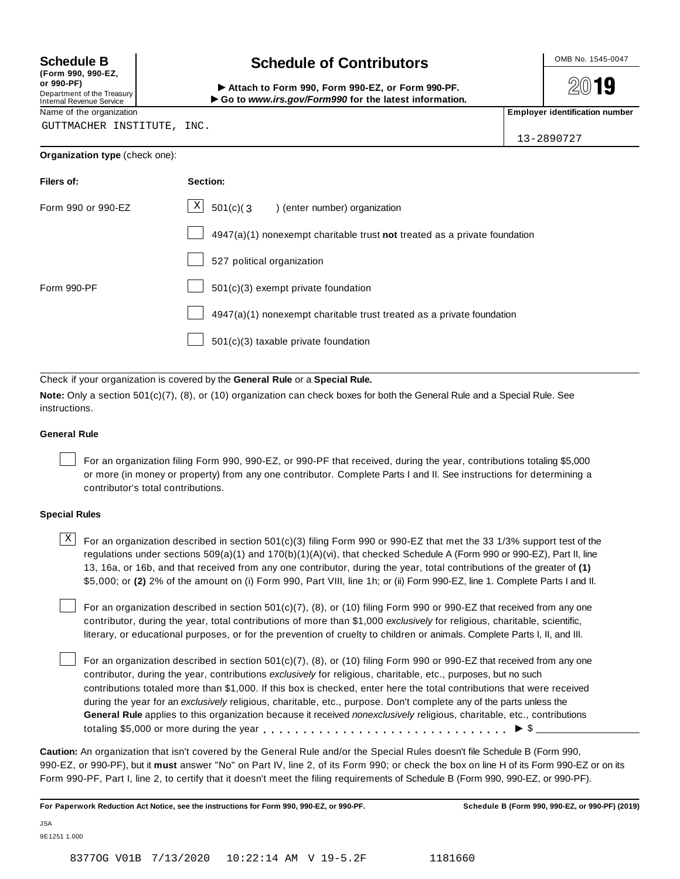|  | (Form 990, 990-EZ, |                            |
|--|--------------------|----------------------------|
|  | or 990-PF)         |                            |
|  |                    | Department of the Treasury |

# Internal Revenue Service

GUTTMACHER INSTITUTE, INC.

# **Schedule B chedule of Contributors**

(Porm 990, Form 990, Form 990-EZ, or Form 990-PF.<br>Department of the Treasury → Attach to Form 990, Form 990-EZ, or Form 990-PF.<br>Internal Revenue Service → → Go to www.irs.gov/Form990 for the latest information.<br>Name of th

2019

13-2890727

| Organization type (check one): |  |
|--------------------------------|--|

| Filers of:         | Section:                                                                    |
|--------------------|-----------------------------------------------------------------------------|
| Form 990 or 990-EZ | $\vert X \vert$<br>501(c)(3) (enter number) organization                    |
|                    | $4947(a)(1)$ nonexempt charitable trust not treated as a private foundation |
|                    | 527 political organization                                                  |
| Form 990-PF        | 501(c)(3) exempt private foundation                                         |
|                    | 4947(a)(1) nonexempt charitable trust treated as a private foundation       |
|                    | $501(c)(3)$ taxable private foundation                                      |

Check if your organization is covered by the **General Rule** or a **Special Rule.**

**Note:** Only a section 501(c)(7), (8), or (10) organization can check boxes for both the General Rule and a Special Rule. See instructions.

### **General Rule**

For an organization filing Form 990, 990-EZ, or 990-PF that received, during the year, contributions totaling \$5,000 or more (in money or property) from any one contributor. Complete Parts I and II. See instructions for determining a contributor's total contributions.

### **Special Rules**

 $\text{X}$  For an organization described in section 501(c)(3) filing Form 990 or 990-EZ that met the 33 1/3% support test of the regulations under sections 509(a)(1) and 170(b)(1)(A)(vi), that checked Schedule A (Form 990 or 990-EZ), Part II, line 13, 16a, or 16b, and that received from any one contributor, during the year, total contributions of the greater of **(1)** \$5,000; or **(2)** 2% of the amount on (i) Form 990, Part VIII, line 1h; or (ii) Form 990-EZ, line 1. Complete Parts I and II.

For an organization described in section 501(c)(7), (8), or (10) filing Form 990 or 990-EZ that received from any one contributor, during the year, total contributions of more than \$1,000 *exclusively* for religious, charitable, scientific, literary, or educational purposes, or for the prevention of cruelty to children or animals. Complete Parts I, II, and III.

For an organization described in section 501(c)(7), (8), or (10) filing Form 990 or 990-EZ that received from any one contributor, during the year, contributions *exclusively* for religious, charitable, etc., purposes, but no such contributions totaled more than \$1,000. If this box is checked, enter here the total contributions that were received during the year for an *exclusively* religious, charitable, etc., purpose. Don't complete any of the parts unless the **General Rule** applies to this organization because it received *nonexclusively* religious, charitable, etc., contributions totaling \$5,000 or more during the year m m m m m m m m m m m m m m m m m m m m m m m m m m m m m m m I \$

**Caution:** An organization that isn't covered by the General Rule and/or the Special Rules doesn't file Schedule B (Form 990, 990-EZ, or 990-PF), but it **must** answer "No" on Part IV, line 2, of its Form 990; or check the box on line H of its Form 990-EZ or on its Form 990-PF, Part I, line 2, to certify that it doesn't meet the filing requirements of Schedule B (Form 990, 990-EZ, or 990-PF).

For Paperwork Reduction Act Notice, see the instructions for Form 990, 990-EZ, or 990-PF. Schedule B (Form 990, 990-EZ, or 990-PF) (2019)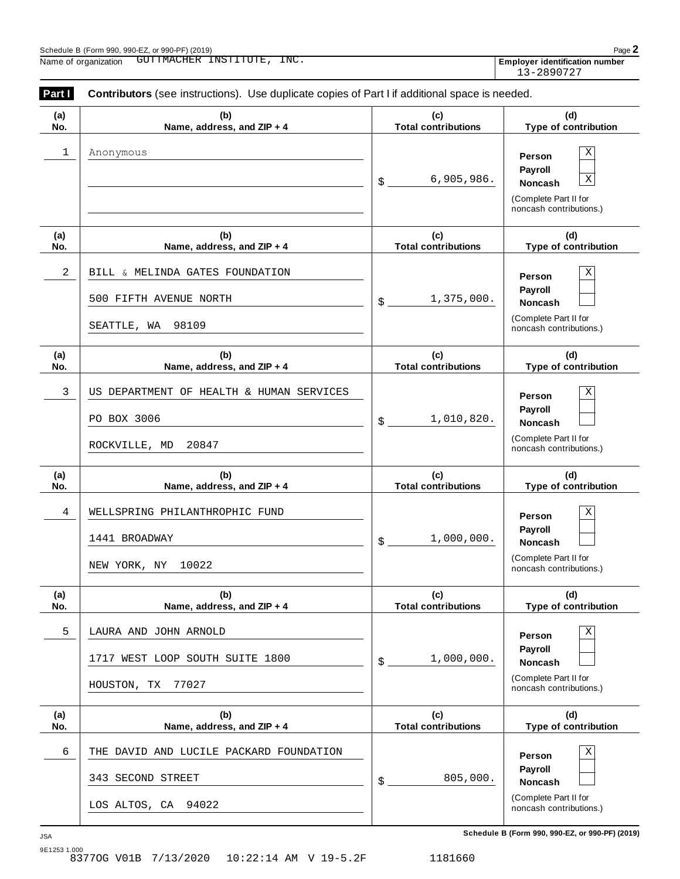13-2890727

| Part I     | <b>Contributors</b> (see instructions). Use duplicate copies of Part I if additional space is needed. |                                   |                                                                                                             |
|------------|-------------------------------------------------------------------------------------------------------|-----------------------------------|-------------------------------------------------------------------------------------------------------------|
| (a)<br>No. | (b)<br>Name, address, and ZIP + 4                                                                     | (c)<br><b>Total contributions</b> | (d)<br>Type of contribution                                                                                 |
| 1          | Anonymous                                                                                             | 6,905,986.<br>\$                  | Χ<br>Person<br>Payroll<br>$\mathbf X$<br><b>Noncash</b><br>(Complete Part II for<br>noncash contributions.) |
| (a)<br>No. | (b)<br>Name, address, and ZIP + 4                                                                     | (c)<br><b>Total contributions</b> | (d)<br>Type of contribution                                                                                 |
| 2          | BILL & MELINDA GATES FOUNDATION<br>500 FIFTH AVENUE NORTH<br>SEATTLE, WA<br>98109                     | 1,375,000.<br>\$                  | Х<br>Person<br>Payroll<br><b>Noncash</b><br>(Complete Part II for<br>noncash contributions.)                |
| (a)<br>No. | (b)<br>Name, address, and ZIP + 4                                                                     | (c)<br><b>Total contributions</b> | (d)<br>Type of contribution                                                                                 |
| 3          | US DEPARTMENT OF HEALTH & HUMAN SERVICES<br>PO BOX 3006<br>20847<br>ROCKVILLE, MD                     | 1,010,820.<br>\$                  | Х<br>Person<br>Payroll<br><b>Noncash</b><br>(Complete Part II for<br>noncash contributions.)                |
| (a)<br>No. | (b)<br>Name, address, and ZIP + 4                                                                     | (c)<br><b>Total contributions</b> | (d)<br>Type of contribution                                                                                 |
| 4          | WELLSPRING PHILANTHROPHIC FUND<br>1441 BROADWAY<br>10022<br>NEW YORK, NY                              | 1,000,000.<br>\$                  | Х<br>Person<br>Payroll<br><b>Noncash</b><br>(Complete Part II for<br>noncash contributions.)                |
| (a)<br>No. | (b)<br>Name, address, and ZIP + 4                                                                     | (c)<br><b>Total contributions</b> | (d)<br>Type of contribution                                                                                 |
| 5          | LAURA AND JOHN ARNOLD<br>1717 WEST LOOP SOUTH SUITE 1800<br>77027<br>HOUSTON, TX                      | 1,000,000.<br>\$                  | X<br>Person<br>Payroll<br>Noncash<br>(Complete Part II for<br>noncash contributions.)                       |
| (a)<br>No. | (b)<br>Name, address, and ZIP + 4                                                                     | (c)<br><b>Total contributions</b> | (d)<br>Type of contribution                                                                                 |
| 6          | THE DAVID AND LUCILE PACKARD FOUNDATION<br>343 SECOND STREET<br>94022<br>LOS ALTOS, CA                | 805,000.<br>\$                    | Χ<br>Person<br>Payroll<br>Noncash<br>(Complete Part II for<br>noncash contributions.)                       |

**Schedule B (Form 990, 990-EZ, or 990-PF) (2019)** JSA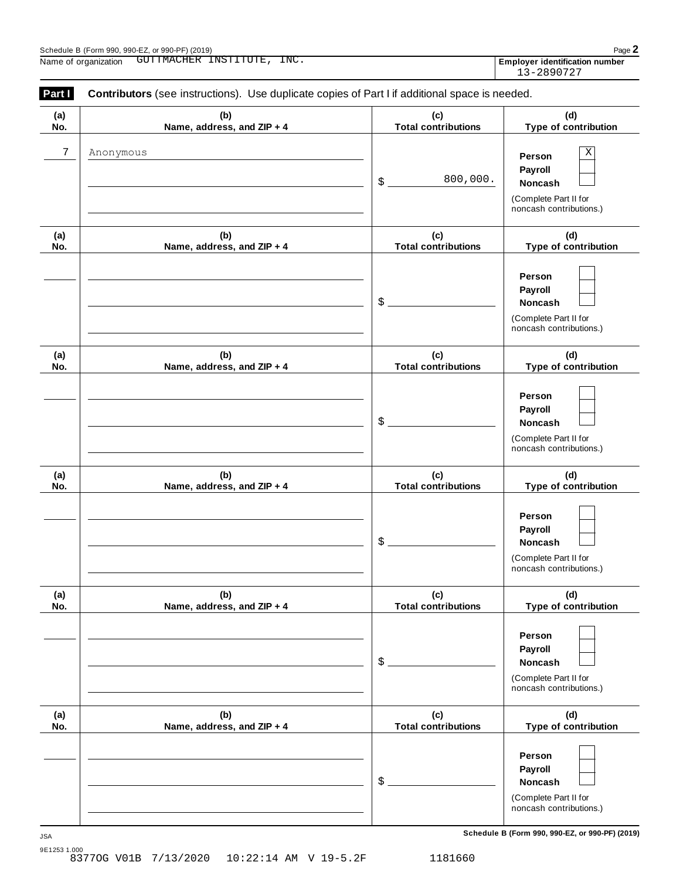| Schedule B (Form 990, 990-EZ, or 990-PF) (2019) |                                  |      | $Page$ .                                   |  |
|-------------------------------------------------|----------------------------------|------|--------------------------------------------|--|
| Name of<br>i organization                       | GUTTMACHER<br>ת ידודי ד<br>[NST] | INC. | r identification number<br><b>Employer</b> |  |

| (a) | (b)                        | (c)                        | (d)                                              |
|-----|----------------------------|----------------------------|--------------------------------------------------|
| No. | Name, address, and ZIP + 4 | <b>Total contributions</b> | Type of contribution                             |
| 7   | Anonymous                  |                            | Χ                                                |
|     |                            |                            | Person                                           |
|     |                            | 800,000.                   | Payroll                                          |
|     |                            | \$                         | Noncash                                          |
|     |                            |                            | (Complete Part II for                            |
|     |                            |                            | noncash contributions.)                          |
| (a) | (b)                        | (c)                        | (d)                                              |
| No. | Name, address, and ZIP + 4 | <b>Total contributions</b> | Type of contribution                             |
|     |                            |                            | Person                                           |
|     |                            |                            | Payroll                                          |
|     |                            | \$                         | Noncash                                          |
|     |                            |                            |                                                  |
|     |                            |                            | (Complete Part II for<br>noncash contributions.) |
| (a) | (b)                        | (c)                        | (d)                                              |
| No. | Name, address, and ZIP + 4 | <b>Total contributions</b> | Type of contribution                             |
|     |                            |                            | Person                                           |
|     |                            |                            | Payroll                                          |
|     |                            | \$                         | Noncash                                          |
|     |                            |                            |                                                  |
|     |                            |                            | (Complete Part II for<br>noncash contributions.) |
| (a) | (b)                        | (c)                        | (d)                                              |
| No. | Name, address, and ZIP + 4 | <b>Total contributions</b> | Type of contribution                             |
|     |                            |                            | Person                                           |
|     |                            |                            | Payroll                                          |
|     |                            | \$                         |                                                  |
|     |                            |                            | Noncash                                          |
|     |                            |                            | (Complete Part II for                            |
|     |                            |                            | noncash contributions.)                          |
| (a) | (b)                        | (c)                        | (d)                                              |
| No. | Name, address, and ZIP + 4 | <b>Total contributions</b> | Type of contribution                             |
|     |                            |                            |                                                  |
|     |                            |                            | Person                                           |
|     |                            |                            | Payroll                                          |
|     |                            | \$                         | Noncash                                          |
|     |                            |                            | (Complete Part II for                            |
|     |                            |                            | noncash contributions.)                          |
| (a) | (b)                        | (c)                        | (d)                                              |
| No. | Name, address, and ZIP + 4 | <b>Total contributions</b> | Type of contribution                             |
|     |                            |                            | Person                                           |
|     |                            |                            | Payroll                                          |
|     |                            | \$                         | Noncash                                          |
|     |                            |                            |                                                  |
|     |                            |                            | (Complete Part II for                            |
|     |                            |                            | noncash contributions.)                          |
|     |                            |                            |                                                  |

**Schedule B (Form 990, 990-EZ, or 990-PF) (2019)** JSA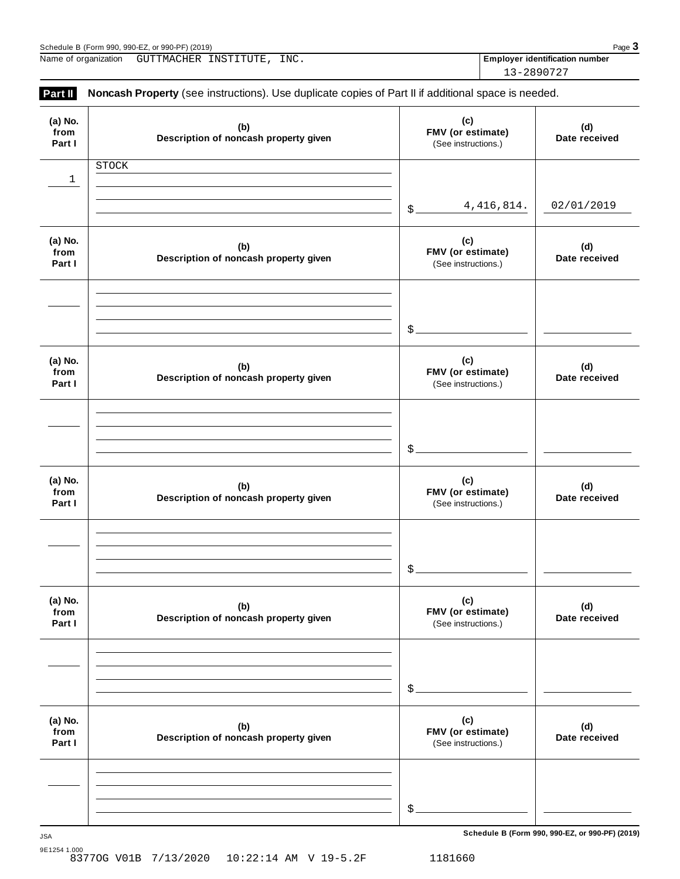|                      | نة Page<br>Schedule B (Form 990, 990-EZ, or 990-PF) (2019) |  |  |                                       |  |  |
|----------------------|------------------------------------------------------------|--|--|---------------------------------------|--|--|
| Name of organization | GUTTMACHER INSTITUTE, INC.                                 |  |  | <b>Employer identification number</b> |  |  |
|                      |                                                            |  |  | 13-2890727                            |  |  |

| Part II                   | Noncash Property (see instructions). Use duplicate copies of Part II if additional space is needed. |                                                 |                      |
|---------------------------|-----------------------------------------------------------------------------------------------------|-------------------------------------------------|----------------------|
| (a) No.<br>from<br>Part I | (b)<br>Description of noncash property given                                                        | (c)<br>FMV (or estimate)<br>(See instructions.) | (d)<br>Date received |
|                           | <b>STOCK</b>                                                                                        |                                                 |                      |
| 1                         |                                                                                                     |                                                 |                      |
|                           |                                                                                                     | 4, 416, 814.<br>\$                              | 02/01/2019           |
| (a) No.<br>from<br>Part I | (b)<br>Description of noncash property given                                                        | (c)<br>FMV (or estimate)<br>(See instructions.) | (d)<br>Date received |
|                           |                                                                                                     | $$$ .                                           |                      |
| (a) No.<br>from<br>Part I | (b)<br>Description of noncash property given                                                        | (c)<br>FMV (or estimate)<br>(See instructions.) | (d)<br>Date received |
|                           |                                                                                                     | \$.                                             |                      |
| (a) No.<br>from<br>Part I | (b)<br>Description of noncash property given                                                        | (c)<br>FMV (or estimate)<br>(See instructions.) | (d)<br>Date received |
|                           |                                                                                                     | \$                                              |                      |
| (a) No.<br>from<br>Part I | (b)<br>Description of noncash property given                                                        | (c)<br>FMV (or estimate)<br>(See instructions.) | (d)<br>Date received |
|                           |                                                                                                     |                                                 |                      |
|                           |                                                                                                     | \$                                              |                      |
| (a) No.<br>from<br>Part I | (b)<br>Description of noncash property given                                                        | (c)<br>FMV (or estimate)<br>(See instructions.) | (d)<br>Date received |
|                           |                                                                                                     |                                                 |                      |
|                           |                                                                                                     |                                                 |                      |
|                           |                                                                                                     | \$                                              |                      |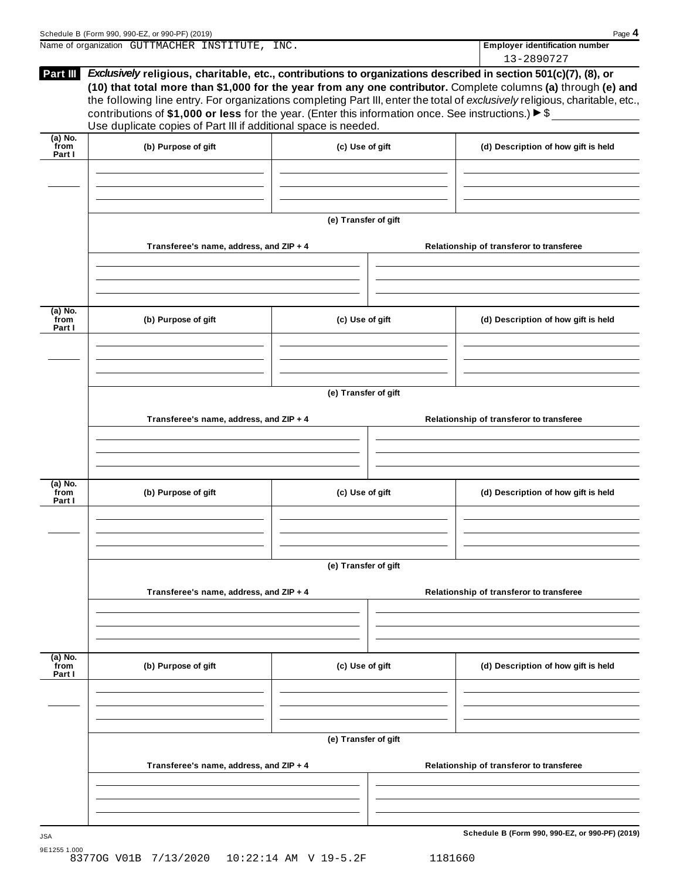|                             | Schedule B (Form 990, 990-EZ, or 990-PF) (2019)                                                                                                                                                                                                                                                           |                      |  | Page 4                                                                                                                                                                                                                                                      |  |  |
|-----------------------------|-----------------------------------------------------------------------------------------------------------------------------------------------------------------------------------------------------------------------------------------------------------------------------------------------------------|----------------------|--|-------------------------------------------------------------------------------------------------------------------------------------------------------------------------------------------------------------------------------------------------------------|--|--|
|                             | Name of organization GUTTMACHER INSTITUTE, INC.                                                                                                                                                                                                                                                           |                      |  | Employer identification number                                                                                                                                                                                                                              |  |  |
| Part III                    | Exclusively religious, charitable, etc., contributions to organizations described in section 501(c)(7), (8), or<br>contributions of \$1,000 or less for the year. (Enter this information once. See instructions.) $\triangleright$ \$<br>Use duplicate copies of Part III if additional space is needed. |                      |  | 13-2890727<br>(10) that total more than \$1,000 for the year from any one contributor. Complete columns (a) through (e) and<br>the following line entry. For organizations completing Part III, enter the total of exclusively religious, charitable, etc., |  |  |
| (a) No.<br>from<br>Part I   | (b) Purpose of gift                                                                                                                                                                                                                                                                                       | (c) Use of gift      |  | (d) Description of how gift is held                                                                                                                                                                                                                         |  |  |
|                             |                                                                                                                                                                                                                                                                                                           |                      |  |                                                                                                                                                                                                                                                             |  |  |
|                             |                                                                                                                                                                                                                                                                                                           | (e) Transfer of gift |  |                                                                                                                                                                                                                                                             |  |  |
|                             | Transferee's name, address, and ZIP + 4                                                                                                                                                                                                                                                                   |                      |  | Relationship of transferor to transferee                                                                                                                                                                                                                    |  |  |
| (a) No.<br>from<br>Part I   | (b) Purpose of gift                                                                                                                                                                                                                                                                                       | (c) Use of gift      |  | (d) Description of how gift is held                                                                                                                                                                                                                         |  |  |
|                             |                                                                                                                                                                                                                                                                                                           |                      |  |                                                                                                                                                                                                                                                             |  |  |
|                             | (e) Transfer of gift                                                                                                                                                                                                                                                                                      |                      |  |                                                                                                                                                                                                                                                             |  |  |
|                             | Transferee's name, address, and ZIP + 4                                                                                                                                                                                                                                                                   |                      |  | Relationship of transferor to transferee                                                                                                                                                                                                                    |  |  |
| (a) No.<br>from<br>Part I   | (b) Purpose of gift                                                                                                                                                                                                                                                                                       | (c) Use of gift      |  | (d) Description of how gift is held                                                                                                                                                                                                                         |  |  |
|                             |                                                                                                                                                                                                                                                                                                           | (e) Transfer of gift |  |                                                                                                                                                                                                                                                             |  |  |
|                             | Transferee's name, address, and ZIP + 4                                                                                                                                                                                                                                                                   |                      |  | Relationship of transferor to transferee                                                                                                                                                                                                                    |  |  |
|                             |                                                                                                                                                                                                                                                                                                           |                      |  |                                                                                                                                                                                                                                                             |  |  |
| $(a)$ No.<br>from<br>Part I | (b) Purpose of gift                                                                                                                                                                                                                                                                                       | (c) Use of gift      |  | (d) Description of how gift is held                                                                                                                                                                                                                         |  |  |
|                             |                                                                                                                                                                                                                                                                                                           |                      |  |                                                                                                                                                                                                                                                             |  |  |
|                             | Transferee's name, address, and ZIP + 4                                                                                                                                                                                                                                                                   | (e) Transfer of gift |  | Relationship of transferor to transferee                                                                                                                                                                                                                    |  |  |
|                             |                                                                                                                                                                                                                                                                                                           |                      |  |                                                                                                                                                                                                                                                             |  |  |
| <b>JSA</b>                  |                                                                                                                                                                                                                                                                                                           |                      |  | Schedule B (Form 990, 990-EZ, or 990-PF) (2019)                                                                                                                                                                                                             |  |  |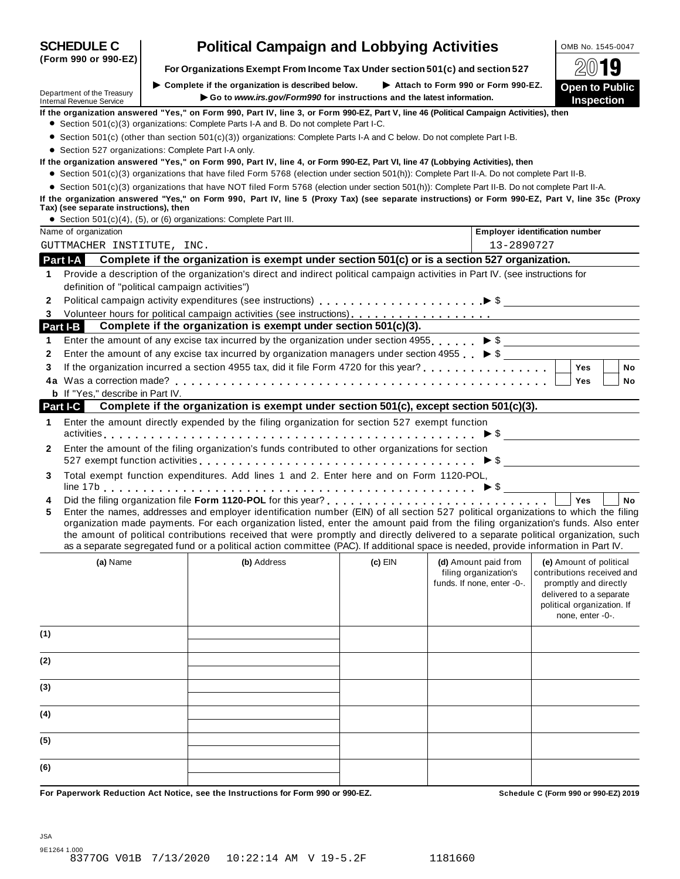|        | (Form 990 or 990-EZ)                                                                                                                                                                   |  | For Organizations Exempt From Income Tax Under section 501(c) and section 527                                                                                                                                                                                                                                                                                                                                                                                                                                                                        |         |                                                                             |                                                                                                                                                             |  |  |  |
|--------|----------------------------------------------------------------------------------------------------------------------------------------------------------------------------------------|--|------------------------------------------------------------------------------------------------------------------------------------------------------------------------------------------------------------------------------------------------------------------------------------------------------------------------------------------------------------------------------------------------------------------------------------------------------------------------------------------------------------------------------------------------------|---------|-----------------------------------------------------------------------------|-------------------------------------------------------------------------------------------------------------------------------------------------------------|--|--|--|
|        | Complete if the organization is described below.<br>Attach to Form 990 or Form 990-EZ.<br><b>Open to Public</b>                                                                        |  |                                                                                                                                                                                                                                                                                                                                                                                                                                                                                                                                                      |         |                                                                             |                                                                                                                                                             |  |  |  |
|        | Department of the Treasury<br>Go to www.irs.gov/Form990 for instructions and the latest information.<br>Inspection<br><b>Internal Revenue Service</b>                                  |  |                                                                                                                                                                                                                                                                                                                                                                                                                                                                                                                                                      |         |                                                                             |                                                                                                                                                             |  |  |  |
|        | If the organization answered "Yes," on Form 990, Part IV, line 3, or Form 990-EZ, Part V, line 46 (Political Campaign Activities), then                                                |  |                                                                                                                                                                                                                                                                                                                                                                                                                                                                                                                                                      |         |                                                                             |                                                                                                                                                             |  |  |  |
|        | • Section 501(c)(3) organizations: Complete Parts I-A and B. Do not complete Part I-C.                                                                                                 |  |                                                                                                                                                                                                                                                                                                                                                                                                                                                                                                                                                      |         |                                                                             |                                                                                                                                                             |  |  |  |
|        | • Section 501(c) (other than section 501(c)(3)) organizations: Complete Parts I-A and C below. Do not complete Part I-B.                                                               |  |                                                                                                                                                                                                                                                                                                                                                                                                                                                                                                                                                      |         |                                                                             |                                                                                                                                                             |  |  |  |
|        | • Section 527 organizations: Complete Part I-A only.<br>If the organization answered "Yes," on Form 990, Part IV, line 4, or Form 990-EZ, Part VI, line 47 (Lobbying Activities), then |  |                                                                                                                                                                                                                                                                                                                                                                                                                                                                                                                                                      |         |                                                                             |                                                                                                                                                             |  |  |  |
|        |                                                                                                                                                                                        |  | • Section 501(c)(3) organizations that have filed Form 5768 (election under section 501(h)): Complete Part II-A. Do not complete Part II-B.                                                                                                                                                                                                                                                                                                                                                                                                          |         |                                                                             |                                                                                                                                                             |  |  |  |
|        |                                                                                                                                                                                        |  | • Section 501(c)(3) organizations that have NOT filed Form 5768 (election under section 501(h)): Complete Part II-B. Do not complete Part II-A.                                                                                                                                                                                                                                                                                                                                                                                                      |         |                                                                             |                                                                                                                                                             |  |  |  |
|        | Tax) (see separate instructions), then                                                                                                                                                 |  | If the organization answered "Yes," on Form 990, Part IV, line 5 (Proxy Tax) (see separate instructions) or Form 990-EZ, Part V, line 35c (Proxy                                                                                                                                                                                                                                                                                                                                                                                                     |         |                                                                             |                                                                                                                                                             |  |  |  |
|        |                                                                                                                                                                                        |  | • Section 501(c)(4), (5), or (6) organizations: Complete Part III.                                                                                                                                                                                                                                                                                                                                                                                                                                                                                   |         |                                                                             |                                                                                                                                                             |  |  |  |
|        | Name of organization                                                                                                                                                                   |  |                                                                                                                                                                                                                                                                                                                                                                                                                                                                                                                                                      |         | <b>Employer identification number</b>                                       |                                                                                                                                                             |  |  |  |
|        | GUTTMACHER INSTITUTE, INC.                                                                                                                                                             |  |                                                                                                                                                                                                                                                                                                                                                                                                                                                                                                                                                      |         | 13-2890727                                                                  |                                                                                                                                                             |  |  |  |
|        | <b>Part I-A</b>                                                                                                                                                                        |  | Complete if the organization is exempt under section 501(c) or is a section 527 organization.                                                                                                                                                                                                                                                                                                                                                                                                                                                        |         |                                                                             |                                                                                                                                                             |  |  |  |
| 1.     |                                                                                                                                                                                        |  | Provide a description of the organization's direct and indirect political campaign activities in Part IV. (see instructions for                                                                                                                                                                                                                                                                                                                                                                                                                      |         |                                                                             |                                                                                                                                                             |  |  |  |
|        | definition of "political campaign activities")                                                                                                                                         |  |                                                                                                                                                                                                                                                                                                                                                                                                                                                                                                                                                      |         |                                                                             |                                                                                                                                                             |  |  |  |
| 2      |                                                                                                                                                                                        |  |                                                                                                                                                                                                                                                                                                                                                                                                                                                                                                                                                      |         |                                                                             |                                                                                                                                                             |  |  |  |
| 3      | Part I-B                                                                                                                                                                               |  | Complete if the organization is exempt under section 501(c)(3).                                                                                                                                                                                                                                                                                                                                                                                                                                                                                      |         |                                                                             |                                                                                                                                                             |  |  |  |
| 1      |                                                                                                                                                                                        |  | Enter the amount of any excise tax incurred by the organization under section 4955. $\triangleright$ \$                                                                                                                                                                                                                                                                                                                                                                                                                                              |         |                                                                             |                                                                                                                                                             |  |  |  |
| 2      |                                                                                                                                                                                        |  | Enter the amount of any excise tax incurred by organization managers under section 4955 $\triangleright$ \$                                                                                                                                                                                                                                                                                                                                                                                                                                          |         |                                                                             |                                                                                                                                                             |  |  |  |
| 3      |                                                                                                                                                                                        |  |                                                                                                                                                                                                                                                                                                                                                                                                                                                                                                                                                      |         |                                                                             | <b>Yes</b><br>No                                                                                                                                            |  |  |  |
|        |                                                                                                                                                                                        |  |                                                                                                                                                                                                                                                                                                                                                                                                                                                                                                                                                      |         |                                                                             | <b>Yes</b><br>No                                                                                                                                            |  |  |  |
|        | <b>b</b> If "Yes," describe in Part IV.                                                                                                                                                |  |                                                                                                                                                                                                                                                                                                                                                                                                                                                                                                                                                      |         |                                                                             |                                                                                                                                                             |  |  |  |
|        | Part I-C                                                                                                                                                                               |  | Complete if the organization is exempt under section 501(c), except section 501(c)(3).                                                                                                                                                                                                                                                                                                                                                                                                                                                               |         |                                                                             |                                                                                                                                                             |  |  |  |
| 1      |                                                                                                                                                                                        |  | Enter the amount directly expended by the filing organization for section 527 exempt function                                                                                                                                                                                                                                                                                                                                                                                                                                                        |         |                                                                             |                                                                                                                                                             |  |  |  |
|        |                                                                                                                                                                                        |  |                                                                                                                                                                                                                                                                                                                                                                                                                                                                                                                                                      |         |                                                                             |                                                                                                                                                             |  |  |  |
| 2      |                                                                                                                                                                                        |  | Enter the amount of the filing organization's funds contributed to other organizations for section                                                                                                                                                                                                                                                                                                                                                                                                                                                   |         |                                                                             |                                                                                                                                                             |  |  |  |
|        |                                                                                                                                                                                        |  |                                                                                                                                                                                                                                                                                                                                                                                                                                                                                                                                                      |         |                                                                             |                                                                                                                                                             |  |  |  |
| 3      |                                                                                                                                                                                        |  | Total exempt function expenditures. Add lines 1 and 2. Enter here and on Form 1120-POL,                                                                                                                                                                                                                                                                                                                                                                                                                                                              |         |                                                                             |                                                                                                                                                             |  |  |  |
|        |                                                                                                                                                                                        |  |                                                                                                                                                                                                                                                                                                                                                                                                                                                                                                                                                      |         |                                                                             |                                                                                                                                                             |  |  |  |
| 4<br>5 |                                                                                                                                                                                        |  | Enter the names, addresses and employer identification number (EIN) of all section 527 political organizations to which the filing<br>organization made payments. For each organization listed, enter the amount paid from the filing organization's funds. Also enter<br>the amount of political contributions received that were promptly and directly delivered to a separate political organization, such<br>as a separate segregated fund or a political action committee (PAC). If additional space is needed, provide information in Part IV. |         |                                                                             | <b>No</b><br><b>Yes</b>                                                                                                                                     |  |  |  |
|        | (a) Name                                                                                                                                                                               |  | (b) Address                                                                                                                                                                                                                                                                                                                                                                                                                                                                                                                                          | (c) EIN | (d) Amount paid from<br>filing organization's<br>funds. If none, enter -0-. | (e) Amount of political<br>contributions received and<br>promptly and directly<br>delivered to a separate<br>political organization. If<br>none, enter -0-. |  |  |  |
| (1)    |                                                                                                                                                                                        |  |                                                                                                                                                                                                                                                                                                                                                                                                                                                                                                                                                      |         |                                                                             |                                                                                                                                                             |  |  |  |
| (2)    |                                                                                                                                                                                        |  |                                                                                                                                                                                                                                                                                                                                                                                                                                                                                                                                                      |         |                                                                             |                                                                                                                                                             |  |  |  |
| (3)    |                                                                                                                                                                                        |  |                                                                                                                                                                                                                                                                                                                                                                                                                                                                                                                                                      |         |                                                                             |                                                                                                                                                             |  |  |  |
| (4)    |                                                                                                                                                                                        |  |                                                                                                                                                                                                                                                                                                                                                                                                                                                                                                                                                      |         |                                                                             |                                                                                                                                                             |  |  |  |
| (5)    |                                                                                                                                                                                        |  |                                                                                                                                                                                                                                                                                                                                                                                                                                                                                                                                                      |         |                                                                             |                                                                                                                                                             |  |  |  |
| (6)    |                                                                                                                                                                                        |  |                                                                                                                                                                                                                                                                                                                                                                                                                                                                                                                                                      |         |                                                                             |                                                                                                                                                             |  |  |  |
|        |                                                                                                                                                                                        |  |                                                                                                                                                                                                                                                                                                                                                                                                                                                                                                                                                      |         |                                                                             |                                                                                                                                                             |  |  |  |

For Paperwork Reduction Act Notice, see the Instructions for Form 990 or 990-EZ. Schedule C (Form 990 or 990-E2) 2019



**(Form 990 or 990-EZ)**

|                     | <b>I AAN OL AAN-ET</b> ) I |  |  |
|---------------------|----------------------------|--|--|
| <b>For Organiza</b> |                            |  |  |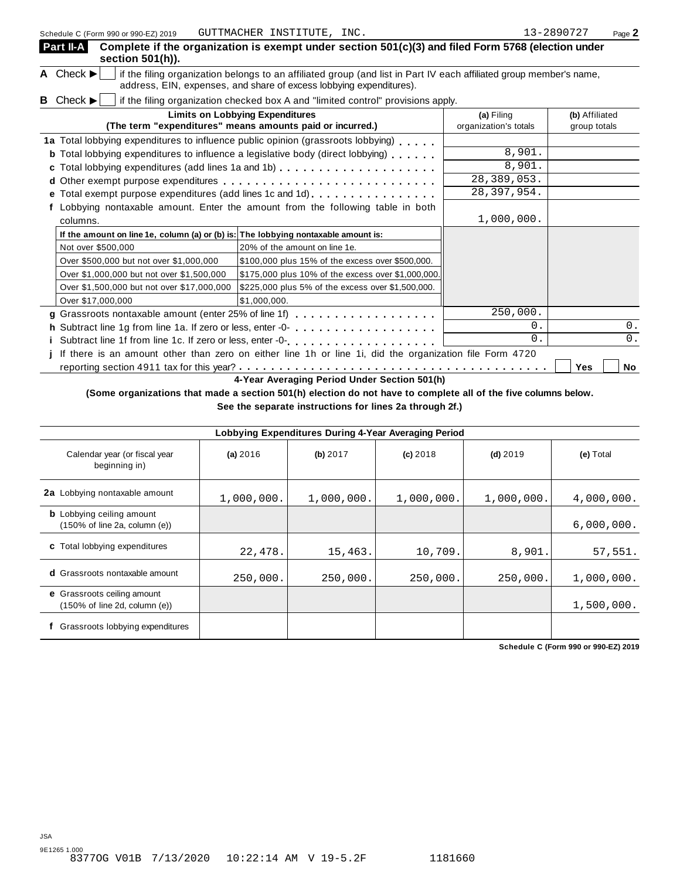| Part II-A<br>section 501(h)).                                                      | Complete if the organization is exempt under section 501(c)(3) and filed Form 5768 (election under                                                                                         |                                     |                                |
|------------------------------------------------------------------------------------|--------------------------------------------------------------------------------------------------------------------------------------------------------------------------------------------|-------------------------------------|--------------------------------|
| A Check $\blacktriangleright$                                                      | if the filing organization belongs to an affiliated group (and list in Part IV each affiliated group member's name,<br>address, EIN, expenses, and share of excess lobbying expenditures). |                                     |                                |
| Check $\blacktriangleright$<br>В                                                   | if the filing organization checked box A and "limited control" provisions apply.                                                                                                           |                                     |                                |
|                                                                                    | <b>Limits on Lobbying Expenditures</b><br>(The term "expenditures" means amounts paid or incurred.)                                                                                        | (a) Filing<br>organization's totals | (b) Affiliated<br>group totals |
|                                                                                    | 1a Total lobbying expenditures to influence public opinion (grassroots lobbying)                                                                                                           |                                     |                                |
|                                                                                    | <b>b</b> Total lobbying expenditures to influence a legislative body (direct lobbying)                                                                                                     | 8,901.                              |                                |
| c                                                                                  | Total lobbying expenditures (add lines 1a and 1b)                                                                                                                                          | 8,901.                              |                                |
|                                                                                    |                                                                                                                                                                                            | 28,389,053.                         |                                |
|                                                                                    | e Total exempt purpose expenditures (add lines 1c and 1d)                                                                                                                                  | 28, 397, 954.                       |                                |
|                                                                                    | f Lobbying nontaxable amount. Enter the amount from the following table in both                                                                                                            |                                     |                                |
| columns.                                                                           |                                                                                                                                                                                            | 1,000,000.                          |                                |
| If the amount on line 1e, column (a) or (b) is: The lobbying nontaxable amount is: |                                                                                                                                                                                            |                                     |                                |
| Not over \$500,000                                                                 | 20% of the amount on line 1e.                                                                                                                                                              |                                     |                                |
| Over \$500,000 but not over \$1,000,000                                            | \$100,000 plus 15% of the excess over \$500,000.                                                                                                                                           |                                     |                                |
| Over \$1,000,000 but not over \$1,500,000                                          | \$175,000 plus 10% of the excess over \$1,000,000.                                                                                                                                         |                                     |                                |
| Over \$1,500,000 but not over \$17,000,000                                         | \$225,000 plus 5% of the excess over \$1,500,000.                                                                                                                                          |                                     |                                |
| Over \$17,000,000                                                                  | \$1.000.000.                                                                                                                                                                               |                                     |                                |
|                                                                                    | g Grassroots nontaxable amount (enter 25% of line 1f)<br>g Crassroots nontaxable amount (enter 25% of line 1f)                                                                             | 250,000.                            |                                |
|                                                                                    |                                                                                                                                                                                            | $0$ .                               | $0$ .                          |
|                                                                                    |                                                                                                                                                                                            | $0$ .                               | 0.                             |
|                                                                                    | If there is an amount other than zero on either line 1h or line 1i, did the organization file Form 4720                                                                                    |                                     |                                |
|                                                                                    |                                                                                                                                                                                            |                                     | Yes<br>No                      |

**4-Year Averaging Period Under Section 501(h)**

(Some organizations that made a section 501(h) election do not have to complete all of the five columns below.

**See the separate instructions for lines 2a through 2f.)**

| Lobbying Expenditures During 4-Year Averaging Period                |            |            |            |            |            |  |  |
|---------------------------------------------------------------------|------------|------------|------------|------------|------------|--|--|
| Calendar year (or fiscal year<br>beginning in)                      | (a) 2016   | (b) 2017   | $(c)$ 2018 | $(d)$ 2019 | (e) Total  |  |  |
| 2a Lobbying nontaxable amount                                       | 1,000,000. | 1,000,000. | 1,000,000. | 1,000,000. | 4,000,000. |  |  |
| <b>b</b> Lobbying ceiling amount<br>(150% of line 2a, column (e))   |            |            |            |            | 6,000,000. |  |  |
| <b>c</b> Total lobbying expenditures                                | 22,478.    | 15,463.    | 10,709.    | 8,901.     | 57,551.    |  |  |
| <b>d</b> Grassroots nontaxable amount                               | 250,000.   | 250,000.   | 250,000.   | 250,000.   | 1,000,000. |  |  |
| <b>e</b> Grassroots ceiling amount<br>(150% of line 2d, column (e)) |            |            |            |            | 1,500,000. |  |  |
| Grassroots lobbying expenditures                                    |            |            |            |            |            |  |  |

**Schedule C (Form 990 or 990-EZ) 2019**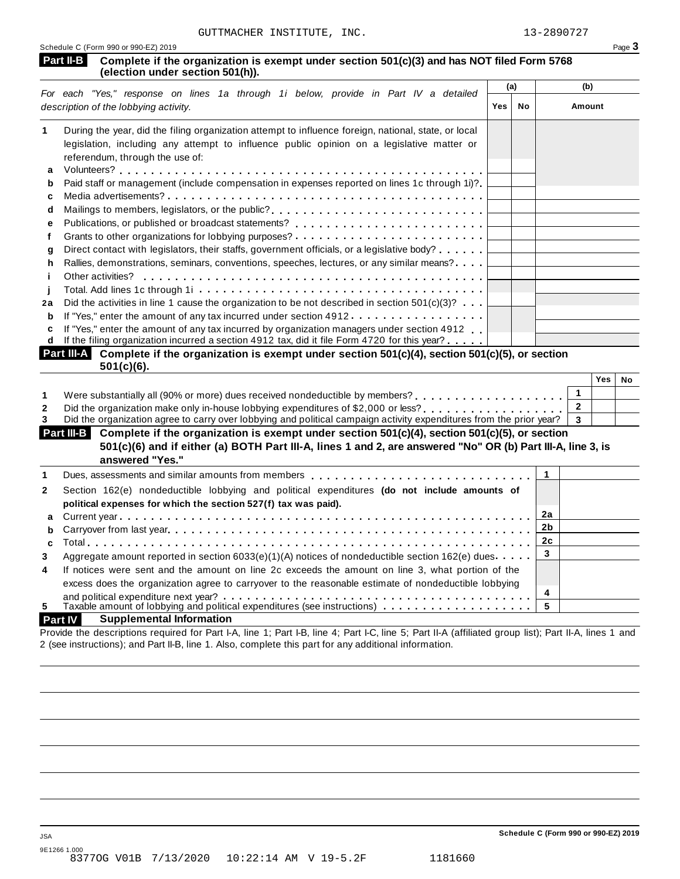| Schedule C (Form 990 or 990-EZ) 2019 | $P$ aqe $\rightarrow$ |
|--------------------------------------|-----------------------|
|--------------------------------------|-----------------------|

| <b>Part II-B</b> Complete if the organization is exempt under section $501(c)(3)$ and has NOT filed Form 5768 |  |
|---------------------------------------------------------------------------------------------------------------|--|
| (election under section 501(h)).                                                                              |  |

|    | For each "Yes," response on lines 1a through 1i below, provide in Part IV a detailed                 |      |    |        |
|----|------------------------------------------------------------------------------------------------------|------|----|--------|
|    | description of the lobbying activity.                                                                | Yes. | No | Amount |
| 1. | During the year, did the filing organization attempt to influence foreign, national, state, or local |      |    |        |
|    | legislation, including any attempt to influence public opinion on a legislative matter or            |      |    |        |
|    | referendum, through the use of:                                                                      |      |    |        |
| a  |                                                                                                      |      |    |        |
| b  | Paid staff or management (include compensation in expenses reported on lines 1c through 1i)?         |      |    |        |
| c  |                                                                                                      |      |    |        |
| d  | Mailings to members, legislators, or the public?                                                     |      |    |        |
| е  |                                                                                                      |      |    |        |
|    | Grants to other organizations for lobbying purposes?                                                 |      |    |        |
| a  | Direct contact with legislators, their staffs, government officials, or a legislative body?          |      |    |        |
| h. | Rallies, demonstrations, seminars, conventions, speeches, lectures, or any similar means?            |      |    |        |
|    | Other activities?                                                                                    |      |    |        |
|    |                                                                                                      |      |    |        |
| 2a | Did the activities in line 1 cause the organization to be not described in section $501(c)(3)$ ?     |      |    |        |
| b  | If "Yes," enter the amount of any tax incurred under section $4912$                                  |      |    |        |
| C  | If "Yes," enter the amount of any tax incurred by organization managers under section 4912           |      |    |        |
| d  | If the filing organization incurred a section 4912 tax, did it file Form 4720 for this year?         |      |    |        |

| <b>Part III-A</b> Complete if the organization is exempt under section $501(c)(4)$ , section $501(c)(5)$ , or section |  |
|-----------------------------------------------------------------------------------------------------------------------|--|
| $501(c)(6)$ .                                                                                                         |  |

|                                                                                                                               | Yes | No |
|-------------------------------------------------------------------------------------------------------------------------------|-----|----|
| Were substantially all (90% or more) dues received nondeductible by members?                                                  |     |    |
| Did the organization make only in-house lobbying expenditures of \$2,000 or less?                                             |     |    |
| Did the organization agree to carry over lobbying and political campaign activity expenditures from the prior year? $\vert$ 3 |     |    |

| Part III-B Complete if the organization is exempt under section 501(c)(4), section 501(c)(5), or section<br>501(c)(6) and if either (a) BOTH Part III-A, lines 1 and 2, are answered "No" OR (b) Part III-A, line 3, is<br>answered "Yes." |  |  |
|--------------------------------------------------------------------------------------------------------------------------------------------------------------------------------------------------------------------------------------------|--|--|
| Dues, assessments and similar amounts from members $\ldots, \ldots, \ldots, \ldots, \ldots, \ldots, \ldots, \ldots$                                                                                                                        |  |  |
|                                                                                                                                                                                                                                            |  |  |

|                | Dues, assessments and similar amounts from members $\ldots$ , $\ldots$ , $\ldots$ , $\ldots$ , $\ldots$ , $\ldots$ , $\ldots$ , $\vdots$ |   |  |
|----------------|------------------------------------------------------------------------------------------------------------------------------------------|---|--|
| $\mathbf{2}$   | Section 162(e) nondeductible lobbying and political expenditures (do not include amounts of                                              |   |  |
|                | political expenses for which the section 527(f) tax was paid).                                                                           |   |  |
|                |                                                                                                                                          |   |  |
|                |                                                                                                                                          |   |  |
|                |                                                                                                                                          |   |  |
| 3              | Aggregate amount reported in section 6033(e)(1)(A) notices of nondeductible section 162(e) dues                                          |   |  |
| $\overline{4}$ | If notices were sent and the amount on line 2c exceeds the amount on line 3, what portion of the                                         |   |  |
|                | excess does the organization agree to carryover to the reasonable estimate of nondeductible lobbying                                     |   |  |
|                | and political expenditure next year? $\dots \dots \dots \dots \dots \dots \dots \dots \dots \dots \dots \dots \dots \dots \dots$         | 4 |  |
| 5.             | Taxable amount of lobbying and political expenditures (see instructions) $\ldots \ldots \ldots \ldots$                                   |   |  |
|                |                                                                                                                                          |   |  |

# **Part IV Supplemental Information**

Provide the descriptions required for Part I-A, line 1; Part I-B, line 4; Part I-C, line 5; Part II-A (affiliated group list); Part II-A, lines 1 and 2 (see instructions); and Part II-B, line 1. Also, complete this part for any additional information.

**Schedule C (Form 990 or 990-EZ) 2019**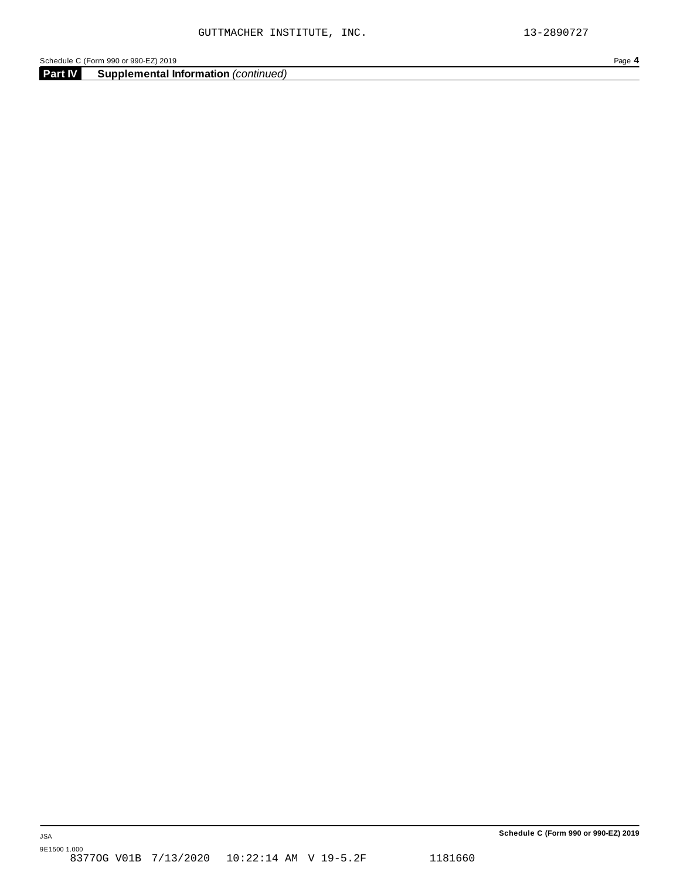**Part IV Supplemental Information** *(continued)*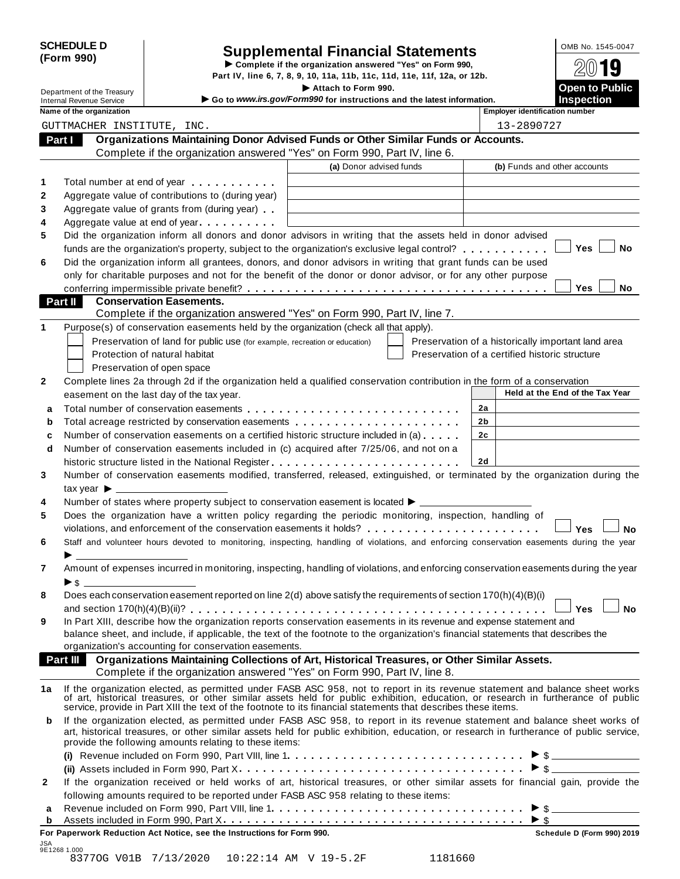|            | <b>SCHEDULE D</b> |
|------------|-------------------|
| (Form 990) |                   |

# SCHEDULE D<br>
Supplemental Financial Statements<br>
Form 990) Part IV, line 6, 7, 8, 9, 10, 11a, 11b, 11c, 11d, 11e, 11f, 12a, or 12b.

Department of the Treasury **I Attach 1990.** The S. 7, 8, 9, 10, 11a, 11b, 11c, 11d, 11e, 11f, 12a, or 12b.<br> **Department of the Treasury Inches Containery Containery Containery Containery Containery Containery** 

**Example 1 Bookstand Revenue Service**<br>Internal Revenue Service I is a service internal Revenue Service I is a service **in the Good of** *Service I* **is a service internal Revenue Service internal Revenue Service internal Rev** 

| Name of the organization |
|--------------------------|
|                          |

**Name of the organization Employer identification number**

|    | GUTTMACHER INSTITUTE, INC.                                                                                                                                                                                                     |                | 13-2890727                                         |                            |           |
|----|--------------------------------------------------------------------------------------------------------------------------------------------------------------------------------------------------------------------------------|----------------|----------------------------------------------------|----------------------------|-----------|
|    | Organizations Maintaining Donor Advised Funds or Other Similar Funds or Accounts.<br>Part I                                                                                                                                    |                |                                                    |                            |           |
|    | Complete if the organization answered "Yes" on Form 990, Part IV, line 6.                                                                                                                                                      |                |                                                    |                            |           |
|    | (a) Donor advised funds                                                                                                                                                                                                        |                | (b) Funds and other accounts                       |                            |           |
| 1  | Total number at end of year example.                                                                                                                                                                                           |                |                                                    |                            |           |
| 2  | Aggregate value of contributions to (during year)                                                                                                                                                                              |                |                                                    |                            |           |
| 3  | Aggregate value of grants from (during year)                                                                                                                                                                                   |                |                                                    |                            |           |
| 4  | Aggregate value at end of year                                                                                                                                                                                                 |                |                                                    |                            |           |
| 5  | Did the organization inform all donors and donor advisors in writing that the assets held in donor advised                                                                                                                     |                |                                                    |                            |           |
|    | funds are the organization's property, subject to the organization's exclusive legal control?                                                                                                                                  |                |                                                    | <b>Yes</b>                 | <b>No</b> |
|    | Did the organization inform all grantees, donors, and donor advisors in writing that grant funds can be used                                                                                                                   |                |                                                    |                            |           |
| 6  | only for charitable purposes and not for the benefit of the donor or donor advisor, or for any other purpose                                                                                                                   |                |                                                    |                            |           |
|    |                                                                                                                                                                                                                                |                |                                                    | Yes                        | No        |
|    | <b>Part II</b><br><b>Conservation Easements.</b>                                                                                                                                                                               |                |                                                    |                            |           |
|    | Complete if the organization answered "Yes" on Form 990, Part IV, line 7.                                                                                                                                                      |                |                                                    |                            |           |
| 1  | Purpose(s) of conservation easements held by the organization (check all that apply).                                                                                                                                          |                |                                                    |                            |           |
|    | Preservation of land for public use (for example, recreation or education)                                                                                                                                                     |                | Preservation of a historically important land area |                            |           |
|    | Protection of natural habitat                                                                                                                                                                                                  |                | Preservation of a certified historic structure     |                            |           |
|    | Preservation of open space                                                                                                                                                                                                     |                |                                                    |                            |           |
| 2  | Complete lines 2a through 2d if the organization held a qualified conservation contribution in the form of a conservation                                                                                                      |                |                                                    |                            |           |
|    | easement on the last day of the tax year.                                                                                                                                                                                      |                | Held at the End of the Tax Year                    |                            |           |
| a  |                                                                                                                                                                                                                                | 2a             |                                                    |                            |           |
| b  | Total acreage restricted by conservation easements                                                                                                                                                                             | 2b             |                                                    |                            |           |
| c  | Number of conservation easements on a certified historic structure included in (a)                                                                                                                                             | 2 <sub>c</sub> |                                                    |                            |           |
|    | Number of conservation easements included in (c) acquired after 7/25/06, and not on a                                                                                                                                          |                |                                                    |                            |           |
| d  | historic structure listed in the National Register                                                                                                                                                                             | 2d             |                                                    |                            |           |
| 3  | Number of conservation easements modified, transferred, released, extinguished, or terminated by the organization during the                                                                                                   |                |                                                    |                            |           |
|    | tax year $\blacktriangleright$ $\_\$                                                                                                                                                                                           |                |                                                    |                            |           |
| 4  | Number of states where property subject to conservation easement is located ▶ __________                                                                                                                                       |                |                                                    |                            |           |
| 5  | Does the organization have a written policy regarding the periodic monitoring, inspection, handling of                                                                                                                         |                |                                                    |                            |           |
|    | violations, and enforcement of the conservation easements it holds?                                                                                                                                                            |                |                                                    | Yes                        | <b>No</b> |
| 6  | Staff and volunteer hours devoted to monitoring, inspecting, handling of violations, and enforcing conservation easements during the year                                                                                      |                |                                                    |                            |           |
|    |                                                                                                                                                                                                                                |                |                                                    |                            |           |
| 7  | Amount of expenses incurred in monitoring, inspecting, handling of violations, and enforcing conservation easements during the year                                                                                            |                |                                                    |                            |           |
|    |                                                                                                                                                                                                                                |                |                                                    |                            |           |
| 8  | Does each conservation easement reported on line 2(d) above satisfy the requirements of section 170(h)(4)(B)(i)                                                                                                                |                |                                                    |                            |           |
|    |                                                                                                                                                                                                                                |                |                                                    |                            |           |
| 9  | In Part XIII, describe how the organization reports conservation easements in its revenue and expense statement and                                                                                                            |                |                                                    | Yes                        | No        |
|    | balance sheet, and include, if applicable, the text of the footnote to the organization's financial statements that describes the                                                                                              |                |                                                    |                            |           |
|    | organization's accounting for conservation easements.                                                                                                                                                                          |                |                                                    |                            |           |
|    | <b>Part III</b> Organizations Maintaining Collections of Art, Historical Treasures, or Other Similar Assets.                                                                                                                   |                |                                                    |                            |           |
|    | Complete if the organization answered "Yes" on Form 990, Part IV, line 8.                                                                                                                                                      |                |                                                    |                            |           |
| 1a |                                                                                                                                                                                                                                |                |                                                    |                            |           |
|    | If the organization elected, as permitted under FASB ASC 958, not to report in its revenue statement and balance sheet works of art, historical treasures, or other similar assets held for public exhibition, education, or r |                |                                                    |                            |           |
|    | service, provide in Part XIII the text of the footnote to its financial statements that describes these items.                                                                                                                 |                |                                                    |                            |           |
| b  | If the organization elected, as permitted under FASB ASC 958, to report in its revenue statement and balance sheet works of                                                                                                    |                |                                                    |                            |           |
|    | art, historical treasures, or other similar assets held for public exhibition, education, or research in furtherance of public service,<br>provide the following amounts relating to these items:                              |                |                                                    |                            |           |
|    |                                                                                                                                                                                                                                |                |                                                    | $\triangleright$ \$        |           |
|    |                                                                                                                                                                                                                                |                |                                                    | $\triangleright$ \$        |           |
| 2  | If the organization received or held works of art, historical treasures, or other similar assets for financial gain, provide the                                                                                               |                |                                                    |                            |           |
|    | following amounts required to be reported under FASB ASC 958 relating to these items:                                                                                                                                          |                |                                                    |                            |           |
| а  |                                                                                                                                                                                                                                |                |                                                    | $\triangleright$ \$        |           |
| b  |                                                                                                                                                                                                                                |                | $\blacktriangleright$ \$                           |                            |           |
|    |                                                                                                                                                                                                                                |                |                                                    | Schedule D (Form 990) 2019 |           |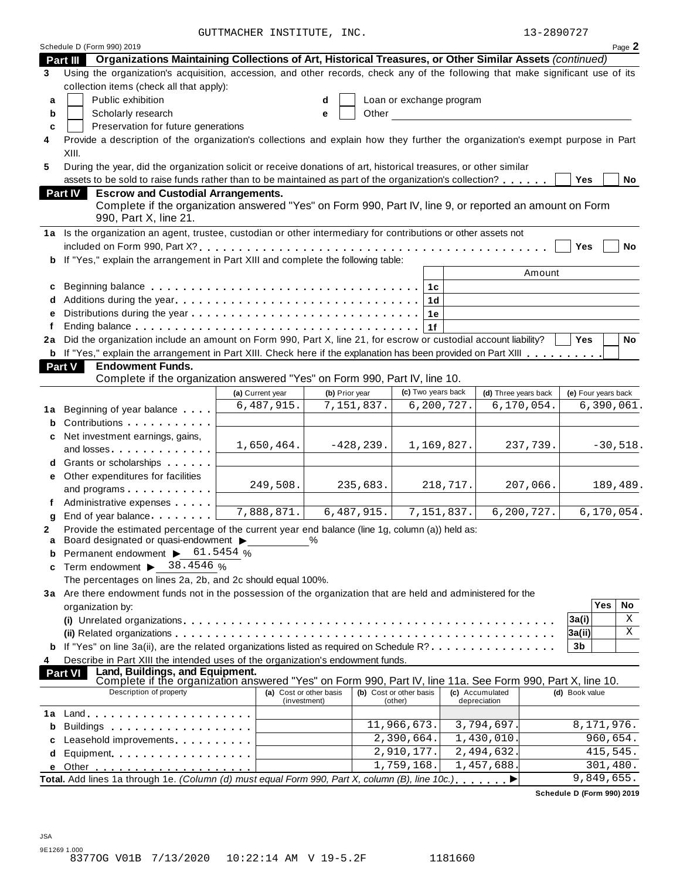|    |                                                                                                                                                                                                                                    | GUTTMACHER INSTITUTE, INC.              |                |              |                                    |                          |                                 | 13-2890727          |            |
|----|------------------------------------------------------------------------------------------------------------------------------------------------------------------------------------------------------------------------------------|-----------------------------------------|----------------|--------------|------------------------------------|--------------------------|---------------------------------|---------------------|------------|
|    | Schedule D (Form 990) 2019                                                                                                                                                                                                         |                                         |                |              |                                    |                          |                                 |                     | Page 2     |
|    | Organizations Maintaining Collections of Art, Historical Treasures, or Other Similar Assets (continued)<br>Part III                                                                                                                |                                         |                |              |                                    |                          |                                 |                     |            |
| 3  | Using the organization's acquisition, accession, and other records, check any of the following that make significant use of its                                                                                                    |                                         |                |              |                                    |                          |                                 |                     |            |
|    | collection items (check all that apply):                                                                                                                                                                                           |                                         |                |              |                                    |                          |                                 |                     |            |
| a  | Public exhibition                                                                                                                                                                                                                  |                                         | d              |              |                                    | Loan or exchange program |                                 |                     |            |
| b  | Scholarly research                                                                                                                                                                                                                 |                                         | e              | Other        |                                    |                          |                                 |                     |            |
| c  | Preservation for future generations                                                                                                                                                                                                |                                         |                |              |                                    |                          |                                 |                     |            |
| 4  | Provide a description of the organization's collections and explain how they further the organization's exempt purpose in Part                                                                                                     |                                         |                |              |                                    |                          |                                 |                     |            |
|    | XIII.                                                                                                                                                                                                                              |                                         |                |              |                                    |                          |                                 |                     |            |
| 5  | During the year, did the organization solicit or receive donations of art, historical treasures, or other similar                                                                                                                  |                                         |                |              |                                    |                          |                                 |                     |            |
|    | assets to be sold to raise funds rather than to be maintained as part of the organization's collection?                                                                                                                            |                                         |                |              |                                    |                          |                                 | Yes                 | No         |
|    | <b>Escrow and Custodial Arrangements.</b><br><b>Part IV</b>                                                                                                                                                                        |                                         |                |              |                                    |                          |                                 |                     |            |
|    | Complete if the organization answered "Yes" on Form 990, Part IV, line 9, or reported an amount on Form                                                                                                                            |                                         |                |              |                                    |                          |                                 |                     |            |
|    | 990, Part X, line 21.                                                                                                                                                                                                              |                                         |                |              |                                    |                          |                                 |                     |            |
|    | 1a Is the organization an agent, trustee, custodian or other intermediary for contributions or other assets not                                                                                                                    |                                         |                |              |                                    |                          |                                 |                     |            |
|    |                                                                                                                                                                                                                                    |                                         |                |              |                                    |                          |                                 | Yes                 | No         |
|    | <b>b</b> If "Yes," explain the arrangement in Part XIII and complete the following table:                                                                                                                                          |                                         |                |              |                                    |                          |                                 |                     |            |
|    |                                                                                                                                                                                                                                    |                                         |                |              |                                    |                          | Amount                          |                     |            |
|    |                                                                                                                                                                                                                                    |                                         |                |              |                                    |                          |                                 |                     |            |
| c  |                                                                                                                                                                                                                                    |                                         |                |              |                                    | 1c                       |                                 |                     |            |
| d  |                                                                                                                                                                                                                                    |                                         |                |              |                                    | 1 <sub>d</sub>           |                                 |                     |            |
| е  |                                                                                                                                                                                                                                    |                                         |                |              |                                    | 1е                       |                                 |                     |            |
| f  |                                                                                                                                                                                                                                    |                                         |                |              |                                    | 1f                       |                                 |                     |            |
|    | 2a Did the organization include an amount on Form 990, Part X, line 21, for escrow or custodial account liability?                                                                                                                 |                                         |                |              |                                    |                          |                                 | <b>Yes</b>          | No         |
|    | <b>b</b> If "Yes," explain the arrangement in Part XIII. Check here if the explanation has been provided on Part XIII                                                                                                              |                                         |                |              |                                    |                          |                                 |                     |            |
|    | <b>Endowment Funds.</b><br><b>Part V</b>                                                                                                                                                                                           |                                         |                |              |                                    |                          |                                 |                     |            |
|    | Complete if the organization answered "Yes" on Form 990, Part IV, line 10.                                                                                                                                                         |                                         |                |              |                                    |                          |                                 |                     |            |
|    |                                                                                                                                                                                                                                    | (a) Current year                        | (b) Prior year |              |                                    | (c) Two years back       | (d) Three years back            | (e) Four years back |            |
| 1а | Beginning of year balance                                                                                                                                                                                                          | 6,487,915.                              |                | 7,151,837.   |                                    | 6,200,727.               | 6, 170, 054.                    |                     | 6,390,061. |
| b  |                                                                                                                                                                                                                                    |                                         |                |              |                                    |                          |                                 |                     |            |
| c  | Net investment earnings, gains,                                                                                                                                                                                                    |                                         |                |              |                                    |                          |                                 |                     |            |
|    | and losses                                                                                                                                                                                                                         | 1,650,464.                              |                | $-428, 239.$ |                                    | 1,169,827.               | 237,739.                        |                     | $-30,518.$ |
| d  | Grants or scholarships                                                                                                                                                                                                             |                                         |                |              |                                    |                          |                                 |                     |            |
| е  | Other expenditures for facilities                                                                                                                                                                                                  |                                         |                |              |                                    |                          |                                 |                     |            |
|    | and programs                                                                                                                                                                                                                       | 249,508.                                |                | 235,683.     |                                    | 218,717.                 | 207,066.                        |                     | 189,489.   |
|    | Administrative expenses                                                                                                                                                                                                            |                                         |                |              |                                    |                          |                                 |                     |            |
| g  | End of year balance                                                                                                                                                                                                                | 7,888,871.                              |                | 6,487,915.   |                                    | 7,151,837.               | 6, 200, 727.                    |                     | 6,170,054. |
| 2  | Provide the estimated percentage of the current year end balance (line 1g, column (a)) held as:                                                                                                                                    |                                         |                |              |                                    |                          |                                 |                     |            |
| a  | Board designated or quasi-endowment >                                                                                                                                                                                              |                                         | $\%$           |              |                                    |                          |                                 |                     |            |
| b  | Permanent endowment > 61.5454 %                                                                                                                                                                                                    |                                         |                |              |                                    |                          |                                 |                     |            |
| c  | Term endowment $\triangleright$ 38.4546 %                                                                                                                                                                                          |                                         |                |              |                                    |                          |                                 |                     |            |
|    | The percentages on lines 2a, 2b, and 2c should equal 100%.                                                                                                                                                                         |                                         |                |              |                                    |                          |                                 |                     |            |
|    | 3a Are there endowment funds not in the possession of the organization that are held and administered for the                                                                                                                      |                                         |                |              |                                    |                          |                                 |                     |            |
|    | organization by:                                                                                                                                                                                                                   |                                         |                |              |                                    |                          |                                 |                     | Yes<br>No  |
|    | (i) Unrelated organizations enterpresent resources in the contract of the contract or contract to the contract or contract to the contract or contract to the contract or contract to the contract or contract to the contract     |                                         |                |              |                                    |                          |                                 | 3a(i)               | Χ          |
|    |                                                                                                                                                                                                                                    |                                         |                |              |                                    |                          |                                 | 3a(ii)              | Χ          |
|    | If "Yes" on line 3a(ii), are the related organizations listed as required on Schedule R?                                                                                                                                           |                                         |                |              |                                    |                          |                                 | 3 <sub>b</sub>      |            |
| 4  | Describe in Part XIII the intended uses of the organization's endowment funds.                                                                                                                                                     |                                         |                |              |                                    |                          |                                 |                     |            |
|    | Land, Buildings, and Equipment.<br><b>Part VI</b>                                                                                                                                                                                  |                                         |                |              |                                    |                          |                                 |                     |            |
|    | Complete if the organization answered "Yes" on Form 990, Part IV, line 11a. See Form 990, Part X, line 10.                                                                                                                         |                                         |                |              |                                    |                          |                                 |                     |            |
|    | Description of property                                                                                                                                                                                                            | (a) Cost or other basis<br>(investment) |                |              | (b) Cost or other basis<br>(other) |                          | (c) Accumulated<br>depreciation | (d) Book value      |            |
| 1a | $Land.$                                                                                                                                                                                                                            |                                         |                |              |                                    |                          |                                 |                     |            |
| b  | Buildings <b>Example 20</b> and the set of the set of the set of the set of the set of the set of the set of the set of the set of the set of the set of the set of the set of the set of the set of the set of the set of the set |                                         |                |              | 11,966,673.                        |                          | 3,794,697.                      |                     | 8,171,976. |
| c  | Leasehold improvements <b>Leasehold</b> improvements                                                                                                                                                                               |                                         |                |              | 2,390,664.                         |                          | 1,430,010.                      |                     | 960,654.   |
|    |                                                                                                                                                                                                                                    |                                         |                |              | 2,910,177.                         |                          | 2,494,632.                      |                     | 415,545.   |
| d  | Equipment                                                                                                                                                                                                                          |                                         |                |              | 1,759,168.                         |                          | 1,457,688.                      |                     | 301,480.   |
| е  | Total. Add lines 1a through 1e. (Column (d) must equal Form 990, Part X, column (B), line 10c.)                                                                                                                                    |                                         |                |              |                                    |                          |                                 |                     | 9,849,655. |
|    |                                                                                                                                                                                                                                    |                                         |                |              |                                    |                          |                                 |                     |            |

**Schedule D (Form 990) 2019**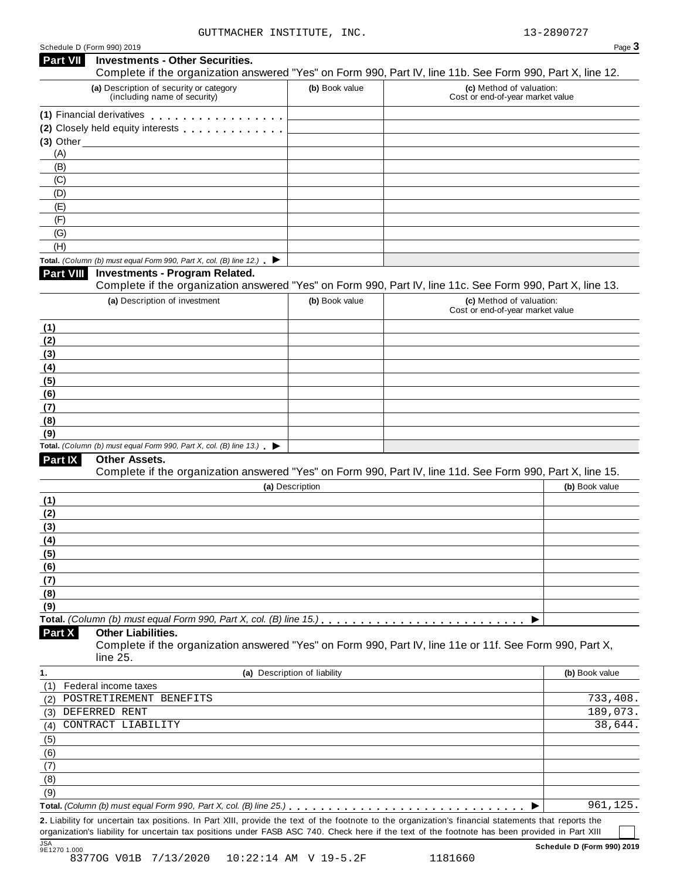| Schedule D (Form 990) 2019 |  |  |
|----------------------------|--|--|
|                            |  |  |

|                                                                                                                        | <b>Investments - Other Securities.</b>                                                   |                              |                                                                                                                              |
|------------------------------------------------------------------------------------------------------------------------|------------------------------------------------------------------------------------------|------------------------------|------------------------------------------------------------------------------------------------------------------------------|
| <b>Part VII</b>                                                                                                        |                                                                                          |                              | Complete if the organization answered "Yes" on Form 990, Part IV, line 11b. See Form 990, Part X, line 12.                   |
|                                                                                                                        | (a) Description of security or category<br>(including name of security)                  | (b) Book value               | (c) Method of valuation:<br>Cost or end-of-year market value                                                                 |
|                                                                                                                        | (1) Financial derivatives                                                                |                              |                                                                                                                              |
|                                                                                                                        | (2) Closely held equity interests                                                        |                              |                                                                                                                              |
|                                                                                                                        | $(3)$ Other $(3)$                                                                        |                              |                                                                                                                              |
| (A)<br>(B)                                                                                                             |                                                                                          |                              |                                                                                                                              |
| (C)                                                                                                                    |                                                                                          |                              |                                                                                                                              |
| (D)                                                                                                                    |                                                                                          |                              |                                                                                                                              |
| (E)                                                                                                                    |                                                                                          |                              |                                                                                                                              |
| (F)                                                                                                                    |                                                                                          |                              |                                                                                                                              |
| (G)                                                                                                                    |                                                                                          |                              |                                                                                                                              |
| (H)                                                                                                                    |                                                                                          |                              |                                                                                                                              |
| <b>Part VIII</b>                                                                                                       | Total. (Column (b) must equal Form 990, Part X, col. (B) line 12.) $\blacktriangleright$ |                              |                                                                                                                              |
|                                                                                                                        | <b>Investments - Program Related.</b>                                                    |                              | Complete if the organization answered "Yes" on Form 990, Part IV, line 11c. See Form 990, Part X, line 13.                   |
|                                                                                                                        | (a) Description of investment                                                            | (b) Book value               | (c) Method of valuation:                                                                                                     |
|                                                                                                                        |                                                                                          |                              | Cost or end-of-year market value                                                                                             |
| (1)<br>(2)                                                                                                             |                                                                                          |                              |                                                                                                                              |
|                                                                                                                        |                                                                                          |                              |                                                                                                                              |
| (3)<br>(4)                                                                                                             |                                                                                          |                              |                                                                                                                              |
| (5)                                                                                                                    |                                                                                          |                              |                                                                                                                              |
| (6)                                                                                                                    |                                                                                          |                              |                                                                                                                              |
| (7)                                                                                                                    |                                                                                          |                              |                                                                                                                              |
| (8)                                                                                                                    |                                                                                          |                              |                                                                                                                              |
| (9)                                                                                                                    |                                                                                          |                              |                                                                                                                              |
|                                                                                                                        |                                                                                          |                              |                                                                                                                              |
|                                                                                                                        | Total. (Column (b) must equal Form 990, Part X, col. (B) line 13.) $\blacktriangleright$ |                              |                                                                                                                              |
| Part IX                                                                                                                | Other Assets.                                                                            |                              |                                                                                                                              |
|                                                                                                                        |                                                                                          | (a) Description              | Complete if the organization answered "Yes" on Form 990, Part IV, line 11d. See Form 990, Part X, line 15.<br>(b) Book value |
| (1)                                                                                                                    |                                                                                          |                              |                                                                                                                              |
|                                                                                                                        |                                                                                          |                              |                                                                                                                              |
|                                                                                                                        |                                                                                          |                              |                                                                                                                              |
|                                                                                                                        |                                                                                          |                              |                                                                                                                              |
|                                                                                                                        |                                                                                          |                              |                                                                                                                              |
|                                                                                                                        |                                                                                          |                              |                                                                                                                              |
|                                                                                                                        |                                                                                          |                              |                                                                                                                              |
|                                                                                                                        |                                                                                          |                              |                                                                                                                              |
|                                                                                                                        |                                                                                          |                              | ▶                                                                                                                            |
|                                                                                                                        | <b>Other Liabilities.</b>                                                                |                              |                                                                                                                              |
|                                                                                                                        | line 25.                                                                                 |                              | Complete if the organization answered "Yes" on Form 990, Part IV, line 11e or 11f. See Form 990, Part X,                     |
|                                                                                                                        |                                                                                          | (a) Description of liability | (b) Book value                                                                                                               |
|                                                                                                                        | Federal income taxes                                                                     |                              |                                                                                                                              |
|                                                                                                                        | POSTRETIREMENT BENEFITS                                                                  |                              |                                                                                                                              |
|                                                                                                                        | DEFERRED RENT                                                                            |                              |                                                                                                                              |
|                                                                                                                        | CONTRACT LIABILITY                                                                       |                              |                                                                                                                              |
|                                                                                                                        |                                                                                          |                              |                                                                                                                              |
|                                                                                                                        |                                                                                          |                              |                                                                                                                              |
| (2)<br>(3)<br>(4)<br>(5)<br>(6)<br>(7)<br>(8)<br>(9)<br>Part X<br>(1)<br>(2)<br>(3)<br>(4)<br>(5)<br>(6)<br>(7)<br>(8) |                                                                                          |                              |                                                                                                                              |
| (9)                                                                                                                    |                                                                                          |                              | 733,408.<br>189,073.<br>38,644.                                                                                              |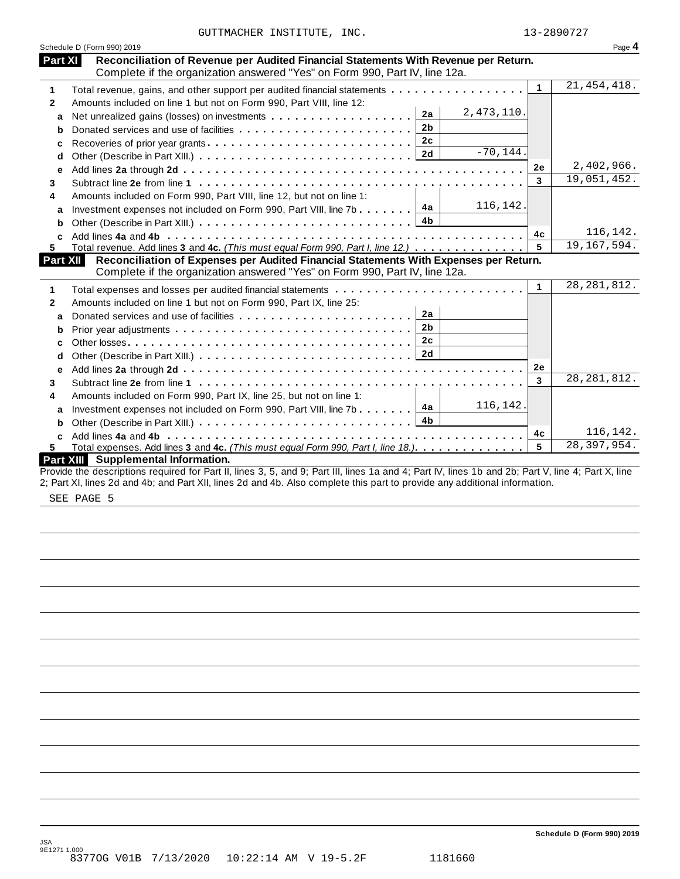|              | Schedule D (Form 990) 2019                                                                                                                                           |              | Page 4        |
|--------------|----------------------------------------------------------------------------------------------------------------------------------------------------------------------|--------------|---------------|
| Part XI      | Reconciliation of Revenue per Audited Financial Statements With Revenue per Return.<br>Complete if the organization answered "Yes" on Form 990, Part IV, line 12a.   |              |               |
| 1            | Total revenue, gains, and other support per audited financial statements                                                                                             | $\mathbf{1}$ | 21,454,418.   |
| $\mathbf{2}$ | Amounts included on line 1 but not on Form 990, Part VIII, line 12:                                                                                                  |              |               |
| a            | 2, 473, 110.<br>2a<br>Net unrealized gains (losses) on investments                                                                                                   |              |               |
|              | 2 <sub>b</sub><br>Donated services and use of facilities                                                                                                             |              |               |
| c            | 2c                                                                                                                                                                   |              |               |
| d            | $-70, 144.$                                                                                                                                                          |              |               |
| е            |                                                                                                                                                                      | 2e           | 2,402,966.    |
| 3            |                                                                                                                                                                      | 3            | 19,051,452.   |
| 4            | Amounts included on Form 990, Part VIII, line 12, but not on line 1:                                                                                                 |              |               |
| a            | 116,142.<br>4a<br>Investment expenses not included on Form 990, Part VIII, line 7b                                                                                   |              |               |
|              | 4b                                                                                                                                                                   |              |               |
| C.           |                                                                                                                                                                      | 4c           | 116,142.      |
| 5.           | Total revenue. Add lines 3 and 4c. (This must equal Form 990, Part I, line 12.)                                                                                      | 5            | 19,167,594.   |
| Part XII     | Reconciliation of Expenses per Audited Financial Statements With Expenses per Return.<br>Complete if the organization answered "Yes" on Form 990, Part IV, line 12a. |              |               |
| 1            |                                                                                                                                                                      | 1            | 28, 281, 812. |
| $\mathbf{2}$ | Amounts included on line 1 but not on Form 990, Part IX, line 25:                                                                                                    |              |               |
| a            | 2a                                                                                                                                                                   |              |               |
| b            | 2 <sub>b</sub>                                                                                                                                                       |              |               |
| C            | 2c                                                                                                                                                                   |              |               |
| d            |                                                                                                                                                                      |              |               |
| е            |                                                                                                                                                                      | 2e           |               |
| 3            |                                                                                                                                                                      | 3            | 28, 281, 812. |
| 4            | Amounts included on Form 990, Part IX, line 25, but not on line 1:                                                                                                   |              |               |
| a            | 116,142.<br>Investment expenses not included on Form 990, Part VIII, line 7b $\ldots \ldots \mathbf{4a}$                                                             |              |               |
| b            |                                                                                                                                                                      |              |               |
|              |                                                                                                                                                                      | 4c           | 116,142.      |
| 5.           | Total expenses. Add lines 3 and 4c. (This must equal Form 990, Part I, line 18.).                                                                                    | 5            | 28, 397, 954. |
|              | Part XIII Supplemental Information.                                                                                                                                  |              |               |
|              | Provide the descriptions required for Part II, lines 3, 5, and 9; Part III, lines 1a and 4; Part IV, lines 1b and 2b; Part V, line 4; Part X, line                   |              |               |

2; Part XI, lines 2d and 4b; and Part XII, lines 2d and 4b. Also complete this part to provide any additional information.

SEE PAGE 5

**Schedule D (Form 990) 2019**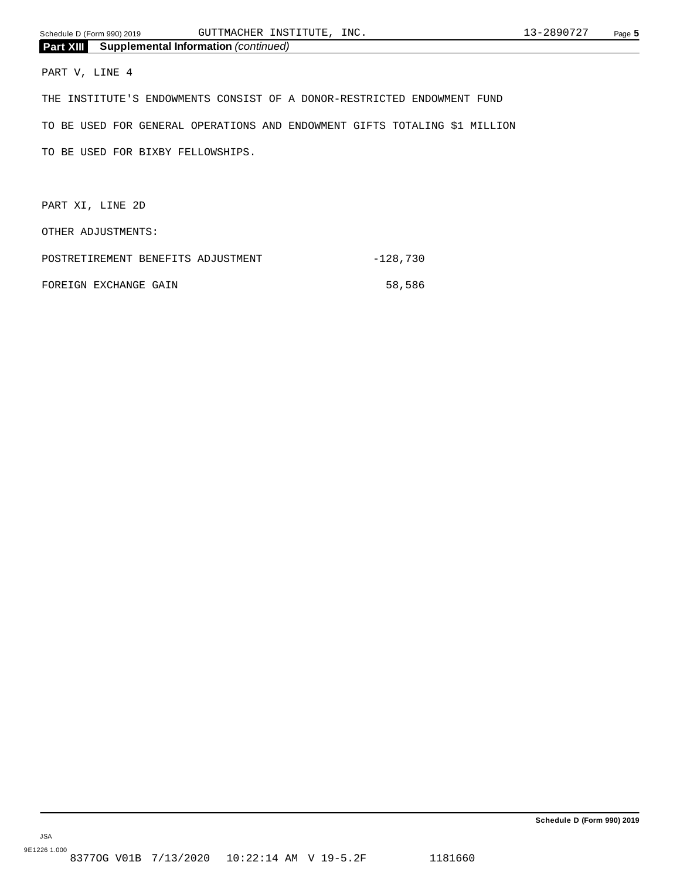| Schedule D (Form 990) 2019                            | GUTTMACHER INSTITUTE, INC. |                                                                            | 13-2890727 | Page 5 |
|-------------------------------------------------------|----------------------------|----------------------------------------------------------------------------|------------|--------|
| <b>Part XIII</b> Supplemental Information (continued) |                            |                                                                            |            |        |
| PART V, LINE 4                                        |                            |                                                                            |            |        |
|                                                       |                            | THE INSTITUTE'S ENDOWMENTS CONSIST OF A DONOR-RESTRICTED ENDOWMENT FUND    |            |        |
|                                                       |                            | TO BE USED FOR GENERAL OPERATIONS AND ENDOWMENT GIFTS TOTALING \$1 MILLION |            |        |
| BE USED FOR BIXBY FELLOWSHIPS.<br>TO                  |                            |                                                                            |            |        |
|                                                       |                            |                                                                            |            |        |
| PART XI, LINE 2D                                      |                            |                                                                            |            |        |
| OTHER ADJUSTMENTS:                                    |                            |                                                                            |            |        |
| POSTRETIREMENT BENEFITS ADJUSTMENT                    |                            | $-128,730$                                                                 |            |        |

FOREIGN EXCHANGE GAIN 58,586

9E1226 1.000 8377OG V01B 7/13/2020 10:22:14 AM V 19-5.2F 1181660

JSA

**Schedule D (Form 990) 2019**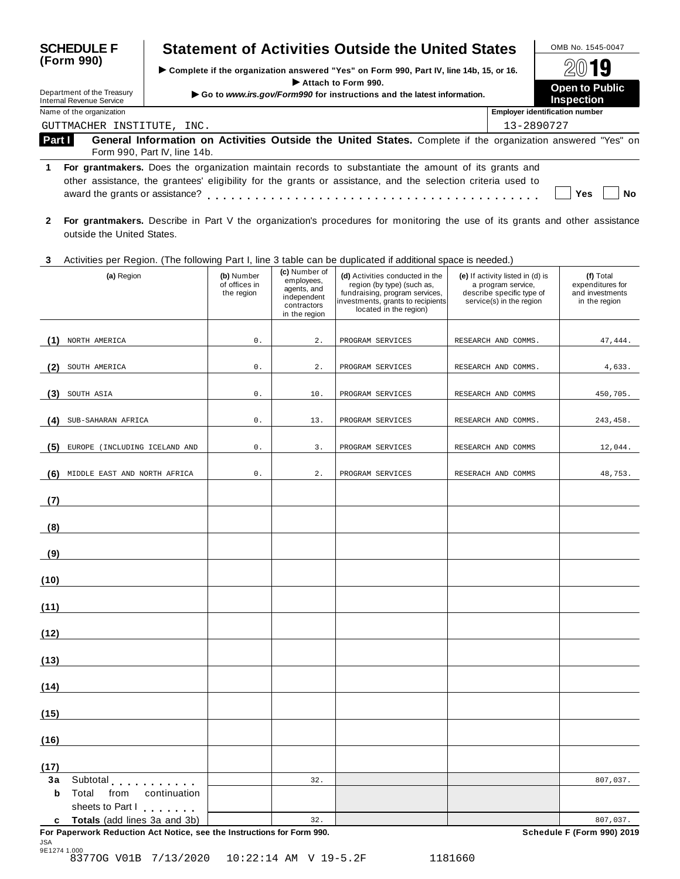| <b>SCHEDULE F</b>                                      | <b>Statement of Activities Outside the United States</b>                                                                                                                                                             |            | OMB No. 1545-0047                          |
|--------------------------------------------------------|----------------------------------------------------------------------------------------------------------------------------------------------------------------------------------------------------------------------|------------|--------------------------------------------|
| (Form 990)                                             | ► Complete if the organization answered "Yes" on Form 990, Part IV, line 14b, 15, or 16.                                                                                                                             |            | 2019                                       |
| Department of the Treasury<br>Internal Revenue Service | Attach to Form 990.<br>Go to www.irs.gov/Form990 for instructions and the latest information.                                                                                                                        |            | <b>Open to Public</b><br><b>Inspection</b> |
| Name of the organization                               |                                                                                                                                                                                                                      |            | <b>Employer identification number</b>      |
| GUTTMACHER INSTITUTE, INC.                             |                                                                                                                                                                                                                      | 13-2890727 |                                            |
| Part I                                                 | General Information on Activities Outside the United States. Complete if the organization answered "Yes" on<br>Form 990, Part IV, line 14b.                                                                          |            |                                            |
| 1.<br>award the grants or assistance?                  | For grantmakers. Does the organization maintain records to substantiate the amount of its grants and<br>other assistance, the grantees' eligibility for the grants or assistance, and the selection criteria used to |            | Yes<br>Nο                                  |

**2 For grantmakers.** Describe in Part V the organization's procedures for monitoring the use of its grants and other assistance outside the United States.

## **3** Activities per Region. (The following Part I, line 3 table can be duplicated if additional space is needed.)

|         | retivition por region. This following I are i, line o table barried adplicated in additional opace is hooded;<br>(a) Region                                                                                                                                     | (b) Number<br>of offices in<br>the region | (c) Number of<br>employees,<br>agents, and<br>independent<br>contractors<br>in the region | (d) Activities conducted in the<br>region (by type) (such as,<br>fundraising, program services,<br>investments, grants to recipients<br>located in the region) | (e) If activity listed in (d) is<br>a program service,<br>describe specific type of<br>service(s) in the region | (f) Total<br>expenditures for<br>and investments<br>in the region |
|---------|-----------------------------------------------------------------------------------------------------------------------------------------------------------------------------------------------------------------------------------------------------------------|-------------------------------------------|-------------------------------------------------------------------------------------------|----------------------------------------------------------------------------------------------------------------------------------------------------------------|-----------------------------------------------------------------------------------------------------------------|-------------------------------------------------------------------|
| (1)     | NORTH AMERICA                                                                                                                                                                                                                                                   | $0$ .                                     | 2.                                                                                        | PROGRAM SERVICES                                                                                                                                               | RESEARCH AND COMMS.                                                                                             | 47,444.                                                           |
| (2)     | SOUTH AMERICA                                                                                                                                                                                                                                                   | 0.                                        | $2$ .                                                                                     | PROGRAM SERVICES                                                                                                                                               | RESEARCH AND COMMS.                                                                                             | 4,633.                                                            |
| (3)     | SOUTH ASIA                                                                                                                                                                                                                                                      | $\mathsf{0}$ .                            | $10$ .                                                                                    | PROGRAM SERVICES                                                                                                                                               | RESEARCH AND COMMS                                                                                              | 450,705.                                                          |
| (4)     | SUB-SAHARAN AFRICA                                                                                                                                                                                                                                              | $\mathsf{0}$ .                            | 13.                                                                                       | PROGRAM SERVICES                                                                                                                                               | RESEARCH AND COMMS.                                                                                             | 243,458.                                                          |
| (5)     | EUROPE (INCLUDING ICELAND AND                                                                                                                                                                                                                                   | $\mathsf{0}$ .                            | 3.                                                                                        | PROGRAM SERVICES                                                                                                                                               | RESEARCH AND COMMS                                                                                              | 12,044.                                                           |
|         | (6) MIDDLE EAST AND NORTH AFRICA                                                                                                                                                                                                                                | $0$ .                                     | $2$ .                                                                                     | PROGRAM SERVICES                                                                                                                                               | RESERACH AND COMMS                                                                                              | 48,753.                                                           |
| (7)     |                                                                                                                                                                                                                                                                 |                                           |                                                                                           |                                                                                                                                                                |                                                                                                                 |                                                                   |
| (8)     |                                                                                                                                                                                                                                                                 |                                           |                                                                                           |                                                                                                                                                                |                                                                                                                 |                                                                   |
| (9)     |                                                                                                                                                                                                                                                                 |                                           |                                                                                           |                                                                                                                                                                |                                                                                                                 |                                                                   |
| (10)    |                                                                                                                                                                                                                                                                 |                                           |                                                                                           |                                                                                                                                                                |                                                                                                                 |                                                                   |
| (11)    |                                                                                                                                                                                                                                                                 |                                           |                                                                                           |                                                                                                                                                                |                                                                                                                 |                                                                   |
| (12)    |                                                                                                                                                                                                                                                                 |                                           |                                                                                           |                                                                                                                                                                |                                                                                                                 |                                                                   |
| (13)    |                                                                                                                                                                                                                                                                 |                                           |                                                                                           |                                                                                                                                                                |                                                                                                                 |                                                                   |
| (14)    |                                                                                                                                                                                                                                                                 |                                           |                                                                                           |                                                                                                                                                                |                                                                                                                 |                                                                   |
| (15)    |                                                                                                                                                                                                                                                                 |                                           |                                                                                           |                                                                                                                                                                |                                                                                                                 |                                                                   |
| (16)    |                                                                                                                                                                                                                                                                 |                                           |                                                                                           |                                                                                                                                                                |                                                                                                                 |                                                                   |
| (17)    |                                                                                                                                                                                                                                                                 |                                           |                                                                                           |                                                                                                                                                                |                                                                                                                 |                                                                   |
| 3a<br>b | Subtotal experience and subsets and subsets of the set of the set of the set of the set of the set of the set of the set of the set of the set of the set of the set of the set of the set of the set of the set of the set of<br>Total<br>from<br>continuation |                                           | 32.                                                                                       |                                                                                                                                                                |                                                                                                                 | 807,037.                                                          |
|         | sheets to Part I<br>c Totals (add lines 3a and 3b)<br>For Bonorwork Bodyotion, Act Notice, can the Instructions for Form 000                                                                                                                                    |                                           | 32.                                                                                       |                                                                                                                                                                |                                                                                                                 | 807,037.<br>Schodule E (Form 000) 2010                            |

**For Paperwork Reduction Act Notice, see the Instructions for Form 990. Schedule F (Form 990) 2019** JSA 9E1274 1.000 8377OG V01B 7/13/2020 10:22:14 AM V 19-5.2F 1181660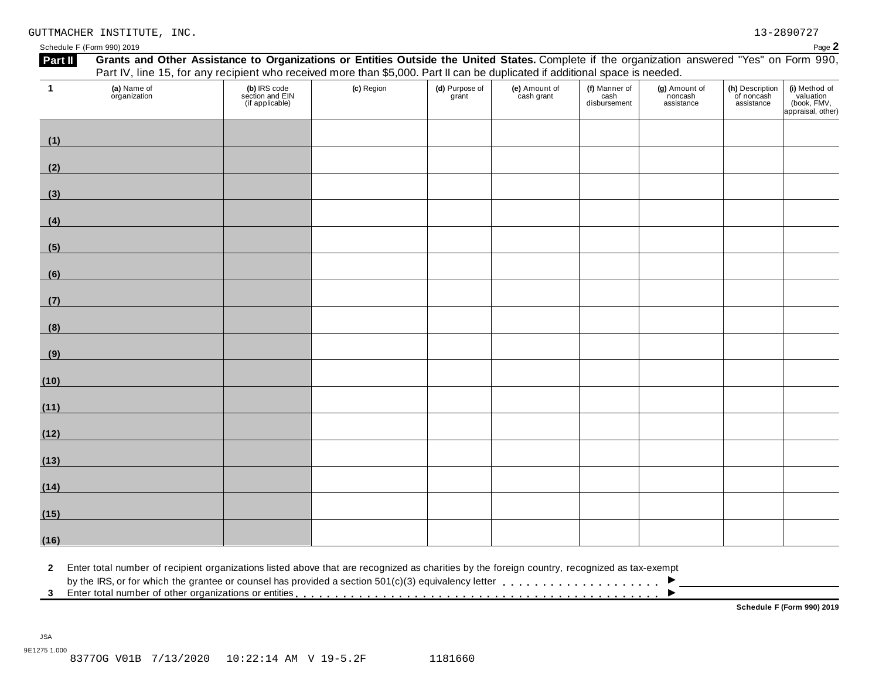Schedule <sup>F</sup> (Form 990) <sup>2019</sup> Page **2**

JSA

| $\mathbf{1}$                 | (a) Name of<br>organization | (b) IRS code<br>section and EIN<br>(if applicable)                                                                                           | (c) Region | (d) Purpose of<br>grant | (e) Amount of<br>cash grant | (f) Manner of<br>cash<br>disbursement | (g) Amount of<br>noncash<br>assistance | (h) Description<br>of noncash<br>assistance | (i) Method of<br>valuation<br>(book, FMV,<br>appraisal, other) |
|------------------------------|-----------------------------|----------------------------------------------------------------------------------------------------------------------------------------------|------------|-------------------------|-----------------------------|---------------------------------------|----------------------------------------|---------------------------------------------|----------------------------------------------------------------|
| (1)                          |                             |                                                                                                                                              |            |                         |                             |                                       |                                        |                                             |                                                                |
| (2)                          |                             |                                                                                                                                              |            |                         |                             |                                       |                                        |                                             |                                                                |
| (3)                          |                             |                                                                                                                                              |            |                         |                             |                                       |                                        |                                             |                                                                |
| (4)                          |                             |                                                                                                                                              |            |                         |                             |                                       |                                        |                                             |                                                                |
| (5)                          |                             |                                                                                                                                              |            |                         |                             |                                       |                                        |                                             |                                                                |
| (6)                          |                             |                                                                                                                                              |            |                         |                             |                                       |                                        |                                             |                                                                |
| (7)                          |                             |                                                                                                                                              |            |                         |                             |                                       |                                        |                                             |                                                                |
| (8)                          |                             |                                                                                                                                              |            |                         |                             |                                       |                                        |                                             |                                                                |
| (9)                          |                             |                                                                                                                                              |            |                         |                             |                                       |                                        |                                             |                                                                |
| (10)                         |                             |                                                                                                                                              |            |                         |                             |                                       |                                        |                                             |                                                                |
| (11)                         |                             |                                                                                                                                              |            |                         |                             |                                       |                                        |                                             |                                                                |
| (12)                         |                             |                                                                                                                                              |            |                         |                             |                                       |                                        |                                             |                                                                |
| (13)                         |                             |                                                                                                                                              |            |                         |                             |                                       |                                        |                                             |                                                                |
| (14)                         |                             |                                                                                                                                              |            |                         |                             |                                       |                                        |                                             |                                                                |
| (15)                         |                             |                                                                                                                                              |            |                         |                             |                                       |                                        |                                             |                                                                |
| (16)                         |                             |                                                                                                                                              |            |                         |                             |                                       |                                        |                                             |                                                                |
| $\mathbf{2}$<br>$\mathbf{3}$ |                             | Enter total number of recipient organizations listed above that are recognized as charities by the foreign country, recognized as tax-exempt |            |                         |                             |                                       | ▶                                      |                                             |                                                                |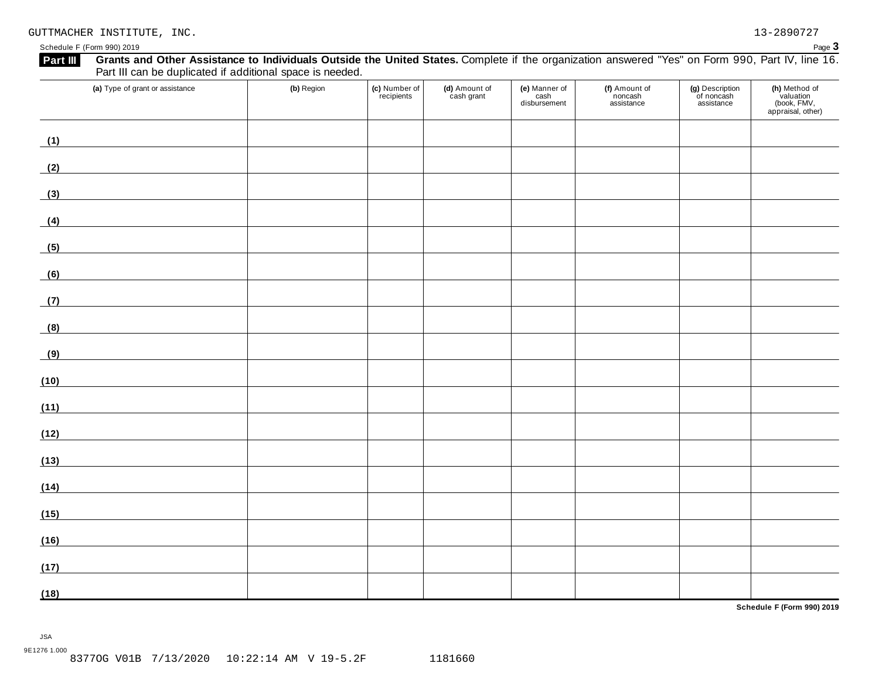Schedule <sup>F</sup> (Form 990) <sup>2019</sup> Page **3**

| (a) Type of grant or assistance                                                                                               | (b) Region | (c) Number of<br>recipients | (d) Amount of<br>cash grant | (e) Manner of<br>cash<br>disbursement | (f) Amount of<br>noncash<br>assistance | (g) Description<br>of noncash<br>assistance | (h) Method of<br>valuation<br>(book, FMV,<br>appraisal, other) |
|-------------------------------------------------------------------------------------------------------------------------------|------------|-----------------------------|-----------------------------|---------------------------------------|----------------------------------------|---------------------------------------------|----------------------------------------------------------------|
| (1)<br><u> 1980 - Johann Barbara, martxa al</u>                                                                               |            |                             |                             |                                       |                                        |                                             |                                                                |
| (2)<br><u> 1989 - Johann Barbara, martxa alemaniar a</u>                                                                      |            |                             |                             |                                       |                                        |                                             |                                                                |
| (3)                                                                                                                           |            |                             |                             |                                       |                                        |                                             |                                                                |
| (4)                                                                                                                           |            |                             |                             |                                       |                                        |                                             |                                                                |
| <u> 1980 - Andrea Station Barbara, amerikan per</u><br>(5)                                                                    |            |                             |                             |                                       |                                        |                                             |                                                                |
| (6)                                                                                                                           |            |                             |                             |                                       |                                        |                                             |                                                                |
| (7)                                                                                                                           |            |                             |                             |                                       |                                        |                                             |                                                                |
| (8)<br><u> 1989 - Johann Barbara, martxa alemaniar a</u>                                                                      |            |                             |                             |                                       |                                        |                                             |                                                                |
| (9)                                                                                                                           |            |                             |                             |                                       |                                        |                                             |                                                                |
| (10)<br><u> 1980 - Andrea Station Barbara, actor a contrador de la contrador de la contrador de la contrador de la contra</u> |            |                             |                             |                                       |                                        |                                             |                                                                |
| (11)<br><u> 1980 - Andrea Station Barbara, amerikan per</u>                                                                   |            |                             |                             |                                       |                                        |                                             |                                                                |
| (12)                                                                                                                          |            |                             |                             |                                       |                                        |                                             |                                                                |
| (13)                                                                                                                          |            |                             |                             |                                       |                                        |                                             |                                                                |
| (14)<br>the control of the control of the control of the control of                                                           |            |                             |                             |                                       |                                        |                                             |                                                                |
| (15)<br><u> 1989 - Johann Barn, mars ann an t-Amhain Aonaich an t-Aonaich an t-Aonaich an t-Aonaich an t-Aonaich an t-Aon</u> |            |                             |                             |                                       |                                        |                                             |                                                                |
| (16)                                                                                                                          |            |                             |                             |                                       |                                        |                                             |                                                                |
| (17)                                                                                                                          |            |                             |                             |                                       |                                        |                                             |                                                                |
| (18)                                                                                                                          |            |                             |                             |                                       |                                        |                                             |                                                                |

**Schedule F (Form 990) 2019**

JSA 9E1276 1.000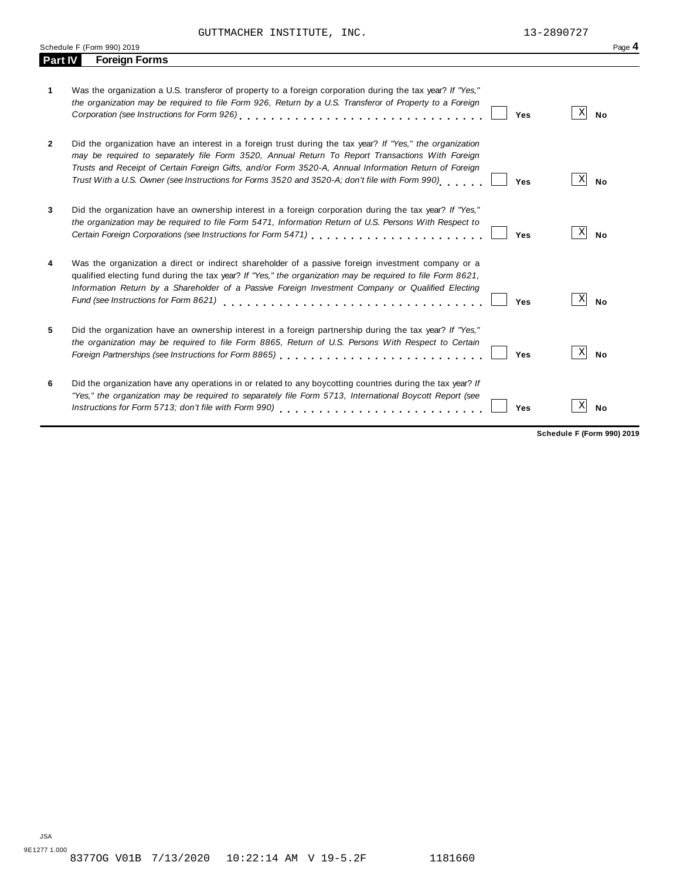|                | Schedule F (Form 990) 2019                                                                                                                                                                                                                                                                                                                                                                                                                             | Page 4                       |
|----------------|--------------------------------------------------------------------------------------------------------------------------------------------------------------------------------------------------------------------------------------------------------------------------------------------------------------------------------------------------------------------------------------------------------------------------------------------------------|------------------------------|
| <b>Part IV</b> | <b>Foreign Forms</b>                                                                                                                                                                                                                                                                                                                                                                                                                                   |                              |
| 1              | Was the organization a U.S. transferor of property to a foreign corporation during the tax year? If "Yes,"<br>the organization may be required to file Form 926, Return by a U.S. Transferor of Property to a Foreign<br>Yes                                                                                                                                                                                                                           | Χ<br><b>No</b>               |
| $\mathbf{2}$   | Did the organization have an interest in a foreign trust during the tax year? If "Yes," the organization<br>may be required to separately file Form 3520, Annual Return To Report Transactions With Foreign<br>Trusts and Receipt of Certain Foreign Gifts, and/or Form 3520-A, Annual Information Return of Foreign<br>Trust With a U.S. Owner (see Instructions for Forms 3520 and 3520-A; don't file with Form 990)<br>Yes                          | Χ<br><b>No</b>               |
| 3              | Did the organization have an ownership interest in a foreign corporation during the tax year? If "Yes,"<br>the organization may be required to file Form 5471, Information Return of U.S. Persons With Respect to<br>Certain Foreign Corporations (see Instructions for Form 5471)<br>Yes                                                                                                                                                              | X<br><b>No</b>               |
| 4              | Was the organization a direct or indirect shareholder of a passive foreign investment company or a<br>qualified electing fund during the tax year? If "Yes," the organization may be required to file Form 8621,<br>Information Return by a Shareholder of a Passive Foreign Investment Company or Qualified Electing<br>Fund (see Instructions for Form 8621)<br>Yes                                                                                  | X<br><b>No</b>               |
| 5              | Did the organization have an ownership interest in a foreign partnership during the tax year? If "Yes,"<br>the organization may be required to file Form 8865, Return of U.S. Persons With Respect to Certain<br>Foreign Partnerships (see Instructions for Form 8865) [11] [12] The contract of the contract of the contract of the contract of the contract of the contract of the contract of the contract of the contract of the contract o<br>Yes | $\vert X \vert$<br><b>No</b> |
| 6              | Did the organization have any operations in or related to any boycotting countries during the tax year? If<br>"Yes," the organization may be required to separately file Form 5713, International Boycott Report (see<br>Instructions for Form 5713; don't file with Form 990)<br><b>Yes</b>                                                                                                                                                           | Χ<br>No                      |

**Schedule F (Form 990) 2019**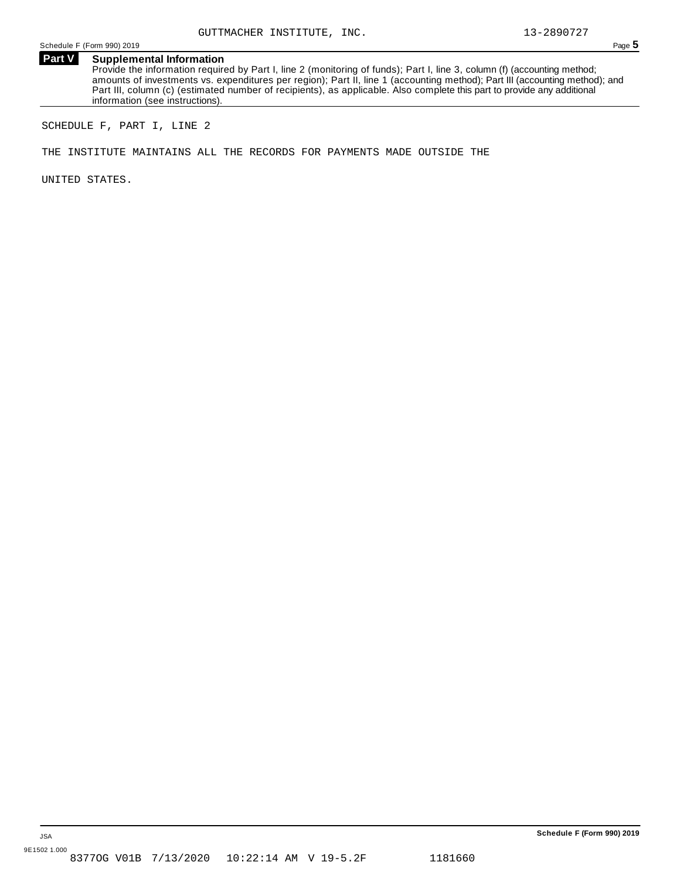Schedule <sup>F</sup> (Form 990) <sup>2019</sup> Page **5**

**Part V Supplemental Information** Provide the information required by Part I, line 2 (monitoring of funds); Part I, line 3, column (f) (accounting method; amounts of investments vs. expenditures per region); Part II, line 1 (accounting method); Part III (accounting method); and Part III, column (c) (estimated number of recipients), as applicable. Also complete this part to provide any additional information (see instructions).

SCHEDULE F, PART I, LINE 2

THE INSTITUTE MAINTAINS ALL THE RECORDS FOR PAYMENTS MADE OUTSIDE THE

UNITED STATES.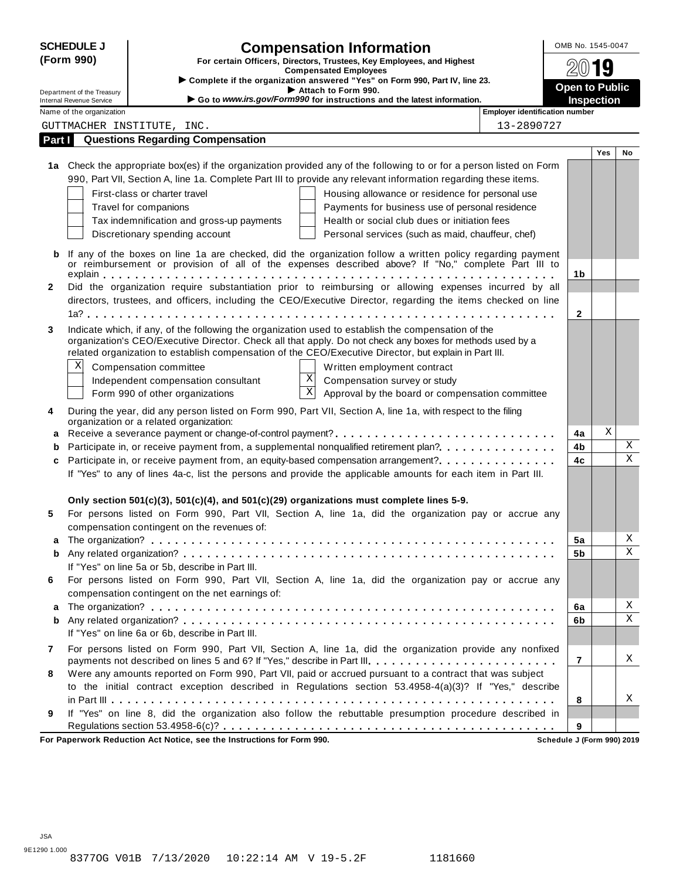|              | <b>SCHEDULE J</b>                                    | <b>Compensation Information</b>                                                                                                                                                                                     |                                                   | OMB No. 1545-0047          |                   |             |
|--------------|------------------------------------------------------|---------------------------------------------------------------------------------------------------------------------------------------------------------------------------------------------------------------------|---------------------------------------------------|----------------------------|-------------------|-------------|
|              | (Form 990)                                           | For certain Officers, Directors, Trustees, Key Employees, and Highest                                                                                                                                               |                                                   |                            | g                 |             |
|              |                                                      | <b>Compensated Employees</b><br>Complete if the organization answered "Yes" on Form 990, Part IV, line 23.                                                                                                          |                                                   |                            |                   |             |
|              | Department of the Treasury                           | Attach to Form 990.<br>Go to www.irs.gov/Form990 for instructions and the latest information.                                                                                                                       |                                                   | <b>Open to Public</b>      |                   |             |
|              | Internal Revenue Service<br>Name of the organization |                                                                                                                                                                                                                     | Employer identification number                    |                            | <b>Inspection</b> |             |
|              |                                                      | GUTTMACHER INSTITUTE, INC.                                                                                                                                                                                          | 13-2890727                                        |                            |                   |             |
| Part I       |                                                      | <b>Questions Regarding Compensation</b>                                                                                                                                                                             |                                                   |                            |                   |             |
|              |                                                      |                                                                                                                                                                                                                     |                                                   |                            | <b>Yes</b>        | No          |
|              |                                                      | 1a Check the appropriate box(es) if the organization provided any of the following to or for a person listed on Form                                                                                                |                                                   |                            |                   |             |
|              |                                                      | 990, Part VII, Section A, line 1a. Complete Part III to provide any relevant information regarding these items.                                                                                                     |                                                   |                            |                   |             |
|              |                                                      | First-class or charter travel                                                                                                                                                                                       | Housing allowance or residence for personal use   |                            |                   |             |
|              |                                                      | Travel for companions                                                                                                                                                                                               | Payments for business use of personal residence   |                            |                   |             |
|              |                                                      | Tax indemnification and gross-up payments                                                                                                                                                                           | Health or social club dues or initiation fees     |                            |                   |             |
|              |                                                      | Discretionary spending account                                                                                                                                                                                      | Personal services (such as maid, chauffeur, chef) |                            |                   |             |
| b            |                                                      | If any of the boxes on line 1a are checked, did the organization follow a written policy regarding payment                                                                                                          |                                                   |                            |                   |             |
|              |                                                      | or reimbursement or provision of all of the expenses described above? If "No," complete Part III to                                                                                                                 |                                                   |                            |                   |             |
|              |                                                      |                                                                                                                                                                                                                     |                                                   | 1b                         |                   |             |
| $\mathbf{2}$ |                                                      | Did the organization require substantiation prior to reimbursing or allowing expenses incurred by all                                                                                                               |                                                   |                            |                   |             |
|              |                                                      | directors, trustees, and officers, including the CEO/Executive Director, regarding the items checked on line                                                                                                        |                                                   |                            |                   |             |
|              |                                                      |                                                                                                                                                                                                                     |                                                   | 2                          |                   |             |
| 3            |                                                      | Indicate which, if any, of the following the organization used to establish the compensation of the                                                                                                                 |                                                   |                            |                   |             |
|              |                                                      | organization's CEO/Executive Director. Check all that apply. Do not check any boxes for methods used by a<br>related organization to establish compensation of the CEO/Executive Director, but explain in Part III. |                                                   |                            |                   |             |
|              | Χ                                                    | Compensation committee                                                                                                                                                                                              | Written employment contract                       |                            |                   |             |
|              |                                                      | $\mathbf{x}$<br>Independent compensation consultant                                                                                                                                                                 | Compensation survey or study                      |                            |                   |             |
|              |                                                      | $\overline{\mathbf{x}}$<br>Form 990 of other organizations                                                                                                                                                          | Approval by the board or compensation committee   |                            |                   |             |
|              |                                                      |                                                                                                                                                                                                                     |                                                   |                            |                   |             |
| 4            |                                                      | During the year, did any person listed on Form 990, Part VII, Section A, line 1a, with respect to the filing<br>organization or a related organization:                                                             |                                                   |                            |                   |             |
| a            |                                                      |                                                                                                                                                                                                                     |                                                   | 4a                         | Χ                 |             |
| b            |                                                      | Participate in, or receive payment from, a supplemental nonqualified retirement plan?                                                                                                                               |                                                   | 4b                         |                   | X           |
| c            |                                                      | Participate in, or receive payment from, an equity-based compensation arrangement?                                                                                                                                  |                                                   | 4c                         |                   | $\mathbf X$ |
|              |                                                      | If "Yes" to any of lines 4a-c, list the persons and provide the applicable amounts for each item in Part III.                                                                                                       |                                                   |                            |                   |             |
|              |                                                      |                                                                                                                                                                                                                     |                                                   |                            |                   |             |
|              |                                                      | Only section $501(c)(3)$ , $501(c)(4)$ , and $501(c)(29)$ organizations must complete lines 5-9.                                                                                                                    |                                                   |                            |                   |             |
| 5            |                                                      | For persons listed on Form 990, Part VII, Section A, line 1a, did the organization pay or accrue any                                                                                                                |                                                   |                            |                   |             |
|              |                                                      | compensation contingent on the revenues of:                                                                                                                                                                         |                                                   |                            |                   |             |
|              |                                                      |                                                                                                                                                                                                                     |                                                   | 5a                         |                   | Χ           |
| b            |                                                      |                                                                                                                                                                                                                     |                                                   | 5b                         |                   | Χ           |
|              |                                                      | If "Yes" on line 5a or 5b, describe in Part III.                                                                                                                                                                    |                                                   |                            |                   |             |
| 6            |                                                      | For persons listed on Form 990, Part VII, Section A, line 1a, did the organization pay or accrue any                                                                                                                |                                                   |                            |                   |             |
|              |                                                      | compensation contingent on the net earnings of:                                                                                                                                                                     |                                                   |                            |                   |             |
| a            |                                                      |                                                                                                                                                                                                                     |                                                   | 6a                         |                   | Χ<br>X      |
| b            |                                                      |                                                                                                                                                                                                                     |                                                   | 6b                         |                   |             |
|              |                                                      | If "Yes" on line 6a or 6b, describe in Part III.                                                                                                                                                                    |                                                   |                            |                   |             |
| 7            |                                                      | For persons listed on Form 990, Part VII, Section A, line 1a, did the organization provide any nonfixed                                                                                                             |                                                   | $\overline{7}$             |                   | Χ           |
| 8            |                                                      | payments not described on lines 5 and 6? If "Yes," describe in Part III.<br>Were any amounts reported on Form 990, Part VII, paid or accrued pursuant to a contract that was subject                                |                                                   |                            |                   |             |
|              |                                                      | to the initial contract exception described in Regulations section 53.4958-4(a)(3)? If "Yes," describe                                                                                                              |                                                   |                            |                   |             |
|              |                                                      |                                                                                                                                                                                                                     |                                                   | 8                          |                   | Χ           |
| 9            |                                                      | If "Yes" on line 8, did the organization also follow the rebuttable presumption procedure described in                                                                                                              |                                                   |                            |                   |             |
|              |                                                      |                                                                                                                                                                                                                     |                                                   | 9                          |                   |             |
|              |                                                      | For Paperwork Reduction Act Notice, see the Instructions for Form 990.                                                                                                                                              |                                                   | Schedule J (Form 990) 2019 |                   |             |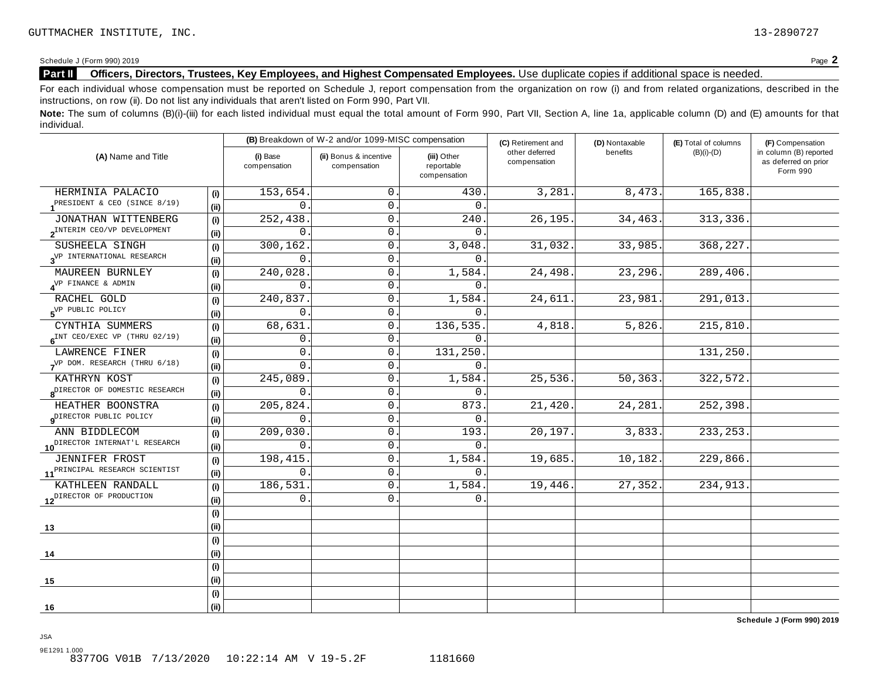Schedule <sup>J</sup> (Form 990) <sup>2019</sup> Page **2**

# **Part II Officers, Directors, Trustees, Key Employees, and Highest Compensated Employees.** Use duplicate copies ifadditional space is needed.

For each individual whose compensation must be reported on Schedule J, report compensation from the organization on row (i) and from related organizations, described in the instructions, on row (ii). Do not list any individuals that aren't listed on Form 990, Part VII.

Note: The sum of columns (B)(i)-(iii) for each listed individual must equal the total amount of Form 990, Part VII, Section A, line 1a, applicable column (D) and (E) amounts for that individual.

|                                               |      |                          | (B) Breakdown of W-2 and/or 1099-MISC compensation |                                           | (C) Retirement and             | (D) Nontaxable | (E) Total of columns | (F) Compensation                                           |
|-----------------------------------------------|------|--------------------------|----------------------------------------------------|-------------------------------------------|--------------------------------|----------------|----------------------|------------------------------------------------------------|
| (A) Name and Title                            |      | (i) Base<br>compensation | (ii) Bonus & incentive<br>compensation             | (iii) Other<br>reportable<br>compensation | other deferred<br>compensation | benefits       | $(B)(i)-(D)$         | in column (B) reported<br>as deferred on prior<br>Form 990 |
| HERMINIA PALACIO                              | (i)  | 153,654.                 | $\overline{0}$                                     | 430                                       | 3,281.                         | 8,473.         | 165,838.             |                                                            |
| 1 <sup>PRESIDENT &amp; CEO (SINCE 8/19)</sup> | (ii) | $\Omega$                 | $\mathsf{O}$ .                                     | $\Omega$ .                                |                                |                |                      |                                                            |
| JONATHAN WITTENBERG                           | (i)  | 252,438                  | 0.                                                 | 240                                       | 26, 195.                       | 34,463.        | 313,336.             |                                                            |
| 2 <sup>INTERIM</sup> CEO/VP DEVELOPMENT       | (i)  | $\mathbf 0$              | $\mathsf{O}$ .                                     | $\Omega$                                  |                                |                |                      |                                                            |
| SUSHEELA SINGH                                | (i)  | 300,162                  | $\mathsf{O}$ .                                     | 3,048.                                    | 31,032.                        | 33,985.        | 368,227.             |                                                            |
| 3 <sup>VP</sup> INTERNATIONAL RESEARCH        | (i)  | 0                        | $\mathsf{O}$ .                                     | $\Omega$ .                                |                                |                |                      |                                                            |
| MAUREEN BURNLEY                               | (i)  | 240,028                  | $\mathsf O$ .                                      | 1,584.                                    | 24,498.                        | 23,296.        | 289,406.             |                                                            |
| <b>A</b> <sup>VP</sup> FINANCE & ADMIN        | (i)  | 0                        | 0                                                  | $\mathbf 0$ .                             |                                |                |                      |                                                            |
| RACHEL GOLD                                   | (i)  | 240,837                  | 0                                                  | 1,584.                                    | 24,611                         | 23,981         | 291,013.             |                                                            |
| 5 <sup>VP</sup> PUBLIC POLICY                 | (i)  | 0                        | 0                                                  | 0.                                        |                                |                |                      |                                                            |
| CYNTHIA SUMMERS                               | (i)  | 68,631                   | 0                                                  | 136,535.                                  | 4,818.                         | 5,826.         | 215,810.             |                                                            |
| $6^{INT}$ CEO/EXEC VP (THRU 02/19)            | (i)  | $\mathsf{O}$ .           | $\mathsf{O}$ .                                     | $\mathbf 0$ .                             |                                |                |                      |                                                            |
| LAWRENCE FINER                                | (i)  | 0                        | $\mathbf{0}$ .                                     | 131,250                                   |                                |                | 131,250.             |                                                            |
| VP DOM. RESEARCH (THRU 6/18)                  | (ii) | $\mathbf 0$              | $\mathbf{0}$ .                                     | $\Omega$                                  |                                |                |                      |                                                            |
| KATHRYN KOST                                  | (i)  | 245,089                  | 0.                                                 | 1,584.                                    | 25,536.                        | 50,363.        | 322,572.             |                                                            |
| <b>8</b> DIRECTOR OF DOMESTIC RESEARCH        | (i)  | 0                        | 0.                                                 | $\mathbf 0$ .                             |                                |                |                      |                                                            |
| HEATHER BOONSTRA                              | (i)  | 205,824.                 | 0.                                                 | 873                                       | 21,420.                        | 24,281.        | 252,398.             |                                                            |
| O <sup>DIRECTOR</sup> PUBLIC POLICY           | (ii) | $\mathbf 0$              | 0                                                  | $\mathbf 0$ .                             |                                |                |                      |                                                            |
| ANN BIDDLECOM                                 | (i)  | 209,030                  | $\mathsf{O}$ .                                     | 193                                       | 20,197.                        | 3,833.         | 233, 253.            |                                                            |
| 10 <sup>DIRECTOR</sup> INTERNAT'L RESEARCH    | (i)  | 0                        | $\mathsf{O}$ .                                     | $\Omega$                                  |                                |                |                      |                                                            |
| <b>JENNIFER FROST</b>                         | (i)  | 198,415                  | $\mathsf O$ .                                      | 1,584.                                    | 19,685.                        | 10, 182.       | 229,866.             |                                                            |
| 11 <sup>PRINCIPAL RESEARCH</sup> SCIENTIST    | (i)  | $\mathbf 0$              | $\mathsf O$ .                                      | $\Omega$ .                                |                                |                |                      |                                                            |
| KATHLEEN RANDALL                              | (i)  | 186,531                  | $\mathbf{0}$ .                                     | 1,584.                                    | 19,446.                        | 27, 352.       | 234,913.             |                                                            |
| 12 <sup>DIRECTOR</sup> OF PRODUCTION          | (i)  | 0                        | 0                                                  | $\Omega$                                  |                                |                |                      |                                                            |
|                                               | (i)  |                          |                                                    |                                           |                                |                |                      |                                                            |
| 13                                            | (i)  |                          |                                                    |                                           |                                |                |                      |                                                            |
|                                               | (i)  |                          |                                                    |                                           |                                |                |                      |                                                            |
| 14                                            | (ii) |                          |                                                    |                                           |                                |                |                      |                                                            |
|                                               | (i)  |                          |                                                    |                                           |                                |                |                      |                                                            |
| 15                                            | (ii) |                          |                                                    |                                           |                                |                |                      |                                                            |
|                                               | (i)  |                          |                                                    |                                           |                                |                |                      |                                                            |
| 16                                            | (ii) |                          |                                                    |                                           |                                |                |                      |                                                            |

**Schedule J (Form 990) 2019**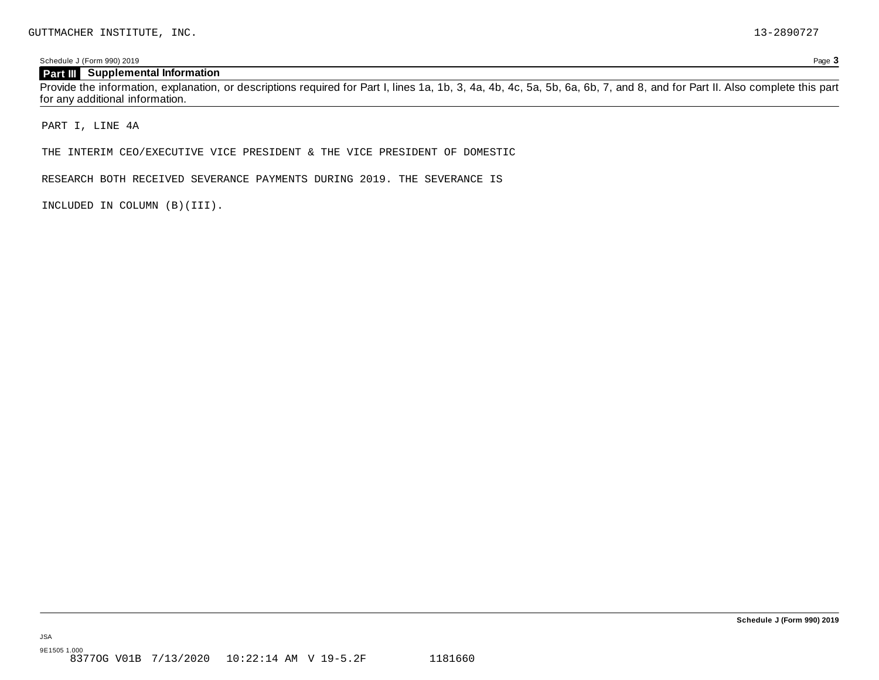Schedule J (Form 990) 2019 Page **3**

## **Part III Supplemental Information**

Provide the information, explanation, or descriptions required for Part I, lines 1a, 1b, 3, 4a, 4b, 4c, 5a, 5b, 6a, 6b, 7, and 8, and for Part II. Also complete this part for any additional information.

PART I, LINE 4A

THE INTERIM CEO/EXECUTIVE VICE PRESIDENT & THE VICE PRESIDENT OF DOMESTIC

RESEARCH BOTH RECEIVED SEVERANCE PAYMENTS DURING 2019. THE SEVERANCE IS

INCLUDED IN COLUMN (B)(III).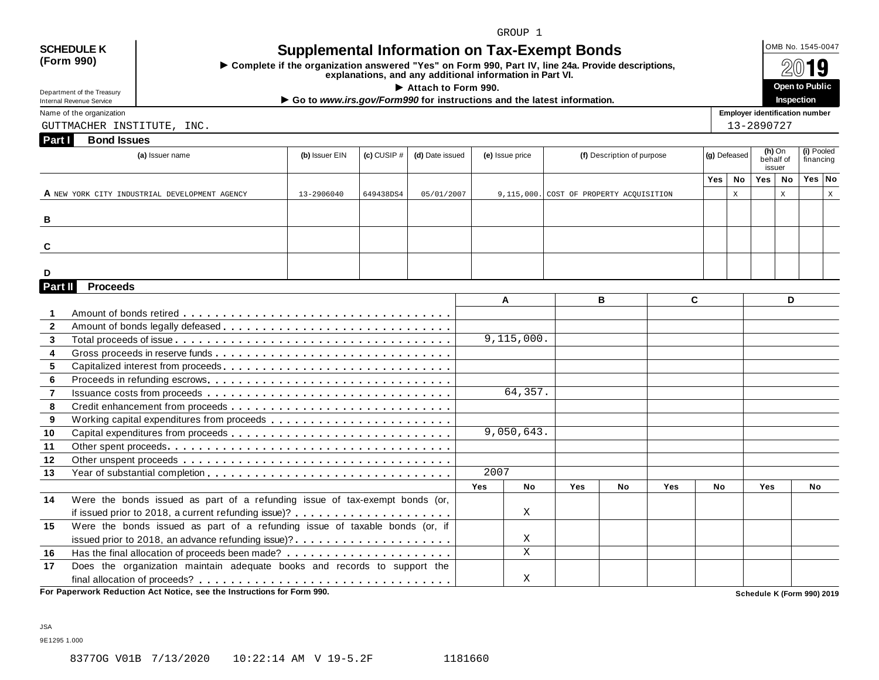| ۰. |  |
|----|--|
|----|--|

# **(Form 990)**

# SCHEDULE K  $\bigcup_{\text{OMB No. 1545-0047}}$  **Supplemental Information on Tax-Exempt Bonds**

 $\triangleright$  Complete if the organization answered "Yes" on Form 990, Part IV, line 24a. Provide descriptions,<br>explanations, and any additional information in Part VI.

Department of the Treasury<br>Internal Revenue Service

Department of the Treasury<br>
Internal Revenue Service **Department of the Treasury** Open to Public<br>
Inspection<br>
Name of the organization



GUTTMACHER INSTITUTE, INC. 13-2890727

| (a) Issuer name                               | (b) Issuer EIN | $\vert$ (c) CUSIP # $\vert$ | (d) Date issued | (e) Issue price | (f) Description of purpose              | $ $ (g) Defeased $ $ |    |     | (h) On<br>behalf of<br>issuer | (i) Pooled<br>financing |  |
|-----------------------------------------------|----------------|-----------------------------|-----------------|-----------------|-----------------------------------------|----------------------|----|-----|-------------------------------|-------------------------|--|
|                                               |                |                             |                 |                 |                                         | Yes                  | No | Yes | No                            | Yes No                  |  |
| A NEW YORK CITY INDUSTRIAL DEVELOPMENT AGENCY | 13-2906040     | 649438DS4                   | 05/01/2007      |                 | 9,115,000. COST OF PROPERTY ACQUISITION |                      |    |     | $\ddot{}$<br>▵                |                         |  |
| в                                             |                |                             |                 |                 |                                         |                      |    |     |                               |                         |  |
| C                                             |                |                             |                 |                 |                                         |                      |    |     |                               |                         |  |
| D                                             |                |                             |                 |                 |                                         |                      |    |     |                               |                         |  |
| <b>Part II</b><br><b>Proceeds</b>             |                |                             |                 |                 |                                         |                      |    |     |                               |                         |  |

|                |                                                                             |            | A          |            | в         | C.         |           |            | D                          |
|----------------|-----------------------------------------------------------------------------|------------|------------|------------|-----------|------------|-----------|------------|----------------------------|
|                |                                                                             |            |            |            |           |            |           |            |                            |
| $\overline{2}$ |                                                                             |            |            |            |           |            |           |            |                            |
| $\mathbf{3}$   |                                                                             |            | 9,115,000. |            |           |            |           |            |                            |
| 4              |                                                                             |            |            |            |           |            |           |            |                            |
| 5              |                                                                             |            |            |            |           |            |           |            |                            |
| 6              |                                                                             |            |            |            |           |            |           |            |                            |
| $\overline{7}$ |                                                                             |            | 64,357.    |            |           |            |           |            |                            |
| 8              |                                                                             |            |            |            |           |            |           |            |                            |
| 9              |                                                                             |            |            |            |           |            |           |            |                            |
| 10             |                                                                             |            | 9,050,643. |            |           |            |           |            |                            |
| 11             |                                                                             |            |            |            |           |            |           |            |                            |
| 12             |                                                                             |            |            |            |           |            |           |            |                            |
| 13             | Year of substantial completion                                              | 2007       |            |            |           |            |           |            |                            |
|                |                                                                             | <b>Yes</b> | <b>No</b>  | <b>Yes</b> | <b>No</b> | <b>Yes</b> | <b>No</b> | <b>Yes</b> | No                         |
| 14             | Were the bonds issued as part of a refunding issue of tax-exempt bonds (or, |            |            |            |           |            |           |            |                            |
|                |                                                                             |            | X          |            |           |            |           |            |                            |
| 15             | Were the bonds issued as part of a refunding issue of taxable bonds (or, if |            |            |            |           |            |           |            |                            |
|                |                                                                             |            | X          |            |           |            |           |            |                            |
| 16             |                                                                             |            | X          |            |           |            |           |            |                            |
| 17             | Does the organization maintain adequate books and records to support the    |            |            |            |           |            |           |            |                            |
|                |                                                                             |            | X          |            |           |            |           |            |                            |
|                | For Paperwork Reduction Act Notice, see the Instructions for Form 990.      |            |            |            |           |            |           |            | Schedule K (Form 990) 2019 |

JSA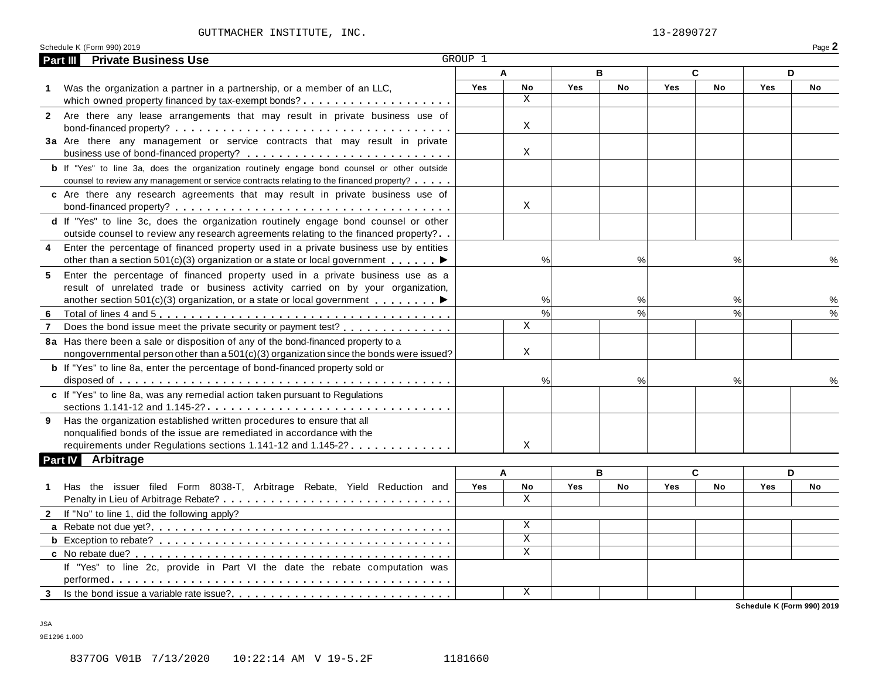| Dogo<br>-aue ∡ |  |
|----------------|--|
|                |  |

| Part III       | <b>Private Business Use</b>                                                                   | GROUP 1 |                          |     |               |     |                          |     |               |
|----------------|-----------------------------------------------------------------------------------------------|---------|--------------------------|-----|---------------|-----|--------------------------|-----|---------------|
|                |                                                                                               | A       |                          |     | B             |     | C                        | D   |               |
| -1             | Was the organization a partner in a partnership, or a member of an LLC,                       | Yes     | No                       | Yes | No            | Yes | No                       | Yes | No            |
|                |                                                                                               |         | X                        |     |               |     |                          |     |               |
|                | 2 Are there any lease arrangements that may result in private business use of                 |         |                          |     |               |     |                          |     |               |
|                |                                                                                               |         | Χ                        |     |               |     |                          |     |               |
|                | 3a Are there any management or service contracts that may result in private                   |         |                          |     |               |     |                          |     |               |
|                |                                                                                               |         | X                        |     |               |     |                          |     |               |
|                | b If "Yes" to line 3a, does the organization routinely engage bond counsel or other outside   |         |                          |     |               |     |                          |     |               |
|                | counsel to review any management or service contracts relating to the financed property?      |         |                          |     |               |     |                          |     |               |
|                | c Are there any research agreements that may result in private business use of                |         |                          |     |               |     |                          |     |               |
|                |                                                                                               |         | X                        |     |               |     |                          |     |               |
|                | d If "Yes" to line 3c, does the organization routinely engage bond counsel or other           |         |                          |     |               |     |                          |     |               |
|                | outside counsel to review any research agreements relating to the financed property?          |         |                          |     |               |     |                          |     |               |
| 4              | Enter the percentage of financed property used in a private business use by entities          |         |                          |     |               |     |                          |     |               |
|                | other than a section 501(c)(3) organization or a state or local government $\dots \dots$      |         | %                        |     | $\frac{0}{0}$ |     | %                        |     |               |
| 5              | Enter the percentage of financed property used in a private business use as a                 |         |                          |     |               |     |                          |     |               |
|                | result of unrelated trade or business activity carried on by your organization,               |         |                          |     |               |     |                          |     |               |
|                | another section 501(c)(3) organization, or a state or local government $\ldots \ldots \ldots$ |         | $\%$                     |     | %             |     | %                        |     | ℅             |
| 6              |                                                                                               |         | $\overline{\frac{9}{6}}$ |     | $\frac{1}{6}$ |     | $\overline{\frac{9}{6}}$ |     | $\frac{0}{0}$ |
| $\overline{7}$ | Does the bond issue meet the private security or payment test?                                |         | $\mathbf{x}$             |     |               |     |                          |     |               |
|                | 8a Has there been a sale or disposition of any of the bond-financed property to a             |         |                          |     |               |     |                          |     |               |
|                | nongovernmental person other than a 501(c)(3) organization since the bonds were issued?       |         | Χ                        |     |               |     |                          |     |               |
|                | <b>b</b> If "Yes" to line 8a, enter the percentage of bond-financed property sold or          |         |                          |     |               |     |                          |     |               |
|                |                                                                                               |         | $\%$                     |     | $\frac{0}{0}$ |     | $\%$                     |     |               |
|                | c If "Yes" to line 8a, was any remedial action taken pursuant to Regulations                  |         |                          |     |               |     |                          |     |               |
|                |                                                                                               |         |                          |     |               |     |                          |     |               |
| 9              | Has the organization established written procedures to ensure that all                        |         |                          |     |               |     |                          |     |               |
|                | nongualified bonds of the issue are remediated in accordance with the                         |         |                          |     |               |     |                          |     |               |
|                | requirements under Regulations sections 1.141-12 and 1.145-2?                                 |         | X                        |     |               |     |                          |     |               |
| Part IV        | <b>Arbitrage</b>                                                                              |         |                          |     |               |     |                          |     |               |
|                |                                                                                               | A       |                          |     | B             |     | C                        | D   |               |
| 1              | Has the issuer filed Form 8038-T, Arbitrage Rebate, Yield Reduction and                       | Yes     | No                       | Yes | No            | Yes | No                       | Yes | No            |
|                |                                                                                               |         | X                        |     |               |     |                          |     |               |
|                | 2 If "No" to line 1, did the following apply?                                                 |         |                          |     |               |     |                          |     |               |
|                |                                                                                               |         | X                        |     |               |     |                          |     |               |
|                |                                                                                               |         | Χ                        |     |               |     |                          |     |               |
|                |                                                                                               |         | $\mathbf X$              |     |               |     |                          |     |               |
|                | If "Yes" to line 2c, provide in Part VI the date the rebate computation was                   |         |                          |     |               |     |                          |     |               |
|                |                                                                                               |         |                          |     |               |     |                          |     |               |
|                |                                                                                               |         | X                        |     |               |     |                          |     |               |

JSA

9E1296 1.000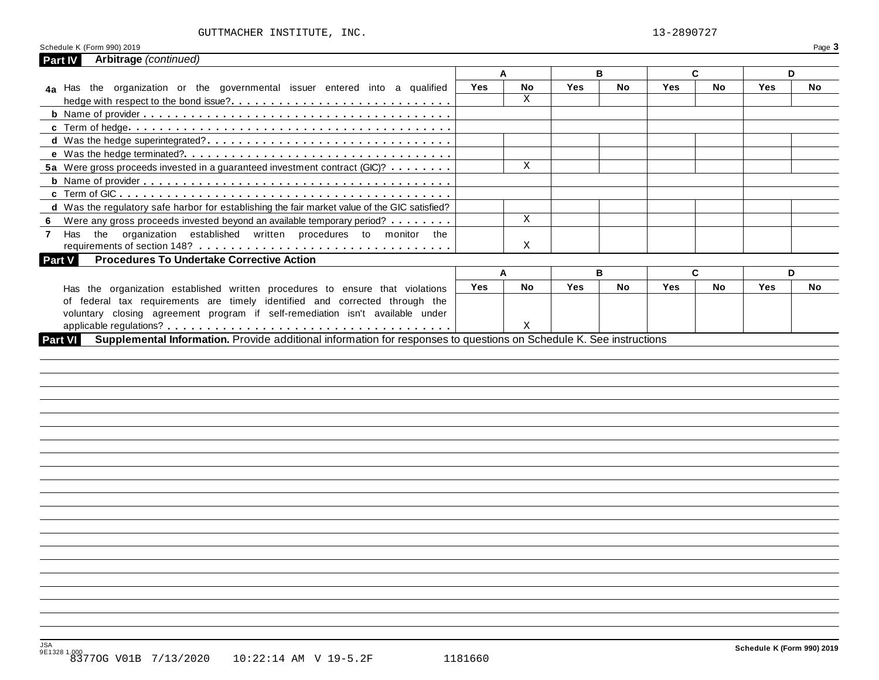| Arbitrage (continued)<br><b>Part IV</b>                                                                                               |            |              |            |           |            |           |            |    |
|---------------------------------------------------------------------------------------------------------------------------------------|------------|--------------|------------|-----------|------------|-----------|------------|----|
|                                                                                                                                       |            | A            |            | в         |            | C         |            | D  |
| 4a Has the organization or the governmental issuer entered into a qualified                                                           | Yes        | No           | Yes        | <b>No</b> | <b>Yes</b> | No        | <b>Yes</b> | No |
|                                                                                                                                       |            | X            |            |           |            |           |            |    |
|                                                                                                                                       |            |              |            |           |            |           |            |    |
|                                                                                                                                       |            |              |            |           |            |           |            |    |
|                                                                                                                                       |            |              |            |           |            |           |            |    |
|                                                                                                                                       |            |              |            |           |            |           |            |    |
| 5a Were gross proceeds invested in a guaranteed investment contract (GIC)?                                                            |            | $\mathbf X$  |            |           |            |           |            |    |
|                                                                                                                                       |            |              |            |           |            |           |            |    |
|                                                                                                                                       |            |              |            |           |            |           |            |    |
| d Was the regulatory safe harbor for establishing the fair market value of the GIC satisfied?                                         |            |              |            |           |            |           |            |    |
| 6 Were any gross proceeds invested beyond an available temporary period?                                                              |            | $\mathbf{X}$ |            |           |            |           |            |    |
| 7 Has the organization established written procedures to monitor the                                                                  |            |              |            |           |            |           |            |    |
|                                                                                                                                       |            | X            |            |           |            |           |            |    |
| <b>Procedures To Undertake Corrective Action</b><br>Part V                                                                            |            |              |            |           |            |           |            |    |
|                                                                                                                                       |            | A            |            | B         | C          |           |            | D  |
| Has the organization established written procedures to ensure that violations                                                         | <b>Yes</b> | <b>No</b>    | <b>Yes</b> | <b>No</b> | <b>Yes</b> | <b>No</b> | <b>Yes</b> | No |
| of federal tax requirements are timely identified and corrected through the                                                           |            |              |            |           |            |           |            |    |
|                                                                                                                                       |            |              |            |           |            |           |            |    |
| voluntary closing agreement program if self-remediation isn't available under                                                         |            |              |            |           |            |           |            |    |
| Supplemental Information. Provide additional information for responses to questions on Schedule K. See instructions<br><b>Part VI</b> |            | X            |            |           |            |           |            |    |
|                                                                                                                                       |            |              |            |           |            |           |            |    |
|                                                                                                                                       |            |              |            |           |            |           |            |    |
|                                                                                                                                       |            |              |            |           |            |           |            |    |
|                                                                                                                                       |            |              |            |           |            |           |            |    |
|                                                                                                                                       |            |              |            |           |            |           |            |    |
|                                                                                                                                       |            |              |            |           |            |           |            |    |
|                                                                                                                                       |            |              |            |           |            |           |            |    |
|                                                                                                                                       |            |              |            |           |            |           |            |    |
|                                                                                                                                       |            |              |            |           |            |           |            |    |
|                                                                                                                                       |            |              |            |           |            |           |            |    |
|                                                                                                                                       |            |              |            |           |            |           |            |    |
|                                                                                                                                       |            |              |            |           |            |           |            |    |
|                                                                                                                                       |            |              |            |           |            |           |            |    |
|                                                                                                                                       |            |              |            |           |            |           |            |    |
|                                                                                                                                       |            |              |            |           |            |           |            |    |
|                                                                                                                                       |            |              |            |           |            |           |            |    |
|                                                                                                                                       |            |              |            |           |            |           |            |    |
|                                                                                                                                       |            |              |            |           |            |           |            |    |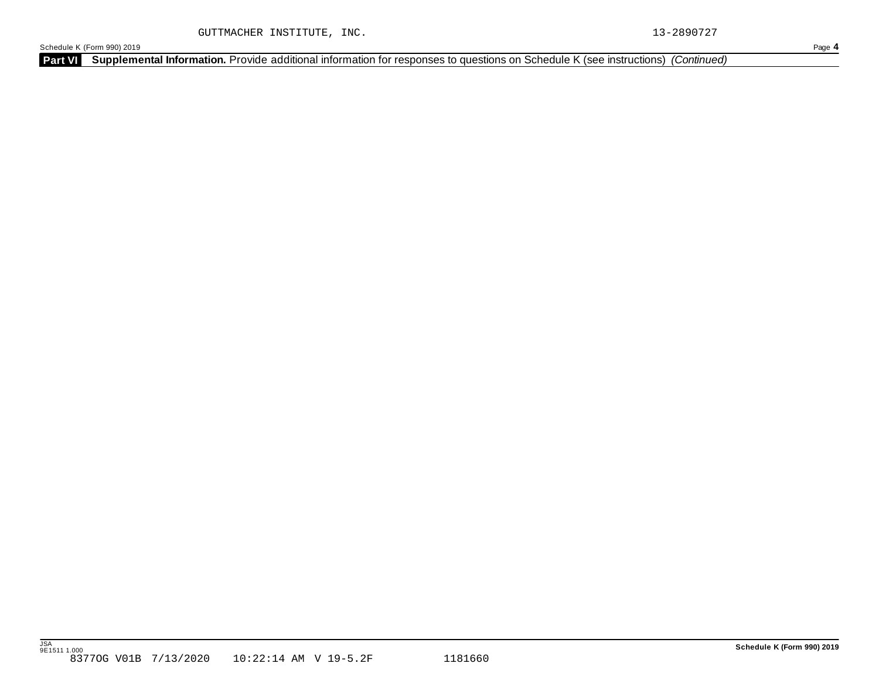Schedule K (Form 990) 2019 Page **4**

**Part VI Supplemental Information.** Provide additional information for responses to questions on Schedule K (see instructions) *(Continued)*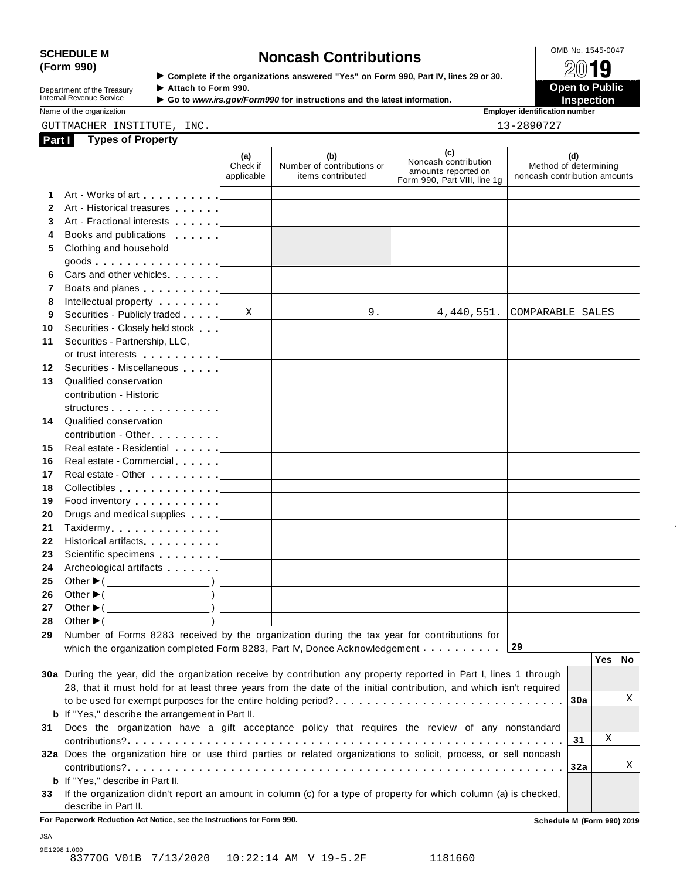# SCHEDULE M<br>
(Form 990) **Supplementary of the organizations answered** "Yes" on Form 990 Part IV lines 29 or 30

| Department of the Treasury |  |
|----------------------------|--|
| Internal Revenue Service   |  |

**Examplete** if the organizations answered "Yes" on Form 990, Part IV, lines 29 or 30. △<del>Ⅳ</del><br>▶ Attach to Form 990.  $\blacktriangleright$  Attach to Form 990. **Department of the Treasury ▶ Attach to Form 990.**<br>Internal Revenue Service ▶ Go to *www.irs.gov/Form990* for instructions and the latest information.<br>Nome of the organization aumhor



Name of the organization **intervalse and the original contract of the original contract of the original contract of the original contract of the original contract of the original contract of the original contract of the or** 

GUTTMACHER INSTITUTE, INC. 13-2890727

| TIAC |  |  |  |
|------|--|--|--|
|      |  |  |  |

| Part I       | <b>Types of Property</b>                                                                                                                                                                                                       |                               |                                                                                                                      |                                                                                    |                                                              |
|--------------|--------------------------------------------------------------------------------------------------------------------------------------------------------------------------------------------------------------------------------|-------------------------------|----------------------------------------------------------------------------------------------------------------------|------------------------------------------------------------------------------------|--------------------------------------------------------------|
|              |                                                                                                                                                                                                                                | (a)<br>Check if<br>applicable | (b)<br>Number of contributions or<br>items contributed                                                               | (c)<br>Noncash contribution<br>amounts reported on<br>Form 990, Part VIII, line 1g | (d)<br>Method of determining<br>noncash contribution amounts |
| 1            | Art - Works of art example and the set of the set of the set of the set of the set of the set of the set of the                                                                                                                |                               |                                                                                                                      |                                                                                    |                                                              |
| $\mathbf{2}$ | Art - Historical treasures                                                                                                                                                                                                     |                               |                                                                                                                      |                                                                                    |                                                              |
| 3            | Art - Fractional interests [1995]                                                                                                                                                                                              |                               |                                                                                                                      |                                                                                    |                                                              |
| 4            | Books and publications <b>Exercise 2</b>                                                                                                                                                                                       |                               |                                                                                                                      |                                                                                    |                                                              |
| 5            | Clothing and household                                                                                                                                                                                                         |                               |                                                                                                                      |                                                                                    |                                                              |
|              | goods <u>  _ _ _ _</u>                                                                                                                                                                                                         |                               |                                                                                                                      |                                                                                    |                                                              |
| 6            | Cars and other vehicles. <b>Cars</b>                                                                                                                                                                                           |                               |                                                                                                                      |                                                                                    |                                                              |
| 7            | Boats and planes <u>  _ _ _ _ _</u>                                                                                                                                                                                            |                               |                                                                                                                      |                                                                                    |                                                              |
| 8            |                                                                                                                                                                                                                                |                               |                                                                                                                      |                                                                                    |                                                              |
| 9            | Securities - Publicly traded                                                                                                                                                                                                   | $\mathbf{X}$                  | 9.                                                                                                                   | 4,440,551.                                                                         | COMPARABLE SALES                                             |
| 10           |                                                                                                                                                                                                                                |                               |                                                                                                                      |                                                                                    |                                                              |
| 11           | Securities - Partnership, LLC,                                                                                                                                                                                                 |                               |                                                                                                                      |                                                                                    |                                                              |
|              | or trust interests<br><u> </u>                                                                                                                                                                                                 |                               |                                                                                                                      |                                                                                    |                                                              |
| 12           | Securities - Miscellaneous                                                                                                                                                                                                     |                               |                                                                                                                      |                                                                                    |                                                              |
| 13           | Qualified conservation                                                                                                                                                                                                         |                               |                                                                                                                      |                                                                                    |                                                              |
|              | contribution - Historic                                                                                                                                                                                                        |                               |                                                                                                                      |                                                                                    |                                                              |
|              | structures experience and the structures and the structures of the structure of the structure of the structure                                                                                                                 |                               |                                                                                                                      |                                                                                    |                                                              |
| 14           | Qualified conservation                                                                                                                                                                                                         |                               |                                                                                                                      |                                                                                    |                                                              |
|              | contribution - Other [19] Dental Property Letter Letter Letter Letter Letter Letter Letter Letter Letter Letter                                                                                                                |                               | the control of the control of the control of the control of                                                          |                                                                                    |                                                              |
| 15           | Real estate - Residential New York 1                                                                                                                                                                                           |                               |                                                                                                                      |                                                                                    |                                                              |
| 16           | Real estate - Commercial [2001]                                                                                                                                                                                                |                               | <u> 1989 - Johann Barbara, martin amerikan basal dan berasal dan berasal dalam basal dan berasal dan berasal dan</u> |                                                                                    |                                                              |
| 17           | Real estate - Other <b>Calculation Calculation Calculation Calculation Calculation</b>                                                                                                                                         |                               | <u> 1989 - Johann Barbara, martxa alemaniar a</u>                                                                    |                                                                                    |                                                              |
| 18           | Collectibles <u>  _ _ _ _ _</u>                                                                                                                                                                                                |                               | the control of the control of the control of the control of the control of                                           |                                                                                    |                                                              |
| 19           | Food inventory entertainment and the set of the set of the set of the set of the set of the set of the set of the set of the set of the set of the set of the set of the set of the set of the set of the set of the set of th |                               |                                                                                                                      |                                                                                    |                                                              |
| 20           | Drugs and medical supplies <b>Fig. 1.1 Contains and September</b>                                                                                                                                                              |                               | the control of the control of the control of the control of the control of                                           |                                                                                    |                                                              |
| 21           |                                                                                                                                                                                                                                |                               | <u> 1989 - Johann Barbara, martxa alemaniar a</u>                                                                    |                                                                                    |                                                              |
| 22           | Historical artifacts [1999] Historical artifacts                                                                                                                                                                               |                               | the control of the control of the control of the control of the control of                                           |                                                                                    |                                                              |
| 23           |                                                                                                                                                                                                                                |                               | <u> 1980 - Johann Barbara, martxa alemaniar a</u>                                                                    |                                                                                    |                                                              |
| 24           | Archeological artifacts   _ _ _ _ _ _ _                                                                                                                                                                                        |                               | the control of the control of the control of the control of the control of                                           |                                                                                    |                                                              |
| 25           | Other $\blacktriangleright$ ( $\qquad \qquad$ )                                                                                                                                                                                |                               |                                                                                                                      |                                                                                    |                                                              |
| 26           |                                                                                                                                                                                                                                |                               |                                                                                                                      |                                                                                    |                                                              |
| 27           | Other $\blacktriangleright$ ( $\qquad \qquad$                                                                                                                                                                                  |                               |                                                                                                                      |                                                                                    |                                                              |
| 28           | Other $\blacktriangleright$ (                                                                                                                                                                                                  |                               |                                                                                                                      |                                                                                    |                                                              |
| 29           | Number of Forms 8283 received by the organization during the tax year for contributions for                                                                                                                                    |                               |                                                                                                                      |                                                                                    |                                                              |
|              | which the organization completed Form 8283, Part IV, Donee Acknowledgement                                                                                                                                                     |                               |                                                                                                                      |                                                                                    | 29                                                           |
|              |                                                                                                                                                                                                                                |                               |                                                                                                                      |                                                                                    | Yes  <br>No                                                  |
|              | 30a During the year, did the organization receive by contribution any property reported in Part I, lines 1 through                                                                                                             |                               |                                                                                                                      |                                                                                    |                                                              |
|              | 28, that it must hold for at least three years from the date of the initial contribution, and which isn't required                                                                                                             |                               |                                                                                                                      |                                                                                    |                                                              |
|              |                                                                                                                                                                                                                                |                               |                                                                                                                      |                                                                                    | Χ<br>30a                                                     |
|              | <b>b</b> If "Yes," describe the arrangement in Part II.                                                                                                                                                                        |                               |                                                                                                                      |                                                                                    |                                                              |
| 31           | Does the organization have a gift acceptance policy that requires the review of any nonstandard                                                                                                                                |                               |                                                                                                                      |                                                                                    |                                                              |
|              |                                                                                                                                                                                                                                |                               |                                                                                                                      |                                                                                    | Χ<br>31                                                      |
|              | 32a Does the organization hire or use third parties or related organizations to solicit, process, or sell noncash                                                                                                              |                               |                                                                                                                      |                                                                                    |                                                              |
|              |                                                                                                                                                                                                                                |                               |                                                                                                                      |                                                                                    | Χ<br>32a                                                     |
|              | <b>b</b> If "Yes," describe in Part II.                                                                                                                                                                                        |                               |                                                                                                                      |                                                                                    |                                                              |
| 33           | If the organization didn't report an amount in column (c) for a type of property for which column (a) is checked,                                                                                                              |                               |                                                                                                                      |                                                                                    |                                                              |
|              | describe in Part II.                                                                                                                                                                                                           |                               |                                                                                                                      |                                                                                    |                                                              |

**For Paperwork Reduction Act Notice, see the Instructions for Form 990. Schedule M (Form 990) 2019**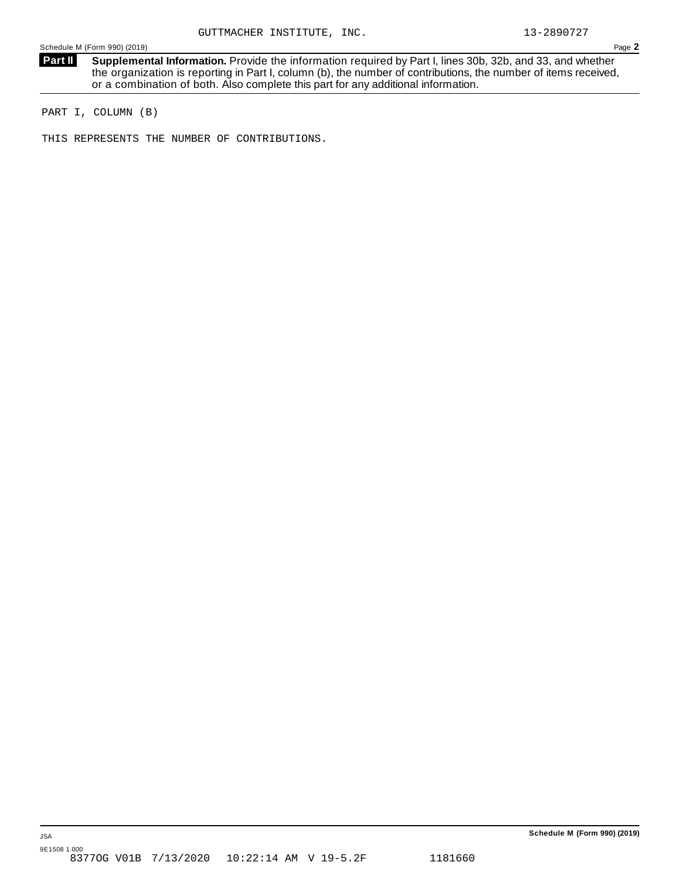**Supplemental Information.** Provide the information required by Part I, lines 30b, 32b, and 33, and whether the organization is reporting in Part I, column (b), the number of contributions, the number of items received, or a combination of both. Also complete this part for any additional information. **Part II**

PART I, COLUMN (B)

THIS REPRESENTS THE NUMBER OF CONTRIBUTIONS.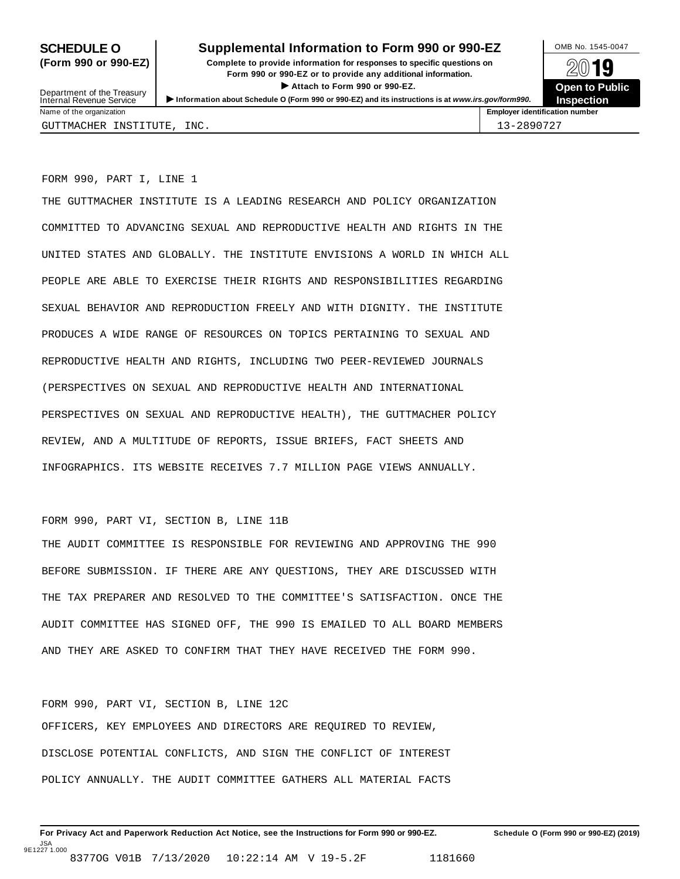## **SCHEDULE O** Supplemental Information to Form 990 or 990-EZ DOMB No. 1545-0047

**(Form 990 or 990-EZ) Complete to provide information for responses to specific questions on** Form 990 or 990-EZ or to provide any additional information. I **Attach to Form <sup>990</sup> or 990-EZ. Open to Public**



| Department of the Treasury<br>Internal Revenue Service | $\blacktriangleright$ Attach to Form 990 or 990-EZ.<br><b>Open to Pu</b><br>Information about Schedule O (Form 990 or 990-EZ) and its instructions is at www.irs.gov/form990. |                                       |  |
|--------------------------------------------------------|-------------------------------------------------------------------------------------------------------------------------------------------------------------------------------|---------------------------------------|--|
| Name of the organization                               |                                                                                                                                                                               | <b>Employer identification number</b> |  |
| GUTTMACHER INSTITUTE.                                  | INC.                                                                                                                                                                          | 13-2890727                            |  |

FORM 990, PART I, LINE 1

THE GUTTMACHER INSTITUTE IS A LEADING RESEARCH AND POLICY ORGANIZATION COMMITTED TO ADVANCING SEXUAL AND REPRODUCTIVE HEALTH AND RIGHTS IN THE UNITED STATES AND GLOBALLY. THE INSTITUTE ENVISIONS A WORLD IN WHICH ALL PEOPLE ARE ABLE TO EXERCISE THEIR RIGHTS AND RESPONSIBILITIES REGARDING SEXUAL BEHAVIOR AND REPRODUCTION FREELY AND WITH DIGNITY. THE INSTITUTE PRODUCES A WIDE RANGE OF RESOURCES ON TOPICS PERTAINING TO SEXUAL AND REPRODUCTIVE HEALTH AND RIGHTS, INCLUDING TWO PEER-REVIEWED JOURNALS (PERSPECTIVES ON SEXUAL AND REPRODUCTIVE HEALTH AND INTERNATIONAL PERSPECTIVES ON SEXUAL AND REPRODUCTIVE HEALTH), THE GUTTMACHER POLICY REVIEW, AND A MULTITUDE OF REPORTS, ISSUE BRIEFS, FACT SHEETS AND INFOGRAPHICS. ITS WEBSITE RECEIVES 7.7 MILLION PAGE VIEWS ANNUALLY.

### FORM 990, PART VI, SECTION B, LINE 11B

THE AUDIT COMMITTEE IS RESPONSIBLE FOR REVIEWING AND APPROVING THE 990 BEFORE SUBMISSION. IF THERE ARE ANY QUESTIONS, THEY ARE DISCUSSED WITH THE TAX PREPARER AND RESOLVED TO THE COMMITTEE'S SATISFACTION. ONCE THE AUDIT COMMITTEE HAS SIGNED OFF, THE 990 IS EMAILED TO ALL BOARD MEMBERS AND THEY ARE ASKED TO CONFIRM THAT THEY HAVE RECEIVED THE FORM 990.

FORM 990, PART VI, SECTION B, LINE 12C OFFICERS, KEY EMPLOYEES AND DIRECTORS ARE REQUIRED TO REVIEW, DISCLOSE POTENTIAL CONFLICTS, AND SIGN THE CONFLICT OF INTEREST POLICY ANNUALLY. THE AUDIT COMMITTEE GATHERS ALL MATERIAL FACTS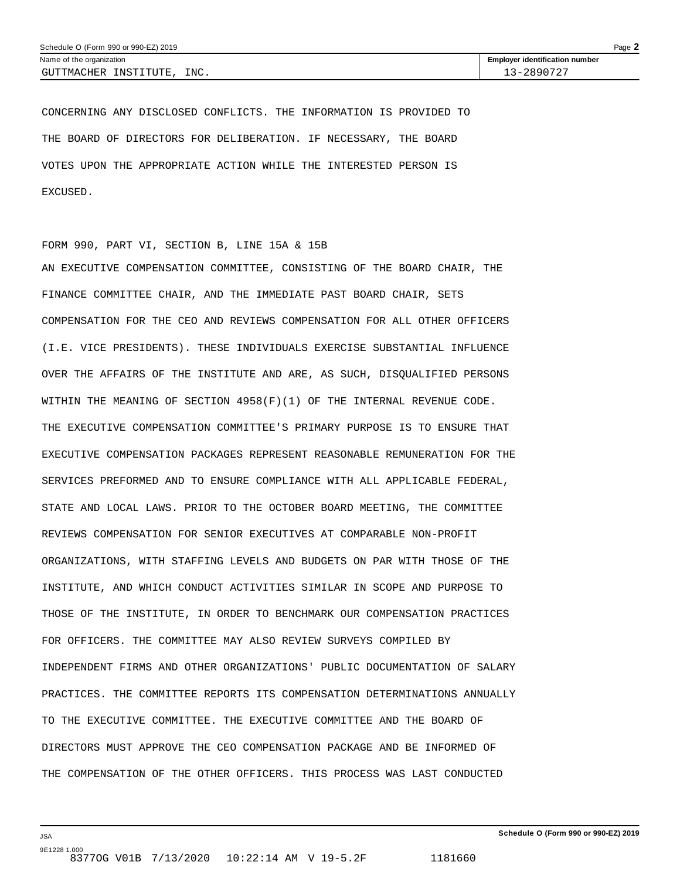CONCERNING ANY DISCLOSED CONFLICTS. THE INFORMATION IS PROVIDED TO THE BOARD OF DIRECTORS FOR DELIBERATION. IF NECESSARY, THE BOARD VOTES UPON THE APPROPRIATE ACTION WHILE THE INTERESTED PERSON IS EXCUSED.

FORM 990, PART VI, SECTION B, LINE 15A & 15B

AN EXECUTIVE COMPENSATION COMMITTEE, CONSISTING OF THE BOARD CHAIR, THE FINANCE COMMITTEE CHAIR, AND THE IMMEDIATE PAST BOARD CHAIR, SETS COMPENSATION FOR THE CEO AND REVIEWS COMPENSATION FOR ALL OTHER OFFICERS (I.E. VICE PRESIDENTS). THESE INDIVIDUALS EXERCISE SUBSTANTIAL INFLUENCE OVER THE AFFAIRS OF THE INSTITUTE AND ARE, AS SUCH, DISQUALIFIED PERSONS WITHIN THE MEANING OF SECTION 4958(F)(1) OF THE INTERNAL REVENUE CODE. THE EXECUTIVE COMPENSATION COMMITTEE'S PRIMARY PURPOSE IS TO ENSURE THAT EXECUTIVE COMPENSATION PACKAGES REPRESENT REASONABLE REMUNERATION FOR THE SERVICES PREFORMED AND TO ENSURE COMPLIANCE WITH ALL APPLICABLE FEDERAL, STATE AND LOCAL LAWS. PRIOR TO THE OCTOBER BOARD MEETING, THE COMMITTEE REVIEWS COMPENSATION FOR SENIOR EXECUTIVES AT COMPARABLE NON-PROFIT ORGANIZATIONS, WITH STAFFING LEVELS AND BUDGETS ON PAR WITH THOSE OF THE INSTITUTE, AND WHICH CONDUCT ACTIVITIES SIMILAR IN SCOPE AND PURPOSE TO THOSE OF THE INSTITUTE, IN ORDER TO BENCHMARK OUR COMPENSATION PRACTICES FOR OFFICERS. THE COMMITTEE MAY ALSO REVIEW SURVEYS COMPILED BY INDEPENDENT FIRMS AND OTHER ORGANIZATIONS' PUBLIC DOCUMENTATION OF SALARY PRACTICES. THE COMMITTEE REPORTS ITS COMPENSATION DETERMINATIONS ANNUALLY TO THE EXECUTIVE COMMITTEE. THE EXECUTIVE COMMITTEE AND THE BOARD OF DIRECTORS MUST APPROVE THE CEO COMPENSATION PACKAGE AND BE INFORMED OF THE COMPENSATION OF THE OTHER OFFICERS. THIS PROCESS WAS LAST CONDUCTED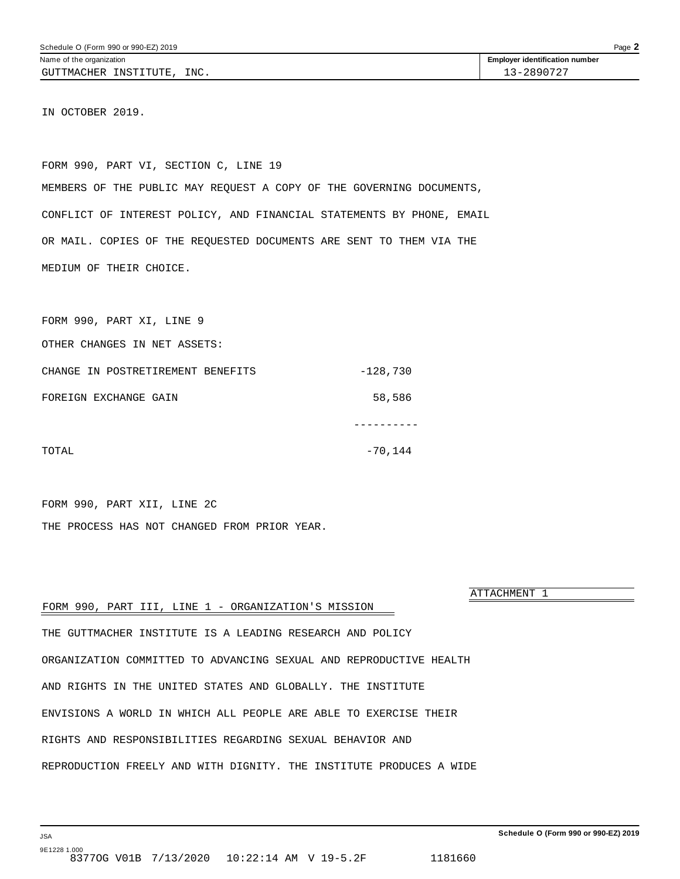<span id="page-56-0"></span>IN OCTOBER 2019.

FORM 990, PART VI, SECTION C, LINE 19 MEMBERS OF THE PUBLIC MAY REQUEST A COPY OF THE GOVERNING DOCUMENTS, CONFLICT OF INTEREST POLICY, AND FINANCIAL STATEMENTS BY PHONE, EMAIL OR MAIL. COPIES OF THE REQUESTED DOCUMENTS ARE SENT TO THEM VIA THE MEDIUM OF THEIR CHOICE.

| FORM 990, PART XI, LINE 9         |            |
|-----------------------------------|------------|
| OTHER CHANGES IN NET ASSETS:      |            |
| CHANGE IN POSTRETIREMENT BENEFITS | $-128,730$ |
| FOREIGN EXCHANGE GAIN             | 58,586     |
|                                   |            |
| TOTAL                             | $-70,144$  |

FORM 990, PART XII, LINE 2C THE PROCESS HAS NOT CHANGED FROM PRIOR YEAR.

FORM 990, PART III, LINE 1 - ORGANIZATION'S MISSION

ATTACHMENT 1

THE GUTTMACHER INSTITUTE IS A LEADING RESEARCH AND POLICY ORGANIZATION COMMITTED TO ADVANCING SEXUAL AND REPRODUCTIVE HEALTH AND RIGHTS IN THE UNITED STATES AND GLOBALLY. THE INSTITUTE ENVISIONS A WORLD IN WHICH ALL PEOPLE ARE ABLE TO EXERCISE THEIR RIGHTS AND RESPONSIBILITIES REGARDING SEXUAL BEHAVIOR AND REPRODUCTION FREELY AND WITH DIGNITY. THE INSTITUTE PRODUCES A WIDE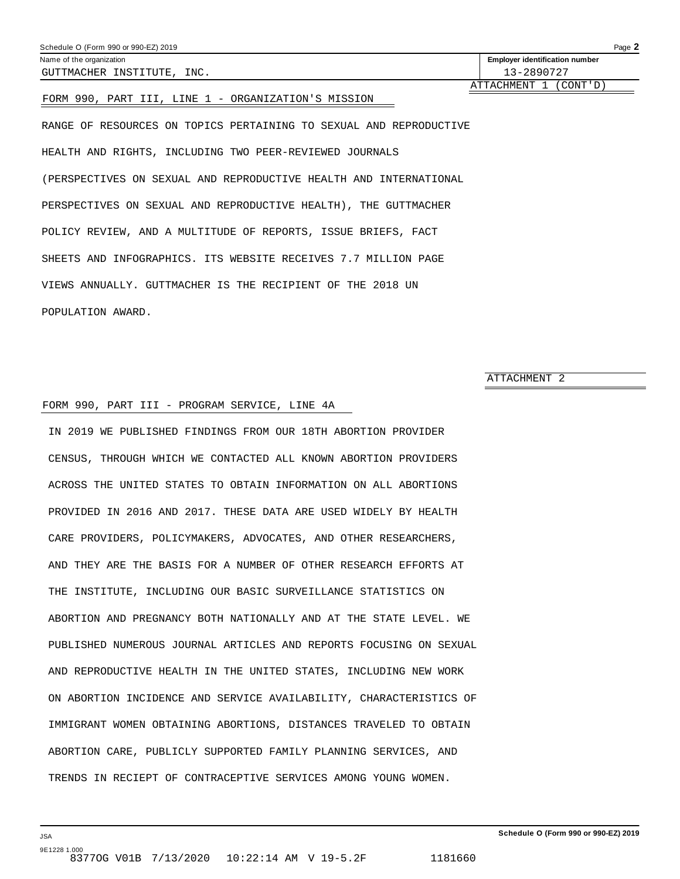<span id="page-57-0"></span>

| Schedule O (Form 990 or 990-EZ) 2019                | Page 2                                |
|-----------------------------------------------------|---------------------------------------|
| Name of the organization                            | <b>Employer identification number</b> |
| GUTTMACHER INSTITUTE, INC.                          | 13-2890727                            |
|                                                     | ATTACHMENT 1 (CONT'D)                 |
| FORM 990, PART III, LINE 1 - ORGANIZATION'S MISSION |                                       |

RANGE OF RESOURCES ON TOPICS PERTAINING TO SEXUAL AND REPRODUCTIVE HEALTH AND RIGHTS, INCLUDING TWO PEER-REVIEWED JOURNALS (PERSPECTIVES ON SEXUAL AND REPRODUCTIVE HEALTH AND INTERNATIONAL PERSPECTIVES ON SEXUAL AND REPRODUCTIVE HEALTH), THE GUTTMACHER POLICY REVIEW, AND A MULTITUDE OF REPORTS, ISSUE BRIEFS, FACT SHEETS AND INFOGRAPHICS. ITS WEBSITE RECEIVES 7.7 MILLION PAGE VIEWS ANNUALLY. GUTTMACHER IS THE RECIPIENT OF THE 2018 UN POPULATION AWARD.

### ATTACHMENT 2

### FORM 990, PART III - PROGRAM SERVICE, LINE 4A

IN 2019 WE PUBLISHED FINDINGS FROM OUR 18TH ABORTION PROVIDER CENSUS, THROUGH WHICH WE CONTACTED ALL KNOWN ABORTION PROVIDERS ACROSS THE UNITED STATES TO OBTAIN INFORMATION ON ALL ABORTIONS PROVIDED IN 2016 AND 2017. THESE DATA ARE USED WIDELY BY HEALTH CARE PROVIDERS, POLICYMAKERS, ADVOCATES, AND OTHER RESEARCHERS, AND THEY ARE THE BASIS FOR A NUMBER OF OTHER RESEARCH EFFORTS AT THE INSTITUTE, INCLUDING OUR BASIC SURVEILLANCE STATISTICS ON ABORTION AND PREGNANCY BOTH NATIONALLY AND AT THE STATE LEVEL. WE PUBLISHED NUMEROUS JOURNAL ARTICLES AND REPORTS FOCUSING ON SEXUAL AND REPRODUCTIVE HEALTH IN THE UNITED STATES, INCLUDING NEW WORK ON ABORTION INCIDENCE AND SERVICE AVAILABILITY, CHARACTERISTICS OF IMMIGRANT WOMEN OBTAINING ABORTIONS, DISTANCES TRAVELED TO OBTAIN ABORTION CARE, PUBLICLY SUPPORTED FAMILY PLANNING SERVICES, AND TRENDS IN RECIEPT OF CONTRACEPTIVE SERVICES AMONG YOUNG WOMEN.

JSA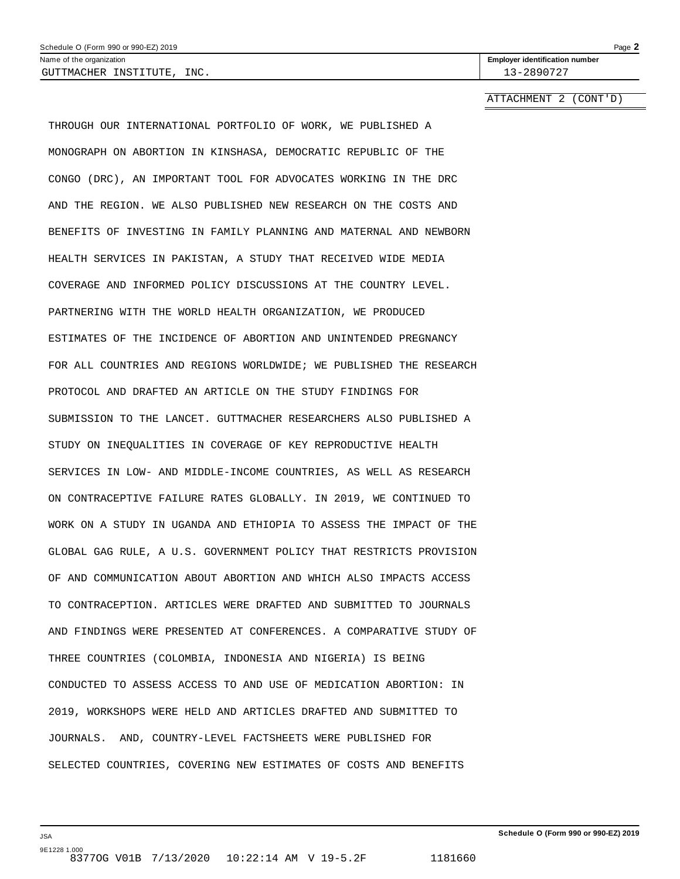| Schedule O (Form 990 or 990-EZ) 2019 |                                       |
|--------------------------------------|---------------------------------------|
| Name of the organization             | <b>Employer identification number</b> |
| INC.<br>GUTTMACHER<br>TNSTITUTE      | -2890727<br>. –                       |

ATTACHMENT 2 (CONT'D)

THROUGH OUR INTERNATIONAL PORTFOLIO OF WORK, WE PUBLISHED A MONOGRAPH ON ABORTION IN KINSHASA, DEMOCRATIC REPUBLIC OF THE CONGO (DRC), AN IMPORTANT TOOL FOR ADVOCATES WORKING IN THE DRC AND THE REGION. WE ALSO PUBLISHED NEW RESEARCH ON THE COSTS AND BENEFITS OF INVESTING IN FAMILY PLANNING AND MATERNAL AND NEWBORN HEALTH SERVICES IN PAKISTAN, A STUDY THAT RECEIVED WIDE MEDIA COVERAGE AND INFORMED POLICY DISCUSSIONS AT THE COUNTRY LEVEL. PARTNERING WITH THE WORLD HEALTH ORGANIZATION, WE PRODUCED ESTIMATES OF THE INCIDENCE OF ABORTION AND UNINTENDED PREGNANCY FOR ALL COUNTRIES AND REGIONS WORLDWIDE; WE PUBLISHED THE RESEARCH PROTOCOL AND DRAFTED AN ARTICLE ON THE STUDY FINDINGS FOR SUBMISSION TO THE LANCET. GUTTMACHER RESEARCHERS ALSO PUBLISHED A STUDY ON INEQUALITIES IN COVERAGE OF KEY REPRODUCTIVE HEALTH SERVICES IN LOW- AND MIDDLE-INCOME COUNTRIES, AS WELL AS RESEARCH ON CONTRACEPTIVE FAILURE RATES GLOBALLY. IN 2019, WE CONTINUED TO WORK ON A STUDY IN UGANDA AND ETHIOPIA TO ASSESS THE IMPACT OF THE GLOBAL GAG RULE, A U.S. GOVERNMENT POLICY THAT RESTRICTS PROVISION OF AND COMMUNICATION ABOUT ABORTION AND WHICH ALSO IMPACTS ACCESS TO CONTRACEPTION. ARTICLES WERE DRAFTED AND SUBMITTED TO JOURNALS AND FINDINGS WERE PRESENTED AT CONFERENCES. A COMPARATIVE STUDY OF THREE COUNTRIES (COLOMBIA, INDONESIA AND NIGERIA) IS BEING CONDUCTED TO ASSESS ACCESS TO AND USE OF MEDICATION ABORTION: IN 2019, WORKSHOPS WERE HELD AND ARTICLES DRAFTED AND SUBMITTED TO JOURNALS. AND, COUNTRY-LEVEL FACTSHEETS WERE PUBLISHED FOR SELECTED COUNTRIES, COVERING NEW ESTIMATES OF COSTS AND BENEFITS

JSA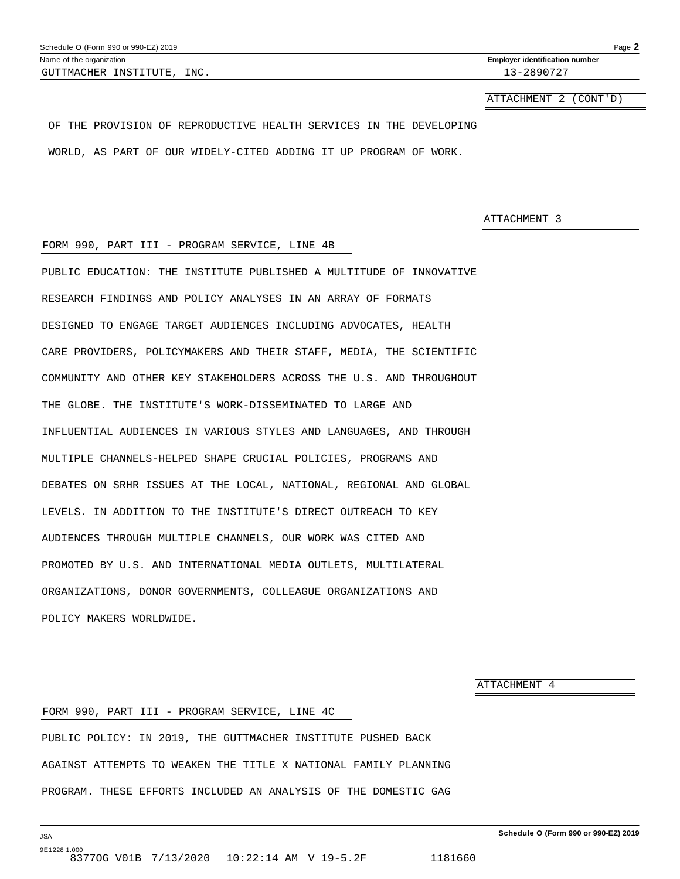ATTACHMENT 2 (CONT'D)

<span id="page-59-0"></span>OF THE PROVISION OF REPRODUCTIVE HEALTH SERVICES IN THE DEVELOPING WORLD, AS PART OF OUR WIDELY-CITED ADDING IT UP PROGRAM OF WORK.

ATTACHMENT 3

### FORM 990, PART III - PROGRAM SERVICE, LINE 4B

PUBLIC EDUCATION: THE INSTITUTE PUBLISHED A MULTITUDE OF INNOVATIVE RESEARCH FINDINGS AND POLICY ANALYSES IN AN ARRAY OF FORMATS DESIGNED TO ENGAGE TARGET AUDIENCES INCLUDING ADVOCATES, HEALTH CARE PROVIDERS, POLICYMAKERS AND THEIR STAFF, MEDIA, THE SCIENTIFIC COMMUNITY AND OTHER KEY STAKEHOLDERS ACROSS THE U.S. AND THROUGHOUT THE GLOBE. THE INSTITUTE'S WORK-DISSEMINATED TO LARGE AND INFLUENTIAL AUDIENCES IN VARIOUS STYLES AND LANGUAGES, AND THROUGH MULTIPLE CHANNELS-HELPED SHAPE CRUCIAL POLICIES, PROGRAMS AND DEBATES ON SRHR ISSUES AT THE LOCAL, NATIONAL, REGIONAL AND GLOBAL LEVELS. IN ADDITION TO THE INSTITUTE'S DIRECT OUTREACH TO KEY AUDIENCES THROUGH MULTIPLE CHANNELS, OUR WORK WAS CITED AND PROMOTED BY U.S. AND INTERNATIONAL MEDIA OUTLETS, MULTILATERAL ORGANIZATIONS, DONOR GOVERNMENTS, COLLEAGUE ORGANIZATIONS AND POLICY MAKERS WORLDWIDE.

ATTACHMENT 4

### FORM 990, PART III - PROGRAM SERVICE, LINE 4C

PUBLIC POLICY: IN 2019, THE GUTTMACHER INSTITUTE PUSHED BACK AGAINST ATTEMPTS TO WEAKEN THE TITLE X NATIONAL FAMILY PLANNING PROGRAM. THESE EFFORTS INCLUDED AN ANALYSIS OF THE DOMESTIC GAG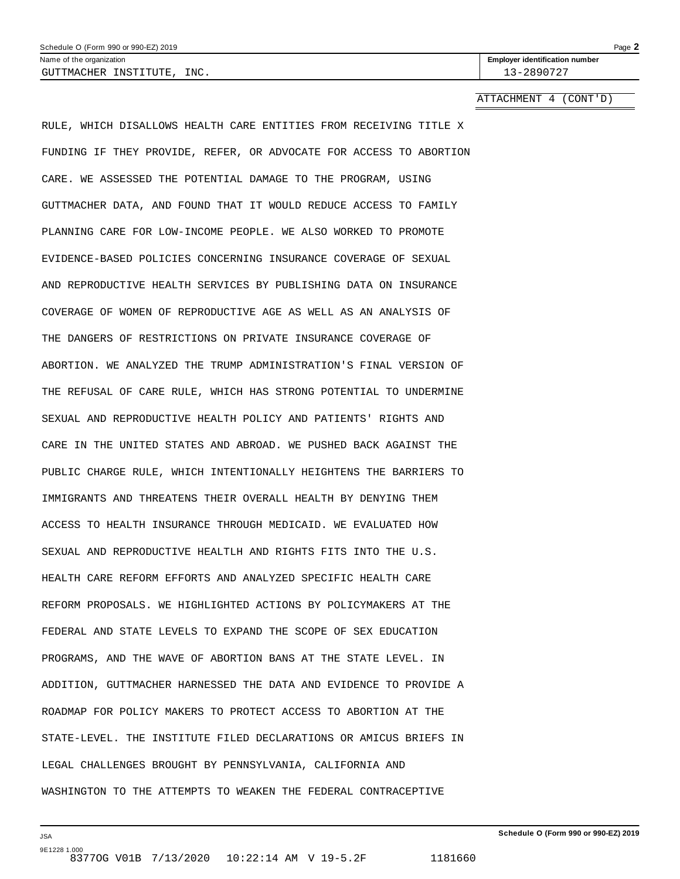ATTACHMENT 4 (CONT'D)

RULE, WHICH DISALLOWS HEALTH CARE ENTITIES FROM RECEIVING TITLE X FUNDING IF THEY PROVIDE, REFER, OR ADVOCATE FOR ACCESS TO ABORTION CARE. WE ASSESSED THE POTENTIAL DAMAGE TO THE PROGRAM, USING GUTTMACHER DATA, AND FOUND THAT IT WOULD REDUCE ACCESS TO FAMILY PLANNING CARE FOR LOW-INCOME PEOPLE. WE ALSO WORKED TO PROMOTE EVIDENCE-BASED POLICIES CONCERNING INSURANCE COVERAGE OF SEXUAL AND REPRODUCTIVE HEALTH SERVICES BY PUBLISHING DATA ON INSURANCE COVERAGE OF WOMEN OF REPRODUCTIVE AGE AS WELL AS AN ANALYSIS OF THE DANGERS OF RESTRICTIONS ON PRIVATE INSURANCE COVERAGE OF ABORTION. WE ANALYZED THE TRUMP ADMINISTRATION'S FINAL VERSION OF THE REFUSAL OF CARE RULE, WHICH HAS STRONG POTENTIAL TO UNDERMINE SEXUAL AND REPRODUCTIVE HEALTH POLICY AND PATIENTS' RIGHTS AND CARE IN THE UNITED STATES AND ABROAD. WE PUSHED BACK AGAINST THE PUBLIC CHARGE RULE, WHICH INTENTIONALLY HEIGHTENS THE BARRIERS TO IMMIGRANTS AND THREATENS THEIR OVERALL HEALTH BY DENYING THEM ACCESS TO HEALTH INSURANCE THROUGH MEDICAID. WE EVALUATED HOW SEXUAL AND REPRODUCTIVE HEALTLH AND RIGHTS FITS INTO THE U.S. HEALTH CARE REFORM EFFORTS AND ANALYZED SPECIFIC HEALTH CARE REFORM PROPOSALS. WE HIGHLIGHTED ACTIONS BY POLICYMAKERS AT THE FEDERAL AND STATE LEVELS TO EXPAND THE SCOPE OF SEX EDUCATION PROGRAMS, AND THE WAVE OF ABORTION BANS AT THE STATE LEVEL. IN ADDITION, GUTTMACHER HARNESSED THE DATA AND EVIDENCE TO PROVIDE A ROADMAP FOR POLICY MAKERS TO PROTECT ACCESS TO ABORTION AT THE STATE-LEVEL. THE INSTITUTE FILED DECLARATIONS OR AMICUS BRIEFS IN LEGAL CHALLENGES BROUGHT BY PENNSYLVANIA, CALIFORNIA AND WASHINGTON TO THE ATTEMPTS TO WEAKEN THE FEDERAL CONTRACEPTIVE

JSA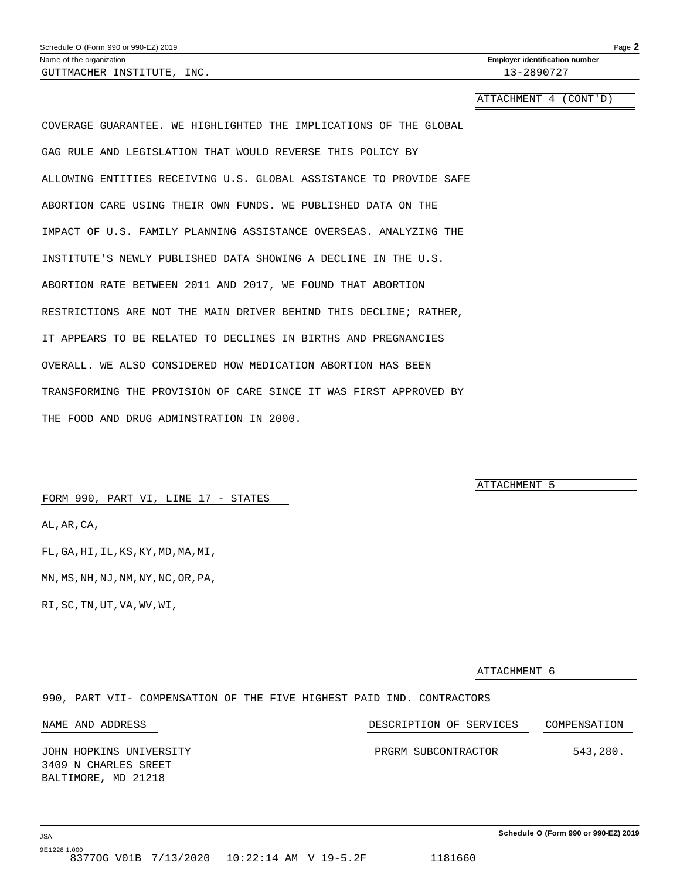<span id="page-61-0"></span>

| Schedule O (Form 990 or 990-EZ) 2019                               | Page 2                                |
|--------------------------------------------------------------------|---------------------------------------|
| Name of the organization                                           | <b>Employer identification number</b> |
| GUTTMACHER INSTITUTE, INC.                                         | 13-2890727                            |
|                                                                    | ATTACHMENT 4 (CONT'D)                 |
| COVERAGE GUARANTEE. WE HIGHLIGHTED THE IMPLICATIONS OF THE GLOBAL  |                                       |
| GAG RULE AND LEGISLATION THAT WOULD REVERSE THIS POLICY BY         |                                       |
| ALLOWING ENTITIES RECEIVING U.S. GLOBAL ASSISTANCE TO PROVIDE SAFE |                                       |
| ABORTION CARE USING THEIR OWN FUNDS. WE PUBLISHED DATA ON THE      |                                       |
| IMPACT OF U.S. FAMILY PLANNING ASSISTANCE OVERSEAS. ANALYZING THE  |                                       |
| INSTITUTE'S NEWLY PUBLISHED DATA SHOWING A DECLINE IN THE U.S.     |                                       |
| ABORTION RATE BETWEEN 2011 AND 2017, WE FOUND THAT ABORTION        |                                       |

RESTRICTIONS ARE NOT THE MAIN DRIVER BEHIND THIS DECLINE; RATHER,

TRANSFORMING THE PROVISION OF CARE SINCE IT WAS FIRST APPROVED BY

IT APPEARS TO BE RELATED TO DECLINES IN BIRTHS AND PREGNANCIES

OVERALL. WE ALSO CONSIDERED HOW MEDICATION ABORTION HAS BEEN

ATTACHMENT 5

### FORM 990, PART VI, LINE 17 - STATES

THE FOOD AND DRUG ADMINSTRATION IN 2000.

AL,AR,CA,

FL,GA,HI,IL,KS,KY,MD,MA,MI,

MN,MS,NH,NJ,NM,NY,NC,OR,PA,

RI,SC,TN,UT,VA,WV,WI,

ATTACHMENT 6

# 990, PART VII- COMPENSATION OF THE FIVE HIGHEST PAID IND. CONTRACTORS NAME AND ADDRESS DESCRIPTION OF SERVICES COMPENSATION JOHN HOPKINS UNIVERSITY PRGRM SUBCONTRACTOR 543,280. 3409 N CHARLES SREET BALTIMORE, MD 21218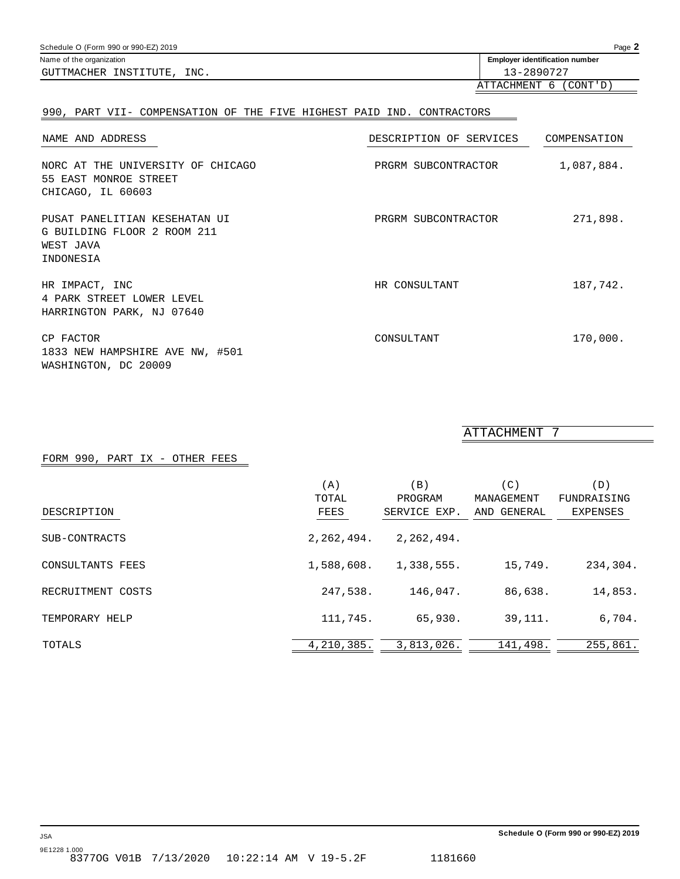<span id="page-62-0"></span>Schedule O (Form 990 or 990-EZ) 2019 Page **2** Name of the organization **identification Employer identification number** GUTTMACHER INSTITUTE, INC. 13-2890727

ATTACHMENT 6 (CONT'D)

# 990, PART VII- COMPENSATION OF THE FIVE HIGHEST PAID IND. CONTRACTORS

| NAME AND ADDRESS                                                                       | DESCRIPTION OF SERVICES | COMPENSATION |
|----------------------------------------------------------------------------------------|-------------------------|--------------|
| NORC AT THE UNIVERSITY OF CHICAGO<br>55 EAST MONROE STREET<br>CHICAGO, IL 60603        | PRGRM SUBCONTRACTOR     | 1,087,884.   |
| PUSAT PANELITIAN KESEHATAN UI<br>G BUILDING FLOOR 2 ROOM 211<br>WEST JAVA<br>INDONESIA | PRGRM SUBCONTRACTOR     | 271,898.     |
| HR IMPACT, INC<br>4 PARK STREET LOWER LEVEL<br>HARRINGTON PARK, NJ 07640               | HR CONSULTANT           | 187,742.     |
| CP FACTOR<br>1833 NEW HAMPSHIRE AVE NW, #501<br>WASHINGTON, DC 20009                   | CONSULTANT              | 170,000.     |

ATTACHMENT 7

## FORM 990, PART IX - OTHER FEES

|                   | (A)<br>TOTAL | (B)<br>PROGRAM | (C)<br>MANAGEMENT | (D)<br>FUNDRAISING |
|-------------------|--------------|----------------|-------------------|--------------------|
| DESCRIPTION       | FEES         | SERVICE EXP.   | AND GENERAL       | EXPENSES           |
| SUB-CONTRACTS     | 2,262,494.   | 2,262,494.     |                   |                    |
| CONSULTANTS FEES  | 1,588,608.   | 1,338,555.     | 15,749.           | 234,304.           |
| RECRUITMENT COSTS | 247,538.     | 146,047.       | 86,638.           | 14,853.            |
| TEMPORARY HELP    | 111,745.     | 65,930.        | 39,111.           | 6,704.             |
| TOTALS            | 4,210,385.   | 3.813.026.     | 141,498.          | 255,861.           |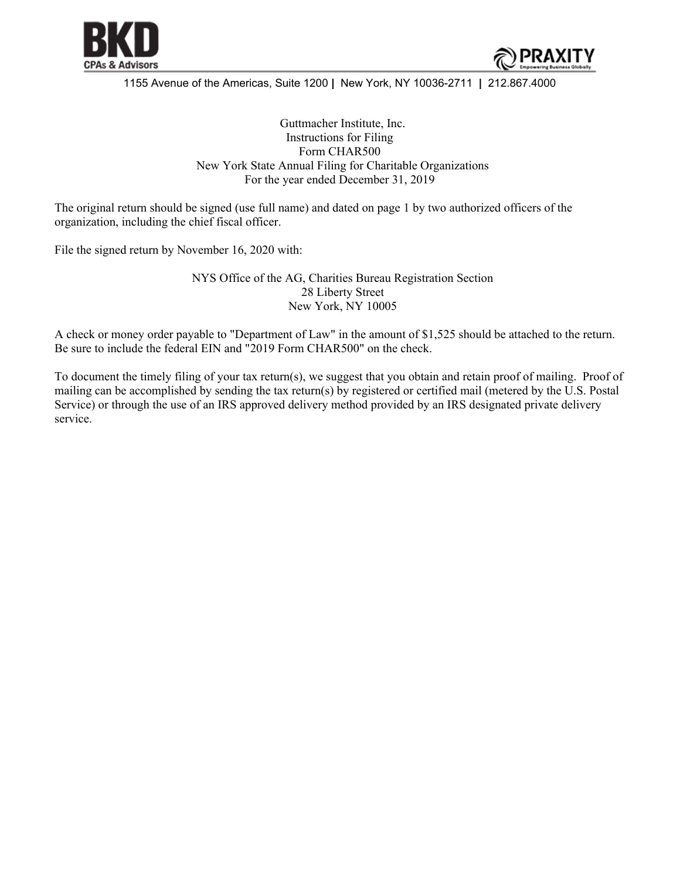



## 1155 Avenue of the Americas, Suite 1200 **|** New York, NY 10036-2711 **|**  212.867.4000

 Guttmacher Institute, Inc. Instructions for Filing Form CHAR500 New York State Annual Filing for Charitable Organizations For the year ended December 31, 2019

The original return should be signed (use full name) and dated on page 1 by two authorized officers of the organization, including the chief fiscal officer.

File the signed return by November 16, 2020 with:

 NYS Office of the AG, Charities Bureau Registration Section 28 Liberty Street New York, NY 10005

A check or money order payable to "Department of Law" in the amount of \$1,525 should be attached to the return. Be sure to include the federal EIN and "2019 Form CHAR500" on the check.

To document the timely filing of your tax return(s), we suggest that you obtain and retain proof of mailing. Proof of mailing can be accomplished by sending the tax return(s) by registered or certified mail (metered by the U.S. Postal Service) or through the use of an IRS approved delivery method provided by an IRS designated private delivery service.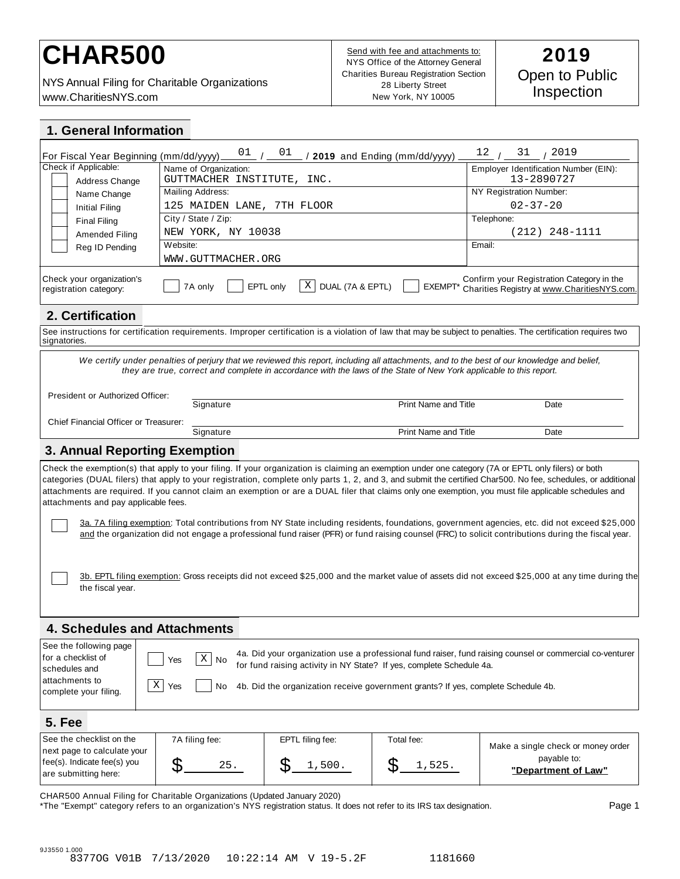# CHAR500<br>**CHAR500 Example 1** Send with fee and attachments to: 2019

NYS Annual Filing for Charitable Organizations www.CharitiesNYS.com

Send with fee and attachments to: NYS Office of the Attorney General Charities Bureau Registration Section 28 Liberty Street New York, NY 10005

| 1. General Information                                                                                   |                                                                                                                     |                                    |                                                                                                                                                           |                                                                                                                                                                                                                                                                                                                                                                                                                                                                               |
|----------------------------------------------------------------------------------------------------------|---------------------------------------------------------------------------------------------------------------------|------------------------------------|-----------------------------------------------------------------------------------------------------------------------------------------------------------|-------------------------------------------------------------------------------------------------------------------------------------------------------------------------------------------------------------------------------------------------------------------------------------------------------------------------------------------------------------------------------------------------------------------------------------------------------------------------------|
| For Fiscal Year Beginning (mm/dd/yyyy)<br>Check if Applicable:                                           | 01 /<br>Name of Organization:                                                                                       | 01                                 | _/ 2019 and Ending (mm/dd/yyyy)                                                                                                                           | 12 / 31 / 2019<br>Employer Identification Number (EIN):                                                                                                                                                                                                                                                                                                                                                                                                                       |
| Address Change                                                                                           | GUTTMACHER INSTITUTE, INC.                                                                                          |                                    |                                                                                                                                                           | 13-2890727                                                                                                                                                                                                                                                                                                                                                                                                                                                                    |
| Name Change                                                                                              | Mailing Address:                                                                                                    |                                    |                                                                                                                                                           | NY Registration Number:                                                                                                                                                                                                                                                                                                                                                                                                                                                       |
| <b>Initial Filing</b>                                                                                    | 125 MAIDEN LANE, 7TH FLOOR                                                                                          |                                    |                                                                                                                                                           | $02 - 37 - 20$                                                                                                                                                                                                                                                                                                                                                                                                                                                                |
| <b>Final Filing</b>                                                                                      | City / State / Zip:                                                                                                 |                                    |                                                                                                                                                           | Telephone:                                                                                                                                                                                                                                                                                                                                                                                                                                                                    |
| Amended Filing                                                                                           | NEW YORK, NY 10038                                                                                                  |                                    |                                                                                                                                                           | $(212)$ 248-1111                                                                                                                                                                                                                                                                                                                                                                                                                                                              |
| Reg ID Pending                                                                                           | Website:<br>WWW.GUTTMACHER.ORG                                                                                      |                                    |                                                                                                                                                           | Email:                                                                                                                                                                                                                                                                                                                                                                                                                                                                        |
| Check your organization's<br>registration category:                                                      | 7A only                                                                                                             | X<br>DUAL (7A & EPTL)<br>EPTL only | EXEMPT*                                                                                                                                                   | Confirm your Registration Category in the<br>Charities Registry at www.CharitiesNYS.com.                                                                                                                                                                                                                                                                                                                                                                                      |
| 2. Certification                                                                                         |                                                                                                                     |                                    |                                                                                                                                                           |                                                                                                                                                                                                                                                                                                                                                                                                                                                                               |
| signatories.                                                                                             |                                                                                                                     |                                    |                                                                                                                                                           | See instructions for certification requirements. Improper certification is a violation of law that may be subject to penalties. The certification requires two                                                                                                                                                                                                                                                                                                                |
|                                                                                                          | they are true, correct and complete in accordance with the laws of the State of New York applicable to this report. |                                    |                                                                                                                                                           | We certify under penalties of perjury that we reviewed this report, including all attachments, and to the best of our knowledge and belief,                                                                                                                                                                                                                                                                                                                                   |
| President or Authorized Officer:                                                                         | Signature                                                                                                           |                                    | Print Name and Title                                                                                                                                      | Date                                                                                                                                                                                                                                                                                                                                                                                                                                                                          |
| Chief Financial Officer or Treasurer:                                                                    | Signature                                                                                                           |                                    | Print Name and Title                                                                                                                                      | Date                                                                                                                                                                                                                                                                                                                                                                                                                                                                          |
| 3. Annual Reporting Exemption                                                                            |                                                                                                                     |                                    |                                                                                                                                                           |                                                                                                                                                                                                                                                                                                                                                                                                                                                                               |
| attachments and pay applicable fees.                                                                     |                                                                                                                     |                                    |                                                                                                                                                           | Check the exemption(s) that apply to your filing. If your organization is claiming an exemption under one category (7A or EPTL only filers) or both<br>categories (DUAL filers) that apply to your registration, complete only parts 1, 2, and 3, and submit the certified Char500. No fee, schedules, or additional<br>attachments are required. If you cannot claim an exemption or are a DUAL filer that claims only one exemption, you must file applicable schedules and |
|                                                                                                          |                                                                                                                     |                                    |                                                                                                                                                           | 3a. 7A filing exemption: Total contributions from NY State including residents, foundations, government agencies, etc. did not exceed \$25,000<br>and the organization did not engage a professional fund raiser (PFR) or fund raising counsel (FRC) to solicit contributions during the fiscal year.                                                                                                                                                                         |
| the fiscal year.                                                                                         |                                                                                                                     |                                    |                                                                                                                                                           | 3b. EPTL filing exemption: Gross receipts did not exceed \$25,000 and the market value of assets did not exceed \$25,000 at any time during the                                                                                                                                                                                                                                                                                                                               |
| <b>4. Schedules and Attachments</b>                                                                      |                                                                                                                     |                                    |                                                                                                                                                           |                                                                                                                                                                                                                                                                                                                                                                                                                                                                               |
| See the following page<br>for a checklist of<br>schedules and<br>attachments to<br>complete your filing. | $X \mid N_0$<br>Yes<br>X<br>Yes<br>No                                                                               |                                    | for fund raising activity in NY State? If yes, complete Schedule 4a.<br>4b. Did the organization receive government grants? If yes, complete Schedule 4b. | 4a. Did your organization use a professional fund raiser, fund raising counsel or commercial co-venturer                                                                                                                                                                                                                                                                                                                                                                      |
| <b>5. Fee</b>                                                                                            |                                                                                                                     |                                    |                                                                                                                                                           |                                                                                                                                                                                                                                                                                                                                                                                                                                                                               |
| See the checklist on the                                                                                 | 7A filing fee:                                                                                                      | EPTL filing fee:                   | Total fee:                                                                                                                                                | Make a single check or money order                                                                                                                                                                                                                                                                                                                                                                                                                                            |
| next page to calculate your                                                                              |                                                                                                                     |                                    |                                                                                                                                                           | payable to:                                                                                                                                                                                                                                                                                                                                                                                                                                                                   |
| fee(s). Indicate fee(s) you<br>are submitting here:                                                      | \$<br>25.                                                                                                           | 1,500.                             | 1,525.                                                                                                                                                    | "Department of Law"                                                                                                                                                                                                                                                                                                                                                                                                                                                           |
|                                                                                                          |                                                                                                                     |                                    |                                                                                                                                                           |                                                                                                                                                                                                                                                                                                                                                                                                                                                                               |

CHAR500 Annual Filing for Charitable Organizations (Updated January 2020)

\*The "Exempt" category refers to an organization's NYS registration status. It does not refer to its IRS tax designation. Page 1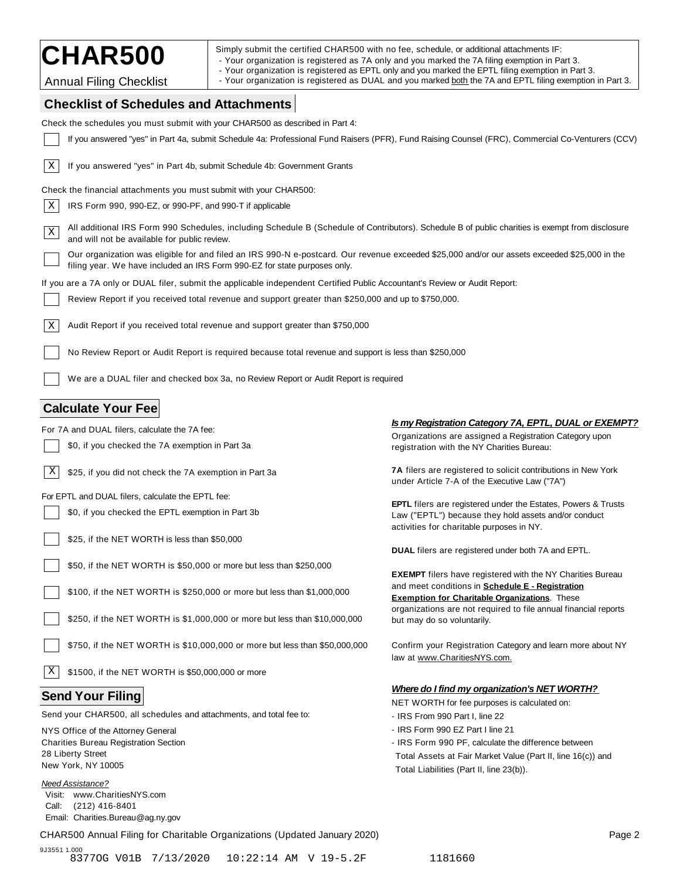| <b>CHAR500</b> |  |
|----------------|--|
|----------------|--|

| Simply submit the certified CHAR500 with no fee, schedule, or additional attachments IF |  |  |
|-----------------------------------------------------------------------------------------|--|--|
|                                                                                         |  |  |

CHAR500<br>- Your organization is registered as 7A only and you marked the 7A filing exemption in Part 3.<br>- Your organization is registered as EPTL only and you marked the EPTL filing exemption in Part 3.

Annual Filing Checklist **Part of the Conta** - Your organization is registered as DUAL and you marked <u>both</u> the 7A and EPTL filing exemption in Part 3.

# **Checklist of Schedules and Attachments**

| Check the schedules you must submit with your CHAR500 as described in Part 4:                                                                                                                                              |                                                                                                                                                                           |
|----------------------------------------------------------------------------------------------------------------------------------------------------------------------------------------------------------------------------|---------------------------------------------------------------------------------------------------------------------------------------------------------------------------|
| If you answered "yes" in Part 4a, submit Schedule 4a: Professional Fund Raisers (PFR), Fund Raising Counsel (FRC), Commercial Co-Venturers (CCV)                                                                           |                                                                                                                                                                           |
| Χ<br>If you answered "yes" in Part 4b, submit Schedule 4b: Government Grants                                                                                                                                               |                                                                                                                                                                           |
| Check the financial attachments you must submit with your CHAR500:                                                                                                                                                         |                                                                                                                                                                           |
| Χ<br>IRS Form 990, 990-EZ, or 990-PF, and 990-T if applicable                                                                                                                                                              |                                                                                                                                                                           |
| All additional IRS Form 990 Schedules, including Schedule B (Schedule of Contributors). Schedule B of public charities is exempt from disclosure<br>$\mathbf X$<br>and will not be available for public review.            |                                                                                                                                                                           |
| Our organization was eligible for and filed an IRS 990-N e-postcard. Our revenue exceeded \$25,000 and/or our assets exceeded \$25,000 in the<br>filing year. We have included an IRS Form 990-EZ for state purposes only. |                                                                                                                                                                           |
| If you are a 7A only or DUAL filer, submit the applicable independent Certified Public Accountant's Review or Audit Report:                                                                                                |                                                                                                                                                                           |
| Review Report if you received total revenue and support greater than \$250,000 and up to \$750,000.                                                                                                                        |                                                                                                                                                                           |
| Χ<br>Audit Report if you received total revenue and support greater than \$750,000                                                                                                                                         |                                                                                                                                                                           |
| No Review Report or Audit Report is required because total revenue and support is less than \$250,000                                                                                                                      |                                                                                                                                                                           |
| We are a DUAL filer and checked box 3a, no Review Report or Audit Report is required                                                                                                                                       |                                                                                                                                                                           |
| <b>Calculate Your Fee</b>                                                                                                                                                                                                  |                                                                                                                                                                           |
| For 7A and DUAL filers, calculate the 7A fee:                                                                                                                                                                              | Is my Registration Category 7A, EPTL, DUAL or EXEMPT?                                                                                                                     |
| \$0, if you checked the 7A exemption in Part 3a                                                                                                                                                                            | Organizations are assigned a Registration Category upon<br>registration with the NY Charities Bureau:                                                                     |
| X<br>\$25, if you did not check the 7A exemption in Part 3a                                                                                                                                                                | <b>7A</b> filers are registered to solicit contributions in New York<br>under Article 7-A of the Executive Law ("7A")                                                     |
| For EPTL and DUAL filers, calculate the EPTL fee:                                                                                                                                                                          |                                                                                                                                                                           |
| \$0, if you checked the EPTL exemption in Part 3b                                                                                                                                                                          | <b>EPTL</b> filers are registered under the Estates, Powers & Trusts<br>Law ("EPTL") because they hold assets and/or conduct<br>activities for charitable purposes in NY. |
| \$25, if the NET WORTH is less than \$50,000                                                                                                                                                                               |                                                                                                                                                                           |
|                                                                                                                                                                                                                            | <b>DUAL</b> filers are registered under both 7A and EPTL.                                                                                                                 |
| \$50, if the NET WORTH is \$50,000 or more but less than \$250,000                                                                                                                                                         | <b>EXEMPT</b> filers have registered with the NY Charities Bureau                                                                                                         |
| \$100, if the NET WORTH is \$250,000 or more but less than \$1,000,000                                                                                                                                                     | and meet conditions in <b>Schedule E - Registration</b><br><b>Exemption for Charitable Organizations.</b> These                                                           |
| \$250, if the NET WORTH is \$1,000,000 or more but less than \$10,000,000                                                                                                                                                  | organizations are not required to file annual financial reports<br>but may do so voluntarily.                                                                             |
| \$750, if the NET WORTH is \$10,000,000 or more but less than \$50,000,000                                                                                                                                                 | Confirm your Registration Category and learn more about NY<br>law at www.CharitiesNYS.com.                                                                                |
| X<br>\$1500, if the NET WORTH is \$50,000,000 or more                                                                                                                                                                      |                                                                                                                                                                           |
|                                                                                                                                                                                                                            | Where do I find my organization's NET WORTH?                                                                                                                              |
| <b>Send Your Filing</b>                                                                                                                                                                                                    | NET WORTH for fee purposes is calculated on:                                                                                                                              |
| Send your CHAR500, all schedules and attachments, and total fee to:                                                                                                                                                        | - IRS From 990 Part I, line 22                                                                                                                                            |
| NYS Office of the Attorney General                                                                                                                                                                                         | - IRS Form 990 EZ Part I line 21                                                                                                                                          |
| <b>Charities Bureau Registration Section</b>                                                                                                                                                                               | - IRS Form 990 PF, calculate the difference between                                                                                                                       |
| 28 Liberty Street                                                                                                                                                                                                          | Total Assets at Fair Market Value (Part II, line 16(c)) and                                                                                                               |
| New York, NY 10005                                                                                                                                                                                                         | Total Liabilities (Part II, line 23(b)).                                                                                                                                  |
| <b>Need Assistance?</b>                                                                                                                                                                                                    |                                                                                                                                                                           |
| Visit: www.CharitiesNYS.com                                                                                                                                                                                                |                                                                                                                                                                           |
| (212) 416-8401<br>Call:                                                                                                                                                                                                    |                                                                                                                                                                           |
| Email: Charities.Bureau@ag.ny.gov                                                                                                                                                                                          |                                                                                                                                                                           |
| CHAR500 Annual Filing for Charitable Organizations (Updated January 2020)                                                                                                                                                  | Page 2                                                                                                                                                                    |

9J3551 1.000 8377OG V01B 7/13/2020 10:22:14 AM V 19-5.2F 1181660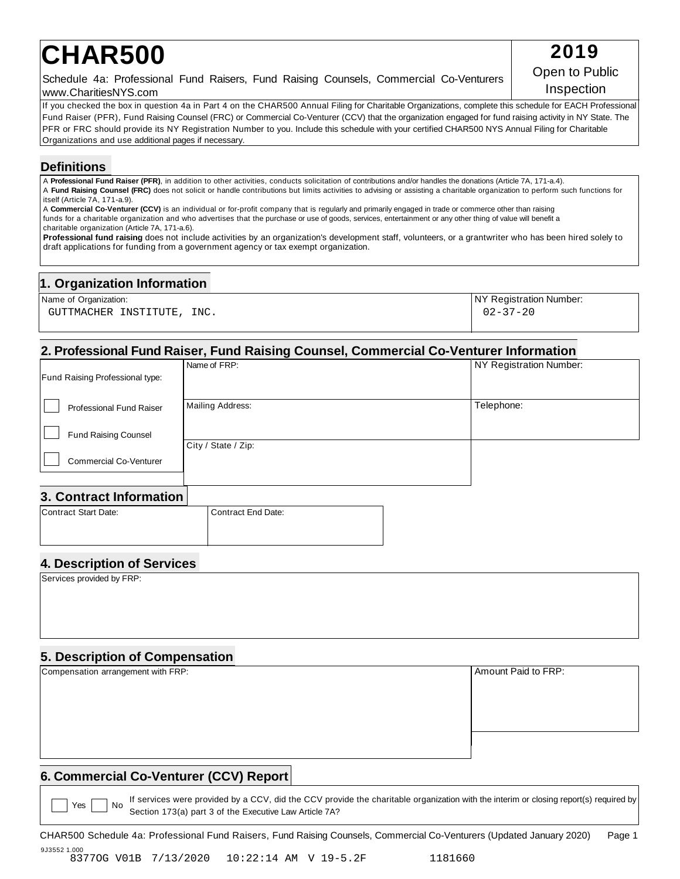# **CHAR500** 2019

Schedule 4a: Professional Fund Raisers, Fund Raising Counsels, Commercial Co-Venturers www.CharitiesNYS.com

If you checked the box in question 4a in Part 4 on the CHAR500 Annual Filing for Charitable Organizations, complete this schedule for EACH Professional Fund Raiser (PFR), Fund Raising Counsel (FRC) or Commercial Co-Venturer (CCV) that the organization engaged for fund raising activity in NY State. The PFR or FRC should provide its NY Registration Number to you. Include this schedule with your certified CHAR500 NYS Annual Filing for Charitable Organizations and use additional pages if necessary.

# **Definitions**

A **Professional Fund Raiser (PFR)**, in addition to other activities, conducts solicitation of contributions and/or handles the donations (Article 7A, 171-a.4). A **Fund Raising Counsel (FRC)** does not solicit or handle contributions but limits activities to advising or assisting a charitable organization to perform such functions for itself (Article 7A, 171-a.9).

A **Commercial Co-Venturer (CCV)** is an individual or for-profit company that is regularly and primarily engaged in trade or commerce other than raising funds for a charitable organization and who advertises that the purchase or use of goods, services, entertainment or any other thing of value will benefit a charitable organization (Article 7A, 171-a.6).

**Professional fund raising** does not include activities by an organization's development staff, volunteers, or a grantwriter who has been hired solely to draft applications for funding from a government agency or tax exempt organization.

# **1. Organization Information**

| Name of Organization:         | NY Registration Number: |
|-------------------------------|-------------------------|
| GUTTMACHER INSTITUTE,<br>INC. | $02 - 37 - 20$          |
|                               |                         |

# **2. Professional Fund Raiser, Fund Raising Counsel, Commercial Co-Venturer Information**

|                                 | Name of FRP:        | NY Registration Number: |
|---------------------------------|---------------------|-------------------------|
| Fund Raising Professional type: |                     |                         |
| Professional Fund Raiser        | Mailing Address:    | Telephone:              |
| <b>Fund Raising Counsel</b>     |                     |                         |
| <b>Commercial Co-Venturer</b>   | City / State / Zip: |                         |
|                                 |                     |                         |

# **3. Contract Information**

| Contract Start Date: | Contract End Date: |
|----------------------|--------------------|
|                      |                    |
|                      |                    |

# **4. Description of Services**

Services provided by FRP:

# **5. Description of Compensation**

| Compensation arrangement with FRP: | Amount Paid to FRP: |
|------------------------------------|---------------------|
|                                    |                     |
|                                    |                     |
|                                    |                     |
|                                    |                     |
|                                    |                     |
|                                    |                     |

# **6. Commercial Co-Venturer (CCV) Report**

If services were provided by a CCV, did the CCV provide the charitable organization with the interim or closing report(s) required by Section 173(a) part 3 of the Executive Law Article 7A?  $Yes \mid \text{No}$ 

CHAR500 Schedule 4a: Professional Fund Raisers, Fund Raising Counsels, Commercial Co-Venturers (Updated January 2020) Page 1 9J3552 1.000

8377OG V01B 7/13/2020 10:22:14 AM V 19-5.2F 1181660